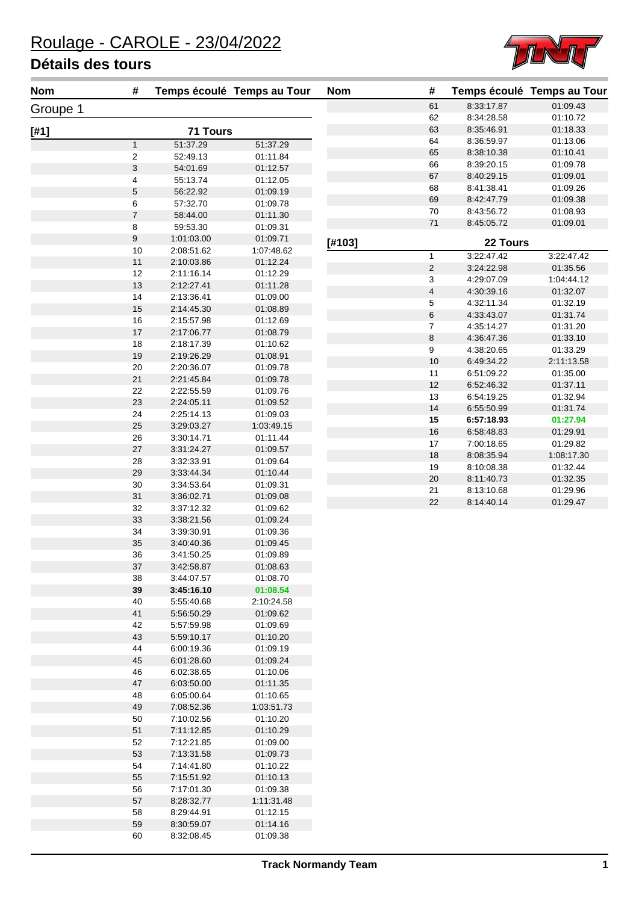

 8:33:17.87 01:09.43 8:34:28.58 01:10.72

**Nom # Temps écoulé Temps au Tour Nom # Temps écoulé Temps au Tour**

| <b>Nom</b> | #              |                 | Temps écoulé Temps au Tour | <b>Nom</b> |
|------------|----------------|-----------------|----------------------------|------------|
| Groupe 1   |                |                 |                            |            |
| $[#1]$     |                | <b>71 Tours</b> |                            |            |
|            | $\mathbf{1}$   | 51:37.29        | 51:37.29                   |            |
|            | 2              | 52:49.13        | 01:11.84                   |            |
|            | 3              | 54:01.69        | 01:12.57                   |            |
|            | 4              | 55:13.74        | 01:12.05                   |            |
|            | 5              | 56:22.92        | 01:09.19                   |            |
|            | 6              | 57:32.70        | 01:09.78                   |            |
|            | $\overline{7}$ | 58:44.00        | 01:11.30                   |            |
|            | 8              | 59:53.30        | 01:09.31                   |            |
|            | 9              | 1:01:03.00      | 01:09.71                   | [#103]     |
|            | 10             | 2:08:51.62      | 1:07:48.62                 |            |
|            | 11             | 2:10:03.86      | 01:12.24                   |            |
|            | 12             | 2:11:16.14      | 01:12.29                   |            |
|            | 13             | 2:12:27.41      | 01:11.28                   |            |
|            | 14             | 2:13:36.41      | 01:09.00                   |            |
|            | 15             | 2:14:45.30      | 01:08.89                   |            |
|            | 16             | 2:15:57.98      | 01:12.69                   |            |
|            | 17             | 2:17:06.77      | 01:08.79                   |            |
|            | 18             | 2:18:17.39      | 01:10.62                   |            |
|            | 19             | 2:19:26.29      | 01:08.91                   |            |
|            | 20             | 2:20:36.07      | 01:09.78                   |            |
|            | 21             | 2:21:45.84      | 01:09.78                   |            |
|            | 22             | 2:22:55.59      | 01:09.76                   |            |
|            | 23             | 2:24:05.11      | 01:09.52                   |            |
|            | 24             | 2:25:14.13      | 01:09.03                   |            |
|            | 25             | 3:29:03.27      | 1:03:49.15                 |            |
|            | 26             | 3:30:14.71      | 01:11.44                   |            |
|            | 27             | 3:31:24.27      | 01:09.57                   |            |
|            | 28             | 3:32:33.91      | 01:09.64                   |            |
|            | 29             | 3:33:44.34      | 01:10.44                   |            |
|            | 30             | 3:34:53.64      | 01:09.31                   |            |
|            | 31             | 3:36:02.71      | 01:09.08                   |            |
|            | 32             | 3:37:12.32      | 01:09.62                   |            |
|            | 33             | 3:38:21.56      | 01:09.24                   |            |
|            | 34             | 3:39:30.91      | 01:09.36                   |            |
|            | 35             | 3:40:40.36      | 01:09.45                   |            |
|            | 36             | 3:41:50.25      | 01:09.89                   |            |
|            | 37             | 3:42:58.87      | 01:08.63                   |            |
|            | 38             | 3:44:07.57      | 01:08.70                   |            |
|            | 39             | 3:45:16.10      | 01:08.54                   |            |
|            | 40             | 5:55:40.68      | 2:10:24.58                 |            |
|            | 41             | 5:56:50.29      | 01:09.62                   |            |
|            | 42             | 5:57:59.98      | 01:09.69                   |            |
|            | 43             | 5:59:10.17      | 01:10.20                   |            |
|            | 44             | 6:00:19.36      | 01:09.19                   |            |
|            | 45             | 6:01:28.60      | 01:09.24                   |            |
|            | 46             | 6:02:38.65      | 01:10.06                   |            |
|            | 47             | 6:03:50.00      | 01:11.35                   |            |
|            | 48             | 6:05:00.64      | 01:10.65                   |            |
|            | 49             | 7:08:52.36      | 1:03:51.73                 |            |
|            | 50             | 7:10:02.56      | 01:10.20                   |            |
|            | 51             | 7:11:12.85      | 01:10.29                   |            |
|            | 52             | 7:12:21.85      | 01:09.00                   |            |
|            | 53             | 7:13:31.58      | 01:09.73                   |            |
|            | 54             | 7:14:41.80      | 01:10.22                   |            |
|            | 55             | 7:15:51.92      | 01:10.13                   |            |
|            | 56             | 7:17:01.30      | 01:09.38                   |            |
|            | 57             | 8:28:32.77      | 1:11:31.48                 |            |
|            | 58             | 8:29:44.91      | 01:12.15                   |            |
|            | 59             | 8:30:59.07      | 01:14.16                   |            |
|            | 60             | 8:32:08.45      | 01:09.38                   |            |

|        | 63             | 8:35:46.91 | 01:18.33   |
|--------|----------------|------------|------------|
|        | 64             | 8:36:59.97 | 01:13.06   |
|        | 65             | 8.38.10.38 | 01:10.41   |
|        | 66             | 8:39:20.15 | 01:09.78   |
|        | 67             | 8:40:29.15 | 01:09.01   |
|        | 68             | 8:41:38.41 | 01:09.26   |
|        | 69             | 8:42:47.79 | 01:09.38   |
|        | 70             | 8:43:56.72 | 01:08.93   |
|        | 71             | 8.45.05.72 | 01:09.01   |
| [#103] |                | 22 Tours   |            |
|        | 1              | 3:22:47.42 | 3:22:47.42 |
|        | $\overline{2}$ | 3:24:22.98 | 01:35.56   |
|        | 3              | 4:29:07.09 | 1:04:44.12 |
|        | 4              | 4:30:39.16 | 01:32.07   |
|        | 5              | 4:32:11.34 | 01:32.19   |
|        | 6              | 4:33:43.07 | 01:31.74   |
|        | 7              | 4:35:14.27 | 01:31.20   |
|        | 8              | 4:36:47.36 | 01:33.10   |
|        | 9              | 4:38:20.65 | 01:33.29   |
|        | 10             | 6:49:34.22 | 2:11:13.58 |
|        | 11             | 6:51:09.22 | 01:35.00   |
|        | 12             | 6:52:46.32 | 01:37.11   |
|        | 13             | 6:54:19.25 | 01:32.94   |
|        | 14             | 6.55.50.99 | 01:31.74   |
|        | 15             | 6:57:18.93 | 01:27.94   |
|        | 16             | 6:58:48.83 | 01:29.91   |
|        | 17             | 7:00:18.65 | 01:29.82   |
|        | 18             | 8:08:35.94 | 1:08:17.30 |
|        | 19             | 8:10:08.38 | 01:32.44   |
|        | 20             | 8:11:40.73 | 01:32.35   |
|        | 21             | 8:13:10.68 | 01:29.96   |
|        | 22             | 8.14.40.14 | 01:29.47   |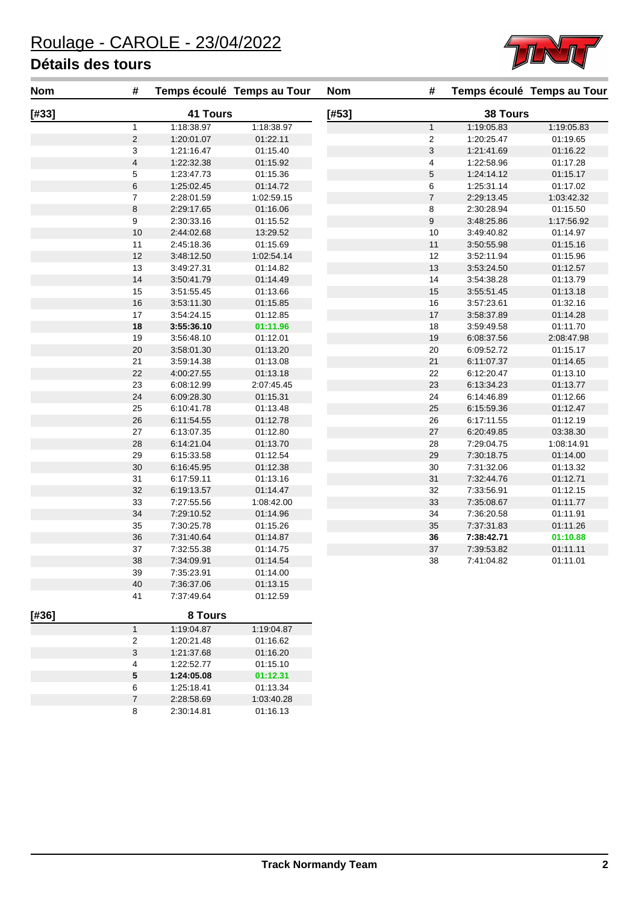

| Nom   | #                       |            | Temps écoulé Temps au Tour | <b>Nom</b> | #                       |            | Temps écoulé Temps au Tour |
|-------|-------------------------|------------|----------------------------|------------|-------------------------|------------|----------------------------|
| [#33] |                         | 41 Tours   |                            | [#53]      |                         | 38 Tours   |                            |
|       | $\mathbf{1}$            | 1:18:38.97 | 1:18:38.97                 |            | $\mathbf{1}$            | 1:19:05.83 | 1:19:05.83                 |
|       | $\overline{c}$          | 1:20:01.07 | 01:22.11                   |            | $\overline{\mathbf{c}}$ | 1:20:25.47 | 01:19.65                   |
|       | 3                       | 1:21:16.47 | 01:15.40                   |            | 3                       | 1:21:41.69 | 01:16.22                   |
|       | $\overline{\mathbf{4}}$ | 1:22:32.38 | 01:15.92                   |            | 4                       | 1:22:58.96 | 01:17.28                   |
|       | 5                       | 1:23:47.73 | 01:15.36                   |            | 5                       | 1:24:14.12 | 01:15.17                   |
|       | $\,6$                   | 1:25:02.45 | 01:14.72                   |            | 6                       | 1:25:31.14 | 01:17.02                   |
|       | $\overline{7}$          | 2:28:01.59 | 1:02:59.15                 |            | $\overline{\mathbf{7}}$ | 2:29:13.45 | 1:03:42.32                 |
|       | $\bf8$                  | 2:29:17.65 | 01:16.06                   |            | 8                       | 2:30:28.94 | 01:15.50                   |
|       | $\boldsymbol{9}$        | 2:30:33.16 | 01:15.52                   |            | 9                       | 3:48:25.86 | 1:17:56.92                 |
|       | 10                      | 2:44:02.68 | 13:29.52                   |            | 10                      | 3:49:40.82 | 01:14.97                   |
|       | 11                      | 2:45:18.36 | 01:15.69                   |            | 11                      | 3:50:55.98 | 01:15.16                   |
|       | 12                      | 3:48:12.50 | 1:02:54.14                 |            | 12                      | 3:52:11.94 | 01:15.96                   |
|       | 13                      | 3:49:27.31 | 01:14.82                   |            | 13                      | 3:53:24.50 | 01:12.57                   |
|       | 14                      | 3:50:41.79 | 01:14.49                   |            | 14                      | 3:54:38.28 | 01:13.79                   |
|       | 15                      | 3:51:55.45 | 01:13.66                   |            | 15                      | 3:55:51.45 | 01:13.18                   |
|       | 16                      | 3:53:11.30 | 01:15.85                   |            | 16                      | 3:57:23.61 | 01:32.16                   |
|       | 17                      | 3:54:24.15 | 01:12.85                   |            | 17                      | 3:58:37.89 | 01:14.28                   |
|       | 18                      | 3:55:36.10 | 01:11.96                   |            | 18                      | 3:59:49.58 | 01:11.70                   |
|       | 19                      | 3:56:48.10 | 01:12.01                   |            | 19                      | 6:08:37.56 | 2:08:47.98                 |
|       | 20                      | 3:58:01.30 | 01:13.20                   |            | $20\,$                  | 6:09:52.72 | 01:15.17                   |
|       | 21                      | 3:59:14.38 | 01:13.08                   |            | 21                      | 6:11:07.37 | 01:14.65                   |
|       | 22                      | 4:00:27.55 | 01:13.18                   |            | 22                      | 6:12:20.47 | 01:13.10                   |
|       | 23                      | 6:08:12.99 | 2:07:45.45                 |            | 23                      | 6:13:34.23 | 01:13.77                   |
|       | 24                      | 6:09:28.30 | 01:15.31                   |            | 24                      | 6:14:46.89 | 01:12.66                   |
|       | 25                      | 6:10:41.78 | 01:13.48                   |            | 25                      | 6:15:59.36 | 01:12.47                   |
|       | 26                      | 6:11:54.55 | 01:12.78                   |            | 26                      | 6:17:11.55 | 01:12.19                   |
|       | 27                      | 6:13:07.35 | 01:12.80                   |            | 27                      | 6:20:49.85 | 03:38.30                   |
|       | 28                      | 6:14:21.04 | 01:13.70                   |            | 28                      | 7:29:04.75 | 1:08:14.91                 |
|       | 29                      | 6:15:33.58 | 01:12.54                   |            | 29                      | 7:30:18.75 | 01:14.00                   |
|       | 30                      | 6:16:45.95 | 01:12.38                   |            | $30\,$                  | 7:31:32.06 | 01:13.32                   |
|       | 31                      | 6:17:59.11 | 01:13.16                   |            | 31                      | 7:32:44.76 | 01:12.71                   |
|       | 32                      | 6:19:13.57 | 01:14.47                   |            | 32                      | 7:33:56.91 | 01:12.15                   |
|       | 33                      | 7:27:55.56 | 1:08:42.00                 |            | 33                      | 7:35:08.67 | 01:11.77                   |
|       | 34                      | 7:29:10.52 | 01:14.96                   |            | 34                      | 7:36:20.58 | 01:11.91                   |
|       | 35                      | 7:30:25.78 | 01:15.26                   |            | 35                      | 7:37:31.83 | 01:11.26                   |
|       | 36                      | 7:31:40.64 | 01:14.87                   |            | 36                      | 7:38:42.71 | 01:10.88                   |
|       | 37                      | 7:32:55.38 | 01:14.75                   |            | 37                      | 7:39:53.82 | 01:11.11                   |
|       | 38                      | 7:34:09.91 | 01:14.54                   |            | 38                      | 7:41:04.82 | 01:11.01                   |
|       | 39                      | 7:35:23.91 | 01:14.00                   |            |                         |            |                            |
|       | 40                      | 7:36:37.06 | 01:13.15                   |            |                         |            |                            |
|       | 41                      | 7:37:49.64 | 01:12.59                   |            |                         |            |                            |
| [#36] |                         | 8 Tours    |                            |            |                         |            |                            |
|       | $\mathbf{1}$            | 1:19:04.87 | 1:19:04.87                 |            |                         |            |                            |
|       | $\overline{\mathbf{c}}$ | 1:20:21.48 | 01:16.62                   |            |                         |            |                            |
|       | 3                       | 1:21:37.68 | 01:16.20                   |            |                         |            |                            |
|       | 4                       | 1:22:52.77 | 01:15.10                   |            |                         |            |                            |
|       | 5                       | 1:24:05.08 | 01:12.31                   |            |                         |            |                            |
|       | 6                       | 1:25:18.41 | 01:13.34                   |            |                         |            |                            |
|       | $\overline{\mathbf{7}}$ | 2:28:58.69 | 1:03:40.28                 |            |                         |            |                            |
|       | 8                       | 2:30:14.81 | 01:16.13                   |            |                         |            |                            |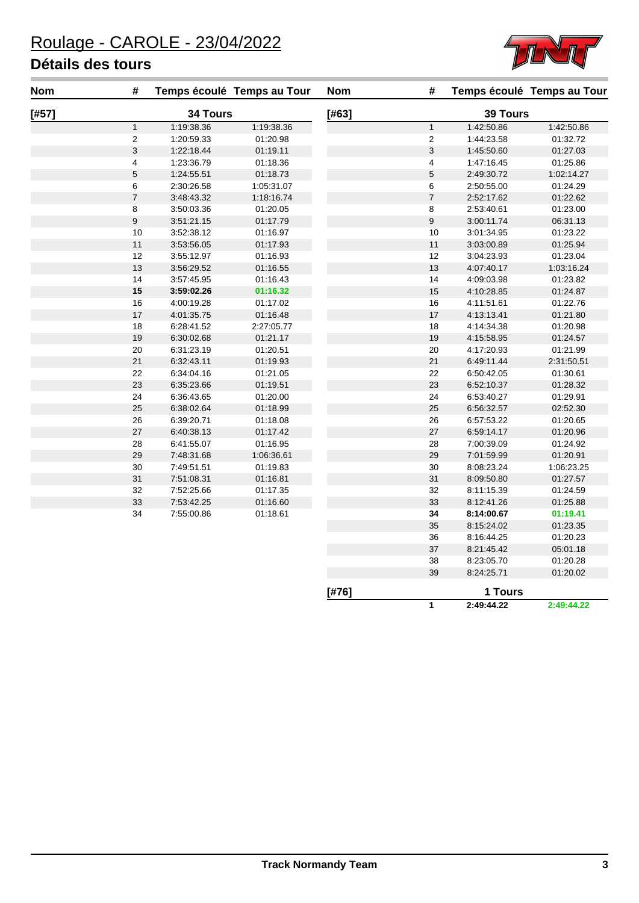

| <b>Nom</b> | #                        |            | Temps écoulé Temps au Tour | <b>Nom</b> | $\#$             |            | Temps écoulé Temps au Tour |
|------------|--------------------------|------------|----------------------------|------------|------------------|------------|----------------------------|
| [#57]      |                          | 34 Tours   |                            | [#63]      |                  | 39 Tours   |                            |
|            | $\mathbf{1}$             | 1:19:38.36 | 1:19:38.36                 |            | $\mathbf{1}$     | 1:42:50.86 | 1:42:50.86                 |
|            | 2                        | 1:20:59.33 | 01:20.98                   |            | $\mathbf 2$      | 1:44:23.58 | 01:32.72                   |
|            | $\mathsf 3$              | 1:22:18.44 | 01:19.11                   |            | $\mathsf 3$      | 1:45:50.60 | 01:27.03                   |
|            | 4                        | 1:23:36.79 | 01:18.36                   |            | $\overline{4}$   | 1:47:16.45 | 01:25.86                   |
|            | 5                        | 1:24:55.51 | 01:18.73                   |            | $\,$ 5 $\,$      | 2:49:30.72 | 1:02:14.27                 |
|            | 6                        | 2:30:26.58 | 1:05:31.07                 |            | 6                | 2:50:55.00 | 01:24.29                   |
|            | $\overline{\mathcal{I}}$ | 3:48:43.32 | 1:18:16.74                 |            | $\sqrt{7}$       | 2:52:17.62 | 01:22.62                   |
|            | 8                        | 3:50:03.36 | 01:20.05                   |            | $\bf 8$          | 2:53:40.61 | 01:23.00                   |
|            | 9                        | 3:51:21.15 | 01:17.79                   |            | $\boldsymbol{9}$ | 3:00:11.74 | 06:31.13                   |
|            | 10                       | 3:52:38.12 | 01:16.97                   |            | $10$             | 3:01:34.95 | 01:23.22                   |
|            | $11$                     | 3:53:56.05 | 01:17.93                   |            | $11$             | 3:03:00.89 | 01:25.94                   |
|            | 12                       | 3:55:12.97 | 01:16.93                   |            | 12               | 3:04:23.93 | 01:23.04                   |
|            | 13                       | 3:56:29.52 | 01:16.55                   |            | 13               | 4:07:40.17 | 1:03:16.24                 |
|            | 14                       | 3:57:45.95 | 01:16.43                   |            | 14               | 4:09:03.98 | 01:23.82                   |
|            | 15                       | 3:59:02.26 | 01:16.32                   |            | 15               | 4:10:28.85 | 01:24.87                   |
|            | 16                       | 4:00:19.28 | 01:17.02                   |            | 16               | 4:11:51.61 | 01:22.76                   |
|            | 17                       | 4:01:35.75 | 01:16.48                   |            | $17$             | 4:13:13.41 | 01:21.80                   |
|            | 18                       | 6:28:41.52 | 2:27:05.77                 |            | 18               | 4:14:34.38 | 01:20.98                   |
|            | $19$                     | 6:30:02.68 | 01:21.17                   |            | 19               | 4:15:58.95 | 01:24.57                   |
|            | $20\,$                   | 6:31:23.19 | 01:20.51                   |            | 20               | 4:17:20.93 | 01:21.99                   |
|            | 21                       | 6:32:43.11 | 01:19.93                   |            | 21               | 6:49:11.44 | 2:31:50.51                 |
|            | 22                       | 6:34:04.16 | 01:21.05                   |            | 22               | 6:50:42.05 | 01:30.61                   |
|            | 23                       | 6:35:23.66 | 01:19.51                   |            | 23               | 6:52:10.37 | 01:28.32                   |
|            | 24                       | 6:36:43.65 | 01:20.00                   |            | 24               | 6:53:40.27 | 01:29.91                   |
|            | 25                       | 6:38:02.64 | 01:18.99                   |            | 25               | 6:56:32.57 | 02:52.30                   |
|            | 26                       | 6:39:20.71 | 01:18.08                   |            | 26               | 6:57:53.22 | 01:20.65                   |
|            | 27                       | 6:40:38.13 | 01:17.42                   |            | $27\,$           | 6:59:14.17 | 01:20.96                   |
|            | 28                       | 6:41:55.07 | 01:16.95                   |            | 28               | 7:00:39.09 | 01:24.92                   |
|            | 29                       | 7:48:31.68 | 1:06:36.61                 |            | 29               | 7:01:59.99 | 01:20.91                   |
|            | 30                       | 7:49:51.51 | 01:19.83                   |            | 30               | 8:08:23.24 | 1:06:23.25                 |
|            | 31                       | 7:51:08.31 | 01:16.81                   |            | 31               | 8:09:50.80 | 01:27.57                   |
|            | 32                       | 7:52:25.66 | 01:17.35                   |            | 32               | 8:11:15.39 | 01:24.59                   |
|            | 33                       | 7:53:42.25 | 01:16.60                   |            | 33               | 8:12:41.26 | 01:25.88                   |
|            | 34                       | 7:55:00.86 | 01:18.61                   |            | 34               | 8:14:00.67 | 01:19.41                   |
|            |                          |            |                            |            | 35               | 8:15:24.02 | 01:23.35                   |
|            |                          |            |                            |            | 36               | 8:16:44.25 | 01:20.23                   |
|            |                          |            |                            |            | 37               | 8:21:45.42 | 05:01.18                   |
|            |                          |            |                            |            | 38               | 8:23:05.70 | 01:20.28                   |

**[#76] 1 Tours 2:49:44.22 2:49:44.22**

8:24:25.71 01:20.02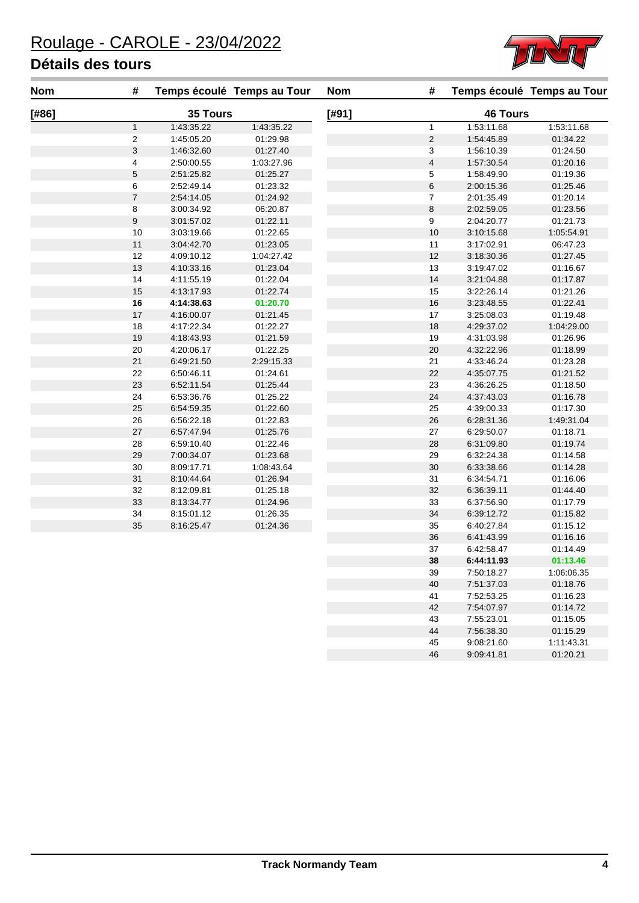

| <b>Nom</b> | #                        | Temps écoulé Temps au Tour |            | <b>Nom</b> | #                       |                 | Temps écoulé Temps au Tour |
|------------|--------------------------|----------------------------|------------|------------|-------------------------|-----------------|----------------------------|
| [#86]      |                          | 35 Tours                   |            | [#91]      |                         | <b>46 Tours</b> |                            |
|            | $\mathbf{1}$             | 1:43:35.22                 | 1:43:35.22 |            | $\mathbf{1}$            | 1:53:11.68      | 1:53:11.68                 |
|            | $\overline{c}$           | 1:45:05.20                 | 01:29.98   |            | $\sqrt{2}$              | 1:54:45.89      | 01:34.22                   |
|            | 3                        | 1:46:32.60                 | 01:27.40   |            | 3                       | 1:56:10.39      | 01:24.50                   |
|            | $\overline{\mathcal{A}}$ | 2:50:00.55                 | 1:03:27.96 |            | $\overline{\mathbf{4}}$ | 1:57:30.54      | 01:20.16                   |
|            | 5                        | 2:51:25.82                 | 01:25.27   |            | $\,$ 5 $\,$             | 1:58:49.90      | 01:19.36                   |
|            | 6                        | 2:52:49.14                 | 01:23.32   |            | $\,6$                   | 2:00:15.36      | 01:25.46                   |
|            | $\overline{7}$           | 2:54:14.05                 | 01:24.92   |            | $\boldsymbol{7}$        | 2:01:35.49      | 01:20.14                   |
|            | 8                        | 3:00:34.92                 | 06:20.87   |            | 8                       | 2:02:59.05      | 01:23.56                   |
|            | 9                        | 3:01:57.02                 | 01:22.11   |            | 9                       | 2:04:20.77      | 01:21.73                   |
|            | 10                       | 3:03:19.66                 | 01:22.65   |            | 10                      | 3:10:15.68      | 1:05:54.91                 |
|            | 11                       | 3:04:42.70                 | 01:23.05   |            | $11$                    | 3:17:02.91      | 06:47.23                   |
|            | 12                       | 4:09:10.12                 | 1:04:27.42 |            | 12                      | 3:18:30.36      | 01:27.45                   |
|            | 13                       | 4:10:33.16                 | 01:23.04   |            | 13                      | 3:19:47.02      | 01:16.67                   |
|            | 14                       | 4:11:55.19                 | 01:22.04   |            | 14                      | 3:21:04.88      | 01:17.87                   |
|            | 15                       | 4:13:17.93                 | 01:22.74   |            | 15                      | 3:22:26.14      | 01:21.26                   |
|            | 16                       | 4:14:38.63                 | 01:20.70   |            | 16                      | 3:23:48.55      | 01:22.41                   |
|            | 17                       | 4:16:00.07                 | 01:21.45   |            | 17                      | 3:25:08.03      | 01:19.48                   |
|            | 18                       | 4:17:22.34                 | 01:22.27   |            | 18                      | 4:29:37.02      | 1:04:29.00                 |
|            | 19                       | 4:18:43.93                 | 01:21.59   |            | 19                      | 4:31:03.98      | 01:26.96                   |
|            | 20                       | 4:20:06.17                 | 01:22.25   |            | 20                      | 4:32:22.96      | 01:18.99                   |
|            | 21                       | 6:49:21.50                 | 2:29:15.33 |            | 21                      | 4:33:46.24      | 01:23.28                   |
|            | 22                       | 6:50:46.11                 | 01:24.61   |            | 22                      | 4:35:07.75      | 01:21.52                   |
|            | 23                       | 6:52:11.54                 | 01:25.44   |            | 23                      | 4:36:26.25      | 01:18.50                   |
|            | 24                       | 6:53:36.76                 | 01:25.22   |            | 24                      | 4:37:43.03      | 01:16.78                   |
|            | 25                       | 6:54:59.35                 | 01:22.60   |            | 25                      | 4:39:00.33      | 01:17.30                   |
|            | 26                       | 6:56:22.18                 | 01:22.83   |            | 26                      | 6:28:31.36      | 1:49:31.04                 |
|            | 27                       | 6:57:47.94                 | 01:25.76   |            | 27                      | 6:29:50.07      | 01:18.71                   |
|            | 28                       | 6:59:10.40                 | 01:22.46   |            | 28                      | 6:31:09.80      | 01:19.74                   |
|            | 29                       | 7:00:34.07                 | 01:23.68   |            | 29                      | 6:32:24.38      | 01:14.58                   |
|            | 30                       | 8:09:17.71                 | 1:08:43.64 |            | 30                      | 6:33:38.66      | 01:14.28                   |
|            | 31                       | 8:10:44.64                 | 01:26.94   |            | 31                      | 6:34:54.71      | 01:16.06                   |
|            | 32                       | 8:12:09.81                 | 01:25.18   |            | 32                      | 6:36:39.11      | 01:44.40                   |
|            | 33                       | 8:13:34.77                 | 01:24.96   |            | 33                      | 6:37:56.90      | 01:17.79                   |
|            | 34                       | 8:15:01.12                 | 01:26.35   |            | 34                      | 6:39:12.72      | 01:15.82                   |
|            | 35                       | 8:16:25.47                 | 01:24.36   |            | 35                      | 6:40:27.84      | 01:15.12                   |
|            |                          |                            |            |            | 36                      | 6:41:43.99      | 01:16.16                   |
|            |                          |                            |            |            | 37                      | 6:42:58.47      | 01:14.49                   |
|            |                          |                            |            |            | 38                      | 6:44:11.93      | 01:13.46                   |
|            |                          |                            |            |            | 39                      | 7:50:18.27      | 1:06:06.35                 |
|            |                          |                            |            |            | 40                      | 7:51:37.03      | 01:18.76                   |
|            |                          |                            |            |            | 41                      | 7:52:53.25      | 01:16.23                   |
|            |                          |                            |            |            | 42                      | 7:54:07.97      | 01:14.72                   |
|            |                          |                            |            |            | 43                      | 7:55:23.01      | 01:15.05                   |
|            |                          |                            |            |            | 44                      | 7:56:38.30      | 01:15.29                   |

44 7:56:38.30 01:15.29<br>45 9:08:21.60 1:11:43.31 45 9:08:21.60 1:11:43.31<br>46 9:09:41.81 01:20.21

9:09:41.81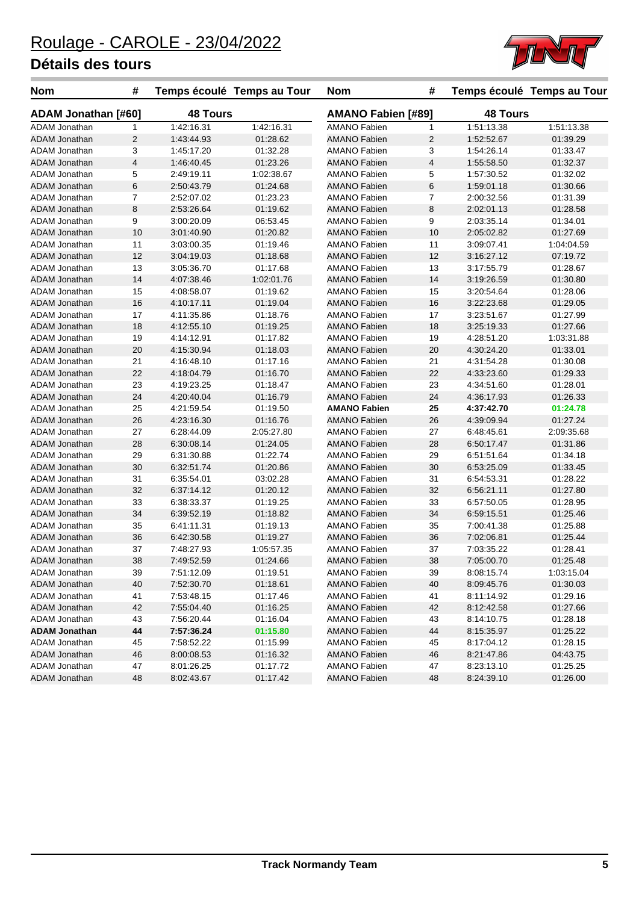

| <b>Nom</b>           | #              |                 | Temps écoulé Temps au Tour | <b>Nom</b>          | #                                            |            | Temps écoulé Temps au Tour |
|----------------------|----------------|-----------------|----------------------------|---------------------|----------------------------------------------|------------|----------------------------|
| ADAM Jonathan [#60]  |                | <b>48 Tours</b> |                            |                     | <b>AMANO Fabien [#89]</b><br><b>48 Tours</b> |            |                            |
| <b>ADAM Jonathan</b> | $\mathbf{1}$   | 1:42:16.31      | 1:42:16.31                 | <b>AMANO Fabien</b> | 1                                            | 1:51:13.38 | 1:51:13.38                 |
| ADAM Jonathan        | $\overline{2}$ | 1:43:44.93      | 01:28.62                   | <b>AMANO Fabien</b> | 2                                            | 1:52:52.67 | 01:39.29                   |
| ADAM Jonathan        | 3              | 1:45:17.20      | 01:32.28                   | AMANO Fabien        | 3                                            | 1:54:26.14 | 01:33.47                   |
| <b>ADAM Jonathan</b> | $\sqrt{4}$     | 1:46:40.45      | 01:23.26                   | <b>AMANO Fabien</b> | 4                                            | 1:55:58.50 | 01:32.37                   |
| ADAM Jonathan        | 5              | 2:49:19.11      | 1:02:38.67                 | <b>AMANO Fabien</b> | 5                                            | 1:57:30.52 | 01:32.02                   |
| ADAM Jonathan        | $\,6$          | 2:50:43.79      | 01:24.68                   | <b>AMANO Fabien</b> | 6                                            | 1:59:01.18 | 01:30.66                   |
| <b>ADAM Jonathan</b> | $\overline{7}$ | 2:52:07.02      | 01:23.23                   | <b>AMANO Fabien</b> | 7                                            | 2:00:32.56 | 01:31.39                   |
| <b>ADAM Jonathan</b> | 8              | 2:53:26.64      | 01:19.62                   | <b>AMANO Fabien</b> | 8                                            | 2:02:01.13 | 01:28.58                   |
| ADAM Jonathan        | 9              | 3:00:20.09      | 06:53.45                   | <b>AMANO Fabien</b> | 9                                            | 2:03:35.14 | 01:34.01                   |
| <b>ADAM Jonathan</b> | 10             | 3:01:40.90      | 01:20.82                   | <b>AMANO Fabien</b> | 10                                           | 2:05:02.82 | 01:27.69                   |
| <b>ADAM Jonathan</b> | 11             | 3:03:00.35      | 01:19.46                   | <b>AMANO Fabien</b> | 11                                           | 3:09:07.41 | 1:04:04.59                 |
| <b>ADAM Jonathan</b> | 12             | 3:04:19.03      | 01:18.68                   | <b>AMANO Fabien</b> | 12                                           | 3:16:27.12 | 07:19.72                   |
| ADAM Jonathan        | 13             | 3:05:36.70      | 01:17.68                   | AMANO Fabien        | 13                                           | 3:17:55.79 | 01:28.67                   |
| ADAM Jonathan        | 14             | 4:07:38.46      | 1:02:01.76                 | AMANO Fabien        | 14                                           | 3:19:26.59 | 01:30.80                   |
| ADAM Jonathan        | 15             | 4:08:58.07      | 01:19.62                   | <b>AMANO Fabien</b> | 15                                           | 3:20:54.64 | 01:28.06                   |
| <b>ADAM Jonathan</b> | 16             | 4:10:17.11      | 01:19.04                   | <b>AMANO Fabien</b> | 16                                           | 3:22:23.68 | 01:29.05                   |
| <b>ADAM Jonathan</b> | 17             | 4:11:35.86      | 01:18.76                   | <b>AMANO Fabien</b> | 17                                           | 3:23:51.67 | 01:27.99                   |
| <b>ADAM Jonathan</b> | 18             | 4:12:55.10      | 01:19.25                   | <b>AMANO Fabien</b> | 18                                           | 3:25:19.33 | 01:27.66                   |
| ADAM Jonathan        | 19             | 4:14:12.91      | 01:17.82                   | <b>AMANO Fabien</b> | 19                                           | 4:28:51.20 | 1:03:31.88                 |
| ADAM Jonathan        | 20             | 4:15:30.94      | 01:18.03                   | <b>AMANO Fabien</b> | 20                                           | 4:30:24.20 | 01:33.01                   |
| ADAM Jonathan        | 21             | 4:16:48.10      | 01:17.16                   | <b>AMANO Fabien</b> | 21                                           | 4:31:54.28 | 01:30.08                   |
| <b>ADAM Jonathan</b> | 22             | 4:18:04.79      | 01:16.70                   | <b>AMANO Fabien</b> | 22                                           | 4:33:23.60 | 01:29.33                   |
| ADAM Jonathan        | 23             | 4:19:23.25      | 01:18.47                   | <b>AMANO Fabien</b> | 23                                           | 4:34:51.60 | 01:28.01                   |
| ADAM Jonathan        | 24             | 4:20:40.04      | 01:16.79                   | <b>AMANO Fabien</b> | 24                                           | 4:36:17.93 | 01:26.33                   |
| <b>ADAM Jonathan</b> | 25             | 4:21:59.54      | 01:19.50                   | <b>AMANO Fabien</b> | 25                                           | 4:37:42.70 | 01:24.78                   |
| ADAM Jonathan        | 26             | 4:23:16.30      | 01:16.76                   | <b>AMANO Fabien</b> | 26                                           | 4:39:09.94 | 01:27.24                   |
| ADAM Jonathan        | 27             | 6:28:44.09      | 2:05:27.80                 | <b>AMANO Fabien</b> | 27                                           | 6:48:45.61 | 2:09:35.68                 |
| <b>ADAM Jonathan</b> | 28             | 6:30:08.14      | 01:24.05                   | <b>AMANO Fabien</b> | 28                                           | 6:50:17.47 | 01:31.86                   |
| <b>ADAM Jonathan</b> | 29             | 6:31:30.88      | 01:22.74                   | <b>AMANO Fabien</b> | 29                                           | 6:51:51.64 | 01:34.18                   |
| ADAM Jonathan        | 30             | 6:32:51.74      | 01:20.86                   | <b>AMANO Fabien</b> | 30                                           | 6:53:25.09 | 01:33.45                   |
| ADAM Jonathan        | 31             | 6:35:54.01      | 03:02.28                   | <b>AMANO Fabien</b> | 31                                           | 6:54:53.31 | 01:28.22                   |
| <b>ADAM Jonathan</b> | 32             | 6:37:14.12      | 01:20.12                   | <b>AMANO Fabien</b> | 32                                           | 6:56:21.11 | 01:27.80                   |
| ADAM Jonathan        | 33             | 6:38:33.37      | 01:19.25                   | <b>AMANO Fabien</b> | 33                                           | 6:57:50.05 | 01:28.95                   |
| ADAM Jonathan        | 34             | 6:39:52.19      | 01:18.82                   | <b>AMANO Fabien</b> | 34                                           | 6:59:15.51 | 01:25.46                   |
| <b>ADAM Jonathan</b> | 35             | 6:41:11.31      | 01:19.13                   | <b>AMANO Fabien</b> | 35                                           | 7:00:41.38 | 01:25.88                   |
| ADAM Jonathan        | 36             | 6:42:30.58      | 01:19.27                   | <b>AMANO Fabien</b> | 36                                           | 7:02:06.81 | 01:25.44                   |
| <b>ADAM Jonathan</b> | 37             | 7:48:27.93      | 1:05:57.35                 | <b>AMANO Fabien</b> | 37                                           | 7:03:35.22 | 01:28.41                   |
| <b>ADAM Jonathan</b> | 38             | 7:49:52.59      | 01:24.66                   | <b>AMANO Fabien</b> | 38                                           | 7:05:00.70 | 01:25.48                   |
| ADAM Jonathan        | 39             | 7:51:12.09      | 01:19.51                   | <b>AMANO Fabien</b> | 39                                           | 8:08:15.74 | 1:03:15.04                 |
| <b>ADAM Jonathan</b> | 40             | 7:52:30.70      | 01:18.61                   | <b>AMANO Fabien</b> | 40                                           | 8:09:45.76 | 01:30.03                   |
| ADAM Jonathan        | 41             | 7:53:48.15      | 01:17.46                   | AMANO Fabien        | 41                                           | 8:11:14.92 | 01:29.16                   |
| ADAM Jonathan        | 42             | 7:55:04.40      | 01:16.25                   | AMANO Fabien        | 42                                           | 8:12:42.58 | 01:27.66                   |
| ADAM Jonathan        | 43             | 7:56:20.44      | 01:16.04                   | AMANO Fabien        | 43                                           | 8:14:10.75 | 01:28.18                   |
| <b>ADAM Jonathan</b> | 44             | 7:57:36.24      | 01:15.80                   | <b>AMANO Fabien</b> | 44                                           | 8:15:35.97 | 01:25.22                   |
| ADAM Jonathan        | 45             | 7:58:52.22      | 01:15.99                   | AMANO Fabien        | 45                                           | 8:17:04.12 | 01:28.15                   |
| <b>ADAM Jonathan</b> | 46             | 8:00:08.53      | 01:16.32                   | <b>AMANO Fabien</b> | 46                                           | 8.21.47.86 | 04:43.75                   |
| ADAM Jonathan        | 47             | 8:01:26.25      | 01:17.72                   | AMANO Fabien        | 47                                           | 8:23:13.10 | 01:25.25                   |
| <b>ADAM Jonathan</b> | 48             | 8:02:43.67      | 01:17.42                   | <b>AMANO Fabien</b> | 48                                           | 8:24:39.10 | 01:26.00                   |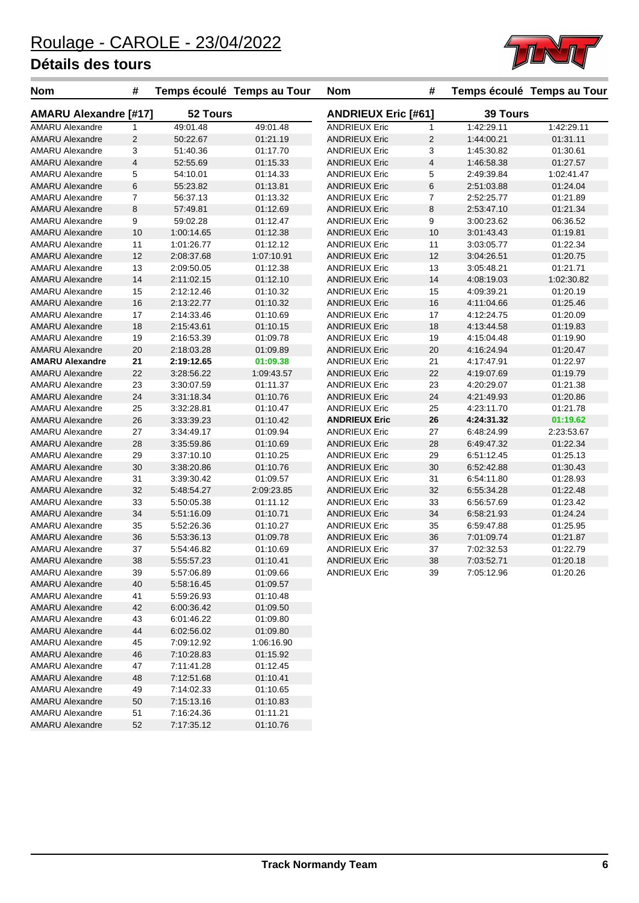AMARU Alexandre 52 7:17:35.12 01:10.76



| <b>Nom</b>                   | #               |            | Temps écoulé Temps au Tour | <b>Nom</b>           | #                                             |            | Temps écoulé Temps au Tour |
|------------------------------|-----------------|------------|----------------------------|----------------------|-----------------------------------------------|------------|----------------------------|
| <b>AMARU Alexandre [#17]</b> |                 | 52 Tours   |                            |                      | <b>ANDRIEUX Eric [#61]</b><br><b>39 Tours</b> |            |                            |
| <b>AMARU Alexandre</b>       | 1               | 49:01.48   | 49:01.48                   | <b>ANDRIEUX Eric</b> | $\mathbf{1}$                                  | 1:42:29.11 | 1:42:29.11                 |
| <b>AMARU Alexandre</b>       | $\overline{c}$  | 50:22.67   | 01:21.19                   | <b>ANDRIEUX Eric</b> | $\overline{2}$                                | 1:44:00.21 | 01:31.11                   |
| <b>AMARU Alexandre</b>       | 3               | 51:40.36   | 01:17.70                   | <b>ANDRIEUX Eric</b> | 3                                             | 1:45:30.82 | 01:30.61                   |
| <b>AMARU Alexandre</b>       | 4               | 52:55.69   | 01:15.33                   | <b>ANDRIEUX Eric</b> | 4                                             | 1:46:58.38 | 01:27.57                   |
| <b>AMARU Alexandre</b>       | 5               | 54:10.01   | 01:14.33                   | <b>ANDRIEUX Eric</b> | 5                                             | 2:49:39.84 | 1:02:41.47                 |
| <b>AMARU Alexandre</b>       | $6\phantom{1}6$ | 55:23.82   | 01:13.81                   | <b>ANDRIEUX Eric</b> | 6                                             | 2:51:03.88 | 01:24.04                   |
| <b>AMARU Alexandre</b>       | $\overline{7}$  | 56:37.13   | 01:13.32                   | <b>ANDRIEUX Eric</b> | $\overline{7}$                                | 2:52:25.77 | 01:21.89                   |
| <b>AMARU Alexandre</b>       | 8               | 57:49.81   | 01:12.69                   | <b>ANDRIEUX Eric</b> | 8                                             | 2:53:47.10 | 01:21.34                   |
| <b>AMARU Alexandre</b>       | 9               | 59:02.28   | 01:12.47                   | <b>ANDRIEUX Eric</b> | 9                                             | 3:00:23.62 | 06:36.52                   |
| <b>AMARU Alexandre</b>       | 10              | 1:00:14.65 | 01:12.38                   | <b>ANDRIEUX Eric</b> | 10                                            | 3:01:43.43 | 01:19.81                   |
| <b>AMARU Alexandre</b>       | 11              | 1:01:26.77 | 01:12.12                   | <b>ANDRIEUX Eric</b> | 11                                            | 3:03:05.77 | 01:22.34                   |
| <b>AMARU Alexandre</b>       | 12              | 2:08:37.68 | 1:07:10.91                 | <b>ANDRIEUX Eric</b> | 12                                            | 3:04:26.51 | 01:20.75                   |
| <b>AMARU Alexandre</b>       | 13              | 2:09:50.05 | 01:12.38                   | <b>ANDRIEUX Eric</b> | 13                                            | 3:05:48.21 | 01:21.71                   |
| <b>AMARU Alexandre</b>       | 14              | 2:11:02.15 | 01:12.10                   | <b>ANDRIEUX Eric</b> | 14                                            | 4:08:19.03 | 1:02:30.82                 |
| <b>AMARU Alexandre</b>       | 15              | 2:12:12.46 | 01:10.32                   | <b>ANDRIEUX Eric</b> | 15                                            | 4:09:39.21 | 01:20.19                   |
| <b>AMARU Alexandre</b>       | 16              | 2:13:22.77 | 01:10.32                   | <b>ANDRIEUX Eric</b> | 16                                            | 4:11:04.66 | 01:25.46                   |
| <b>AMARU Alexandre</b>       | 17              | 2:14:33.46 | 01:10.69                   | <b>ANDRIEUX Eric</b> | 17                                            | 4:12:24.75 | 01:20.09                   |
| <b>AMARU Alexandre</b>       | 18              | 2:15:43.61 | 01:10.15                   | <b>ANDRIEUX Eric</b> | 18                                            | 4:13:44.58 | 01:19.83                   |
| <b>AMARU Alexandre</b>       | 19              | 2:16:53.39 | 01:09.78                   | <b>ANDRIEUX Eric</b> | 19                                            | 4:15:04.48 | 01:19.90                   |
| <b>AMARU Alexandre</b>       | 20              | 2:18:03.28 | 01:09.89                   | <b>ANDRIEUX Eric</b> | 20                                            | 4:16:24.94 | 01:20.47                   |
| <b>AMARU Alexandre</b>       | 21              | 2:19:12.65 | 01:09.38                   | <b>ANDRIEUX Eric</b> | 21                                            | 4:17:47.91 | 01:22.97                   |
| <b>AMARU Alexandre</b>       | 22              | 3:28:56.22 | 1:09:43.57                 | <b>ANDRIEUX Eric</b> | 22                                            | 4:19:07.69 | 01:19.79                   |
| <b>AMARU Alexandre</b>       | 23              | 3:30:07.59 | 01:11.37                   | <b>ANDRIEUX Eric</b> | 23                                            | 4:20:29.07 | 01:21.38                   |
| <b>AMARU Alexandre</b>       | 24              | 3:31:18.34 | 01:10.76                   | <b>ANDRIEUX Eric</b> | 24                                            | 4:21:49.93 | 01:20.86                   |
| <b>AMARU Alexandre</b>       | 25              | 3:32:28.81 | 01:10.47                   | <b>ANDRIEUX Eric</b> | 25                                            | 4:23:11.70 | 01:21.78                   |
| <b>AMARU Alexandre</b>       | 26              | 3:33:39.23 | 01:10.42                   | <b>ANDRIEUX Eric</b> | 26                                            | 4:24:31.32 | 01:19.62                   |
| <b>AMARU Alexandre</b>       | 27              | 3:34:49.17 | 01:09.94                   | <b>ANDRIEUX Eric</b> | 27                                            | 6:48:24.99 | 2:23:53.67                 |
| <b>AMARU Alexandre</b>       | 28              | 3:35:59.86 | 01:10.69                   | <b>ANDRIEUX Eric</b> | 28                                            | 6:49:47.32 | 01:22.34                   |
| <b>AMARU Alexandre</b>       | 29              | 3:37:10.10 | 01:10.25                   | <b>ANDRIEUX Eric</b> | 29                                            | 6:51:12.45 | 01:25.13                   |
| <b>AMARU Alexandre</b>       | 30              | 3:38:20.86 | 01:10.76                   | <b>ANDRIEUX Eric</b> | 30                                            | 6:52:42.88 | 01:30.43                   |
| <b>AMARU Alexandre</b>       | 31              | 3:39:30.42 | 01:09.57                   | <b>ANDRIEUX Eric</b> | 31                                            | 6:54:11.80 | 01:28.93                   |
| <b>AMARU Alexandre</b>       | 32              | 5:48:54.27 | 2:09:23.85                 | <b>ANDRIEUX Eric</b> | 32                                            | 6:55:34.28 | 01:22.48                   |
| <b>AMARU Alexandre</b>       | 33              | 5:50:05.38 | 01:11.12                   | <b>ANDRIEUX Eric</b> | 33                                            | 6:56:57.69 | 01:23.42                   |
| <b>AMARU Alexandre</b>       | 34              | 5:51:16.09 | 01:10.71                   | <b>ANDRIEUX Eric</b> | 34                                            | 6:58:21.93 | 01:24.24                   |
| <b>AMARU Alexandre</b>       | 35              | 5:52:26.36 | 01:10.27                   | <b>ANDRIEUX Eric</b> | 35                                            | 6:59:47.88 | 01:25.95                   |
| <b>AMARU Alexandre</b>       | 36              | 5:53:36.13 | 01:09.78                   | <b>ANDRIEUX Eric</b> | 36                                            | 7:01:09.74 | 01:21.87                   |
| <b>AMARU Alexandre</b>       | 37              | 5:54:46.82 | 01:10.69                   | <b>ANDRIEUX Eric</b> | 37                                            | 7:02:32.53 | 01:22.79                   |
| <b>AMARU Alexandre</b>       | 38              | 5:55:57.23 | 01:10.41                   | <b>ANDRIEUX Eric</b> | 38                                            | 7:03:52.71 | 01:20.18                   |
| <b>AMARU Alexandre</b>       | 39              | 5:57:06.89 | 01:09.66                   | <b>ANDRIEUX Eric</b> | 39                                            | 7:05:12.96 | 01:20.26                   |
| <b>AMARU Alexandre</b>       | 40              | 5:58:16.45 | 01:09.57                   |                      |                                               |            |                            |
| <b>AMARU Alexandre</b>       | 41              | 5:59:26.93 | 01:10.48                   |                      |                                               |            |                            |
| <b>AMARU Alexandre</b>       | 42              | 6:00:36.42 | 01:09.50                   |                      |                                               |            |                            |
| <b>AMARU Alexandre</b>       | 43              | 6:01:46.22 | 01:09.80                   |                      |                                               |            |                            |
| <b>AMARU Alexandre</b>       | 44              | 6:02:56.02 | 01:09.80                   |                      |                                               |            |                            |
| <b>AMARU Alexandre</b>       | 45              | 7:09:12.92 | 1:06:16.90                 |                      |                                               |            |                            |
| <b>AMARU Alexandre</b>       | 46              | 7:10:28.83 | 01:15.92                   |                      |                                               |            |                            |
| <b>AMARU Alexandre</b>       | 47              | 7:11:41.28 | 01:12.45                   |                      |                                               |            |                            |
| <b>AMARU Alexandre</b>       | 48              | 7:12:51.68 | 01:10.41                   |                      |                                               |            |                            |
| <b>AMARU Alexandre</b>       | 49              | 7:14:02.33 | 01:10.65                   |                      |                                               |            |                            |
| <b>AMARU Alexandre</b>       | 50              | 7:15:13.16 | 01:10.83                   |                      |                                               |            |                            |
| <b>AMARU Alexandre</b>       | 51              | 7:16:24.36 | 01:11.21                   |                      |                                               |            |                            |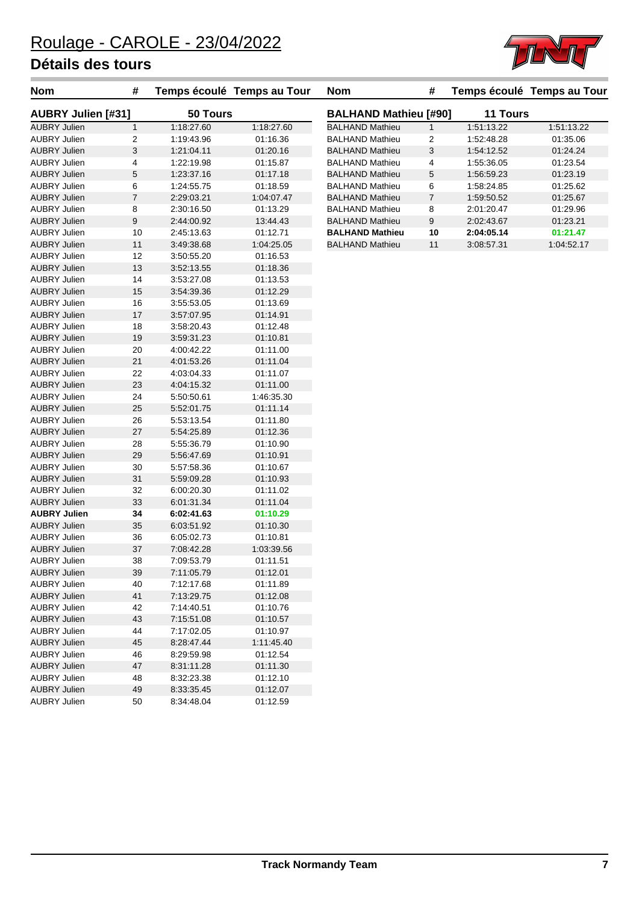| Nom                       | #              |            | Temps écoulé Temps au Tour |
|---------------------------|----------------|------------|----------------------------|
| <b>AUBRY Julien [#31]</b> |                | 50 Tours   |                            |
| <b>AUBRY Julien</b>       | $\mathbf{1}$   | 1:18:27.60 | 1:18:27.60                 |
| AUBRY Julien              | 2              | 1:19:43.96 | 01:16.36                   |
| <b>AUBRY Julien</b>       | 3              | 1:21:04.11 | 01:20.16                   |
| <b>AUBRY Julien</b>       | 4              | 1:22:19.98 | 01:15.87                   |
| <b>AUBRY Julien</b>       | 5              | 1:23:37.16 | 01:17.18                   |
| <b>AUBRY Julien</b>       | 6              | 1:24:55.75 | 01:18.59                   |
| <b>AUBRY Julien</b>       | $\overline{7}$ | 2:29:03.21 | 1:04:07.47                 |
| <b>AUBRY Julien</b>       | 8              | 2:30:16.50 | 01:13.29                   |
| <b>AUBRY Julien</b>       | 9              | 2:44:00.92 | 13:44.43                   |
| AUBRY Julien              | 10             | 2:45:13.63 | 01:12.71                   |
| <b>AUBRY Julien</b>       | 11             | 3.49.38.68 | 1:04:25.05                 |
| <b>AUBRY Julien</b>       | 12             | 3:50:55.20 | 01:16.53                   |
| <b>AUBRY Julien</b>       | 13             | 3.52.13.55 | 01:18.36                   |
| AUBRY Julien              | 14             | 3.53.27.08 | 01:13.53                   |
| <b>AUBRY Julien</b>       | 15             | 3.54.39.36 | 01:12.29                   |
| <b>AUBRY Julien</b>       | 16             | 3.55.53.05 | 01:13.69                   |
| <b>AUBRY Julien</b>       | 17             | 3.57:07.95 | 01:14.91                   |
| <b>AUBRY Julien</b>       | 18             | 3:58:20.43 | 01:12.48                   |
| <b>AUBRY Julien</b>       | 19             | 3:59:31.23 | 01:10.81                   |
| AUBRY Julien              | 20             | 4:00:42.22 | 01:11.00                   |
| <b>AUBRY Julien</b>       | 21             | 4:01:53.26 | 01:11.04                   |
| <b>AUBRY Julien</b>       | 22             | 4:03:04.33 | 01:11.07                   |
| <b>AUBRY Julien</b>       | 23             | 4:04:15.32 | 01:11.00                   |
| AUBRY Julien              | 24             | 5:50:50.61 | 1:46:35.30                 |
| <b>AUBRY Julien</b>       | 25             | 5:52:01.75 | 01:11.14                   |
| AUBRY Julien              | 26             | 5:53:13.54 | 01:11.80                   |
| <b>AUBRY Julien</b>       | 27             | 5.54.25.89 | 01:12.36                   |
| <b>AUBRY Julien</b>       | 28             | 5 55:36.79 | 01:10.90                   |
| <b>AUBRY Julien</b>       | 29             | 5:56:47.69 | 01:10.91                   |
| AUBRY Julien              | 30             | 5:57:58.36 | 01:10.67                   |
| <b>AUBRY Julien</b>       | 31             | 5.59.09.28 | 01:10.93                   |
| <b>AUBRY Julien</b>       | 32             | 6:00:20.30 | 01:11.02                   |
| <b>AUBRY Julien</b>       | 33             | 6:01:31.34 | 01:11.04                   |
| <b>AUBRY Julien</b>       | 34             | 6:02:41.63 | 01:10.29                   |
| <b>AUBRY Julien</b>       | 35             | 6:03:51.92 | 01:10.30                   |
| AUBRY Julien              | 36             | 6:05:02.73 | 01:10.81                   |
| <b>AUBRY Julien</b>       | 37             | 7:08:42.28 | 1:03:39.56                 |
| <b>AUBRY Julien</b>       | 38             | 7:09:53.79 | 01:11.51                   |
| <b>AUBRY Julien</b>       | 39             | 7:11:05.79 | 01:12.01                   |
| <b>AUBRY Julien</b>       | 40             | 7:12:17.68 | 01:11.89                   |
| <b>AUBRY Julien</b>       | 41             | 7:13:29.75 | 01:12.08                   |
| <b>AUBRY Julien</b>       | 42             | 7:14:40.51 | 01:10.76                   |
| <b>AUBRY Julien</b>       | 43             | 7:15:51.08 | 01:10.57                   |
| <b>AUBRY Julien</b>       | 44             | 7:17:02.05 | 01:10.97                   |
| <b>AUBRY Julien</b>       | 45             | 8:28:47.44 | 1:11:45.40                 |
| <b>AUBRY Julien</b>       | 46             | 8.29.59.98 | 01:12.54                   |
| <b>AUBRY Julien</b>       | 47             | 8:31:11.28 | 01:11.30                   |
| <b>AUBRY Julien</b>       | 48             | 8:32:23.38 | 01:12.10                   |
| <b>AUBRY Julien</b>       | 49             | 8:33:35.45 | 01:12.07                   |
| <b>AUBRY Julien</b>       | 50             | 8:34:48.04 | 01:12.59                   |

| Nom                          | #  |                 | Temps écoulé   Temps au Tour |
|------------------------------|----|-----------------|------------------------------|
| <b>BALHAND Mathieu [#90]</b> |    | <b>11 Tours</b> |                              |
| <b>BALHAND Mathieu</b>       | 1  | 1.51.13.22      | 1:51:13.22                   |
| <b>BALHAND Mathieu</b>       | 2  | 1:52:48.28      | 01:35.06                     |
| <b>BALHAND Mathieu</b>       | 3  | 1:54:12.52      | 01:24.24                     |
| <b>BALHAND Mathieu</b>       | 4  | 1:55:36.05      | 01:23.54                     |
| <b>BALHAND Mathieu</b>       | 5  | 1.56.59.23      | 01:23.19                     |
| <b>BALHAND Mathieu</b>       | 6  | 1:58:24.85      | 01:25.62                     |
| <b>BALHAND Mathieu</b>       | 7  | 1:59:50.52      | 01:25.67                     |
| <b>BALHAND Mathieu</b>       | 8  | 2:01:20.47      | 01:29.96                     |
| <b>BALHAND Mathieu</b>       | 9  | 2:02:43.67      | 01:23.21                     |
| <b>BALHAND Mathieu</b>       | 10 | 2:04:05.14      | 01:21.47                     |
| <b>BALHAND Mathieu</b>       | 11 | 3:08:57.31      | 1:04:52.17                   |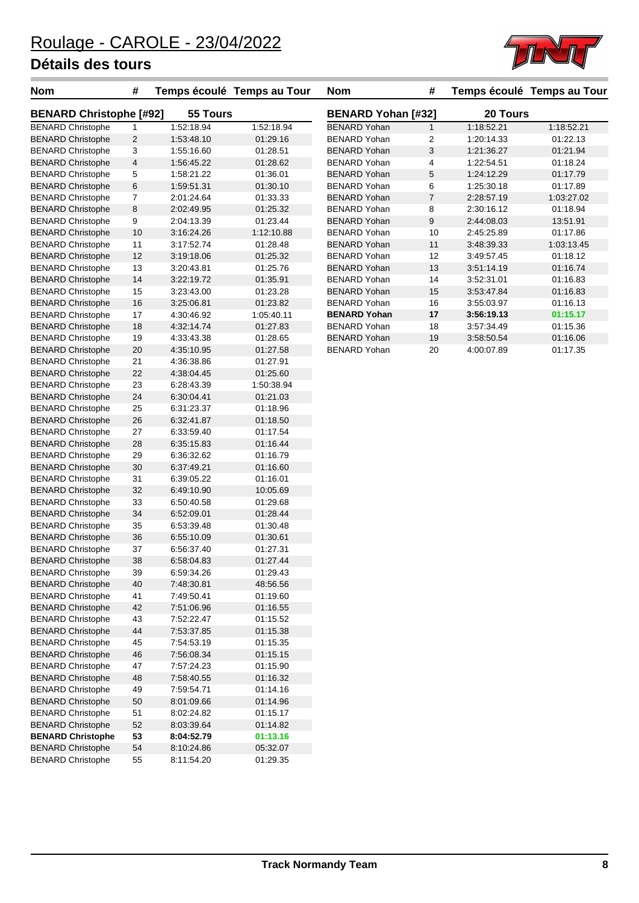

| Nom                            | #              | Temps écoulé | Temps au Tour |
|--------------------------------|----------------|--------------|---------------|
| <b>BENARD Christophe [#92]</b> |                | 55 Tours     |               |
| <b>BENARD Christophe</b>       | 1              | 1:52:18.94   | 1:52:18.94    |
| <b>BENARD Christophe</b>       | $\overline{2}$ | 1:53:48.10   | 01:29.16      |
| <b>BENARD Christophe</b>       | 3              | 1:55:16.60   | 01:28.51      |
| <b>BENARD Christophe</b>       | 4              | 1:56:45.22   | 01:28.62      |
| <b>BENARD Christophe</b>       | 5              | 1:58:21.22   | 01:36.01      |
| <b>BENARD Christophe</b>       | 6              | 1.59.51.31   | 01:30.10      |
| <b>BENARD Christophe</b>       | 7              | 2:01:24.64   | 01:33.33      |
| <b>BENARD Christophe</b>       | 8              | 2:02:49.95   | 01:25.32      |
| <b>BENARD Christophe</b>       | 9              | 2:04:13.39   | 01:23.44      |
| <b>BENARD Christophe</b>       | 10             | 3.16.24.26   | 1:12:10.88    |
| <b>BENARD Christophe</b>       | 11             | 3:17:52.74   | 01:28.48      |
| <b>BENARD Christophe</b>       | 12             | 3:19:18.06   | 01:25.32      |
| <b>BENARD Christophe</b>       | 13             | 3:20:43.81   | 01:25.76      |
| <b>BENARD Christophe</b>       | 14             | 3:22:19.72   | 01:35.91      |
| <b>BENARD Christophe</b>       | 15             | 3:23:43.00   | 01:23.28      |
| <b>BENARD Christophe</b>       | 16             | 3:25:06.81   | 01:23.82      |
| <b>BENARD Christophe</b>       | 17             | 4:30:46.92   | 1:05:40.11    |
| <b>BENARD Christophe</b>       | 18             | 4:32:14.74   | 01:27.83      |
| <b>BENARD Christophe</b>       | 19             | 4:33:43.38   | 01:28.65      |
| <b>BENARD Christophe</b>       | 20             | 4:35:10.95   | 01:27.58      |
| <b>BENARD Christophe</b>       | 21             | 4:36:38.86   | 01:27.91      |
| <b>BENARD Christophe</b>       | 22             | 4:38:04.45   | 01:25.60      |
| <b>BENARD Christophe</b>       | 23             | 6:28:43.39   | 1:50:38.94    |
| <b>BENARD Christophe</b>       | 24             | 6:30:04.41   | 01:21.03      |
| <b>BENARD Christophe</b>       | 25             | 6:31:23.37   | 01:18.96      |
| <b>BENARD Christophe</b>       | 26             | 6:32:41.87   | 01:18.50      |
| <b>BENARD Christophe</b>       | 27             | 6:33:59.40   | 01:17.54      |
| <b>BENARD Christophe</b>       | 28             | 6.35.15.83   | 01:16.44      |
| <b>BENARD Christophe</b>       | 29             | 6:36:32.62   | 01:16.79      |
| <b>BENARD Christophe</b>       | 30             | 6:37:49.21   | 01:16.60      |
| <b>BENARD Christophe</b>       | 31             | 6:39:05.22   | 01:16.01      |
| <b>BENARD Christophe</b>       | 32             | 6:49:10.90   | 10:05.69      |
| <b>BENARD Christophe</b>       | 33             | 6.50.40.58   | 01:29.68      |
| <b>BENARD Christophe</b>       | 34             | 6:52:09.01   | 01:28.44      |
| <b>BENARD Christophe</b>       | 35             | 6:53:39.48   | 01:30.48      |
| <b>BENARD Christophe</b>       | 36             | 6.55.10.09   | 01:30.61      |
| <b>BENARD Christophe</b>       | 37             | 6:56:37.40   | 01:27.31      |
| <b>BENARD Christophe</b>       | 38             | 6.58.04.83   | 01:27.44      |
| <b>BENARD Christophe</b>       | 39             | 6:59:34.26   | 01:29.43      |
| <b>BENARD Christophe</b>       | 40             | 7:48:30.81   | 48:56.56      |
| <b>BENARD Christophe</b>       | 41             | 7:49:50.41   | 01:19.60      |
| <b>BENARD Christophe</b>       | 42             | 7:51:06.96   | 01:16.55      |
| <b>BENARD Christophe</b>       | 43             | 7:52:22.47   | 01:15.52      |
| <b>BENARD Christophe</b>       | 44             | 7:53:37.85   | 01:15.38      |
| <b>BENARD Christophe</b>       | 45             | 7:54:53.19   | 01:15.35      |
| <b>BENARD Christophe</b>       | 46             | 7:56:08.34   | 01:15.15      |
| <b>BENARD Christophe</b>       | 47             | 7:57:24.23   | 01:15.90      |
| <b>BENARD Christophe</b>       | 48             | 7:58:40.55   | 01:16.32      |
| <b>BENARD Christophe</b>       | 49             | 7:59:54.71   | 01:14.16      |
| <b>BENARD Christophe</b>       | 50             | 8:01:09.66   | 01:14.96      |
| <b>BENARD Christophe</b>       | 51             | 8:02:24.82   | 01:15.17      |
| <b>BENARD Christophe</b>       | 52             | 8:03:39.64   | 01:14.82      |
| <b>BENARD Christophe</b>       | 53             | 8:04:52.79   | 01:13.16      |
| <b>BENARD Christophe</b>       | 54             | 8:10:24.86   | 05:32.07      |
| <b>BENARD Christophe</b>       | 55             | 8:11:54.20   | 01:29.35      |
|                                |                |              |               |

| Nom                            | #              |            | Temps écoulé  Temps au Tour | <b>Nom</b>                | #              |            | Temps écoulé  Temps au Tour |
|--------------------------------|----------------|------------|-----------------------------|---------------------------|----------------|------------|-----------------------------|
| <b>BENARD Christophe [#92]</b> |                | 55 Tours   |                             | <b>BENARD Yohan [#32]</b> |                | 20 Tours   |                             |
| <b>BENARD Christophe</b>       |                | 1:52:18.94 | 1:52:18.94                  | <b>BENARD Yohan</b>       |                | 1:18:52.21 | 1:18:52.21                  |
| <b>BENARD Christophe</b>       | $\overline{2}$ | 1:53:48.10 | 01:29.16                    | <b>BENARD Yohan</b>       | $\overline{2}$ | 1:20:14.33 | 01:22.13                    |
| <b>BENARD Christophe</b>       | 3              | 1:55:16.60 | 01:28.51                    | <b>BENARD Yohan</b>       | 3              | 1:21:36.27 | 01:21.94                    |
| <b>BENARD Christophe</b>       | $\overline{4}$ | 1:56:45.22 | 01:28.62                    | <b>BENARD Yohan</b>       | 4              | 1:22:54.51 | 01:18.24                    |
| <b>BENARD Christophe</b>       | 5              | 1:58:21.22 | 01:36.01                    | <b>BENARD Yohan</b>       | 5              | 1:24:12.29 | 01:17.79                    |
| <b>BENARD Christophe</b>       | 6              | 1:59:51.31 | 01:30.10                    | <b>BENARD Yohan</b>       | 6              | 1:25:30.18 | 01:17.89                    |
| <b>BENARD Christophe</b>       | 7              | 2:01:24.64 | 01:33.33                    | <b>BENARD Yohan</b>       | $\overline{7}$ | 2:28:57.19 | 1:03:27.02                  |
| <b>BENARD Christophe</b>       | 8              | 2:02:49.95 | 01:25.32                    | <b>BENARD Yohan</b>       | 8              | 2:30:16.12 | 01:18.94                    |
| <b>BENARD Christophe</b>       | 9              | 2:04:13.39 | 01:23.44                    | <b>BENARD Yohan</b>       | 9              | 2:44:08.03 | 13:51.91                    |
| <b>BENARD Christophe</b>       | 10             | 3:16:24.26 | 1:12:10.88                  | <b>BENARD Yohan</b>       | 10             | 2:45:25.89 | 01:17.86                    |
| <b>BENARD Christophe</b>       | 11             | 3:17:52.74 | 01:28.48                    | <b>BENARD Yohan</b>       | 11             | 3:48:39.33 | 1:03:13.45                  |
| <b>BENARD Christophe</b>       | 12             | 3:19:18.06 | 01:25.32                    | <b>BENARD Yohan</b>       | 12             | 3:49:57.45 | 01:18.12                    |
| <b>BENARD Christophe</b>       | 13             | 3:20:43.81 | 01:25.76                    | <b>BENARD Yohan</b>       | 13             | 3:51:14.19 | 01:16.74                    |
| <b>BENARD Christophe</b>       | 14             | 3:22:19.72 | 01:35.91                    | <b>BENARD Yohan</b>       | 14             | 3:52:31.01 | 01:16.83                    |
| <b>BENARD Christophe</b>       | 15             | 3:23:43.00 | 01:23.28                    | <b>BENARD Yohan</b>       | 15             | 3:53:47.84 | 01:16.83                    |
| <b>BENARD Christophe</b>       | 16             | 3:25:06.81 | 01:23.82                    | <b>BENARD Yohan</b>       | 16             | 3:55:03.97 | 01:16.13                    |
| <b>BENARD Christophe</b>       | 17             | 4:30:46.92 | 1:05:40.11                  | <b>BENARD Yohan</b>       | 17             | 3:56:19.13 | 01:15.17                    |
| <b>BENARD Christophe</b>       | 18             | 4:32:14.74 | 01:27.83                    | <b>BENARD Yohan</b>       | 18             | 3:57:34.49 | 01:15.36                    |
| <b>BENARD Christophe</b>       | 19             | 4:33:43.38 | 01:28.65                    | <b>BENARD Yohan</b>       | 19             | 3:58:50.54 | 01:16.06                    |
| <b>BENARD Christophe</b>       | 20             | 4:35:10.95 | 01:27.58                    | <b>BENARD Yohan</b>       | 20             | 4:00:07.89 | 01:17.35                    |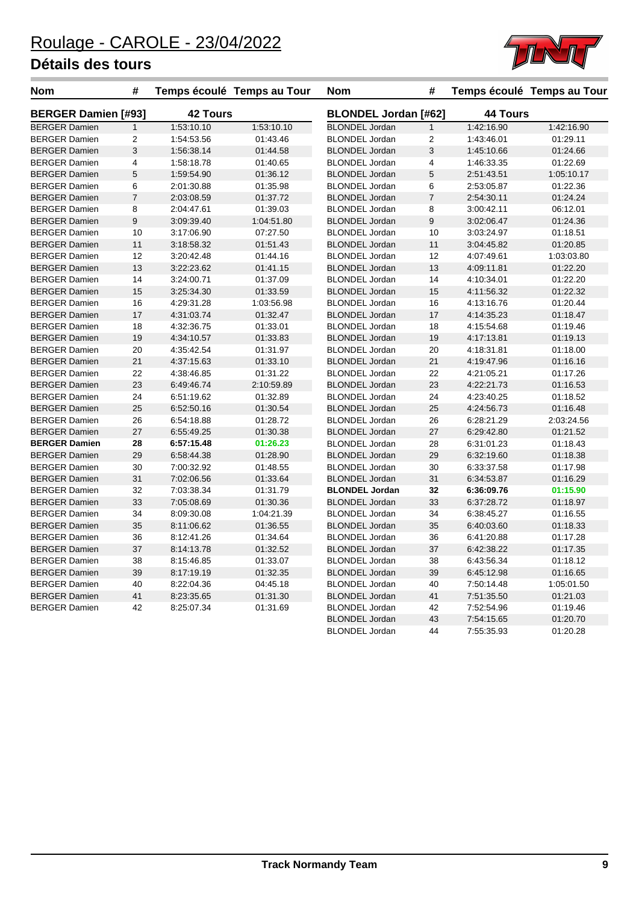

| Nom                        | #                       |                 | Temps écoulé Temps au Tour | <b>Nom</b>                  | #                       |                 | Temps écoulé Temps au Tour |  |
|----------------------------|-------------------------|-----------------|----------------------------|-----------------------------|-------------------------|-----------------|----------------------------|--|
| <b>BERGER Damien [#93]</b> |                         | <b>42 Tours</b> |                            | <b>BLONDEL Jordan [#62]</b> |                         | <b>44 Tours</b> |                            |  |
| <b>BERGER Damien</b>       | $\mathbf{1}$            | 1:53:10.10      | 1:53:10.10                 | <b>BLONDEL Jordan</b>       | $\mathbf{1}$            | 1:42:16.90      | 1:42:16.90                 |  |
| <b>BERGER Damien</b>       | $\overline{\mathbf{c}}$ | 1:54:53.56      | 01:43.46                   | <b>BLONDEL Jordan</b>       | $\overline{\mathbf{c}}$ | 1:43:46.01      | 01:29.11                   |  |
| <b>BERGER Damien</b>       | 3                       | 1:56:38.14      | 01:44.58                   | <b>BLONDEL Jordan</b>       | 3                       | 1:45:10.66      | 01:24.66                   |  |
| <b>BERGER Damien</b>       | 4                       | 1:58:18.78      | 01:40.65                   | <b>BLONDEL Jordan</b>       | 4                       | 1:46:33.35      | 01:22.69                   |  |
| <b>BERGER Damien</b>       | $\sqrt{5}$              | 1:59:54.90      | 01:36.12                   | <b>BLONDEL Jordan</b>       | 5                       | 2:51:43.51      | 1:05:10.17                 |  |
| <b>BERGER Damien</b>       | 6                       | 2:01:30.88      | 01:35.98                   | <b>BLONDEL Jordan</b>       | 6                       | 2:53:05.87      | 01:22.36                   |  |
| <b>BERGER Damien</b>       | $\overline{7}$          | 2:03:08.59      | 01:37.72                   | <b>BLONDEL Jordan</b>       | $\overline{7}$          | 2:54:30.11      | 01:24.24                   |  |
| <b>BERGER Damien</b>       | 8                       | 2:04:47.61      | 01:39.03                   | <b>BLONDEL Jordan</b>       | 8                       | 3:00:42.11      | 06:12.01                   |  |
| <b>BERGER Damien</b>       | $\boldsymbol{9}$        | 3:09:39.40      | 1:04:51.80                 | <b>BLONDEL Jordan</b>       | $\boldsymbol{9}$        | 3:02:06.47      | 01:24.36                   |  |
| <b>BERGER Damien</b>       | 10                      | 3:17:06.90      | 07:27.50                   | <b>BLONDEL Jordan</b>       | 10                      | 3:03:24.97      | 01:18.51                   |  |
| <b>BERGER Damien</b>       | 11                      | 3:18:58.32      | 01:51.43                   | <b>BLONDEL Jordan</b>       | 11                      | 3:04:45.82      | 01:20.85                   |  |
| <b>BERGER Damien</b>       | 12                      | 3:20:42.48      | 01:44.16                   | <b>BLONDEL Jordan</b>       | 12                      | 4:07:49.61      | 1:03:03.80                 |  |
| <b>BERGER Damien</b>       | 13                      | 3:22:23.62      | 01:41.15                   | <b>BLONDEL Jordan</b>       | 13                      | 4:09:11.81      | 01:22.20                   |  |
| <b>BERGER Damien</b>       | 14                      | 3:24:00.71      | 01:37.09                   | <b>BLONDEL Jordan</b>       | 14                      | 4:10:34.01      | 01:22.20                   |  |
| <b>BERGER Damien</b>       | 15                      | 3:25:34.30      | 01:33.59                   | <b>BLONDEL Jordan</b>       | 15                      | 4:11:56.32      | 01:22.32                   |  |
| <b>BERGER Damien</b>       | 16                      | 4:29:31.28      | 1:03:56.98                 | <b>BLONDEL Jordan</b>       | 16                      | 4:13:16.76      | 01:20.44                   |  |
| <b>BERGER Damien</b>       | 17                      | 4:31:03.74      | 01:32.47                   | <b>BLONDEL Jordan</b>       | 17                      | 4:14:35.23      | 01:18.47                   |  |
| <b>BERGER Damien</b>       | 18                      | 4:32:36.75      | 01:33.01                   | <b>BLONDEL Jordan</b>       | 18                      | 4:15:54.68      | 01:19.46                   |  |
| <b>BERGER Damien</b>       | 19                      | 4:34:10.57      | 01:33.83                   | <b>BLONDEL Jordan</b>       | 19                      | 4:17:13.81      | 01:19.13                   |  |
| <b>BERGER Damien</b>       | 20                      | 4:35:42.54      | 01:31.97                   | <b>BLONDEL Jordan</b>       | 20                      | 4:18:31.81      | 01:18.00                   |  |
| <b>BERGER Damien</b>       | 21                      | 4:37:15.63      | 01:33.10                   | <b>BLONDEL Jordan</b>       | 21                      | 4:19:47.96      | 01:16.16                   |  |
| <b>BERGER Damien</b>       | 22                      | 4:38:46.85      | 01:31.22                   | <b>BLONDEL Jordan</b>       | 22                      | 4:21:05.21      | 01:17.26                   |  |
| <b>BERGER Damien</b>       | 23                      | 6:49:46.74      | 2:10:59.89                 | <b>BLONDEL Jordan</b>       | 23                      | 4:22:21.73      | 01:16.53                   |  |
| <b>BERGER Damien</b>       | 24                      | 6:51:19.62      | 01:32.89                   | <b>BLONDEL Jordan</b>       | 24                      | 4:23:40.25      | 01:18.52                   |  |
| <b>BERGER Damien</b>       | 25                      | 6:52:50.16      | 01:30.54                   | <b>BLONDEL Jordan</b>       | 25                      | 4:24:56.73      | 01:16.48                   |  |
| <b>BERGER Damien</b>       | 26                      | 6:54:18.88      | 01:28.72                   | <b>BLONDEL Jordan</b>       | 26                      | 6:28:21.29      | 2:03:24.56                 |  |
| <b>BERGER Damien</b>       | 27                      | 6:55:49.25      | 01:30.38                   | <b>BLONDEL Jordan</b>       | 27                      | 6:29:42.80      | 01:21.52                   |  |
| <b>BERGER Damien</b>       | 28                      | 6:57:15.48      | 01:26.23                   | <b>BLONDEL Jordan</b>       | 28                      | 6:31:01.23      | 01:18.43                   |  |
| <b>BERGER Damien</b>       | 29                      | 6:58:44.38      | 01:28.90                   | <b>BLONDEL Jordan</b>       | 29                      | 6:32:19.60      | 01:18.38                   |  |
| <b>BERGER Damien</b>       | 30                      | 7:00:32.92      | 01:48.55                   | <b>BLONDEL Jordan</b>       | 30                      | 6:33:37.58      | 01:17.98                   |  |
| <b>BERGER Damien</b>       | 31                      | 7:02:06.56      | 01:33.64                   | <b>BLONDEL Jordan</b>       | 31                      | 6:34:53.87      | 01:16.29                   |  |
| <b>BERGER Damien</b>       | 32                      | 7:03:38.34      | 01:31.79                   | <b>BLONDEL Jordan</b>       | 32                      | 6:36:09.76      | 01:15.90                   |  |
| <b>BERGER Damien</b>       | 33                      | 7:05:08.69      | 01:30.36                   | <b>BLONDEL Jordan</b>       | 33                      | 6:37:28.72      | 01:18.97                   |  |
| <b>BERGER Damien</b>       | 34                      | 8:09:30.08      | 1:04:21.39                 | <b>BLONDEL Jordan</b>       | 34                      | 6:38:45.27      | 01:16.55                   |  |
| <b>BERGER Damien</b>       | 35                      | 8:11:06.62      | 01:36.55                   | <b>BLONDEL Jordan</b>       | 35                      | 6:40:03.60      | 01:18.33                   |  |
| <b>BERGER Damien</b>       | 36                      | 8:12:41.26      | 01:34.64                   | <b>BLONDEL Jordan</b>       | 36                      | 6:41:20.88      | 01:17.28                   |  |
| <b>BERGER Damien</b>       | 37                      | 8:14:13.78      | 01:32.52                   | <b>BLONDEL Jordan</b>       | 37                      | 6:42:38.22      | 01:17.35                   |  |
| <b>BERGER Damien</b>       | 38                      | 8:15:46.85      | 01:33.07                   | <b>BLONDEL Jordan</b>       | 38                      | 6:43:56.34      | 01:18.12                   |  |
| <b>BERGER Damien</b>       | 39                      | 8:17:19.19      | 01:32.35                   | <b>BLONDEL Jordan</b>       | 39                      | 6:45:12.98      | 01:16.65                   |  |
| <b>BERGER Damien</b>       | 40                      | 8:22:04.36      | 04:45.18                   | <b>BLONDEL Jordan</b>       | 40                      | 7:50:14.48      | 1:05:01.50                 |  |
| <b>BERGER Damien</b>       | 41                      | 8:23:35.65      | 01:31.30                   | <b>BLONDEL Jordan</b>       | 41                      | 7:51:35.50      | 01:21.03                   |  |
| <b>BERGER Damien</b>       | 42                      | 8:25:07.34      | 01:31.69                   | <b>BLONDEL Jordan</b>       | 42                      | 7:52:54.96      | 01:19.46                   |  |
|                            |                         |                 |                            | <b>BLONDEL Jordan</b>       | 43                      | 7:54:15.65      | 01:20.70                   |  |
|                            |                         |                 |                            | <b>BLONDEL Jordan</b>       | 44                      | 7:55:35.93      | 01:20.28                   |  |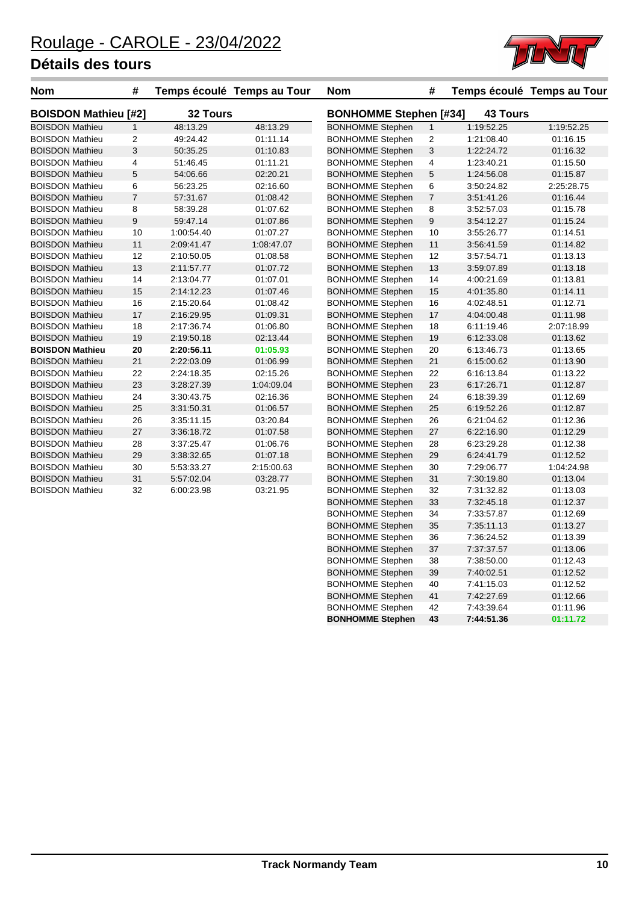

| <b>Nom</b>                  | #              |            | Temps écoulé Temps au Tour | <b>Nom</b>                    | #                       |                 | Temps écoulé Temps au Tour |
|-----------------------------|----------------|------------|----------------------------|-------------------------------|-------------------------|-----------------|----------------------------|
| <b>BOISDON Mathieu [#2]</b> |                | 32 Tours   |                            | <b>BONHOMME Stephen [#34]</b> |                         | <b>43 Tours</b> |                            |
| <b>BOISDON Mathieu</b>      | $\mathbf{1}$   | 48:13.29   | 48:13.29                   | <b>BONHOMME Stephen</b>       | 1                       | 1:19:52.25      | 1:19:52.25                 |
| <b>BOISDON Mathieu</b>      | 2              | 49:24.42   | 01:11.14                   | <b>BONHOMME Stephen</b>       | $\boldsymbol{2}$        | 1:21:08.40      | 01:16.15                   |
| <b>BOISDON Mathieu</b>      | 3              | 50:35.25   | 01:10.83                   | <b>BONHOMME Stephen</b>       | 3                       | 1:22:24.72      | 01:16.32                   |
| <b>BOISDON Mathieu</b>      | 4              | 51:46.45   | 01:11.21                   | <b>BONHOMME Stephen</b>       | $\overline{\mathbf{4}}$ | 1:23:40.21      | 01:15.50                   |
| <b>BOISDON Mathieu</b>      | 5              | 54:06.66   | 02:20.21                   | <b>BONHOMME Stephen</b>       | $\,$ 5 $\,$             | 1:24:56.08      | 01:15.87                   |
| <b>BOISDON Mathieu</b>      | 6              | 56:23.25   | 02:16.60                   | <b>BONHOMME Stephen</b>       | 6                       | 3:50:24.82      | 2:25:28.75                 |
| <b>BOISDON Mathieu</b>      | $\overline{7}$ | 57:31.67   | 01:08.42                   | <b>BONHOMME Stephen</b>       | $\overline{7}$          | 3:51:41.26      | 01:16.44                   |
| <b>BOISDON Mathieu</b>      | 8              | 58:39.28   | 01:07.62                   | <b>BONHOMME Stephen</b>       | 8                       | 3:52:57.03      | 01:15.78                   |
| <b>BOISDON Mathieu</b>      | 9              | 59:47.14   | 01:07.86                   | <b>BONHOMME Stephen</b>       | $\boldsymbol{9}$        | 3:54:12.27      | 01:15.24                   |
| <b>BOISDON Mathieu</b>      | 10             | 1:00:54.40 | 01:07.27                   | <b>BONHOMME Stephen</b>       | 10                      | 3:55:26.77      | 01:14.51                   |
| <b>BOISDON Mathieu</b>      | 11             | 2:09:41.47 | 1:08:47.07                 | <b>BONHOMME Stephen</b>       | 11                      | 3:56:41.59      | 01:14.82                   |
| <b>BOISDON Mathieu</b>      | 12             | 2:10:50.05 | 01:08.58                   | <b>BONHOMME Stephen</b>       | 12                      | 3:57:54.71      | 01:13.13                   |
| <b>BOISDON Mathieu</b>      | 13             | 2:11:57.77 | 01:07.72                   | <b>BONHOMME Stephen</b>       | 13                      | 3:59:07.89      | 01:13.18                   |
| <b>BOISDON Mathieu</b>      | 14             | 2:13:04.77 | 01:07.01                   | <b>BONHOMME Stephen</b>       | 14                      | 4:00:21.69      | 01:13.81                   |
| <b>BOISDON Mathieu</b>      | 15             | 2:14:12.23 | 01:07.46                   | <b>BONHOMME Stephen</b>       | 15                      | 4:01:35.80      | 01:14.11                   |
| <b>BOISDON Mathieu</b>      | 16             | 2:15:20.64 | 01:08.42                   | <b>BONHOMME Stephen</b>       | 16                      | 4:02:48.51      | 01:12.71                   |
| <b>BOISDON Mathieu</b>      | 17             | 2:16:29.95 | 01:09.31                   | <b>BONHOMME Stephen</b>       | 17                      | 4:04:00.48      | 01:11.98                   |
| <b>BOISDON Mathieu</b>      | 18             | 2:17:36.74 | 01:06.80                   | <b>BONHOMME Stephen</b>       | 18                      | 6:11:19.46      | 2:07:18.99                 |
| <b>BOISDON Mathieu</b>      | 19             | 2:19:50.18 | 02:13.44                   | <b>BONHOMME Stephen</b>       | 19                      | 6:12:33.08      | 01:13.62                   |
| <b>BOISDON Mathieu</b>      | 20             | 2:20:56.11 | 01:05.93                   | <b>BONHOMME Stephen</b>       | 20                      | 6:13:46.73      | 01:13.65                   |
| <b>BOISDON Mathieu</b>      | 21             | 2:22:03.09 | 01:06.99                   | <b>BONHOMME Stephen</b>       | 21                      | 6:15:00.62      | 01:13.90                   |
| <b>BOISDON Mathieu</b>      | 22             | 2:24:18.35 | 02:15.26                   | <b>BONHOMME Stephen</b>       | 22                      | 6:16:13.84      | 01:13.22                   |
| <b>BOISDON Mathieu</b>      | 23             | 3:28:27.39 | 1:04:09.04                 | <b>BONHOMME Stephen</b>       | 23                      | 6:17:26.71      | 01:12.87                   |
| <b>BOISDON Mathieu</b>      | 24             | 3:30:43.75 | 02:16.36                   | <b>BONHOMME Stephen</b>       | 24                      | 6:18:39.39      | 01:12.69                   |
| <b>BOISDON Mathieu</b>      | 25             | 3:31:50.31 | 01:06.57                   | <b>BONHOMME Stephen</b>       | 25                      | 6:19:52.26      | 01:12.87                   |
| <b>BOISDON Mathieu</b>      | 26             | 3:35:11.15 | 03:20.84                   | <b>BONHOMME Stephen</b>       | 26                      | 6:21:04.62      | 01:12.36                   |
| <b>BOISDON Mathieu</b>      | 27             | 3:36:18.72 | 01:07.58                   | <b>BONHOMME Stephen</b>       | 27                      | 6:22:16.90      | 01:12.29                   |
| <b>BOISDON Mathieu</b>      | 28             | 3:37:25.47 | 01:06.76                   | <b>BONHOMME Stephen</b>       | 28                      | 6:23:29.28      | 01:12.38                   |
| <b>BOISDON Mathieu</b>      | 29             | 3:38:32.65 | 01:07.18                   | <b>BONHOMME Stephen</b>       | 29                      | 6:24:41.79      | 01:12.52                   |
| <b>BOISDON Mathieu</b>      | 30             | 5:53:33.27 | 2:15:00.63                 | <b>BONHOMME Stephen</b>       | 30                      | 7:29:06.77      | 1:04:24.98                 |
| <b>BOISDON Mathieu</b>      | 31             | 5:57:02.04 | 03:28.77                   | <b>BONHOMME Stephen</b>       | 31                      | 7:30:19.80      | 01:13.04                   |
| <b>BOISDON Mathieu</b>      | 32             | 6:00:23.98 | 03:21.95                   | <b>BONHOMME Stephen</b>       | 32                      | 7:31:32.82      | 01:13.03                   |
|                             |                |            |                            | <b>BONHOMME Stephen</b>       | 33                      | 7:32:45.18      | 01:12.37                   |
|                             |                |            |                            | <b>BONHOMME Stephen</b>       | 34                      | 7:33:57.87      | 01:12.69                   |
|                             |                |            |                            | <b>BONHOMME Stephen</b>       | 35                      | 7:35:11.13      | 01:13.27                   |
|                             |                |            |                            | <b>BONHOMME Stephen</b>       | 36                      | 7:36.24.52      | 01:13.39                   |

BONHOMME Stephen 36 7:36:24.52 01:13.39 BONHOMME Stephen 37 7:37:37.57 01:13.06 BONHOMME Stephen 38 7:38:50.00 01:12.43 BONHOMME Stephen 39 7:40:02.51 01:12.52 BONHOMME Stephen 40 7:41:15.03 01:12.52 BONHOMME Stephen 41 7:42:27.69 01:12.66 BONHOMME Stephen 42 7:43:39.64 01:11.96 **BONHOMME Stephen 43 7:44:51.36 01:11.72**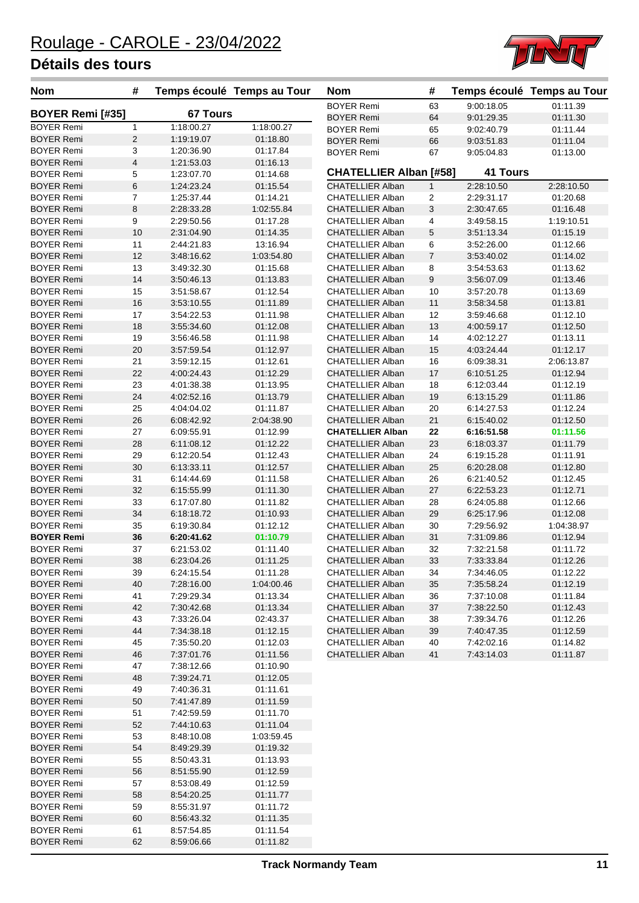

| <b>Nom</b>                             | #              | Temps écoulé Temps au Tour |                      | <b>Nom</b>                                         | #              |                          | Temps écoulé Temps au Tour |
|----------------------------------------|----------------|----------------------------|----------------------|----------------------------------------------------|----------------|--------------------------|----------------------------|
|                                        |                |                            |                      | <b>BOYER Remi</b>                                  | 63             | 9:00:18.05               | 01:11.39                   |
| <b>BOYER Remi [#35]</b>                |                | <b>67 Tours</b>            |                      | <b>BOYER Remi</b>                                  | 64             | 9:01:29.35               | 01:11.30                   |
| <b>BOYER Remi</b>                      | 1              | 1:18:00.27                 | 1:18:00.27           | <b>BOYER Remi</b>                                  | 65             | 9:02:40.79               | 01:11.44                   |
| <b>BOYER Remi</b>                      | $\overline{c}$ | 1:19:19.07                 | 01:18.80             | <b>BOYER Remi</b>                                  | 66             | 9:03:51.83               | 01:11.04                   |
| <b>BOYER Remi</b>                      | 3              | 1:20:36.90                 | 01:17.84             | <b>BOYER Remi</b>                                  | 67             | 9:05:04.83               | 01:13.00                   |
| <b>BOYER Remi</b><br><b>BOYER Remi</b> | 4<br>5         | 1:21:53.03                 | 01:16.13<br>01:14.68 | <b>CHATELLIER Alban [#58]</b>                      |                | <b>41 Tours</b>          |                            |
| <b>BOYER Remi</b>                      | 6              | 1:23:07.70<br>1:24:23.24   | 01:15.54             | <b>CHATELLIER Alban</b>                            | $\mathbf{1}$   | 2:28:10.50               | 2:28:10.50                 |
| <b>BOYER Remi</b>                      | $\overline{7}$ | 1:25:37.44                 | 01:14.21             | <b>CHATELLIER Alban</b>                            | $\overline{2}$ | 2:29:31.17               | 01:20.68                   |
| <b>BOYER Remi</b>                      | 8              | 2:28:33.28                 | 1:02:55.84           | <b>CHATELLIER Alban</b>                            | 3              | 2:30:47.65               | 01:16.48                   |
| <b>BOYER Remi</b>                      | 9              | 2:29:50.56                 | 01:17.28             | <b>CHATELLIER Alban</b>                            | 4              | 3:49:58.15               | 1:19:10.51                 |
| <b>BOYER Remi</b>                      | 10             | 2:31:04.90                 | 01:14.35             | <b>CHATELLIER Alban</b>                            | 5              | 3:51:13.34               | 01:15.19                   |
| <b>BOYER Remi</b>                      | 11             | 2:44:21.83                 | 13:16.94             | <b>CHATELLIER Alban</b>                            | 6              | 3:52:26.00               | 01:12.66                   |
| <b>BOYER Remi</b>                      | 12             | 3:48:16.62                 | 1:03:54.80           | <b>CHATELLIER Alban</b>                            | $\overline{7}$ | 3:53:40.02               | 01:14.02                   |
| <b>BOYER Remi</b>                      | 13             | 3:49:32.30                 | 01:15.68             | <b>CHATELLIER Alban</b>                            | 8              | 3:54:53.63               | 01:13.62                   |
| <b>BOYER Remi</b>                      | 14             | 3:50:46.13                 | 01:13.83             | <b>CHATELLIER Alban</b>                            | 9              | 3:56:07.09               | 01:13.46                   |
| <b>BOYER Remi</b>                      | 15             | 3:51:58.67                 | 01:12.54             | <b>CHATELLIER Alban</b>                            | 10             | 3:57:20.78               | 01:13.69                   |
| <b>BOYER Remi</b>                      | 16             | 3:53:10.55                 | 01:11.89             | <b>CHATELLIER Alban</b>                            | 11             | 3:58:34.58               | 01:13.81                   |
| <b>BOYER Remi</b>                      | 17             | 3:54:22.53                 | 01:11.98             | <b>CHATELLIER Alban</b>                            | 12             | 3:59:46.68               | 01:12.10                   |
| <b>BOYER Remi</b>                      | 18             | 3:55:34.60                 | 01:12.08             | <b>CHATELLIER Alban</b>                            | 13             | 4:00:59.17               | 01:12.50                   |
| <b>BOYER Remi</b>                      | 19             | 3:56:46.58                 | 01:11.98             | <b>CHATELLIER Alban</b>                            | 14             | 4:02:12.27               | 01:13.11                   |
| <b>BOYER Remi</b>                      | 20             | 3:57:59.54                 | 01:12.97             | <b>CHATELLIER Alban</b>                            | 15             | 4:03:24.44               | 01:12.17                   |
| <b>BOYER Remi</b>                      | 21             | 3:59:12.15                 | 01:12.61             | <b>CHATELLIER Alban</b>                            | 16             | 6:09:38.31               | 2:06:13.87                 |
| <b>BOYER Remi</b>                      | 22             | 4:00:24.43                 | 01:12.29             | <b>CHATELLIER Alban</b>                            | 17             | 6:10:51.25               | 01:12.94                   |
| <b>BOYER Remi</b>                      | 23             | 4:01:38.38                 | 01:13.95             | <b>CHATELLIER Alban</b>                            | 18             | 6:12:03.44               | 01:12.19                   |
| <b>BOYER Remi</b>                      | 24             | 4:02:52.16                 | 01:13.79             | <b>CHATELLIER Alban</b>                            | 19             | 6:13:15.29               | 01:11.86                   |
| <b>BOYER Remi</b>                      | 25             | 4:04:04.02                 | 01:11.87             | <b>CHATELLIER Alban</b>                            | 20             | 6:14:27.53               | 01:12.24                   |
| <b>BOYER Remi</b>                      | 26             | 6:08:42.92                 | 2:04:38.90           | <b>CHATELLIER Alban</b>                            | 21             | 6:15:40.02               | 01:12.50                   |
| <b>BOYER Remi</b>                      | 27             | 6:09:55.91                 | 01:12.99             | <b>CHATELLIER Alban</b>                            | 22             | 6:16:51.58               | 01:11.56                   |
| <b>BOYER Remi</b>                      | 28             | 6:11:08.12                 | 01:12.22             | <b>CHATELLIER Alban</b>                            | 23             | 6:18:03.37               | 01:11.79                   |
| <b>BOYER Remi</b>                      | 29             | 6:12:20.54                 | 01:12.43             | <b>CHATELLIER Alban</b>                            | 24             | 6:19:15.28               | 01:11.91                   |
| <b>BOYER Remi</b>                      | 30             | 6:13:33.11                 | 01:12.57             | <b>CHATELLIER Alban</b>                            | 25             | 6:20:28.08               | 01:12.80                   |
| <b>BOYER Remi</b>                      | 31             | 6:14:44.69                 | 01:11.58             | <b>CHATELLIER Alban</b>                            | 26             | 6:21:40.52               | 01:12.45                   |
| <b>BOYER Remi</b>                      | 32             | 6:15:55.99                 | 01:11.30             | <b>CHATELLIER Alban</b>                            | 27             | 6:22:53.23               | 01:12.71                   |
| <b>BOYER Remi</b><br><b>BOYER Remi</b> | 33<br>34       | 6:17:07.80<br>6:18:18.72   | 01:11.82<br>01:10.93 | <b>CHATELLIER Alban</b><br><b>CHATELLIER Alban</b> | 28<br>29       | 6:24:05.88<br>6:25:17.96 | 01:12.66<br>01:12.08       |
| <b>BOYER Remi</b>                      | 35             | 6:19:30.84                 | 01:12.12             | <b>CHATELLIER Alban</b>                            | 30             | 7:29:56.92               | 1:04:38.97                 |
| <b>BOYER Remi</b>                      | 36             | 6:20:41.62                 | 01:10.79             | <b>CHATELLIER Alban</b>                            | 31             | 7:31:09.86               | 01:12.94                   |
| <b>BOYER Remi</b>                      | 37             | 6:21:53.02                 | 01:11.40             | <b>CHATELLIER Alban</b>                            | 32             | 7:32:21.58               | 01:11.72                   |
| <b>BOYER Remi</b>                      | 38             | 6:23:04.26                 | 01:11.25             | <b>CHATELLIER Alban</b>                            | 33             | 7:33:33.84               | 01:12.26                   |
| <b>BOYER Remi</b>                      | 39             | 6:24:15.54                 | 01:11.28             | <b>CHATELLIER Alban</b>                            | 34             | 7:34:46.05               | 01:12.22                   |
| <b>BOYER Remi</b>                      | 40             | 7:28:16.00                 | 1:04:00.46           | <b>CHATELLIER Alban</b>                            | 35             | 7:35:58.24               | 01:12.19                   |
| <b>BOYER Remi</b>                      | 41             | 7:29:29.34                 | 01:13.34             | CHATELLIER Alban                                   | 36             | 7:37:10.08               | 01:11.84                   |
| <b>BOYER Remi</b>                      | 42             | 7:30:42.68                 | 01:13.34             | <b>CHATELLIER Alban</b>                            | 37             | 7:38:22.50               | 01:12.43                   |
| <b>BOYER Remi</b>                      | 43             | 7:33:26.04                 | 02:43.37             | <b>CHATELLIER Alban</b>                            | 38             | 7:39:34.76               | 01:12.26                   |
| <b>BOYER Remi</b>                      | 44             | 7:34:38.18                 | 01:12.15             | <b>CHATELLIER Alban</b>                            | 39             | 7:40:47.35               | 01:12.59                   |
| BOYER Remi                             | 45             | 7:35:50.20                 | 01:12.03             | <b>CHATELLIER Alban</b>                            | 40             | 7:42:02.16               | 01:14.82                   |
| <b>BOYER Remi</b>                      | 46             | 7:37:01.76                 | 01:11.56             | <b>CHATELLIER Alban</b>                            | 41             | 7:43:14.03               | 01:11.87                   |
| <b>BOYER Remi</b>                      | 47             | 7:38:12.66                 | 01:10.90             |                                                    |                |                          |                            |
| <b>BOYER Remi</b>                      | 48             | 7:39:24.71                 | 01:12.05             |                                                    |                |                          |                            |
| <b>BOYER Remi</b>                      | 49             | 7:40:36.31                 | 01:11.61             |                                                    |                |                          |                            |
| <b>BOYER Remi</b>                      | 50             | 7:41:47.89                 | 01:11.59             |                                                    |                |                          |                            |
| BOYER Remi                             | 51             | 7:42:59.59                 | 01:11.70             |                                                    |                |                          |                            |
| <b>BOYER Remi</b>                      | 52             | 7:44:10.63                 | 01:11.04             |                                                    |                |                          |                            |
| BOYER Remi                             | 53             | 8:48:10.08                 | 1:03:59.45           |                                                    |                |                          |                            |
| <b>BOYER Remi</b>                      | 54             | 8:49:29.39                 | 01:19.32             |                                                    |                |                          |                            |
| BOYER Remi                             | 55             | 8:50:43.31                 | 01:13.93             |                                                    |                |                          |                            |
| <b>BOYER Remi</b>                      | 56             | 8.51.55.90                 | 01:12.59             |                                                    |                |                          |                            |
| <b>BOYER Remi</b>                      | 57             | 8.53.08.49                 | 01:12.59             |                                                    |                |                          |                            |
| <b>BOYER Remi</b>                      | 58             | 8:54:20.25                 | 01:11.77             |                                                    |                |                          |                            |
| BOYER Remi<br><b>BOYER Remi</b>        | 59<br>60       | 8.55.31.97<br>8:56:43.32   | 01:11.72<br>01:11.35 |                                                    |                |                          |                            |
| <b>BOYER Remi</b>                      | 61             | 8:57:54.85                 | 01:11.54             |                                                    |                |                          |                            |
| <b>BOYER Remi</b>                      | 62             | 8:59:06.66                 | 01:11.82             |                                                    |                |                          |                            |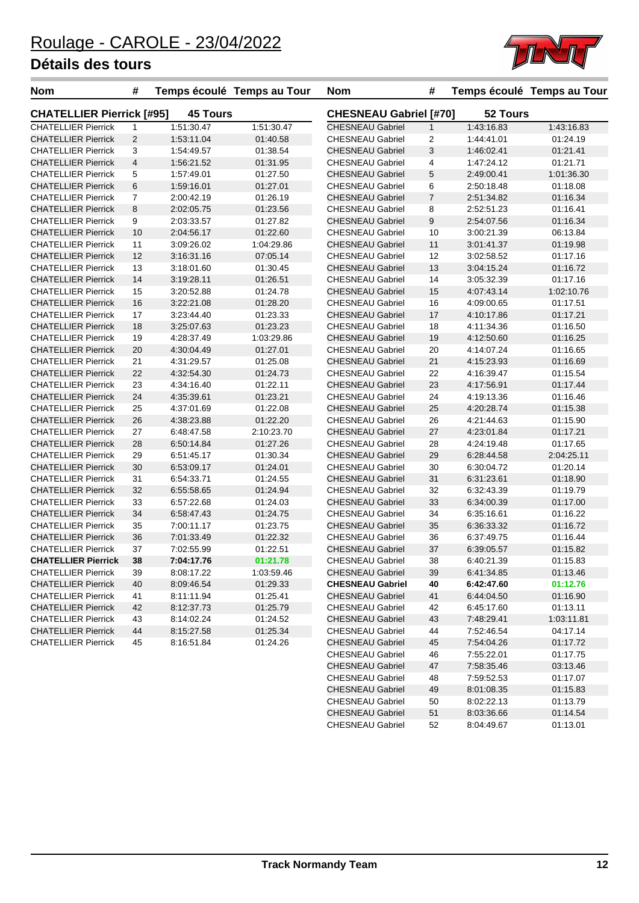

| <b>Nom</b>                       | #              |                 | Temps écoulé Temps au Tour | <b>Nom</b>                    | #              |            | Temps écoulé Temps au Tour |
|----------------------------------|----------------|-----------------|----------------------------|-------------------------------|----------------|------------|----------------------------|
| <b>CHATELLIER Pierrick [#95]</b> |                | <b>45 Tours</b> |                            | <b>CHESNEAU Gabriel [#70]</b> |                | 52 Tours   |                            |
| <b>CHATELLIER Pierrick</b>       | $\mathbf{1}$   | 1:51:30.47      | 1:51:30.47                 | <b>CHESNEAU Gabriel</b>       | $\mathbf{1}$   | 1:43:16.83 | 1:43:16.83                 |
| <b>CHATELLIER Pierrick</b>       | 2              | 1:53:11.04      | 01:40.58                   | <b>CHESNEAU Gabriel</b>       | $\overline{2}$ | 1:44:41.01 | 01:24.19                   |
| <b>CHATELLIER Pierrick</b>       | 3              | 1:54:49.57      | 01:38.54                   | <b>CHESNEAU Gabriel</b>       | 3              | 1:46:02.41 | 01:21.41                   |
| <b>CHATELLIER Pierrick</b>       | $\overline{4}$ | 1:56:21.52      | 01:31.95                   | <b>CHESNEAU Gabriel</b>       | 4              | 1:47:24.12 | 01:21.71                   |
| <b>CHATELLIER Pierrick</b>       | 5              | 1:57:49.01      | 01:27.50                   | <b>CHESNEAU Gabriel</b>       | 5              | 2:49:00.41 | 1:01:36.30                 |
| <b>CHATELLIER Pierrick</b>       | 6              | 1:59:16.01      | 01:27.01                   | <b>CHESNEAU Gabriel</b>       | 6              | 2:50:18.48 | 01:18.08                   |
| <b>CHATELLIER Pierrick</b>       | $\overline{7}$ | 2:00:42.19      | 01:26.19                   | <b>CHESNEAU Gabriel</b>       | $\overline{7}$ | 2:51:34.82 | 01:16.34                   |
| <b>CHATELLIER Pierrick</b>       | 8              | 2:02:05.75      | 01:23.56                   | <b>CHESNEAU Gabriel</b>       | 8              | 2:52:51.23 | 01:16.41                   |
| <b>CHATELLIER Pierrick</b>       | 9              | 2:03:33.57      | 01:27.82                   | <b>CHESNEAU Gabriel</b>       | 9              | 2:54:07.56 | 01:16.34                   |
| <b>CHATELLIER Pierrick</b>       | 10             | 2:04:56.17      | 01:22.60                   | <b>CHESNEAU Gabriel</b>       | 10             | 3:00:21.39 | 06:13.84                   |
| <b>CHATELLIER Pierrick</b>       | 11             | 3:09:26.02      | 1:04:29.86                 | <b>CHESNEAU Gabriel</b>       | 11             | 3:01:41.37 | 01:19.98                   |
| <b>CHATELLIER Pierrick</b>       | 12             | 3:16:31.16      | 07:05.14                   | <b>CHESNEAU Gabriel</b>       | 12             | 3:02:58.52 | 01:17.16                   |
| <b>CHATELLIER Pierrick</b>       | 13             | 3:18:01.60      | 01:30.45                   | <b>CHESNEAU Gabriel</b>       | 13             | 3:04:15.24 | 01:16.72                   |
| <b>CHATELLIER Pierrick</b>       | 14             | 3:19:28.11      | 01:26.51                   | <b>CHESNEAU Gabriel</b>       | 14             | 3:05:32.39 | 01:17.16                   |
| <b>CHATELLIER Pierrick</b>       | 15             | 3:20:52.88      | 01:24.78                   | <b>CHESNEAU Gabriel</b>       | 15             | 4:07:43.14 | 1:02:10.76                 |
| <b>CHATELLIER Pierrick</b>       | 16             | 3:22:21.08      | 01:28.20                   | <b>CHESNEAU Gabriel</b>       | 16             | 4:09:00.65 | 01:17.51                   |
| <b>CHATELLIER Pierrick</b>       | 17             | 3:23:44.40      | 01:23.33                   | <b>CHESNEAU Gabriel</b>       | 17             | 4:10:17.86 | 01:17.21                   |
| <b>CHATELLIER Pierrick</b>       | 18             | 3:25:07.63      | 01:23.23                   | <b>CHESNEAU Gabriel</b>       | 18             | 4:11:34.36 | 01:16.50                   |
| <b>CHATELLIER Pierrick</b>       | 19             | 4:28:37.49      | 1:03:29.86                 | <b>CHESNEAU Gabriel</b>       | 19             | 4:12:50.60 | 01:16.25                   |
| <b>CHATELLIER Pierrick</b>       | 20             | 4:30:04.49      | 01:27.01                   | <b>CHESNEAU Gabriel</b>       | 20             | 4:14:07.24 | 01:16.65                   |
| <b>CHATELLIER Pierrick</b>       | 21             | 4:31:29.57      | 01:25.08                   | <b>CHESNEAU Gabriel</b>       | 21             | 4:15:23.93 | 01:16.69                   |
| <b>CHATELLIER Pierrick</b>       | 22             | 4:32:54.30      | 01:24.73                   | <b>CHESNEAU Gabriel</b>       | 22             | 4:16:39.47 | 01:15.54                   |
| <b>CHATELLIER Pierrick</b>       | 23             | 4:34:16.40      | 01:22.11                   | <b>CHESNEAU Gabriel</b>       | 23             | 4:17:56.91 | 01:17.44                   |
| <b>CHATELLIER Pierrick</b>       | 24             | 4:35:39.61      | 01:23.21                   | <b>CHESNEAU Gabriel</b>       | 24             | 4:19:13.36 | 01:16.46                   |
| <b>CHATELLIER Pierrick</b>       | 25             | 4:37:01.69      | 01:22.08                   | <b>CHESNEAU Gabriel</b>       | 25             | 4:20:28.74 | 01:15.38                   |
| <b>CHATELLIER Pierrick</b>       | 26             | 4:38:23.88      | 01:22.20                   | <b>CHESNEAU Gabriel</b>       | 26             | 4:21:44.63 | 01:15.90                   |
| <b>CHATELLIER Pierrick</b>       | 27             | 6:48:47.58      | 2:10:23.70                 | <b>CHESNEAU Gabriel</b>       | 27             | 4:23:01.84 | 01:17.21                   |
| <b>CHATELLIER Pierrick</b>       | 28             | 6:50:14.84      | 01:27.26                   | <b>CHESNEAU Gabriel</b>       | 28             | 4:24:19.48 | 01:17.65                   |
| <b>CHATELLIER Pierrick</b>       | 29             | 6:51:45.17      | 01:30.34                   | <b>CHESNEAU Gabriel</b>       | 29             | 6:28:44.58 | 2:04:25.11                 |
| <b>CHATELLIER Pierrick</b>       | 30             | 6:53:09.17      | 01:24.01                   | <b>CHESNEAU Gabriel</b>       | 30             | 6:30:04.72 | 01:20.14                   |
| <b>CHATELLIER Pierrick</b>       | 31             | 6:54:33.71      | 01:24.55                   | <b>CHESNEAU Gabriel</b>       | 31             | 6:31:23.61 | 01:18.90                   |
| <b>CHATELLIER Pierrick</b>       | 32             | 6:55:58.65      | 01:24.94                   | <b>CHESNEAU Gabriel</b>       | 32             | 6:32:43.39 | 01:19.79                   |
| <b>CHATELLIER Pierrick</b>       | 33             | 6:57:22.68      | 01:24.03                   | <b>CHESNEAU Gabriel</b>       | 33             | 6:34:00.39 | 01:17.00                   |
| <b>CHATELLIER Pierrick</b>       | 34             | 6:58:47.43      | 01:24.75                   | <b>CHESNEAU Gabriel</b>       | 34             | 6:35:16.61 | 01:16.22                   |
| <b>CHATELLIER Pierrick</b>       | 35             | 7:00:11.17      | 01:23.75                   | <b>CHESNEAU Gabriel</b>       | 35             | 6:36:33.32 | 01:16.72                   |
| <b>CHATELLIER Pierrick</b>       | 36             | 7:01:33.49      | 01:22.32                   | <b>CHESNEAU Gabriel</b>       | 36             | 6:37:49.75 | 01:16.44                   |
| <b>CHATELLIER Pierrick</b>       | 37             | 7:02:55.99      | 01:22.51                   | <b>CHESNEAU Gabriel</b>       | 37             | 6:39:05.57 | 01:15.82                   |
| <b>CHATELLIER Pierrick</b>       | 38             | 7:04:17.76      | 01:21.78                   | <b>CHESNEAU Gabriel</b>       | 38             | 6:40:21.39 | 01:15.83                   |
| <b>CHATELLIER Pierrick</b>       | 39             | 8:08:17.22      | 1:03:59.46                 | <b>CHESNEAU Gabriel</b>       | 39             | 6:41:34.85 | 01:13.46                   |
| <b>CHATELLIER Pierrick</b>       | 40             | 8:09:46.54      | 01:29.33                   | <b>CHESNEAU Gabriel</b>       | 40             | 6:42:47.60 | 01:12.76                   |
| <b>CHATELLIER Pierrick</b>       | 41             | 8:11:11.94      | 01:25.41                   | <b>CHESNEAU Gabriel</b>       | 41             | 6:44:04.50 | 01:16.90                   |
| <b>CHATELLIER Pierrick</b>       | 42             | 8:12:37.73      | 01:25.79                   | <b>CHESNEAU Gabriel</b>       | 42             | 6:45:17.60 | 01:13.11                   |
| <b>CHATELLIER Pierrick</b>       | 43             | 8:14:02.24      | 01:24.52                   | <b>CHESNEAU Gabriel</b>       | 43             | 7:48:29.41 | 1:03:11.81                 |
| <b>CHATELLIER Pierrick</b>       | 44             | 8:15:27.58      | 01:25.34                   | <b>CHESNEAU Gabriel</b>       | 44             | 7:52:46.54 | 04:17.14                   |
| <b>CHATELLIER Pierrick</b>       | 45             | 8:16:51.84      | 01:24.26                   | <b>CHESNEAU Gabriel</b>       | 45             | 7:54:04.26 | 01:17.72                   |
|                                  |                |                 |                            | <b>CHESNEAU Gabriel</b>       | 46             | 7:55:22.01 | 01:17.75                   |
|                                  |                |                 |                            | <b>CHESNEAU Gabriel</b>       | 47             | 7:58:35.46 | 03:13.46                   |

CHESNEAU Gabriel 48 7:59:52.53 01:17.07 CHESNEAU Gabriel 49 8:01:08.35 01:15.83 CHESNEAU Gabriel 50 8:02:22.13 01:13.79 CHESNEAU Gabriel 51 8:03:36.66 01:14.54 CHESNEAU Gabriel 52 8:04:49.67 01:13.01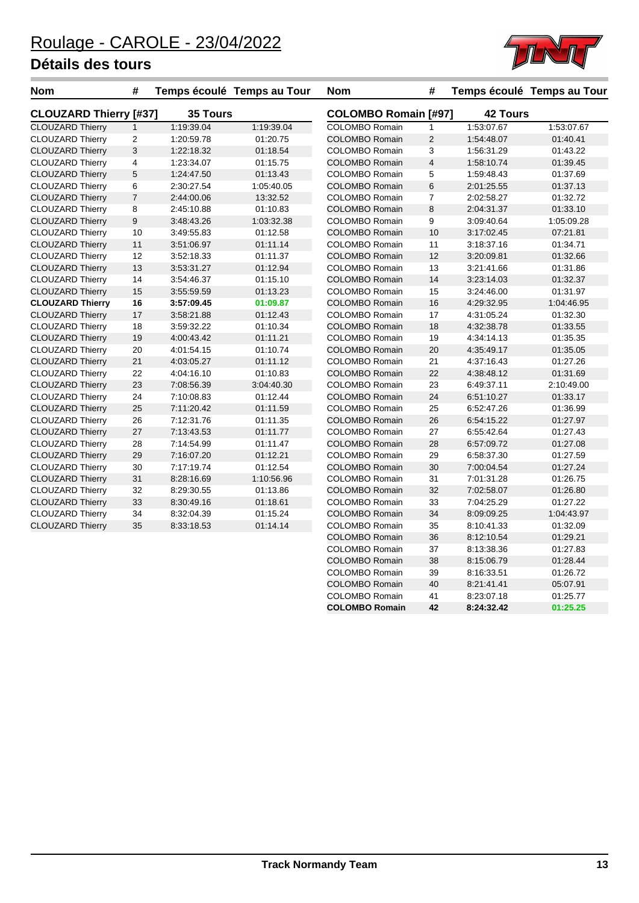

| <b>Nom</b>                    | #              |            | Temps écoulé Temps au Tour | <b>Nom</b>                  | #                       |                 | Temps écoulé Temps au Tour |
|-------------------------------|----------------|------------|----------------------------|-----------------------------|-------------------------|-----------------|----------------------------|
| <b>CLOUZARD Thierry [#37]</b> |                | 35 Tours   |                            | <b>COLOMBO Romain [#97]</b> |                         | <b>42 Tours</b> |                            |
| <b>CLOUZARD Thierry</b>       | $\mathbf{1}$   | 1:19:39.04 | 1:19:39.04                 | <b>COLOMBO Romain</b>       | 1                       | 1:53:07.67      | 1:53:07.67                 |
| <b>CLOUZARD Thierry</b>       | $\overline{c}$ | 1:20:59.78 | 01:20.75                   | <b>COLOMBO Romain</b>       | $\overline{c}$          | 1:54:48.07      | 01:40.41                   |
| <b>CLOUZARD Thierry</b>       | 3              | 1:22:18.32 | 01:18.54                   | <b>COLOMBO Romain</b>       | 3                       | 1:56:31.29      | 01:43.22                   |
| <b>CLOUZARD Thierry</b>       | 4              | 1:23:34.07 | 01:15.75                   | <b>COLOMBO Romain</b>       | $\overline{\mathbf{4}}$ | 1:58:10.74      | 01:39.45                   |
| <b>CLOUZARD Thierry</b>       | 5              | 1:24:47.50 | 01:13.43                   | <b>COLOMBO Romain</b>       | 5                       | 1:59:48.43      | 01:37.69                   |
| <b>CLOUZARD Thierry</b>       | 6              | 2:30:27.54 | 1:05:40.05                 | <b>COLOMBO Romain</b>       | 6                       | 2:01:25.55      | 01:37.13                   |
| <b>CLOUZARD Thierry</b>       | $\overline{7}$ | 2:44:00.06 | 13:32.52                   | <b>COLOMBO Romain</b>       | 7                       | 2:02:58.27      | 01:32.72                   |
| <b>CLOUZARD Thierry</b>       | 8              | 2:45:10.88 | 01:10.83                   | <b>COLOMBO Romain</b>       | 8                       | 2:04:31.37      | 01:33.10                   |
| <b>CLOUZARD Thierry</b>       | 9              | 3:48:43.26 | 1:03:32.38                 | <b>COLOMBO Romain</b>       | 9                       | 3:09:40.64      | 1:05:09.28                 |
| <b>CLOUZARD Thierry</b>       | 10             | 3:49:55.83 | 01:12.58                   | <b>COLOMBO Romain</b>       | 10                      | 3:17:02.45      | 07:21.81                   |
| <b>CLOUZARD Thierry</b>       | 11             | 3:51:06.97 | 01:11.14                   | <b>COLOMBO Romain</b>       | 11                      | 3:18:37.16      | 01:34.71                   |
| <b>CLOUZARD Thierry</b>       | 12             | 3:52:18.33 | 01:11.37                   | <b>COLOMBO Romain</b>       | 12                      | 3:20:09.81      | 01:32.66                   |
| <b>CLOUZARD Thierry</b>       | 13             | 3:53:31.27 | 01:12.94                   | <b>COLOMBO Romain</b>       | 13                      | 3:21:41.66      | 01:31.86                   |
| <b>CLOUZARD Thierry</b>       | 14             | 3:54:46.37 | 01:15.10                   | <b>COLOMBO Romain</b>       | 14                      | 3:23:14.03      | 01:32.37                   |
| <b>CLOUZARD Thierry</b>       | 15             | 3:55:59.59 | 01:13.23                   | <b>COLOMBO Romain</b>       | 15                      | 3:24:46.00      | 01:31.97                   |
| <b>CLOUZARD Thierry</b>       | 16             | 3:57:09.45 | 01:09.87                   | <b>COLOMBO Romain</b>       | 16                      | 4:29:32.95      | 1:04:46.95                 |
| <b>CLOUZARD Thierry</b>       | 17             | 3:58:21.88 | 01:12.43                   | <b>COLOMBO Romain</b>       | 17                      | 4:31:05.24      | 01:32.30                   |
| <b>CLOUZARD Thierry</b>       | 18             | 3:59:32.22 | 01:10.34                   | <b>COLOMBO Romain</b>       | 18                      | 4:32:38.78      | 01:33.55                   |
| <b>CLOUZARD Thierry</b>       | 19             | 4:00:43.42 | 01:11.21                   | <b>COLOMBO Romain</b>       | 19                      | 4:34:14.13      | 01:35.35                   |
| <b>CLOUZARD Thierry</b>       | 20             | 4:01:54.15 | 01:10.74                   | <b>COLOMBO Romain</b>       | 20                      | 4:35:49.17      | 01:35.05                   |
| <b>CLOUZARD Thierry</b>       | 21             | 4:03:05.27 | 01:11.12                   | <b>COLOMBO Romain</b>       | 21                      | 4:37:16.43      | 01:27.26                   |
| <b>CLOUZARD Thierry</b>       | 22             | 4:04:16.10 | 01:10.83                   | <b>COLOMBO Romain</b>       | 22                      | 4:38:48.12      | 01:31.69                   |
| <b>CLOUZARD Thierry</b>       | 23             | 7:08:56.39 | 3:04:40.30                 | <b>COLOMBO Romain</b>       | 23                      | 6:49:37.11      | 2:10:49.00                 |
| <b>CLOUZARD Thierry</b>       | 24             | 7:10:08.83 | 01:12.44                   | <b>COLOMBO Romain</b>       | 24                      | 6:51:10.27      | 01:33.17                   |
| <b>CLOUZARD Thierry</b>       | 25             | 7:11:20.42 | 01:11.59                   | <b>COLOMBO Romain</b>       | 25                      | 6:52:47.26      | 01:36.99                   |
| <b>CLOUZARD Thierry</b>       | 26             | 7:12:31.76 | 01:11.35                   | <b>COLOMBO Romain</b>       | 26                      | 6:54:15.22      | 01:27.97                   |
| <b>CLOUZARD Thierry</b>       | 27             | 7:13:43.53 | 01:11.77                   | <b>COLOMBO Romain</b>       | 27                      | 6:55:42.64      | 01:27.43                   |
| <b>CLOUZARD Thierry</b>       | 28             | 7:14:54.99 | 01:11.47                   | <b>COLOMBO Romain</b>       | 28                      | 6:57:09.72      | 01:27.08                   |
| <b>CLOUZARD Thierry</b>       | 29             | 7:16:07.20 | 01:12.21                   | <b>COLOMBO Romain</b>       | 29                      | 6:58:37.30      | 01:27.59                   |
| <b>CLOUZARD Thierry</b>       | 30             | 7:17:19.74 | 01:12.54                   | <b>COLOMBO Romain</b>       | 30                      | 7:00:04.54      | 01:27.24                   |
| <b>CLOUZARD Thierry</b>       | 31             | 8:28:16.69 | 1:10:56.96                 | <b>COLOMBO Romain</b>       | 31                      | 7:01:31.28      | 01:26.75                   |
| <b>CLOUZARD Thierry</b>       | 32             | 8:29:30.55 | 01:13.86                   | <b>COLOMBO Romain</b>       | 32                      | 7:02:58.07      | 01:26.80                   |
| <b>CLOUZARD Thierry</b>       | 33             | 8:30:49.16 | 01:18.61                   | COLOMBO Romain              | 33                      | 7:04:25.29      | 01:27.22                   |
| <b>CLOUZARD Thierry</b>       | 34             | 8:32:04.39 | 01:15.24                   | <b>COLOMBO Romain</b>       | 34                      | 8:09:09.25      | 1:04:43.97                 |
| <b>CLOUZARD Thierry</b>       | 35             | 8:33:18.53 | 01:14.14                   | <b>COLOMBO Romain</b>       | 35                      | 8:10:41.33      | 01:32.09                   |
|                               |                |            |                            | <b>COLOMBO Romain</b>       | 36                      | 8:12:10.54      | 01:29.21                   |
|                               |                |            |                            | <b>COLOMBO Romain</b>       | 37                      | 8:13:38.36      | 01:27.83                   |
|                               |                |            |                            | <b>COLOMBO Romain</b>       | 38                      | 8:15:06.79      | 01:28.44                   |

COLOMBO Romain 39 8:16:33.51 01:26.72 COLOMBO Romain 40 8:21:41.41 05:07.91 COLOMBO Romain 41 8:23:07.18 01:25.77<br> **COLOMBO Romain** 42 8:24:32.42 01:25.25

**COLOMBO Romain 42 8:24:32.42 01:25.25**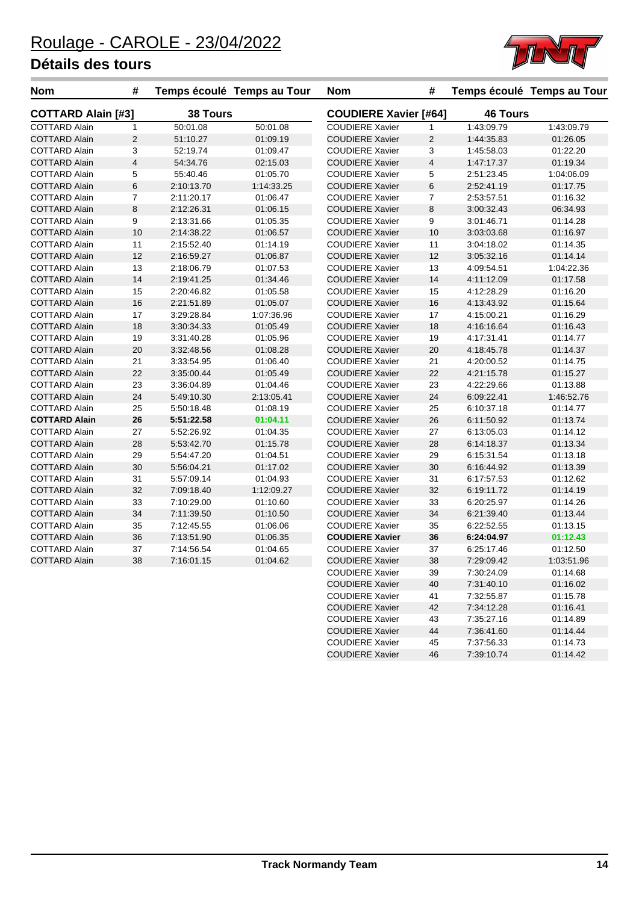

| <b>Nom</b>                | #              |                 | Temps écoulé Temps au Tour | <b>Nom</b>                   | #                       |                 | Temps écoulé Temps au Tour |
|---------------------------|----------------|-----------------|----------------------------|------------------------------|-------------------------|-----------------|----------------------------|
| <b>COTTARD Alain [#3]</b> |                | <b>38 Tours</b> |                            | <b>COUDIERE Xavier [#64]</b> |                         | <b>46 Tours</b> |                            |
| <b>COTTARD Alain</b>      | $\mathbf{1}$   | 50:01.08        | 50:01.08                   | <b>COUDIERE Xavier</b>       | 1                       | 1:43:09.79      | 1:43:09.79                 |
| <b>COTTARD Alain</b>      | 2              | 51:10.27        | 01:09.19                   | <b>COUDIERE Xavier</b>       | $\overline{2}$          | 1:44:35.83      | 01:26.05                   |
| <b>COTTARD Alain</b>      | 3              | 52:19.74        | 01:09.47                   | <b>COUDIERE Xavier</b>       | 3                       | 1:45:58.03      | 01:22.20                   |
| <b>COTTARD Alain</b>      | $\overline{4}$ | 54:34.76        | 02:15.03                   | <b>COUDIERE Xavier</b>       | $\overline{\mathbf{4}}$ | 1:47:17.37      | 01:19.34                   |
| <b>COTTARD Alain</b>      | 5              | 55:40.46        | 01:05.70                   | <b>COUDIERE Xavier</b>       | 5                       | 2:51:23.45      | 1:04:06.09                 |
| <b>COTTARD Alain</b>      | $\,6$          | 2:10:13.70      | 1:14:33.25                 | <b>COUDIERE Xavier</b>       | 6                       | 2:52:41.19      | 01:17.75                   |
| <b>COTTARD Alain</b>      | $\overline{7}$ | 2:11:20.17      | 01:06.47                   | <b>COUDIERE Xavier</b>       | 7                       | 2:53:57.51      | 01:16.32                   |
| <b>COTTARD Alain</b>      | 8              | 2:12:26.31      | 01:06.15                   | <b>COUDIERE Xavier</b>       | 8                       | 3:00:32.43      | 06:34.93                   |
| <b>COTTARD Alain</b>      | 9              | 2:13:31.66      | 01:05.35                   | <b>COUDIERE Xavier</b>       | 9                       | 3:01:46.71      | 01:14.28                   |
| <b>COTTARD Alain</b>      | 10             | 2:14:38.22      | 01:06.57                   | <b>COUDIERE Xavier</b>       | 10                      | 3:03:03.68      | 01:16.97                   |
| <b>COTTARD Alain</b>      | 11             | 2:15:52.40      | 01:14.19                   | <b>COUDIERE Xavier</b>       | 11                      | 3:04:18.02      | 01:14.35                   |
| <b>COTTARD Alain</b>      | 12             | 2:16:59.27      | 01:06.87                   | <b>COUDIERE Xavier</b>       | 12                      | 3:05:32.16      | 01:14.14                   |
| <b>COTTARD Alain</b>      | 13             | 2:18:06.79      | 01:07.53                   | <b>COUDIERE Xavier</b>       | 13                      | 4:09:54.51      | 1:04:22.36                 |
| <b>COTTARD Alain</b>      | 14             | 2:19:41.25      | 01:34.46                   | <b>COUDIERE Xavier</b>       | 14                      | 4:11:12.09      | 01:17.58                   |
| <b>COTTARD Alain</b>      | 15             | 2:20:46.82      | 01:05.58                   | <b>COUDIERE Xavier</b>       | 15                      | 4:12:28.29      | 01:16.20                   |
| <b>COTTARD Alain</b>      | 16             | 2:21:51.89      | 01:05.07                   | <b>COUDIERE Xavier</b>       | 16                      | 4:13:43.92      | 01:15.64                   |
| <b>COTTARD Alain</b>      | 17             | 3:29:28.84      | 1:07:36.96                 | <b>COUDIERE Xavier</b>       | 17                      | 4:15:00.21      | 01:16.29                   |
| <b>COTTARD Alain</b>      | 18             | 3:30:34.33      | 01:05.49                   | <b>COUDIERE Xavier</b>       | 18                      | 4:16:16.64      | 01:16.43                   |
| <b>COTTARD Alain</b>      | 19             | 3:31:40.28      | 01:05.96                   | <b>COUDIERE Xavier</b>       | 19                      | 4:17:31.41      | 01:14.77                   |
| <b>COTTARD Alain</b>      | 20             | 3:32:48.56      | 01:08.28                   | <b>COUDIERE Xavier</b>       | 20                      | 4:18:45.78      | 01:14.37                   |
| <b>COTTARD Alain</b>      | 21             | 3:33:54.95      | 01:06.40                   | <b>COUDIERE Xavier</b>       | 21                      | 4:20:00.52      | 01:14.75                   |
| <b>COTTARD Alain</b>      | 22             | 3:35:00.44      | 01:05.49                   | <b>COUDIERE Xavier</b>       | 22                      | 4:21:15.78      | 01:15.27                   |
| <b>COTTARD Alain</b>      | 23             | 3:36:04.89      | 01:04.46                   | <b>COUDIERE Xavier</b>       | 23                      | 4:22:29.66      | 01:13.88                   |
| <b>COTTARD Alain</b>      | 24             | 5:49:10.30      | 2:13:05.41                 | <b>COUDIERE Xavier</b>       | 24                      | 6:09:22.41      | 1:46:52.76                 |
| <b>COTTARD Alain</b>      | 25             | 5:50:18.48      | 01:08.19                   | <b>COUDIERE Xavier</b>       | 25                      | 6:10:37.18      | 01:14.77                   |
| <b>COTTARD Alain</b>      | 26             | 5:51:22.58      | 01:04.11                   | <b>COUDIERE Xavier</b>       | 26                      | 6:11:50.92      | 01:13.74                   |
| <b>COTTARD Alain</b>      | 27             | 5:52:26.92      | 01:04.35                   | <b>COUDIERE Xavier</b>       | 27                      | 6:13:05.03      | 01:14.12                   |
| <b>COTTARD Alain</b>      | 28             | 5:53:42.70      | 01:15.78                   | <b>COUDIERE Xavier</b>       | 28                      | 6:14:18.37      | 01:13.34                   |
| <b>COTTARD Alain</b>      | 29             | 5:54:47.20      | 01:04.51                   | <b>COUDIERE Xavier</b>       | 29                      | 6:15:31.54      | 01:13.18                   |
| <b>COTTARD Alain</b>      | 30             | 5.56.04.21      | 01:17.02                   | <b>COUDIERE Xavier</b>       | 30                      | 6:16:44.92      | 01:13.39                   |
| <b>COTTARD Alain</b>      | 31             | 5:57:09.14      | 01:04.93                   | <b>COUDIERE Xavier</b>       | 31                      | 6:17:57.53      | 01:12.62                   |
| <b>COTTARD Alain</b>      | 32             | 7:09:18.40      | 1:12:09.27                 | <b>COUDIERE Xavier</b>       | 32                      | 6:19:11.72      | 01:14.19                   |
| <b>COTTARD Alain</b>      | 33             | 7:10:29.00      | 01:10.60                   | <b>COUDIERE Xavier</b>       | 33                      | 6:20:25.97      | 01:14.26                   |
| <b>COTTARD Alain</b>      | 34             | 7:11:39.50      | 01:10.50                   | <b>COUDIERE Xavier</b>       | 34                      | 6:21:39.40      | 01:13.44                   |
| <b>COTTARD Alain</b>      | 35             | 7:12:45.55      | 01:06.06                   | <b>COUDIERE Xavier</b>       | 35                      | 6:22:52.55      | 01:13.15                   |
| <b>COTTARD Alain</b>      | 36             | 7:13:51.90      | 01:06.35                   | <b>COUDIERE Xavier</b>       | 36                      | 6:24:04.97      | 01:12.43                   |
| <b>COTTARD Alain</b>      | 37             | 7:14:56.54      | 01:04.65                   | <b>COUDIERE Xavier</b>       | 37                      | 6:25:17.46      | 01:12.50                   |
| <b>COTTARD Alain</b>      | 38             | 7:16:01.15      | 01:04.62                   | <b>COUDIERE Xavier</b>       | 38                      | 7:29:09.42      | 1:03:51.96                 |
|                           |                |                 |                            | <b>COUDIERE Xavier</b>       | 39                      | 7:30:24.09      | 01:14.68                   |
|                           |                |                 |                            | <b>COUDIERE Xavier</b>       | 40                      | 7:31:40.10      | 01:16.02                   |
|                           |                |                 |                            | <b>COUDIERE Xavier</b>       | 41                      | 7:32:55.87      | 01:15.78                   |
|                           |                |                 |                            | <b>COUDIERE Xavier</b>       | 42                      | 7:34:12.28      | 01:16.41                   |

COUDIERE Xavier 43 7:35:27.16 01:14.89 COUDIERE Xavier 44 7:36:41.60 01:14.44 COUDIERE Xavier 45 7:37:56.33 01:14.73

COUDIERE Xavier 46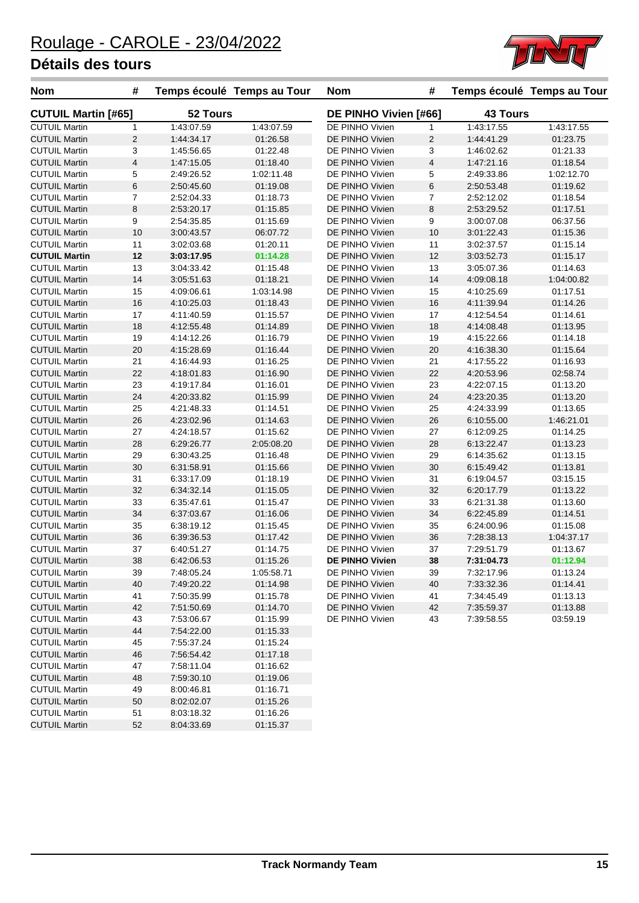

| <b>Nom</b>                 | #                       |            | Temps écoulé Temps au Tour | <b>Nom</b>             | #                       |                 | Temps écoulé Temps au Tour |
|----------------------------|-------------------------|------------|----------------------------|------------------------|-------------------------|-----------------|----------------------------|
| <b>CUTUIL Martin [#65]</b> |                         | 52 Tours   |                            | DE PINHO Vivien [#66]  |                         | <b>43 Tours</b> |                            |
| <b>CUTUIL Martin</b>       | $\mathbf{1}$            | 1:43:07.59 | 1:43:07.59                 | DE PINHO Vivien        | 1                       | 1:43:17.55      | 1:43:17.55                 |
| <b>CUTUIL Martin</b>       | 2                       | 1:44:34.17 | 01:26.58                   | DE PINHO Vivien        | 2                       | 1:44:41.29      | 01:23.75                   |
| <b>CUTUIL Martin</b>       | 3                       | 1:45:56.65 | 01:22.48                   | DE PINHO Vivien        | 3                       | 1:46:02.62      | 01:21.33                   |
| <b>CUTUIL Martin</b>       | $\overline{\mathbf{4}}$ | 1:47:15.05 | 01:18.40                   | DE PINHO Vivien        | $\overline{\mathbf{4}}$ | 1:47:21.16      | 01:18.54                   |
| <b>CUTUIL Martin</b>       | 5                       | 2:49:26.52 | 1:02:11.48                 | DE PINHO Vivien        | 5                       | 2:49:33.86      | 1:02:12.70                 |
| <b>CUTUIL Martin</b>       | $\,6$                   | 2:50:45.60 | 01:19.08                   | DE PINHO Vivien        | 6                       | 2:50:53.48      | 01:19.62                   |
| <b>CUTUIL Martin</b>       | $\overline{7}$          | 2:52:04.33 | 01:18.73                   | DE PINHO Vivien        | 7                       | 2:52:12.02      | 01:18.54                   |
| <b>CUTUIL Martin</b>       | 8                       | 2:53:20.17 | 01:15.85                   | DE PINHO Vivien        | 8                       | 2:53:29.52      | 01:17.51                   |
| <b>CUTUIL Martin</b>       | $\boldsymbol{9}$        | 2:54:35.85 | 01:15.69                   | DE PINHO Vivien        | 9                       | 3:00:07.08      | 06:37.56                   |
| <b>CUTUIL Martin</b>       | 10                      | 3:00:43.57 | 06:07.72                   | DE PINHO Vivien        | 10                      | 3:01:22.43      | 01:15.36                   |
| <b>CUTUIL Martin</b>       | 11                      | 3:02:03.68 | 01:20.11                   | DE PINHO Vivien        | 11                      | 3:02:37.57      | 01:15.14                   |
| <b>CUTUIL Martin</b>       | 12                      | 3:03:17.95 | 01:14.28                   | DE PINHO Vivien        | 12                      | 3:03:52.73      | 01:15.17                   |
| <b>CUTUIL Martin</b>       | 13                      | 3:04:33.42 | 01:15.48                   | DE PINHO Vivien        | 13                      | 3:05:07.36      | 01:14.63                   |
| <b>CUTUIL Martin</b>       | 14                      | 3:05:51.63 | 01:18.21                   | DE PINHO Vivien        | 14                      | 4:09:08.18      | 1:04:00.82                 |
| <b>CUTUIL Martin</b>       | 15                      | 4:09:06.61 | 1:03:14.98                 | DE PINHO Vivien        | 15                      | 4:10:25.69      | 01:17.51                   |
| <b>CUTUIL Martin</b>       | 16                      | 4:10:25.03 | 01:18.43                   | DE PINHO Vivien        | 16                      | 4:11:39.94      | 01:14.26                   |
| <b>CUTUIL Martin</b>       | 17                      | 4:11:40.59 | 01:15.57                   | DE PINHO Vivien        | 17                      | 4:12:54.54      | 01:14.61                   |
| <b>CUTUIL Martin</b>       | 18                      | 4:12:55.48 | 01:14.89                   | DE PINHO Vivien        | 18                      | 4:14:08.48      | 01:13.95                   |
| <b>CUTUIL Martin</b>       | 19                      | 4:14:12.26 | 01:16.79                   | DE PINHO Vivien        | 19                      | 4:15:22.66      | 01:14.18                   |
| <b>CUTUIL Martin</b>       | 20                      | 4:15:28.69 | 01:16.44                   | DE PINHO Vivien        | 20                      | 4:16:38.30      | 01:15.64                   |
| <b>CUTUIL Martin</b>       | 21                      | 4:16:44.93 | 01:16.25                   | DE PINHO Vivien        | 21                      | 4:17:55.22      | 01:16.93                   |
| <b>CUTUIL Martin</b>       | 22                      | 4:18:01.83 | 01:16.90                   | DE PINHO Vivien        | 22                      | 4:20:53.96      | 02:58.74                   |
| <b>CUTUIL Martin</b>       | 23                      | 4:19:17.84 | 01:16.01                   | DE PINHO Vivien        | 23                      | 4:22:07.15      | 01:13.20                   |
| <b>CUTUIL Martin</b>       | 24                      | 4:20:33.82 | 01:15.99                   | DE PINHO Vivien        | 24                      | 4:23:20.35      | 01:13.20                   |
| <b>CUTUIL Martin</b>       | 25                      | 4:21:48.33 | 01:14.51                   | DE PINHO Vivien        | 25                      | 4:24:33.99      | 01:13.65                   |
| <b>CUTUIL Martin</b>       | 26                      | 4:23:02.96 | 01:14.63                   | DE PINHO Vivien        | 26                      | 6:10:55.00      | 1:46:21.01                 |
| <b>CUTUIL Martin</b>       | 27                      | 4:24:18.57 | 01:15.62                   | DE PINHO Vivien        | 27                      | 6:12:09.25      | 01:14.25                   |
| <b>CUTUIL Martin</b>       | 28                      | 6:29:26.77 | 2:05:08.20                 | DE PINHO Vivien        | 28                      | 6:13:22.47      | 01:13.23                   |
| <b>CUTUIL Martin</b>       | 29                      |            | 01:16.48                   | DE PINHO Vivien        | 29                      |                 | 01:13.15                   |
|                            |                         | 6:30:43.25 |                            |                        |                         | 6:14:35.62      |                            |
| <b>CUTUIL Martin</b>       | 30                      | 6:31:58.91 | 01:15.66                   | DE PINHO Vivien        | 30                      | 6:15:49.42      | 01:13.81                   |
| <b>CUTUIL Martin</b>       | 31                      | 6:33:17.09 | 01:18.19                   | DE PINHO Vivien        | 31                      | 6:19:04.57      | 03:15.15                   |
| <b>CUTUIL Martin</b>       | 32                      | 6:34:32.14 | 01:15.05                   | DE PINHO Vivien        | 32                      | 6:20:17.79      | 01:13.22                   |
| <b>CUTUIL Martin</b>       | 33                      | 6:35:47.61 | 01:15.47                   | DE PINHO Vivien        | 33                      | 6:21:31.38      | 01:13.60                   |
| <b>CUTUIL Martin</b>       | 34                      | 6:37:03.67 | 01:16.06                   | DE PINHO Vivien        | 34                      | 6:22:45.89      | 01:14.51                   |
| <b>CUTUIL Martin</b>       | 35                      | 6:38:19.12 | 01:15.45                   | DE PINHO Vivien        | 35                      | 6:24:00.96      | 01:15.08                   |
| <b>CUTUIL Martin</b>       | 36                      | 6:39:36.53 | 01:17.42                   | DE PINHO Vivien        | 36                      | 7:28:38.13      | 1:04:37.17                 |
| <b>CUTUIL Martin</b>       | 37                      | 6:40:51.27 | 01:14.75                   | DE PINHO Vivien        | 37                      | 7:29:51.79      | 01:13.67                   |
| <b>CUTUIL Martin</b>       | 38                      | 6:42:06.53 | 01:15.26                   | <b>DE PINHO Vivien</b> | 38                      | 7:31:04.73      | 01:12.94                   |
| <b>CUTUIL Martin</b>       | 39                      | 7:48:05.24 | 1:05:58.71                 | DE PINHO Vivien        | 39                      | 7:32:17.96      | 01:13.24                   |
| <b>CUTUIL Martin</b>       | 40                      | 7:49:20.22 | 01:14.98                   | DE PINHO Vivien        | 40                      | 7:33:32.36      | 01:14.41                   |
| <b>CUTUIL Martin</b>       | 41                      | 7:50:35.99 | 01:15.78                   | DE PINHO Vivien        | 41                      | 7:34:45.49      | 01:13.13                   |
| <b>CUTUIL Martin</b>       | 42                      | 7:51:50.69 | 01:14.70                   | DE PINHO Vivien        | 42                      | 7:35.59.37      | 01:13.88                   |
| <b>CUTUIL Martin</b>       | 43                      | 7:53:06.67 | 01:15.99                   | DE PINHO Vivien        | 43                      | 7:39:58.55      | 03:59.19                   |
| <b>CUTUIL Martin</b>       | 44                      | 7:54:22.00 | 01:15.33                   |                        |                         |                 |                            |
| <b>CUTUIL Martin</b>       | 45                      | 7:55:37.24 | 01:15.24                   |                        |                         |                 |                            |
| <b>CUTUIL Martin</b>       | 46                      | 7:56:54.42 | 01:17.18                   |                        |                         |                 |                            |
| <b>CUTUIL Martin</b>       | 47                      | 7:58:11.04 | 01:16.62                   |                        |                         |                 |                            |
| <b>CUTUIL Martin</b>       | 48                      | 7:59:30.10 | 01:19.06                   |                        |                         |                 |                            |
| <b>CUTUIL Martin</b>       | 49                      | 8:00:46.81 | 01:16.71                   |                        |                         |                 |                            |
| <b>CUTUIL Martin</b>       | 50                      | 8:02:02.07 | 01:15.26                   |                        |                         |                 |                            |
| <b>CUTUIL Martin</b>       | 51                      | 8:03:18.32 | 01:16.26                   |                        |                         |                 |                            |
| <b>CUTUIL Martin</b>       | 52                      | 8:04:33.69 | 01:15.37                   |                        |                         |                 |                            |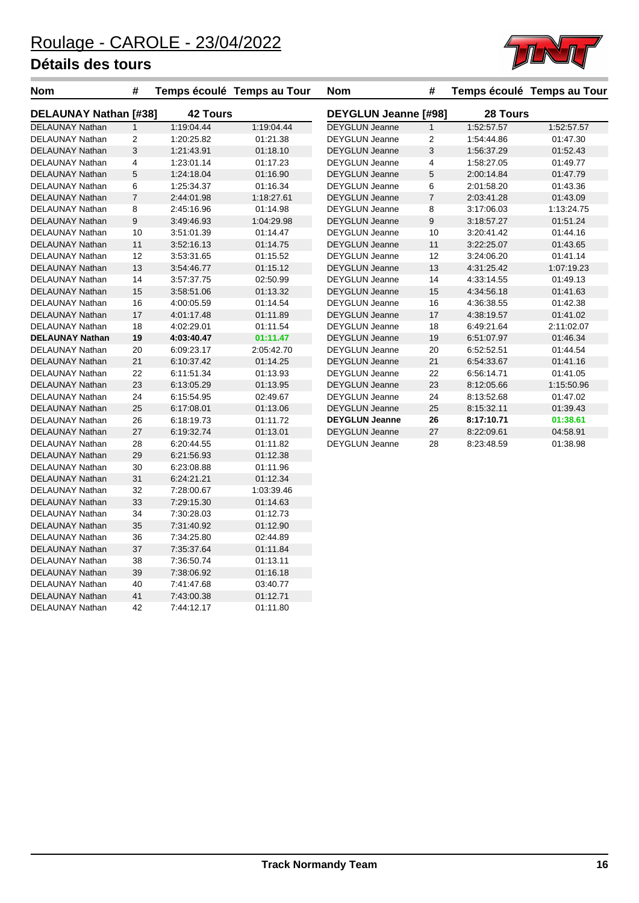DELAUNAY Nathan 42 7:44:12.17 01:11.80



| <b>Nom</b>                   | #              |                 | Temps écoulé Temps au Tour | <b>Nom</b>                  | #              |            | Temps écoulé Temps au Tour |
|------------------------------|----------------|-----------------|----------------------------|-----------------------------|----------------|------------|----------------------------|
| <b>DELAUNAY Nathan [#38]</b> |                | <b>42 Tours</b> |                            | <b>DEYGLUN Jeanne [#98]</b> |                | 28 Tours   |                            |
| <b>DELAUNAY Nathan</b>       | $\mathbf{1}$   | 1:19:04.44      | 1:19:04.44                 | <b>DEYGLUN Jeanne</b>       | $\mathbf{1}$   | 1:52:57.57 | 1:52:57.57                 |
| DELAUNAY Nathan              | 2              | 1:20:25.82      | 01:21.38                   | <b>DEYGLUN Jeanne</b>       | 2              | 1:54:44.86 | 01:47.30                   |
| DELAUNAY Nathan              | 3              | 1:21:43.91      | 01:18.10                   | <b>DEYGLUN Jeanne</b>       | 3              | 1:56:37.29 | 01:52.43                   |
| DELAUNAY Nathan              | 4              | 1:23:01.14      | 01:17.23                   | <b>DEYGLUN Jeanne</b>       | 4              | 1:58:27.05 | 01:49.77                   |
| DELAUNAY Nathan              | 5              | 1:24:18.04      | 01:16.90                   | <b>DEYGLUN Jeanne</b>       | 5              | 2:00:14.84 | 01:47.79                   |
| DELAUNAY Nathan              | 6              | 1:25:34.37      | 01:16.34                   | <b>DEYGLUN Jeanne</b>       | 6              | 2:01:58.20 | 01:43.36                   |
| DELAUNAY Nathan              | $\overline{7}$ | 2:44:01.98      | 1:18:27.61                 | <b>DEYGLUN Jeanne</b>       | $\overline{7}$ | 2:03:41.28 | 01:43.09                   |
| DELAUNAY Nathan              | 8              | 2:45:16.96      | 01:14.98                   | <b>DEYGLUN Jeanne</b>       | 8              | 3:17:06.03 | 1:13:24.75                 |
| DELAUNAY Nathan              | 9              | 3:49:46.93      | 1:04:29.98                 | <b>DEYGLUN Jeanne</b>       | 9              | 3:18:57.27 | 01:51.24                   |
| DELAUNAY Nathan              | 10             | 3:51:01.39      | 01:14.47                   | <b>DEYGLUN Jeanne</b>       | 10             | 3:20:41.42 | 01:44.16                   |
| DELAUNAY Nathan              | 11             | 3:52:16.13      | 01:14.75                   | <b>DEYGLUN Jeanne</b>       | 11             | 3:22:25.07 | 01:43.65                   |
| DELAUNAY Nathan              | 12             | 3:53:31.65      | 01:15.52                   | <b>DEYGLUN Jeanne</b>       | 12             | 3:24:06.20 | 01:41.14                   |
| DELAUNAY Nathan              | 13             | 3.54.46.77      | 01:15.12                   | <b>DEYGLUN Jeanne</b>       | 13             | 4:31:25.42 | 1:07:19.23                 |
| DELAUNAY Nathan              | 14             | 3:57:37.75      | 02:50.99                   | <b>DEYGLUN Jeanne</b>       | 14             | 4:33:14.55 | 01:49.13                   |
| DELAUNAY Nathan              | 15             | 3:58:51.06      | 01:13.32                   | <b>DEYGLUN Jeanne</b>       | 15             | 4:34:56.18 | 01:41.63                   |
| DELAUNAY Nathan              | 16             | 4:00:05.59      | 01:14.54                   | <b>DEYGLUN Jeanne</b>       | 16             | 4:36:38.55 | 01:42.38                   |
| DELAUNAY Nathan              | 17             | 4:01:17.48      | 01:11.89                   | <b>DEYGLUN Jeanne</b>       | 17             | 4:38:19.57 | 01:41.02                   |
| DELAUNAY Nathan              | 18             | 4:02:29.01      | 01:11.54                   | <b>DEYGLUN Jeanne</b>       | 18             | 6:49:21.64 | 2:11:02.07                 |
| <b>DELAUNAY Nathan</b>       | 19             | 4:03:40.47      | 01:11.47                   | <b>DEYGLUN Jeanne</b>       | 19             | 6:51:07.97 | 01:46.34                   |
| DELAUNAY Nathan              | 20             | 6:09:23.17      | 2:05:42.70                 | <b>DEYGLUN Jeanne</b>       | 20             | 6.52.52.51 | 01:44.54                   |
| DELAUNAY Nathan              | 21             | 6:10:37.42      | 01:14.25                   | <b>DEYGLUN Jeanne</b>       | 21             | 6:54:33.67 | 01:41.16                   |
| DELAUNAY Nathan              | 22             | 6:11:51.34      | 01:13.93                   | <b>DEYGLUN Jeanne</b>       | 22             | 6:56:14.71 | 01:41.05                   |
| DELAUNAY Nathan              | 23             | 6:13:05.29      | 01:13.95                   | <b>DEYGLUN Jeanne</b>       | 23             | 8:12:05.66 | 1:15:50.96                 |
| DELAUNAY Nathan              | 24             | 6:15:54.95      | 02:49.67                   | <b>DEYGLUN Jeanne</b>       | 24             | 8:13:52.68 | 01:47.02                   |
| DELAUNAY Nathan              | 25             | 6:17:08.01      | 01:13.06                   | <b>DEYGLUN Jeanne</b>       | 25             | 8:15:32.11 | 01:39.43                   |
| DELAUNAY Nathan              | 26             | 6:18:19.73      | 01:11.72                   | <b>DEYGLUN Jeanne</b>       | 26             | 8:17:10.71 | 01:38.61                   |
| DELAUNAY Nathan              | 27             | 6:19:32.74      | 01:13.01                   | <b>DEYGLUN Jeanne</b>       | 27             | 8:22:09.61 | 04:58.91                   |
| DELAUNAY Nathan              | 28             | 6:20:44.55      | 01:11.82                   | <b>DEYGLUN Jeanne</b>       | 28             | 8:23:48.59 | 01:38.98                   |
| DELAUNAY Nathan              | 29             | 6:21:56.93      | 01:12.38                   |                             |                |            |                            |
| DELAUNAY Nathan              | 30             | 6:23:08.88      | 01:11.96                   |                             |                |            |                            |
| DELAUNAY Nathan              | 31             | 6:24:21.21      | 01:12.34                   |                             |                |            |                            |
| DELAUNAY Nathan              | 32             | 7:28:00.67      | 1:03:39.46                 |                             |                |            |                            |
| DELAUNAY Nathan              | 33             | 7:29:15.30      | 01:14.63                   |                             |                |            |                            |
| DELAUNAY Nathan              | 34             | 7:30:28.03      | 01:12.73                   |                             |                |            |                            |
| DELAUNAY Nathan              | 35             | 7:31:40.92      | 01:12.90                   |                             |                |            |                            |
| DELAUNAY Nathan              | 36             | 7:34:25.80      | 02:44.89                   |                             |                |            |                            |
| DELAUNAY Nathan              | 37             | 7:35:37.64      | 01:11.84                   |                             |                |            |                            |
| DELAUNAY Nathan              | 38             | 7:36:50.74      | 01:13.11                   |                             |                |            |                            |
| DELAUNAY Nathan              | 39             | 7:38:06.92      | 01:16.18                   |                             |                |            |                            |
| DELAUNAY Nathan              | 40             | 7:41.47.68      | 03:40.77                   |                             |                |            |                            |
| DELAUNAY Nathan              | 41             | 7:43:00.38      | 01:12.71                   |                             |                |            |                            |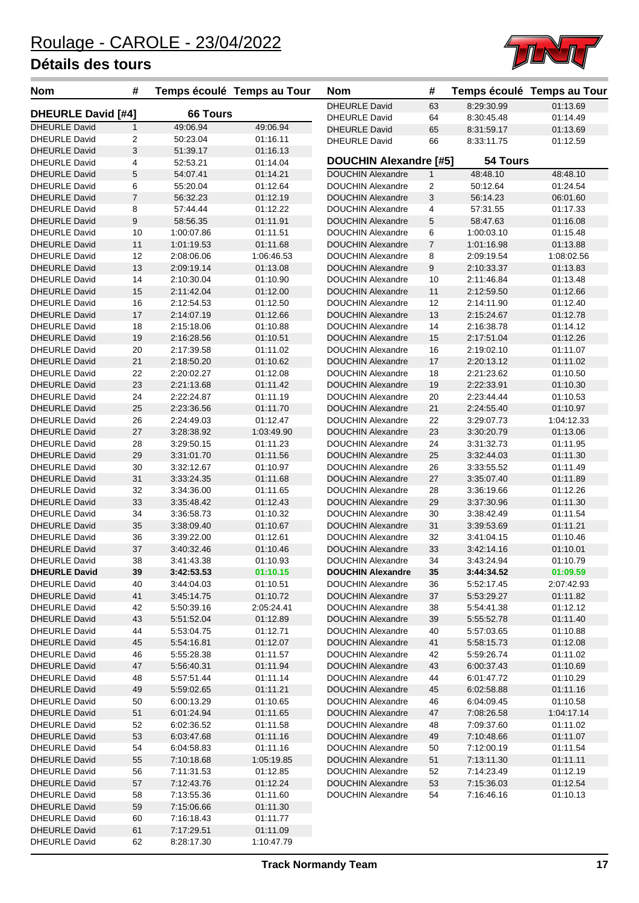

| <b>Nom</b>                | #              | Temps écoulé Temps au Tour |            | <b>Nom</b>                    | #              |            | Temps écoulé Temps au Tour |
|---------------------------|----------------|----------------------------|------------|-------------------------------|----------------|------------|----------------------------|
|                           |                |                            |            | <b>DHEURLE David</b>          | 63             | 8:29:30.99 | 01:13.69                   |
| <b>DHEURLE David [#4]</b> |                | <b>66 Tours</b>            |            | <b>DHEURLE David</b>          | 64             | 8:30:45.48 | 01:14.49                   |
| <b>DHEURLE David</b>      | $\mathbf{1}$   | 49:06.94                   | 49:06.94   | <b>DHEURLE David</b>          | 65             | 8:31:59.17 | 01:13.69                   |
| <b>DHEURLE David</b>      | $\overline{c}$ | 50:23.04                   | 01:16.11   | <b>DHEURLE David</b>          | 66             | 8:33:11.75 | 01:12.59                   |
| <b>DHEURLE David</b>      | 3              | 51:39.17                   | 01:16.13   |                               |                |            |                            |
| <b>DHEURLE David</b>      | 4              | 52:53.21                   | 01:14.04   | <b>DOUCHIN Alexandre [#5]</b> |                | 54 Tours   |                            |
| <b>DHEURLE David</b>      | 5              | 54:07.41                   | 01:14.21   | <b>DOUCHIN Alexandre</b>      | 1              | 48:48.10   | 48:48.10                   |
| <b>DHEURLE David</b>      | 6              | 55:20.04                   | 01:12.64   | <b>DOUCHIN Alexandre</b>      | $\overline{c}$ | 50:12.64   | 01:24.54                   |
| <b>DHEURLE David</b>      | $\overline{7}$ | 56:32.23                   | 01:12.19   | <b>DOUCHIN Alexandre</b>      | 3              | 56:14.23   | 06:01.60                   |
| <b>DHEURLE David</b>      | 8              | 57:44.44                   | 01:12.22   | <b>DOUCHIN Alexandre</b>      | 4              | 57:31.55   | 01:17.33                   |
| <b>DHEURLE David</b>      | 9              | 58:56.35                   | 01:11.91   | <b>DOUCHIN Alexandre</b>      | 5              | 58:47.63   | 01:16.08                   |
| <b>DHEURLE David</b>      | 10             | 1:00:07.86                 | 01:11.51   | <b>DOUCHIN Alexandre</b>      | 6              | 1:00:03.10 | 01:15.48                   |
| <b>DHEURLE David</b>      | 11             | 1:01:19.53                 | 01:11.68   | <b>DOUCHIN Alexandre</b>      | 7              | 1:01:16.98 | 01:13.88                   |
| <b>DHEURLE David</b>      | 12             | 2:08:06.06                 | 1:06:46.53 | <b>DOUCHIN Alexandre</b>      | 8              | 2:09:19.54 | 1:08:02.56                 |
| <b>DHEURLE David</b>      | 13             | 2:09:19.14                 | 01:13.08   | <b>DOUCHIN Alexandre</b>      | 9              | 2:10:33.37 | 01:13.83                   |
| <b>DHEURLE David</b>      | 14             | 2:10:30.04                 | 01:10.90   | <b>DOUCHIN Alexandre</b>      | 10             | 2:11:46.84 | 01:13.48                   |
| <b>DHEURLE David</b>      | 15             | 2:11:42.04                 | 01:12.00   | <b>DOUCHIN Alexandre</b>      | 11             | 2:12:59.50 | 01:12.66                   |
| <b>DHEURLE David</b>      | 16             | 2:12:54.53                 | 01:12.50   | <b>DOUCHIN Alexandre</b>      | 12             | 2:14:11.90 | 01:12.40                   |
| <b>DHEURLE David</b>      | 17             | 2:14:07.19                 | 01:12.66   | <b>DOUCHIN Alexandre</b>      | 13             | 2:15:24.67 | 01:12.78                   |
| <b>DHEURLE David</b>      | 18             | 2:15:18.06                 | 01:10.88   | <b>DOUCHIN Alexandre</b>      | 14             | 2:16:38.78 | 01:14.12                   |
| <b>DHEURLE David</b>      | 19             | 2:16:28.56                 | 01:10.51   | <b>DOUCHIN Alexandre</b>      | 15             | 2:17:51.04 | 01:12.26                   |
| <b>DHEURLE David</b>      | 20             | 2:17:39.58                 | 01:11.02   | <b>DOUCHIN Alexandre</b>      | 16             | 2:19:02.10 | 01:11.07                   |
| <b>DHEURLE David</b>      | 21             | 2:18:50.20                 | 01:10.62   | <b>DOUCHIN Alexandre</b>      | 17             | 2:20:13.12 | 01:11.02                   |
| <b>DHEURLE David</b>      | 22             | 2:20:02.27                 | 01:12.08   | <b>DOUCHIN Alexandre</b>      | 18             | 2:21:23.62 | 01:10.50                   |
| <b>DHEURLE David</b>      | 23             | 2:21:13.68                 | 01:11.42   | <b>DOUCHIN Alexandre</b>      | 19             | 2:22:33.91 | 01:10.30                   |
| <b>DHEURLE David</b>      | 24             | 2:22:24.87                 | 01:11.19   | <b>DOUCHIN Alexandre</b>      | 20             | 2:23:44.44 | 01:10.53                   |
| <b>DHEURLE David</b>      | 25             | 2:23:36.56                 | 01:11.70   | <b>DOUCHIN Alexandre</b>      | 21             | 2:24:55.40 | 01:10.97                   |
| <b>DHEURLE David</b>      | 26             | 2:24:49.03                 | 01:12.47   | <b>DOUCHIN Alexandre</b>      | 22             | 3:29:07.73 | 1:04:12.33                 |
| <b>DHEURLE David</b>      | 27             | 3:28:38.92                 | 1:03:49.90 | <b>DOUCHIN Alexandre</b>      | 23             | 3:30:20.79 | 01:13.06                   |
| <b>DHEURLE David</b>      | 28             | 3:29:50.15                 | 01:11.23   | <b>DOUCHIN Alexandre</b>      | 24             | 3:31:32.73 | 01:11.95                   |
| <b>DHEURLE David</b>      | 29             | 3:31:01.70                 | 01:11.56   | <b>DOUCHIN Alexandre</b>      | 25             | 3:32:44.03 | 01:11.30                   |
| <b>DHEURLE David</b>      | 30             | 3:32:12.67                 | 01:10.97   | <b>DOUCHIN Alexandre</b>      | 26             | 3:33:55.52 | 01:11.49                   |
| <b>DHEURLE David</b>      | 31             | 3:33:24.35                 | 01:11.68   | <b>DOUCHIN Alexandre</b>      | 27             | 3:35:07.40 | 01:11.89                   |
| <b>DHEURLE David</b>      | 32             | 3:34:36.00                 | 01:11.65   | <b>DOUCHIN Alexandre</b>      | 28             | 3:36:19.66 | 01:12.26                   |
| <b>DHEURLE David</b>      | 33             | 3:35:48.42                 | 01:12.43   | <b>DOUCHIN Alexandre</b>      | 29             | 3:37:30.96 | 01:11.30                   |
| <b>DHEURLE David</b>      | 34             | 3:36:58.73                 | 01:10.32   | <b>DOUCHIN Alexandre</b>      | 30             | 3:38:42.49 | 01:11.54                   |
| <b>DHEURLE David</b>      | 35             | 3:38:09.40                 | 01:10.67   | <b>DOUCHIN Alexandre</b>      | 31             | 3:39:53.69 | 01:11.21                   |
| <b>DHEURLE David</b>      | 36             | 3:39:22.00                 | 01:12.61   | <b>DOUCHIN Alexandre</b>      | 32             | 3:41:04.15 | 01:10.46                   |
| <b>DHEURLE David</b>      | 37             | 3:40:32.46                 | 01:10.46   | <b>DOUCHIN Alexandre</b>      | 33             | 3:42:14.16 | 01:10.01                   |
| <b>DHEURLE David</b>      | 38             | 3:41:43.38                 | 01:10.93   | <b>DOUCHIN Alexandre</b>      | 34             | 3:43:24.94 | 01:10.79                   |
| <b>DHEURLE David</b>      | 39             | 3:42:53.53                 | 01:10.15   | <b>DOUCHIN Alexandre</b>      | 35             | 3:44:34.52 | 01:09.59                   |
| <b>DHEURLE David</b>      | 40             | 3:44:04.03                 | 01:10.51   | <b>DOUCHIN Alexandre</b>      | 36             | 5:52:17.45 | 2:07:42.93                 |
| <b>DHEURLE David</b>      | 41             | 3:45:14.75                 | 01:10.72   | <b>DOUCHIN Alexandre</b>      | 37             | 5:53:29.27 | 01:11.82                   |
| <b>DHEURLE David</b>      | 42             | 5:50:39.16                 | 2:05:24.41 | <b>DOUCHIN Alexandre</b>      | 38             | 5:54:41.38 | 01:12.12                   |
| <b>DHEURLE David</b>      | 43             | 5:51:52.04                 | 01:12.89   | <b>DOUCHIN Alexandre</b>      | 39             | 5:55:52.78 | 01:11.40                   |
| <b>DHEURLE David</b>      | 44             | 5:53:04.75                 | 01:12.71   | <b>DOUCHIN Alexandre</b>      | 40             | 5:57:03.65 | 01:10.88                   |
| <b>DHEURLE David</b>      | 45             | 5:54:16.81                 | 01:12.07   | <b>DOUCHIN Alexandre</b>      | 41             | 5:58:15.73 | 01:12.08                   |
| <b>DHEURLE David</b>      | 46             | 5:55:28.38                 | 01:11.57   | <b>DOUCHIN Alexandre</b>      | 42             | 5:59:26.74 | 01:11.02                   |
| <b>DHEURLE David</b>      | 47             | 5:56:40.31                 | 01:11.94   | <b>DOUCHIN Alexandre</b>      | 43             | 6:00:37.43 | 01:10.69                   |
| <b>DHEURLE David</b>      | 48             | 5:57:51.44                 | 01:11.14   | <b>DOUCHIN Alexandre</b>      | 44             | 6:01:47.72 | 01:10.29                   |
| <b>DHEURLE David</b>      | 49             | 5:59:02.65                 | 01:11.21   | <b>DOUCHIN Alexandre</b>      | 45             | 6:02:58.88 | 01:11.16                   |
| <b>DHEURLE David</b>      | 50             | 6:00:13.29                 | 01:10.65   | <b>DOUCHIN Alexandre</b>      | 46             | 6:04:09.45 | 01:10.58                   |
| <b>DHEURLE David</b>      | $51\,$         | 6:01:24.94                 | 01:11.65   | <b>DOUCHIN Alexandre</b>      | 47             | 7:08:26.58 | 1:04:17.14                 |
| <b>DHEURLE David</b>      | 52             | 6:02:36.52                 | 01:11.58   | <b>DOUCHIN Alexandre</b>      | 48             | 7:09:37.60 | 01:11.02                   |
| <b>DHEURLE David</b>      | 53             | 6:03:47.68                 | 01:11.16   | <b>DOUCHIN Alexandre</b>      | 49             | 7:10:48.66 | 01:11.07                   |
| <b>DHEURLE David</b>      | 54             | 6:04:58.83                 | 01:11.16   | <b>DOUCHIN Alexandre</b>      | 50             | 7:12:00.19 | 01:11.54                   |
| <b>DHEURLE David</b>      | 55             | 7:10:18.68                 | 1:05:19.85 | <b>DOUCHIN Alexandre</b>      | 51             | 7:13:11.30 | 01:11.11                   |
| <b>DHEURLE David</b>      | 56             | 7:11:31.53                 | 01:12.85   | <b>DOUCHIN Alexandre</b>      | 52             | 7:14:23.49 | 01:12.19                   |
| <b>DHEURLE David</b>      | 57             | 7:12:43.76                 | 01:12.24   | <b>DOUCHIN Alexandre</b>      | 53             | 7:15:36.03 | 01:12.54                   |
| <b>DHEURLE David</b>      | 58             | 7:13:55.36                 | 01:11.60   | <b>DOUCHIN Alexandre</b>      | 54             | 7:16:46.16 | 01:10.13                   |
| <b>DHEURLE David</b>      | 59             | 7:15:06.66                 | 01:11.30   |                               |                |            |                            |
| <b>DHEURLE David</b>      | 60             | 7:16:18.43                 | 01:11.77   |                               |                |            |                            |
| <b>DHEURLE David</b>      | 61             | 7:17:29.51                 | 01:11.09   |                               |                |            |                            |
| <b>DHEURLE David</b>      | 62             | 8:28:17.30                 | 1:10:47.79 |                               |                |            |                            |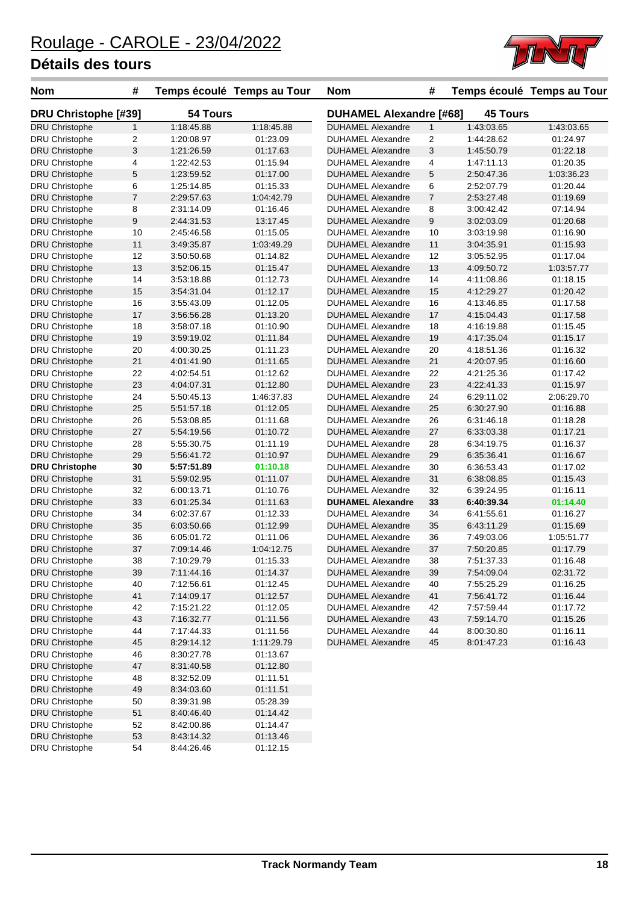

| <b>Nom</b>                  | #                       | Temps écoulé Temps au Tour |            | <b>Nom</b>                     | #              |                 | Temps écoulé Temps au Tour |
|-----------------------------|-------------------------|----------------------------|------------|--------------------------------|----------------|-----------------|----------------------------|
| <b>DRU Christophe [#39]</b> |                         | 54 Tours                   |            | <b>DUHAMEL Alexandre [#68]</b> |                | <b>45 Tours</b> |                            |
| <b>DRU Christophe</b>       | $\mathbf{1}$            | 1:18:45.88                 | 1:18:45.88 | <b>DUHAMEL Alexandre</b>       | 1              | 1:43:03.65      | 1:43:03.65                 |
| DRU Christophe              | $\overline{\mathbf{c}}$ | 1:20:08.97                 | 01:23.09   | <b>DUHAMEL Alexandre</b>       | 2              | 1:44:28.62      | 01:24.97                   |
| <b>DRU Christophe</b>       | 3                       | 1:21:26.59                 | 01:17.63   | <b>DUHAMEL Alexandre</b>       | 3              | 1:45:50.79      | 01:22.18                   |
| DRU Christophe              | 4                       | 1:22:42.53                 | 01:15.94   | <b>DUHAMEL Alexandre</b>       | 4              | 1:47:11.13      | 01:20.35                   |
| <b>DRU Christophe</b>       | $\mathbf 5$             | 1:23:59.52                 | 01:17.00   | <b>DUHAMEL Alexandre</b>       | 5              | 2:50:47.36      | 1:03:36.23                 |
| DRU Christophe              | 6                       | 1:25:14.85                 | 01:15.33   | <b>DUHAMEL Alexandre</b>       | 6              | 2:52:07.79      | 01:20.44                   |
| <b>DRU Christophe</b>       | $\overline{7}$          | 2:29:57.63                 | 1:04:42.79 | <b>DUHAMEL Alexandre</b>       | $\overline{7}$ | 2:53:27.48      | 01:19.69                   |
| <b>DRU Christophe</b>       | 8                       | 2:31:14.09                 | 01:16.46   | <b>DUHAMEL Alexandre</b>       | 8              | 3:00:42.42      | 07:14.94                   |
| <b>DRU Christophe</b>       | 9                       | 2:44:31.53                 | 13:17.45   | <b>DUHAMEL Alexandre</b>       | 9              | 3:02:03.09      | 01:20.68                   |
| DRU Christophe              | 10                      | 2:45:46.58                 | 01:15.05   | <b>DUHAMEL Alexandre</b>       | 10             | 3:03:19.98      | 01:16.90                   |
| <b>DRU Christophe</b>       | 11                      | 3:49:35.87                 | 1:03:49.29 | <b>DUHAMEL Alexandre</b>       | 11             | 3:04:35.91      | 01:15.93                   |
| DRU Christophe              | 12                      | 3:50:50.68                 | 01:14.82   | <b>DUHAMEL Alexandre</b>       | 12             | 3:05:52.95      | 01:17.04                   |
| <b>DRU Christophe</b>       | 13                      | 3:52:06.15                 | 01:15.47   | <b>DUHAMEL Alexandre</b>       | 13             | 4:09:50.72      | 1:03:57.77                 |
| DRU Christophe              | 14                      | 3:53:18.88                 | 01:12.73   | <b>DUHAMEL Alexandre</b>       | 14             | 4:11:08.86      | 01:18.15                   |
| <b>DRU Christophe</b>       | 15                      | 3:54:31.04                 | 01:12.17   | <b>DUHAMEL Alexandre</b>       | 15             | 4:12:29.27      | 01:20.42                   |
| DRU Christophe              | 16                      | 3:55:43.09                 | 01:12.05   | <b>DUHAMEL Alexandre</b>       | 16             | 4:13:46.85      | 01:17.58                   |
| <b>DRU Christophe</b>       | 17                      | 3:56:56.28                 | 01:13.20   | <b>DUHAMEL Alexandre</b>       | 17             | 4:15:04.43      | 01:17.58                   |
| <b>DRU Christophe</b>       | 18                      | 3:58:07.18                 | 01:10.90   | <b>DUHAMEL Alexandre</b>       | 18             | 4:16:19.88      | 01:15.45                   |
| <b>DRU Christophe</b>       | 19                      | 3.59.19.02                 | 01:11.84   | <b>DUHAMEL Alexandre</b>       | 19             | 4:17:35.04      | 01:15.17                   |
| DRU Christophe              | 20                      | 4:00:30.25                 | 01:11.23   | <b>DUHAMEL Alexandre</b>       | 20             | 4:18:51.36      | 01:16.32                   |
| <b>DRU Christophe</b>       | 21                      | 4:01:41.90                 | 01:11.65   | <b>DUHAMEL Alexandre</b>       | 21             | 4:20:07.95      | 01:16.60                   |
| DRU Christophe              | 22                      | 4:02:54.51                 | 01:12.62   | <b>DUHAMEL Alexandre</b>       | 22             | 4:21:25.36      | 01:17.42                   |
| <b>DRU Christophe</b>       | 23                      | 4:04:07.31                 | 01:12.80   | <b>DUHAMEL Alexandre</b>       | 23             | 4:22:41.33      | 01:15.97                   |
| <b>DRU Christophe</b>       | 24                      | 5:50:45.13                 | 1:46:37.83 | <b>DUHAMEL Alexandre</b>       | 24             | 6:29:11.02      | 2:06:29.70                 |
| <b>DRU Christophe</b>       | 25                      | 5:51:57.18                 | 01:12.05   | <b>DUHAMEL Alexandre</b>       | 25             | 6:30:27.90      | 01:16.88                   |
| DRU Christophe              | 26                      | 5:53:08.85                 | 01:11.68   | <b>DUHAMEL Alexandre</b>       | 26             | 6:31:46.18      | 01:18.28                   |
| <b>DRU Christophe</b>       | 27                      | 5:54:19.56                 | 01:10.72   | <b>DUHAMEL Alexandre</b>       | 27             | 6:33:03.38      | 01:17.21                   |
| <b>DRU Christophe</b>       | 28                      | 5:55:30.75                 | 01:11.19   | <b>DUHAMEL Alexandre</b>       | 28             | 6:34:19.75      | 01:16.37                   |
| <b>DRU Christophe</b>       | 29                      | 5:56:41.72                 | 01:10.97   | <b>DUHAMEL Alexandre</b>       | 29             | 6:35:36.41      | 01:16.67                   |
| <b>DRU Christophe</b>       | 30                      | 5:57:51.89                 | 01:10.18   | <b>DUHAMEL Alexandre</b>       | 30             | 6:36:53.43      | 01:17.02                   |
| <b>DRU Christophe</b>       | 31                      | 5:59:02.95                 | 01:11.07   | <b>DUHAMEL Alexandre</b>       | 31             | 6:38:08.85      | 01:15.43                   |
| DRU Christophe              | 32                      | 6:00:13.71                 | 01:10.76   | <b>DUHAMEL Alexandre</b>       | 32             | 6:39:24.95      | 01:16.11                   |
| <b>DRU Christophe</b>       | 33                      | 6:01:25.34                 | 01:11.63   | <b>DUHAMEL Alexandre</b>       | 33             | 6:40:39.34      | 01:14.40                   |
| DRU Christophe              | 34                      | 6:02:37.67                 | 01:12.33   | <b>DUHAMEL Alexandre</b>       | 34             | 6:41:55.61      | 01:16.27                   |
| <b>DRU Christophe</b>       | 35                      | 6:03:50.66                 | 01:12.99   | <b>DUHAMEL Alexandre</b>       | 35             | 6:43:11.29      | 01:15.69                   |
| DRU Christophe              | 36                      | 6:05:01.72                 | 01:11.06   | <b>DUHAMEL Alexandre</b>       | 36             | 7:49:03.06      | 1:05:51.77                 |
| <b>DRU Christophe</b>       | 37                      | 7:09:14.46                 | 1:04:12.75 | <b>DUHAMEL Alexandre</b>       | 37             | 7:50:20.85      | 01:17.79                   |
| DRU Christophe              | 38                      | 7:10:29.79                 | 01:15.33   | <b>DUHAMEL Alexandre</b>       | 38             | 7:51:37.33      | 01:16.48                   |
| <b>DRU Christophe</b>       | 39                      | 7:11:44.16                 | 01:14.37   | DUHAMEL Alexandre              | 39             | 7:54:09.04      | 02:31.72                   |
| <b>DRU Christophe</b>       | 40                      | 7:12:56.61                 | 01:12.45   | <b>DUHAMEL Alexandre</b>       | 40             | 7:55:25.29      | 01:16.25                   |
| <b>DRU Christophe</b>       | 41                      | 7:14:09.17                 | 01:12.57   | <b>DUHAMEL Alexandre</b>       | 41             | 7:56:41.72      | 01:16.44                   |
| DRU Christophe              | 42                      | 7:15:21.22                 | 01:12.05   | <b>DUHAMEL Alexandre</b>       | 42             | 7:57:59.44      | 01:17.72                   |
| <b>DRU Christophe</b>       | 43                      | 7:16:32.77                 | 01:11.56   | <b>DUHAMEL Alexandre</b>       | 43             | 7:59:14.70      | 01:15.26                   |
| DRU Christophe              | 44                      | 7:17:44.33                 | 01:11.56   | <b>DUHAMEL Alexandre</b>       | 44             | 8:00:30.80      | 01:16.11                   |
| <b>DRU Christophe</b>       | 45                      | 8:29:14.12                 | 1:11:29.79 | <b>DUHAMEL Alexandre</b>       | 45             | 8:01:47.23      | 01:16.43                   |
| DRU Christophe              | 46                      | 8:30:27.78                 | 01:13.67   |                                |                |                 |                            |
| <b>DRU Christophe</b>       | 47                      | 8:31:40.58                 | 01:12.80   |                                |                |                 |                            |
| <b>DRU Christophe</b>       | 48                      | 8:32:52.09                 | 01:11.51   |                                |                |                 |                            |
| <b>DRU Christophe</b>       | 49                      | 8:34:03.60                 | 01:11.51   |                                |                |                 |                            |
| DRU Christophe              | 50                      | 8:39:31.98                 | 05:28.39   |                                |                |                 |                            |
| <b>DRU Christophe</b>       | 51                      | 8:40:46.40                 | 01:14.42   |                                |                |                 |                            |
| DRU Christophe              | 52                      | 8:42:00.86                 | 01:14.47   |                                |                |                 |                            |
| <b>DRU Christophe</b>       | 53                      | 8:43:14.32                 | 01:13.46   |                                |                |                 |                            |
| DRU Christophe              | 54                      | 8:44:26.46                 | 01:12.15   |                                |                |                 |                            |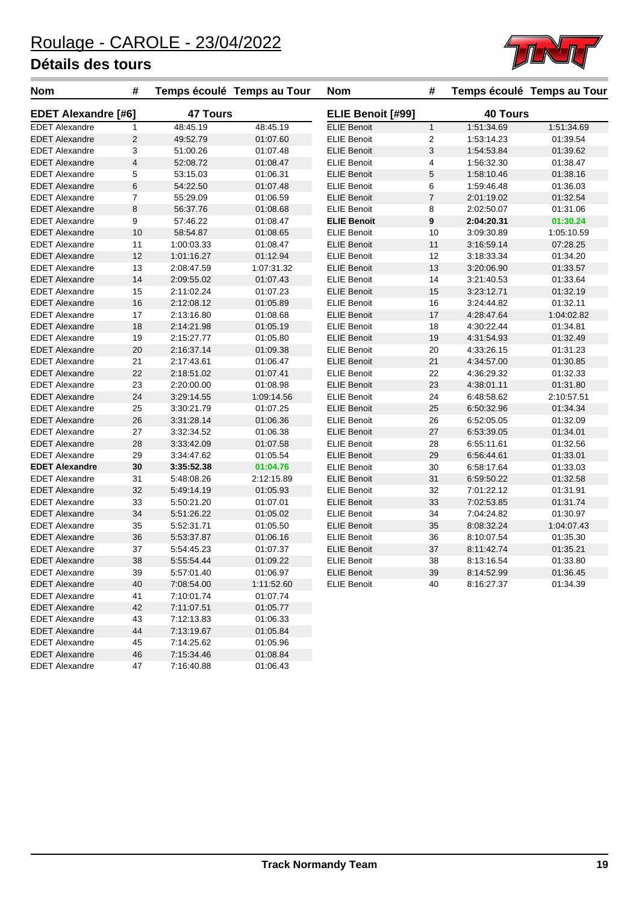

| <b>Nom</b>                 | #                       |                 | Temps écoulé Temps au Tour | <b>Nom</b>         | #                         |                 | Temps écoulé Temps au Tour |
|----------------------------|-------------------------|-----------------|----------------------------|--------------------|---------------------------|-----------------|----------------------------|
| <b>EDET Alexandre [#6]</b> |                         | <b>47 Tours</b> |                            | ELIE Benoit [#99]  |                           | <b>40 Tours</b> |                            |
| <b>EDET Alexandre</b>      | $\mathbf{1}$            | 48:45.19        | 48:45.19                   | <b>ELIE Benoit</b> | $\mathbf{1}$              | 1:51:34.69      | 1:51:34.69                 |
| <b>EDET Alexandre</b>      | $\overline{2}$          | 49:52.79        | 01:07.60                   | <b>ELIE Benoit</b> | $\overline{c}$            | 1:53:14.23      | 01:39.54                   |
| <b>EDET Alexandre</b>      | 3                       | 51:00.26        | 01:07.48                   | <b>ELIE Benoit</b> | $\ensuremath{\mathsf{3}}$ | 1:54:53.84      | 01:39.62                   |
| <b>EDET Alexandre</b>      | $\overline{\mathbf{4}}$ | 52:08.72        | 01:08.47                   | <b>ELIE Benoit</b> | 4                         | 1:56:32.30      | 01:38.47                   |
| <b>EDET Alexandre</b>      | 5                       | 53:15.03        | 01:06.31                   | <b>ELIE Benoit</b> | 5                         | 1:58:10.46      | 01:38.16                   |
| <b>EDET Alexandre</b>      | 6                       | 54:22.50        | 01:07.48                   | <b>ELIE Benoit</b> | 6                         | 1:59:46.48      | 01:36.03                   |
| <b>EDET Alexandre</b>      | $\overline{7}$          | 55:29.09        | 01:06.59                   | <b>ELIE Benoit</b> | $\overline{7}$            | 2:01:19.02      | 01:32.54                   |
| <b>EDET Alexandre</b>      | 8                       | 56:37.76        | 01:08.68                   | <b>ELIE Benoit</b> | 8                         | 2:02:50.07      | 01:31.06                   |
| <b>EDET Alexandre</b>      | 9                       | 57:46.22        | 01:08.47                   | <b>ELIE Benoit</b> | $\pmb{9}$                 | 2:04:20.31      | 01:30.24                   |
| <b>EDET Alexandre</b>      | 10                      | 58:54.87        | 01:08.65                   | <b>ELIE Benoit</b> | 10                        | 3:09:30.89      | 1:05:10.59                 |
| <b>EDET Alexandre</b>      | 11                      | 1:00:03.33      | 01:08.47                   | <b>ELIE Benoit</b> | 11                        | 3:16:59.14      | 07:28.25                   |
| <b>EDET Alexandre</b>      | 12                      | 1:01:16.27      | 01:12.94                   | <b>ELIE Benoit</b> | 12                        | 3:18:33.34      | 01:34.20                   |
| <b>EDET Alexandre</b>      | 13                      | 2:08:47.59      | 1:07:31.32                 | <b>ELIE Benoit</b> | 13                        | 3:20:06.90      | 01:33.57                   |
| <b>EDET Alexandre</b>      | 14                      | 2:09:55.02      | 01:07.43                   | <b>ELIE Benoit</b> | 14                        | 3:21:40.53      | 01:33.64                   |
| <b>EDET Alexandre</b>      | 15                      | 2:11:02.24      | 01:07.23                   | <b>ELIE Benoit</b> | 15                        | 3:23:12.71      | 01:32.19                   |
| <b>EDET Alexandre</b>      | 16                      | 2:12:08.12      | 01:05.89                   | <b>ELIE Benoit</b> | 16                        | 3:24:44.82      | 01:32.11                   |
| <b>EDET Alexandre</b>      | 17                      | 2:13:16.80      | 01:08.68                   | <b>ELIE Benoit</b> | 17                        | 4:28:47.64      | 1:04:02.82                 |
| <b>EDET Alexandre</b>      | 18                      | 2:14:21.98      | 01:05.19                   | <b>ELIE Benoit</b> | 18                        | 4:30:22.44      | 01:34.81                   |
| <b>EDET Alexandre</b>      | 19                      | 2:15:27.77      | 01:05.80                   | <b>ELIE Benoit</b> | 19                        | 4:31:54.93      | 01:32.49                   |
| <b>EDET Alexandre</b>      | 20                      | 2:16:37.14      | 01:09.38                   | <b>ELIE Benoit</b> | 20                        | 4:33:26.15      | 01:31.23                   |
| <b>EDET Alexandre</b>      | 21                      | 2:17:43.61      | 01:06.47                   | <b>ELIE Benoit</b> | 21                        | 4:34:57.00      | 01:30.85                   |
| <b>EDET Alexandre</b>      | 22                      | 2:18:51.02      | 01:07.41                   | <b>ELIE Benoit</b> | 22                        | 4:36:29.32      | 01:32.33                   |
| <b>EDET Alexandre</b>      | 23                      | 2:20:00.00      | 01:08.98                   | <b>ELIE Benoit</b> | 23                        | 4:38:01.11      | 01:31.80                   |
| <b>EDET Alexandre</b>      | 24                      | 3:29:14.55      | 1:09:14.56                 | <b>ELIE Benoit</b> | 24                        | 6:48:58.62      | 2:10:57.51                 |
| <b>EDET Alexandre</b>      | 25                      | 3:30:21.79      | 01:07.25                   | <b>ELIE Benoit</b> | 25                        | 6:50:32.96      | 01:34.34                   |
| <b>EDET Alexandre</b>      | 26                      | 3:31:28.14      | 01:06.36                   | <b>ELIE Benoit</b> | 26                        | 6:52:05.05      | 01:32.09                   |
| <b>EDET Alexandre</b>      | 27                      | 3:32:34.52      | 01:06.38                   | <b>ELIE Benoit</b> | 27                        | 6:53:39.05      | 01:34.01                   |
| <b>EDET Alexandre</b>      | 28                      | 3:33:42.09      | 01:07.58                   | <b>ELIE Benoit</b> | 28                        | 6:55:11.61      | 01:32.56                   |
| <b>EDET Alexandre</b>      | 29                      | 3:34:47.62      | 01:05.54                   | <b>ELIE Benoit</b> | 29                        | 6:56:44.61      | 01:33.01                   |
| <b>EDET Alexandre</b>      | 30                      | 3:35:52.38      | 01:04.76                   | <b>ELIE Benoit</b> | 30                        | 6:58:17.64      | 01:33.03                   |
| <b>EDET Alexandre</b>      | 31                      | 5:48:08.26      | 2:12:15.89                 | <b>ELIE Benoit</b> | 31                        | 6:59:50.22      | 01:32.58                   |
| <b>EDET Alexandre</b>      | 32                      | 5:49:14.19      | 01:05.93                   | <b>ELIE Benoit</b> | 32                        | 7:01:22.12      | 01:31.91                   |
| <b>EDET Alexandre</b>      | 33                      | 5:50:21.20      | 01:07.01                   | <b>ELIE Benoit</b> | 33                        | 7:02:53.85      | 01:31.74                   |
| <b>EDET Alexandre</b>      | 34                      | 5:51:26.22      | 01:05.02                   | <b>ELIE Benoit</b> | 34                        | 7:04:24.82      | 01:30.97                   |
| <b>EDET Alexandre</b>      | 35                      | 5:52:31.71      | 01:05.50                   | <b>ELIE Benoit</b> | 35                        | 8:08:32.24      | 1:04:07.43                 |
| <b>EDET Alexandre</b>      | 36                      | 5:53:37.87      | 01:06.16                   | <b>ELIE Benoit</b> | 36                        | 8:10:07.54      | 01:35.30                   |
| <b>EDET Alexandre</b>      | 37                      | 5:54:45.23      | 01:07.37                   | <b>ELIE Benoit</b> | 37                        | 8:11:42.74      | 01:35.21                   |
| <b>EDET Alexandre</b>      | 38                      | 5:55:54.44      | 01:09.22                   | <b>ELIE Benoit</b> | 38                        | 8:13:16.54      | 01:33.80                   |
| <b>EDET Alexandre</b>      | 39                      | 5:57:01.40      | 01:06.97                   | <b>ELIE Benoit</b> | 39                        | 8:14:52.99      | 01:36.45                   |
| <b>EDET Alexandre</b>      | 40                      | 7:08:54.00      | 1:11:52.60                 | <b>ELIE Benoit</b> | 40                        | 8:16:27.37      | 01:34.39                   |
| <b>EDET Alexandre</b>      | 41                      | 7:10:01.74      | 01:07.74                   |                    |                           |                 |                            |
| <b>EDET Alexandre</b>      | 42                      | 7:11:07.51      | 01:05.77                   |                    |                           |                 |                            |
| <b>EDET Alexandre</b>      | 43                      | 7:12:13.83      | 01:06.33                   |                    |                           |                 |                            |
| <b>EDET Alexandre</b>      | 44                      | 7:13:19.67      | 01:05.84                   |                    |                           |                 |                            |
| <b>EDET Alexandre</b>      | 45                      | 7:14:25.62      | 01:05.96                   |                    |                           |                 |                            |
| <b>EDET Alexandre</b>      | 46                      | 7:15:34.46      | 01:08.84                   |                    |                           |                 |                            |
| <b>EDET Alexandre</b>      | 47                      | 7:16:40.88      | 01:06.43                   |                    |                           |                 |                            |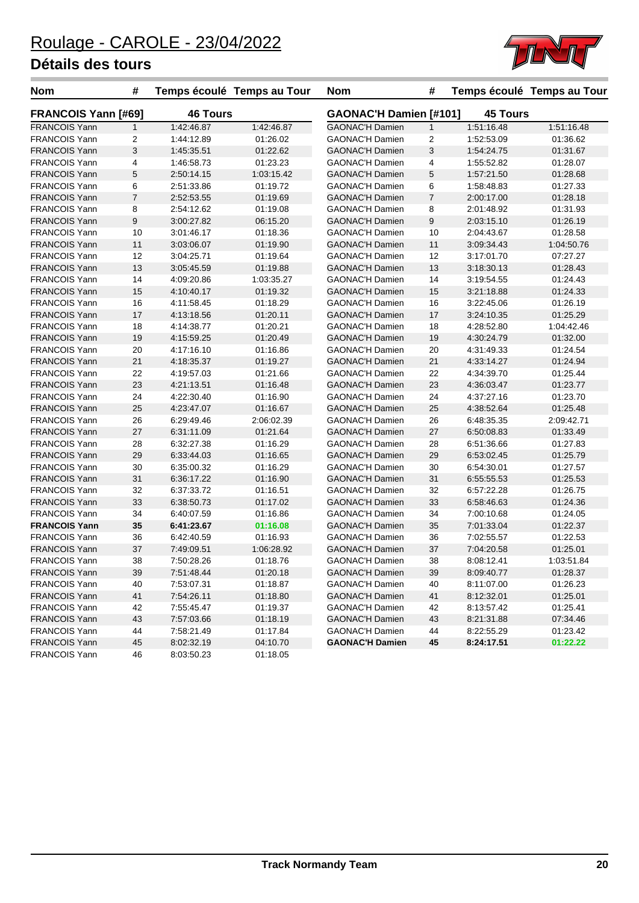

| <b>Nom</b>                 | #                       | Temps écoulé Temps au Tour |            | <b>Nom</b>             | #              |                 | Temps écoulé Temps au Tour |
|----------------------------|-------------------------|----------------------------|------------|------------------------|----------------|-----------------|----------------------------|
| <b>FRANCOIS Yann [#69]</b> |                         | <b>46 Tours</b>            |            | GAONAC'H Damien [#101] |                | <b>45 Tours</b> |                            |
| <b>FRANCOIS Yann</b>       | $\mathbf{1}$            | 1:42:46.87                 | 1:42:46.87 | <b>GAONAC'H Damien</b> | $\mathbf{1}$   | 1:51:16.48      | 1:51:16.48                 |
| <b>FRANCOIS Yann</b>       | $\overline{\mathbf{c}}$ | 1:44:12.89                 | 01:26.02   | <b>GAONAC'H Damien</b> | $\overline{c}$ | 1:52:53.09      | 01:36.62                   |
| <b>FRANCOIS Yann</b>       | 3                       | 1:45:35.51                 | 01:22.62   | <b>GAONAC'H Damien</b> | 3              | 1:54:24.75      | 01:31.67                   |
| <b>FRANCOIS Yann</b>       | 4                       | 1:46:58.73                 | 01:23.23   | <b>GAONAC'H Damien</b> | 4              | 1:55:52.82      | 01:28.07                   |
| <b>FRANCOIS Yann</b>       | $\mathbf 5$             | 2:50:14.15                 | 1:03:15.42 | <b>GAONAC'H Damien</b> | 5              | 1:57:21.50      | 01:28.68                   |
| <b>FRANCOIS Yann</b>       | 6                       | 2:51:33.86                 | 01:19.72   | <b>GAONAC'H Damien</b> | 6              | 1:58:48.83      | 01:27.33                   |
| <b>FRANCOIS Yann</b>       | $\overline{7}$          | 2:52:53.55                 | 01:19.69   | <b>GAONAC'H Damien</b> | $\overline{7}$ | 2:00:17.00      | 01:28.18                   |
| <b>FRANCOIS Yann</b>       | 8                       | 2:54:12.62                 | 01:19.08   | <b>GAONAC'H Damien</b> | 8              | 2:01:48.92      | 01:31.93                   |
| <b>FRANCOIS Yann</b>       | 9                       | 3:00:27.82                 | 06:15.20   | <b>GAONAC'H Damien</b> | 9              | 2:03:15.10      | 01:26.19                   |
| <b>FRANCOIS Yann</b>       | 10                      | 3:01:46.17                 | 01:18.36   | <b>GAONAC'H Damien</b> | 10             | 2:04:43.67      | 01:28.58                   |
| <b>FRANCOIS Yann</b>       | 11                      | 3:03:06.07                 | 01:19.90   | <b>GAONAC'H Damien</b> | 11             | 3:09:34.43      | 1:04:50.76                 |
| <b>FRANCOIS Yann</b>       | 12                      | 3:04:25.71                 | 01:19.64   | <b>GAONAC'H Damien</b> | 12             | 3:17:01.70      | 07:27.27                   |
| <b>FRANCOIS Yann</b>       | 13                      | 3:05:45.59                 | 01:19.88   | <b>GAONAC'H Damien</b> | 13             | 3:18:30.13      | 01:28.43                   |
| <b>FRANCOIS Yann</b>       | 14                      | 4:09:20.86                 | 1:03:35.27 | <b>GAONAC'H Damien</b> | 14             | 3:19:54.55      | 01:24.43                   |
| <b>FRANCOIS Yann</b>       | 15                      | 4:10:40.17                 | 01:19.32   | <b>GAONAC'H Damien</b> | 15             | 3:21:18.88      | 01:24.33                   |
| <b>FRANCOIS Yann</b>       | 16                      | 4:11:58.45                 | 01:18.29   | <b>GAONAC'H Damien</b> | 16             | 3:22:45.06      | 01:26.19                   |
| <b>FRANCOIS Yann</b>       | 17                      | 4:13:18.56                 | 01:20.11   | <b>GAONAC'H Damien</b> | 17             | 3:24:10.35      | 01:25.29                   |
| <b>FRANCOIS Yann</b>       | 18                      | 4:14:38.77                 | 01:20.21   | <b>GAONAC'H Damien</b> | 18             | 4:28:52.80      | 1:04:42.46                 |
| <b>FRANCOIS Yann</b>       | 19                      | 4:15:59.25                 | 01:20.49   | <b>GAONAC'H Damien</b> | 19             | 4:30:24.79      | 01:32.00                   |
| <b>FRANCOIS Yann</b>       | 20                      | 4:17:16.10                 | 01:16.86   | <b>GAONAC'H Damien</b> | 20             | 4:31:49.33      | 01:24.54                   |
| <b>FRANCOIS Yann</b>       | 21                      | 4:18:35.37                 | 01:19.27   | <b>GAONAC'H Damien</b> | 21             | 4:33:14.27      | 01:24.94                   |
| <b>FRANCOIS Yann</b>       | 22                      | 4:19:57.03                 | 01:21.66   | <b>GAONAC'H Damien</b> | 22             | 4:34:39.70      | 01:25.44                   |
| <b>FRANCOIS Yann</b>       | 23                      | 4:21:13.51                 | 01:16.48   | <b>GAONAC'H Damien</b> | 23             | 4:36:03.47      | 01:23.77                   |
| <b>FRANCOIS Yann</b>       | 24                      | 4:22:30.40                 | 01:16.90   | <b>GAONAC'H Damien</b> | 24             | 4:37:27.16      | 01:23.70                   |
| <b>FRANCOIS Yann</b>       | 25                      | 4:23:47.07                 | 01:16.67   | <b>GAONAC'H Damien</b> | 25             | 4:38:52.64      | 01:25.48                   |
| <b>FRANCOIS Yann</b>       | 26                      | 6:29:49.46                 | 2:06:02.39 | <b>GAONAC'H Damien</b> | 26             | 6:48:35.35      | 2:09:42.71                 |
| <b>FRANCOIS Yann</b>       | 27                      | 6:31:11.09                 | 01:21.64   | <b>GAONAC'H Damien</b> | 27             | 6:50:08.83      | 01:33.49                   |
| <b>FRANCOIS Yann</b>       | 28                      | 6:32:27.38                 | 01:16.29   | <b>GAONAC'H Damien</b> | 28             | 6:51:36.66      | 01:27.83                   |
| <b>FRANCOIS Yann</b>       | 29                      | 6:33:44.03                 | 01:16.65   | <b>GAONAC'H Damien</b> | 29             | 6:53:02.45      | 01:25.79                   |
| <b>FRANCOIS Yann</b>       | 30                      | 6:35:00.32                 | 01:16.29   | <b>GAONAC'H Damien</b> | 30             |                 | 01:27.57                   |
|                            |                         |                            |            |                        |                | 6:54:30.01      |                            |
| <b>FRANCOIS Yann</b>       | 31                      | 6:36:17.22                 | 01:16.90   | <b>GAONAC'H Damien</b> | 31             | 6:55:55.53      | 01:25.53                   |
| <b>FRANCOIS Yann</b>       | 32                      | 6:37:33.72                 | 01:16.51   | <b>GAONAC'H Damien</b> | 32             | 6:57:22.28      | 01:26.75                   |
| <b>FRANCOIS Yann</b>       | 33                      | 6:38:50.73                 | 01:17.02   | <b>GAONAC'H Damien</b> | 33             | 6:58:46.63      | 01:24.36                   |
| <b>FRANCOIS Yann</b>       | 34                      | 6:40:07.59                 | 01:16.86   | <b>GAONAC'H Damien</b> | 34             | 7:00:10.68      | 01:24.05                   |
| <b>FRANCOIS Yann</b>       | 35                      | 6:41:23.67                 | 01:16.08   | <b>GAONAC'H Damien</b> | 35             | 7:01:33.04      | 01:22.37                   |
| <b>FRANCOIS Yann</b>       | 36                      | 6:42:40.59                 | 01:16.93   | <b>GAONAC'H Damien</b> | 36             | 7:02:55.57      | 01:22.53                   |
| <b>FRANCOIS Yann</b>       | 37                      | 7:49:09.51                 | 1:06:28.92 | <b>GAONAC'H Damien</b> | 37             | 7:04:20.58      | 01:25.01                   |
| <b>FRANCOIS Yann</b>       | 38                      | 7:50:28.26                 | 01:18.76   | GAONAC'H Damien        | 38             | 8:08:12.41      | 1:03:51.84                 |
| <b>FRANCOIS Yann</b>       | 39                      | 7:51:48.44                 | 01:20.18   | <b>GAONAC'H Damien</b> | 39             | 8:09:40.77      | 01:28.37                   |
| <b>FRANCOIS Yann</b>       | 40                      | 7:53:07.31                 | 01:18.87   | <b>GAONAC'H Damien</b> | 40             | 8:11:07.00      | 01:26.23                   |
| <b>FRANCOIS Yann</b>       | 41                      | 7:54:26.11                 | 01:18.80   | <b>GAONAC'H Damien</b> | 41             | 8:12:32.01      | 01:25.01                   |
| <b>FRANCOIS Yann</b>       | 42                      | 7:55:45.47                 | 01:19.37   | <b>GAONAC'H Damien</b> | 42             | 8:13:57.42      | 01:25.41                   |
| <b>FRANCOIS Yann</b>       | 43                      | 7:57:03.66                 | 01:18.19   | <b>GAONAC'H Damien</b> | 43             | 8:21:31.88      | 07:34.46                   |
| <b>FRANCOIS Yann</b>       | 44                      | 7:58:21.49                 | 01:17.84   | <b>GAONAC'H Damien</b> | 44             | 8:22:55.29      | 01:23.42                   |
| <b>FRANCOIS Yann</b>       | 45                      | 8:02:32.19                 | 04:10.70   | <b>GAONAC'H Damien</b> | 45             | 8:24:17.51      | 01:22.22                   |
| <b>FRANCOIS Yann</b>       | 46                      | 8:03:50.23                 | 01:18.05   |                        |                |                 |                            |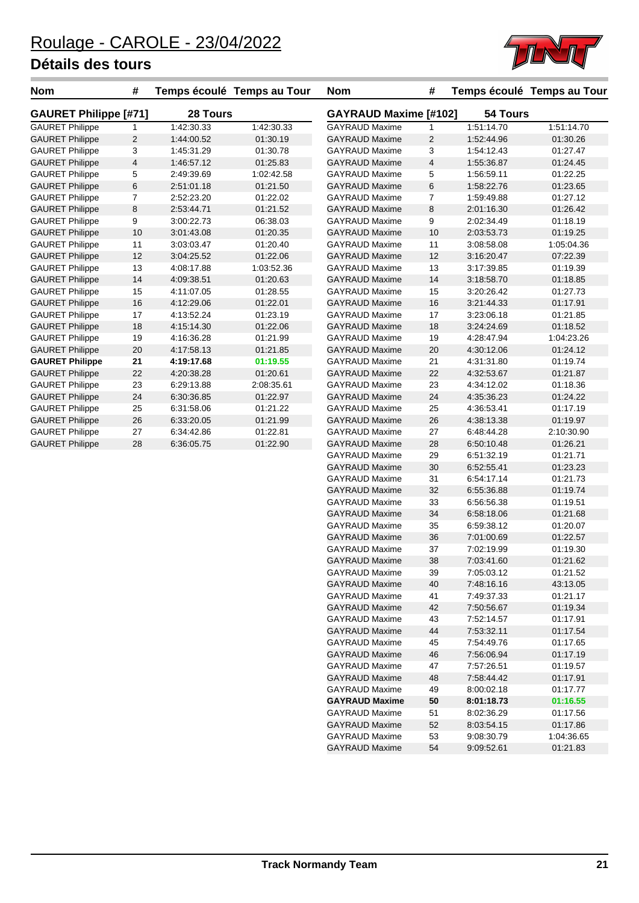

| <b>Nom</b>                   | #  |            | Temps écoulé Temps au Tour | <b>Nom</b>                   | #              |            | Temps écoulé Temps au Tour |
|------------------------------|----|------------|----------------------------|------------------------------|----------------|------------|----------------------------|
| <b>GAURET Philippe [#71]</b> |    | 28 Tours   |                            | <b>GAYRAUD Maxime [#102]</b> |                | 54 Tours   |                            |
| <b>GAURET Philippe</b>       | 1  | 1:42:30.33 | 1:42:30.33                 | <b>GAYRAUD Maxime</b>        | 1              | 1:51:14.70 | 1:51:14.70                 |
| <b>GAURET Philippe</b>       | 2  | 1:44:00.52 | 01:30.19                   | <b>GAYRAUD Maxime</b>        | $\overline{2}$ | 1:52:44.96 | 01:30.26                   |
| <b>GAURET Philippe</b>       | 3  | 1:45:31.29 | 01:30.78                   | <b>GAYRAUD Maxime</b>        | 3              | 1:54:12.43 | 01:27.47                   |
| <b>GAURET Philippe</b>       | 4  | 1:46.57.12 | 01:25.83                   | <b>GAYRAUD Maxime</b>        | 4              | 1:55:36.87 | 01:24.45                   |
| <b>GAURET Philippe</b>       | 5  | 2:49:39.69 | 1:02:42.58                 | <b>GAYRAUD Maxime</b>        | 5              | 1:56:59.11 | 01:22.25                   |
| <b>GAURET Philippe</b>       | 6  | 2:51:01.18 | 01:21.50                   | <b>GAYRAUD Maxime</b>        | 6              | 1:58:22.76 | 01:23.65                   |
| <b>GAURET Philippe</b>       | 7  | 2:52:23.20 | 01:22.02                   | <b>GAYRAUD Maxime</b>        | 7              | 1:59:49.88 | 01:27.12                   |
| <b>GAURET Philippe</b>       | 8  | 2:53:44.71 | 01:21.52                   | <b>GAYRAUD Maxime</b>        | 8              | 2:01:16.30 | 01:26.42                   |
| <b>GAURET Philippe</b>       | 9  | 3:00:22.73 | 06:38.03                   | <b>GAYRAUD Maxime</b>        | 9              | 2:02:34.49 | 01:18.19                   |
| <b>GAURET Philippe</b>       | 10 | 3:01:43.08 | 01:20.35                   | <b>GAYRAUD Maxime</b>        | 10             | 2:03:53.73 | 01:19.25                   |
| <b>GAURET Philippe</b>       | 11 | 3:03:03.47 | 01:20.40                   | <b>GAYRAUD Maxime</b>        | 11             | 3:08:58.08 | 1:05:04.36                 |
| <b>GAURET Philippe</b>       | 12 | 3:04:25.52 | 01:22.06                   | <b>GAYRAUD Maxime</b>        | 12             | 3:16:20.47 | 07:22.39                   |
| <b>GAURET Philippe</b>       | 13 | 4:08:17.88 | 1:03:52.36                 | <b>GAYRAUD Maxime</b>        | 13             | 3:17:39.85 | 01:19.39                   |
| <b>GAURET Philippe</b>       | 14 | 4:09:38.51 | 01:20.63                   | <b>GAYRAUD Maxime</b>        | 14             | 3:18:58.70 | 01:18.85                   |
| <b>GAURET Philippe</b>       | 15 | 4:11:07.05 | 01:28.55                   | <b>GAYRAUD Maxime</b>        | 15             | 3:20:26.42 | 01:27.73                   |
| <b>GAURET Philippe</b>       | 16 | 4:12:29.06 | 01:22.01                   | <b>GAYRAUD Maxime</b>        | 16             | 3:21:44.33 | 01:17.91                   |
| <b>GAURET Philippe</b>       | 17 | 4:13:52.24 | 01:23.19                   | <b>GAYRAUD Maxime</b>        | 17             | 3:23:06.18 | 01:21.85                   |
| <b>GAURET Philippe</b>       | 18 | 4:15:14.30 | 01:22.06                   | <b>GAYRAUD Maxime</b>        | 18             | 3:24:24.69 | 01:18.52                   |
| <b>GAURET Philippe</b>       | 19 | 4:16:36.28 | 01:21.99                   | <b>GAYRAUD Maxime</b>        | 19             | 4:28:47.94 | 1:04:23.26                 |
| <b>GAURET Philippe</b>       | 20 | 4:17:58.13 | 01:21.85                   | <b>GAYRAUD Maxime</b>        | 20             | 4:30:12.06 | 01:24.12                   |
| <b>GAURET Philippe</b>       | 21 | 4:19:17.68 | 01:19.55                   | <b>GAYRAUD Maxime</b>        | 21             | 4:31:31.80 | 01:19.74                   |
| <b>GAURET Philippe</b>       | 22 | 4:20:38.28 | 01:20.61                   | <b>GAYRAUD Maxime</b>        | 22             | 4:32:53.67 | 01:21.87                   |
| <b>GAURET Philippe</b>       | 23 | 6:29:13.88 | 2:08:35.61                 | <b>GAYRAUD Maxime</b>        | 23             | 4:34:12.02 | 01:18.36                   |
| <b>GAURET Philippe</b>       | 24 | 6:30:36.85 | 01:22.97                   | <b>GAYRAUD Maxime</b>        | 24             | 4:35:36.23 | 01:24.22                   |
| <b>GAURET Philippe</b>       | 25 | 6:31:58.06 | 01:21.22                   | <b>GAYRAUD Maxime</b>        | 25             | 4:36:53.41 | 01:17.19                   |
| <b>GAURET Philippe</b>       | 26 | 6:33:20.05 | 01:21.99                   | <b>GAYRAUD Maxime</b>        | 26             | 4:38:13.38 | 01:19.97                   |
| <b>GAURET Philippe</b>       | 27 | 6:34:42.86 | 01:22.81                   | <b>GAYRAUD Maxime</b>        | 27             | 6:48:44.28 | 2:10:30.90                 |
| <b>GAURET Philippe</b>       | 28 | 6:36:05.75 | 01:22.90                   | <b>GAYRAUD Maxime</b>        | 28             | 6:50:10.48 | 01:26.21                   |
|                              |    |            |                            | <b>GAYRAUD Maxime</b>        | 29             | 6:51:32.19 | 01:21.71                   |
|                              |    |            |                            | <b>GAYRAUD Maxime</b>        | 30             | 6.52.55.41 | 01:23.23                   |
|                              |    |            |                            | <b>GAYRAUD Maxime</b>        | 31             | 6:54:17.14 | 01:21.73                   |
|                              |    |            |                            | <b>GAYRAUD Maxime</b>        | 32             | 6:55:36.88 | 01:19.74                   |
|                              |    |            |                            | <b>GAYRAUD Maxime</b>        | 33             | 6.56.56.38 | 01:19.51                   |
|                              |    |            |                            | <b>GAYRAUD Maxime</b>        | 34             | 6:58:18.06 | 01:21.68                   |
|                              |    |            |                            | <b>GAYRAUD Maxime</b>        | 35             | 6:59:38.12 | 01:20.07                   |
|                              |    |            |                            | <b>GAYRAUD Maxime</b>        | 36             | 7:01:00.69 | 01:22.57                   |
|                              |    |            |                            | <b>GAYRAUD Maxime</b>        | 37             | 7:02:19.99 | 01:19.30                   |
|                              |    |            |                            | <b>GAYRAUD Maxime</b>        | 38             | 7:03:41.60 | 01:21.62                   |
|                              |    |            |                            | <b>GAYRAUD Maxime</b>        | 39             | 7:05:03.12 | 01:21.52                   |
|                              |    |            |                            | <b>GAYRAUD Maxime</b>        | 40             | 7:48:16.16 | 43:13.05                   |
|                              |    |            |                            | <b>GAYRAUD Maxime</b>        | 41             | 7:49:37.33 | 01:21.17                   |
|                              |    |            |                            | <b>GAYRAUD Maxime</b>        | 42             | 7:50:56.67 | 01:19.34                   |
|                              |    |            |                            | <b>GAYRAUD Maxime</b>        | 43             | 7:52:14.57 | 01:17.91                   |
|                              |    |            |                            | <b>GAYRAUD Maxime</b>        | 44             | 7:53:32.11 | 01:17.54                   |
|                              |    |            |                            | <b>GAYRAUD Maxime</b>        | 45             | 7:54:49.76 | 01:17.65                   |
|                              |    |            |                            | <b>GAYRAUD Maxime</b>        | 46             | 7:56:06.94 | 01:17.19                   |
|                              |    |            |                            | <b>GAYRAUD Maxime</b>        | 47             | 7:57:26.51 | 01:19.57                   |

GAYRAUD Maxime 47 7:57:26.51 01:19.57 GAYRAUD Maxime 48 7:58:44.42 01:17.91 GAYRAUD Maxime 49 8:00:02.18 01:17.77 **GAYRAUD Maxime 50 8:01:18.73 01:16.55** GAYRAUD Maxime 51 8:02:36.29 01:17.56 GAYRAUD Maxime 52 8:03:54.15 01:17.86 GAYRAUD Maxime 53 9:08:30.79 1:04:36.65 GAYRAUD Maxime 54 9:09:52.61 01:21.83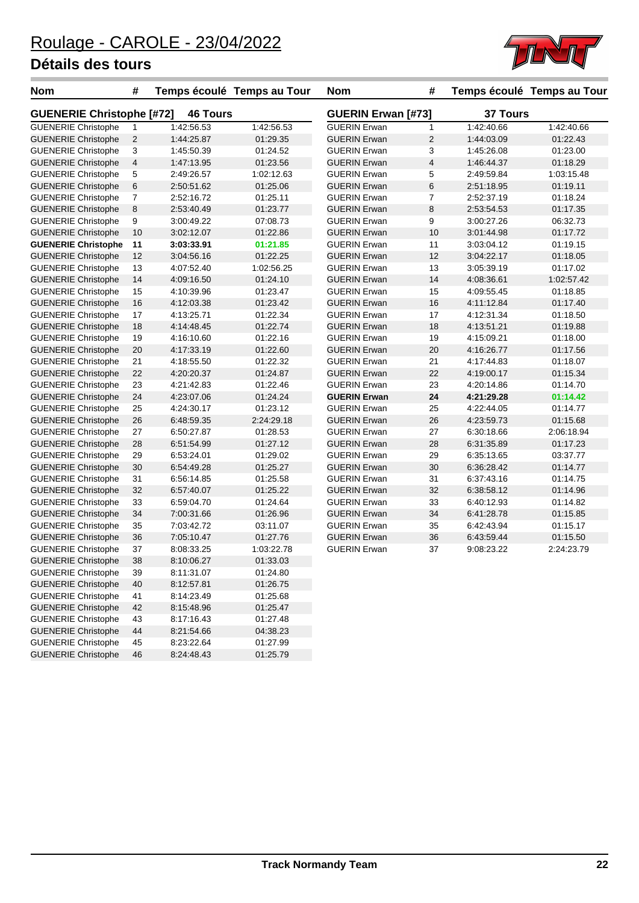

| <b>Nom</b>                                               | $\#$           |                          | Temps écoulé Temps au Tour | <b>Nom</b>                | #            |                 | Temps écoulé Temps au Tour |
|----------------------------------------------------------|----------------|--------------------------|----------------------------|---------------------------|--------------|-----------------|----------------------------|
| <b>46 Tours</b><br><b>GUENERIE Christophe [#72]</b>      |                |                          |                            | <b>GUERIN Erwan [#73]</b> |              | <b>37 Tours</b> |                            |
| <b>GUENERIE Christophe</b>                               | $\mathbf{1}$   | 1:42:56.53               | 1:42:56.53                 | <b>GUERIN Erwan</b>       | 1            | 1:42:40.66      | 1:42:40.66                 |
| <b>GUENERIE Christophe</b>                               | $\sqrt{2}$     | 1:44:25.87               | 01:29.35                   | <b>GUERIN Erwan</b>       | $\mathbf{2}$ | 1:44:03.09      | 01:22.43                   |
| <b>GUENERIE Christophe</b>                               | 3              | 1:45:50.39               | 01:24.52                   | <b>GUERIN Erwan</b>       | 3            | 1:45:26.08      | 01:23.00                   |
| <b>GUENERIE Christophe</b>                               | $\overline{4}$ | 1:47:13.95               | 01:23.56                   | <b>GUERIN Erwan</b>       | 4            | 1:46:44.37      | 01:18.29                   |
| <b>GUENERIE Christophe</b>                               | 5              | 2:49:26.57               | 1:02:12.63                 | <b>GUERIN Erwan</b>       | 5            | 2:49:59.84      | 1:03:15.48                 |
| <b>GUENERIE Christophe</b>                               | $\,6$          | 2:50:51.62               | 01:25.06                   | <b>GUERIN Erwan</b>       | 6            | 2:51:18.95      | 01:19.11                   |
| <b>GUENERIE Christophe</b>                               | $\overline{7}$ | 2:52:16.72               | 01:25.11                   | <b>GUERIN Erwan</b>       | 7            | 2:52:37.19      | 01:18.24                   |
| <b>GUENERIE Christophe</b>                               | 8              | 2:53:40.49               | 01:23.77                   | <b>GUERIN Erwan</b>       | 8            | 2:53:54.53      | 01:17.35                   |
| <b>GUENERIE Christophe</b>                               | 9              | 3:00:49.22               | 07:08.73                   | <b>GUERIN Erwan</b>       | 9            | 3:00:27.26      | 06:32.73                   |
| <b>GUENERIE Christophe</b>                               | 10             | 3:02:12.07               | 01:22.86                   | <b>GUERIN Erwan</b>       | 10           | 3:01:44.98      | 01:17.72                   |
| <b>GUENERIE Christophe</b>                               | 11             | 3:03:33.91               | 01:21.85                   | <b>GUERIN Erwan</b>       | 11           | 3:03:04.12      | 01:19.15                   |
| <b>GUENERIE Christophe</b>                               | 12             | 3:04:56.16               | 01:22.25                   | <b>GUERIN Erwan</b>       | 12           | 3:04:22.17      | 01:18.05                   |
| <b>GUENERIE Christophe</b>                               | 13             | 4:07:52.40               | 1:02:56.25                 | <b>GUERIN Erwan</b>       | 13           | 3:05:39.19      | 01:17.02                   |
| <b>GUENERIE Christophe</b>                               | 14             | 4:09:16.50               | 01:24.10                   | <b>GUERIN Erwan</b>       | 14           | 4:08:36.61      | 1:02:57.42                 |
| <b>GUENERIE Christophe</b>                               | 15             | 4:10:39.96               | 01:23.47                   | <b>GUERIN Erwan</b>       | 15           | 4:09:55.45      | 01:18.85                   |
| <b>GUENERIE Christophe</b>                               | 16             | 4:12:03.38               | 01:23.42                   | <b>GUERIN Erwan</b>       | 16           | 4:11:12.84      | 01:17.40                   |
| <b>GUENERIE Christophe</b>                               | 17             | 4:13:25.71               | 01:22.34                   | <b>GUERIN Erwan</b>       | 17           | 4:12:31.34      | 01:18.50                   |
| <b>GUENERIE Christophe</b>                               | 18             | 4:14:48.45               | 01:22.74                   | <b>GUERIN Erwan</b>       | 18           | 4:13:51.21      | 01:19.88                   |
| <b>GUENERIE Christophe</b>                               | 19             | 4:16:10.60               | 01:22.16                   | <b>GUERIN Erwan</b>       | 19           | 4:15:09.21      | 01:18.00                   |
| <b>GUENERIE Christophe</b>                               | 20             | 4:17:33.19               | 01:22.60                   | <b>GUERIN Erwan</b>       | 20           | 4:16:26.77      | 01:17.56                   |
| <b>GUENERIE Christophe</b>                               | 21             | 4:18:55.50               | 01:22.32                   | <b>GUERIN Erwan</b>       | 21           | 4:17:44.83      | 01:18.07                   |
| <b>GUENERIE Christophe</b>                               | 22             | 4:20:20.37               | 01:24.87                   | <b>GUERIN Erwan</b>       | 22           | 4:19:00.17      | 01:15.34                   |
| <b>GUENERIE Christophe</b>                               | 23             | 4:21:42.83               | 01:22.46                   | <b>GUERIN Erwan</b>       | 23           | 4:20:14.86      | 01:14.70                   |
| <b>GUENERIE Christophe</b>                               | 24             | 4:23:07.06               | 01:24.24                   | <b>GUERIN Erwan</b>       | 24           | 4:21:29.28      | 01:14.42                   |
| <b>GUENERIE Christophe</b>                               | 25             | 4:24:30.17               | 01:23.12                   | <b>GUERIN Erwan</b>       | 25           | 4:22:44.05      | 01:14.77                   |
| <b>GUENERIE Christophe</b>                               | 26             | 6:48:59.35               | 2:24:29.18                 | <b>GUERIN Erwan</b>       | 26           | 4:23:59.73      | 01:15.68                   |
| <b>GUENERIE Christophe</b>                               | 27             | 6:50:27.87               | 01:28.53                   | <b>GUERIN Erwan</b>       | 27           | 6:30:18.66      | 2:06:18.94                 |
| <b>GUENERIE Christophe</b>                               | 28             | 6:51:54.99               | 01:27.12                   | <b>GUERIN Erwan</b>       | 28           | 6:31:35.89      | 01:17.23                   |
| <b>GUENERIE Christophe</b>                               | 29             | 6:53:24.01               | 01:29.02                   | <b>GUERIN Erwan</b>       | 29           | 6:35:13.65      | 03:37.77                   |
| <b>GUENERIE Christophe</b>                               | 30             | 6:54:49.28               | 01:25.27                   | <b>GUERIN Erwan</b>       | 30           | 6:36:28.42      | 01:14.77                   |
| <b>GUENERIE Christophe</b>                               | 31             | 6:56:14.85               | 01:25.58                   | <b>GUERIN Erwan</b>       | 31           | 6:37:43.16      | 01:14.75                   |
| <b>GUENERIE Christophe</b>                               | 32             | 6:57:40.07               | 01:25.22                   | <b>GUERIN Erwan</b>       | 32           | 6:38:58.12      | 01:14.96                   |
| <b>GUENERIE Christophe</b>                               | 33             | 6:59:04.70               | 01:24.64                   | <b>GUERIN Erwan</b>       | 33           | 6:40:12.93      | 01:14.82                   |
| <b>GUENERIE Christophe</b>                               | 34             | 7:00:31.66               | 01:26.96                   | <b>GUERIN Erwan</b>       | 34           | 6:41:28.78      | 01:15.85                   |
| <b>GUENERIE Christophe</b>                               | 35             | 7:03:42.72               | 03:11.07                   | <b>GUERIN Erwan</b>       | 35           | 6:42:43.94      | 01:15.17                   |
| <b>GUENERIE Christophe</b>                               | 36             | 7:05:10.47               | 01:27.76                   | <b>GUERIN Erwan</b>       | 36           | 6:43:59.44      | 01:15.50                   |
| <b>GUENERIE Christophe</b>                               | 37             | 8:08:33.25               | 1:03:22.78                 | <b>GUERIN Erwan</b>       | 37           | 9:08:23.22      | 2:24:23.79                 |
| <b>GUENERIE Christophe</b>                               | 38             | 8:10:06.27               | 01:33.03                   |                           |              |                 |                            |
| <b>GUENERIE Christophe</b>                               | 39             | 8:11:31.07               | 01:24.80                   |                           |              |                 |                            |
| <b>GUENERIE Christophe</b>                               | 40             | 8:12:57.81               | 01:26.75                   |                           |              |                 |                            |
| <b>GUENERIE Christophe</b>                               | 41             | 8:14:23.49               | 01:25.68                   |                           |              |                 |                            |
|                                                          | 42             |                          |                            |                           |              |                 |                            |
| <b>GUENERIE Christophe</b><br><b>GUENERIE Christophe</b> |                | 8:15:48.96<br>8:17:16.43 | 01:25.47                   |                           |              |                 |                            |
|                                                          | 43             |                          | 01:27.48                   |                           |              |                 |                            |
| <b>GUENERIE Christophe</b>                               | 44             | 8:21:54.66               | 04:38.23                   |                           |              |                 |                            |
| <b>GUENERIE Christophe</b>                               | 45             | 8:23:22.64               | 01:27.99                   |                           |              |                 |                            |
| <b>GUENERIE Christophe</b>                               | 46             | 8:24:48.43               | 01:25.79                   |                           |              |                 |                            |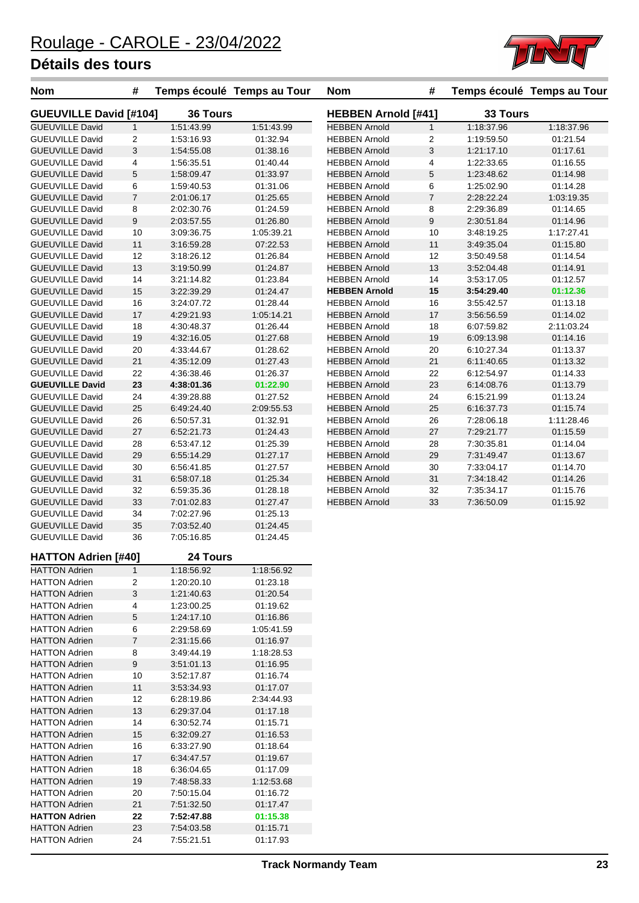

| <b>Nom</b>                                       | #              | Temps écoulé Temps au Tour |                      | <b>Nom</b>                                   | #                          |                          | Temps écoulé Temps au Tour |
|--------------------------------------------------|----------------|----------------------------|----------------------|----------------------------------------------|----------------------------|--------------------------|----------------------------|
| <b>GUEUVILLE David [#104]</b>                    |                | 36 Tours                   |                      |                                              | <b>HEBBEN Arnold [#41]</b> |                          | 33 Tours                   |
| <b>GUEUVILLE David</b>                           | $\mathbf{1}$   | 1:51:43.99                 | 1:51:43.99           | <b>HEBBEN Arnold</b>                         | $\mathbf{1}$               | 1:18:37.96               | 1:18:37.96                 |
| <b>GUEUVILLE David</b>                           | 2              | 1:53:16.93                 | 01:32.94             | <b>HEBBEN Arnold</b>                         | $\overline{2}$             | 1:19:59.50               | 01:21.54                   |
| <b>GUEUVILLE David</b>                           | 3              | 1:54:55.08                 | 01:38.16             | <b>HEBBEN Arnold</b>                         | 3                          | 1:21:17.10               | 01:17.61                   |
| <b>GUEUVILLE David</b>                           | 4              | 1:56:35.51                 | 01:40.44             | <b>HEBBEN Arnold</b>                         | $\overline{\mathbf{4}}$    | 1:22:33.65               | 01:16.55                   |
| <b>GUEUVILLE David</b>                           | 5              | 1:58:09.47                 | 01:33.97             | <b>HEBBEN Arnold</b>                         | 5                          | 1:23:48.62               | 01:14.98                   |
| <b>GUEUVILLE David</b>                           | 6              | 1:59:40.53                 | 01:31.06             | <b>HEBBEN Arnold</b>                         | 6                          | 1:25:02.90               | 01:14.28                   |
| <b>GUEUVILLE David</b>                           | $\overline{7}$ | 2:01:06.17<br>2:02:30.76   | 01:25.65             | <b>HEBBEN Arnold</b>                         | $\boldsymbol{7}$           | 2:28:22.24               | 1:03:19.35                 |
| <b>GUEUVILLE David</b><br><b>GUEUVILLE David</b> | 8<br>9         | 2:03:57.55                 | 01:24.59<br>01:26.80 | <b>HEBBEN Arnold</b><br><b>HEBBEN Arnold</b> | 8<br>$\boldsymbol{9}$      | 2:29:36.89               | 01:14.65                   |
| <b>GUEUVILLE David</b>                           | 10             | 3:09:36.75                 | 1:05:39.21           | <b>HEBBEN Arnold</b>                         | 10                         | 2:30:51.84<br>3:48:19.25 | 01:14.96<br>1:17:27.41     |
| <b>GUEUVILLE David</b>                           | 11             | 3:16:59.28                 | 07:22.53             | <b>HEBBEN Arnold</b>                         | 11                         | 3:49:35.04               | 01:15.80                   |
| <b>GUEUVILLE David</b>                           | 12             | 3:18:26.12                 | 01:26.84             | <b>HEBBEN Arnold</b>                         | 12                         | 3:50:49.58               | 01:14.54                   |
| <b>GUEUVILLE David</b>                           | 13             | 3:19:50.99                 | 01:24.87             | <b>HEBBEN Arnold</b>                         | 13                         | 3:52:04.48               | 01:14.91                   |
| <b>GUEUVILLE David</b>                           | 14             | 3:21:14.82                 | 01:23.84             | <b>HEBBEN Arnold</b>                         | 14                         | 3:53:17.05               | 01:12.57                   |
| <b>GUEUVILLE David</b>                           | 15             | 3:22:39.29                 | 01:24.47             | <b>HEBBEN Arnold</b>                         | 15                         | 3:54:29.40               | 01:12.36                   |
| <b>GUEUVILLE David</b>                           | 16             | 3:24:07.72                 | 01:28.44             | <b>HEBBEN Arnold</b>                         | 16                         | 3:55:42.57               | 01:13.18                   |
| <b>GUEUVILLE David</b>                           | 17             | 4:29:21.93                 | 1:05:14.21           | <b>HEBBEN Arnold</b>                         | 17                         | 3:56:56.59               | 01:14.02                   |
| <b>GUEUVILLE David</b>                           | 18             | 4:30:48.37                 | 01:26.44             | <b>HEBBEN Arnold</b>                         | 18                         | 6:07:59.82               | 2:11:03.24                 |
| <b>GUEUVILLE David</b>                           | 19             | 4:32:16.05                 | 01:27.68             | <b>HEBBEN Arnold</b>                         | 19                         | 6:09:13.98               | 01:14.16                   |
| <b>GUEUVILLE David</b>                           | 20             | 4:33:44.67                 | 01:28.62             | <b>HEBBEN Arnold</b>                         | 20                         | 6:10:27.34               | 01:13.37                   |
| <b>GUEUVILLE David</b>                           | 21             | 4:35:12.09                 | 01:27.43             | <b>HEBBEN Arnold</b>                         | 21                         | 6:11:40.65               | 01:13.32                   |
| <b>GUEUVILLE David</b>                           | 22             | 4:36:38.46                 | 01:26.37             | <b>HEBBEN Arnold</b>                         | 22                         | 6:12:54.97               | 01:14.33                   |
| <b>GUEUVILLE David</b>                           | 23             | 4:38:01.36                 | 01:22.90             | <b>HEBBEN Arnold</b>                         | 23                         | 6:14:08.76               | 01:13.79                   |
| <b>GUEUVILLE David</b>                           | 24             | 4:39:28.88                 | 01:27.52             | <b>HEBBEN Arnold</b>                         | 24                         | 6:15:21.99               | 01:13.24                   |
| <b>GUEUVILLE David</b>                           | 25             | 6:49:24.40                 | 2:09:55.53           | <b>HEBBEN Arnold</b>                         | 25                         | 6:16:37.73               | 01:15.74                   |
| <b>GUEUVILLE David</b>                           | 26             | 6:50:57.31                 | 01:32.91             | <b>HEBBEN Arnold</b>                         | 26                         | 7:28:06.18               | 1:11:28.46                 |
| <b>GUEUVILLE David</b>                           | 27             | 6:52:21.73                 | 01:24.43             | <b>HEBBEN Arnold</b>                         | 27                         | 7:29:21.77               | 01:15.59                   |
| <b>GUEUVILLE David</b>                           | 28             | 6:53:47.12                 | 01:25.39             | <b>HEBBEN Arnold</b>                         | 28                         | 7:30:35.81               | 01:14.04                   |
| <b>GUEUVILLE David</b>                           | 29             | 6:55:14.29                 | 01:27.17             | <b>HEBBEN Arnold</b>                         | 29                         | 7:31:49.47               | 01:13.67                   |
| <b>GUEUVILLE David</b>                           | 30             | 6:56:41.85                 | 01:27.57             | <b>HEBBEN Arnold</b>                         | 30                         | 7:33:04.17               | 01:14.70                   |
| <b>GUEUVILLE David</b>                           | 31             | 6:58:07.18                 | 01:25.34             | <b>HEBBEN Arnold</b>                         | 31                         | 7:34:18.42               | 01:14.26                   |
| <b>GUEUVILLE David</b>                           | 32             | 6:59:35.36                 | 01:28.18             | <b>HEBBEN Arnold</b>                         | 32                         | 7:35:34.17               | 01:15.76                   |
| <b>GUEUVILLE David</b>                           | 33             | 7:01:02.83                 | 01:27.47             | <b>HEBBEN Arnold</b>                         | 33                         | 7:36:50.09               | 01:15.92                   |
| <b>GUEUVILLE David</b>                           | 34             | 7:02:27.96                 | 01:25.13             |                                              |                            |                          |                            |
| <b>GUEUVILLE David</b>                           | 35             | 7:03:52.40                 | 01:24.45             |                                              |                            |                          |                            |
| <b>GUEUVILLE David</b>                           | 36             | 7:05:16.85                 | 01:24.45             |                                              |                            |                          |                            |
| <b>HATTON Adrien [#40]</b>                       |                | 24 Tours                   |                      |                                              |                            |                          |                            |
| <b>HATTON Adrien</b>                             | $\mathbf{1}$   | 1:18:56.92                 | 1:18:56.92           |                                              |                            |                          |                            |
| <b>HATTON Adrien</b><br><b>HATTON Adrien</b>     | 2<br>3         | 1:20:20.10                 | 01:23.18             |                                              |                            |                          |                            |
| <b>HATTON Adrien</b>                             | 4              | 1:21:40.63<br>1:23:00.25   | 01:20.54<br>01:19.62 |                                              |                            |                          |                            |
| <b>HATTON Adrien</b>                             | 5              | 1:24:17.10                 | 01:16.86             |                                              |                            |                          |                            |
| <b>HATTON Adrien</b>                             | 6              | 2:29:58.69                 | 1:05:41.59           |                                              |                            |                          |                            |
| <b>HATTON Adrien</b>                             | 7              | 2:31:15.66                 | 01:16.97             |                                              |                            |                          |                            |
| <b>HATTON Adrien</b>                             | 8              | 3:49:44.19                 | 1:18:28.53           |                                              |                            |                          |                            |
| <b>HATTON Adrien</b>                             | 9              | 3:51:01.13                 | 01:16.95             |                                              |                            |                          |                            |
| <b>HATTON Adrien</b>                             | 10             | 3:52:17.87                 | 01:16.74             |                                              |                            |                          |                            |
| <b>HATTON Adrien</b>                             | 11             | 3:53:34.93                 | 01:17.07             |                                              |                            |                          |                            |
| <b>HATTON Adrien</b>                             | 12             | 6:28:19.86                 | 2:34:44.93           |                                              |                            |                          |                            |
| <b>HATTON Adrien</b>                             | 13             | 6:29:37.04                 | 01:17.18             |                                              |                            |                          |                            |
| <b>HATTON Adrien</b>                             | 14             | 6:30:52.74                 | 01:15.71             |                                              |                            |                          |                            |
| <b>HATTON Adrien</b>                             | 15             | 6:32:09.27                 | 01:16.53             |                                              |                            |                          |                            |
| <b>HATTON Adrien</b>                             | 16             | 6:33:27.90                 | 01:18.64             |                                              |                            |                          |                            |
| <b>HATTON Adrien</b>                             | 17             | 6:34:47.57                 | 01:19.67             |                                              |                            |                          |                            |
| <b>HATTON Adrien</b>                             | 18             | 6:36:04.65                 | 01:17.09             |                                              |                            |                          |                            |
| <b>HATTON Adrien</b>                             | 19             | 7:48:58.33                 | 1:12:53.68           |                                              |                            |                          |                            |
| <b>HATTON Adrien</b>                             | 20             | 7:50:15.04                 | 01:16.72             |                                              |                            |                          |                            |
| <b>HATTON Adrien</b>                             | 21             | 7:51:32.50                 | 01:17.47             |                                              |                            |                          |                            |
| <b>HATTON Adrien</b>                             | 22             | 7:52:47.88                 | 01:15.38             |                                              |                            |                          |                            |
| <b>HATTON Adrien</b>                             | 23             | 7:54:03.58                 | 01:15.71             |                                              |                            |                          |                            |
| <b>HATTON Adrien</b>                             | 24             | 7:55:21.51                 | 01:17.93             |                                              |                            |                          |                            |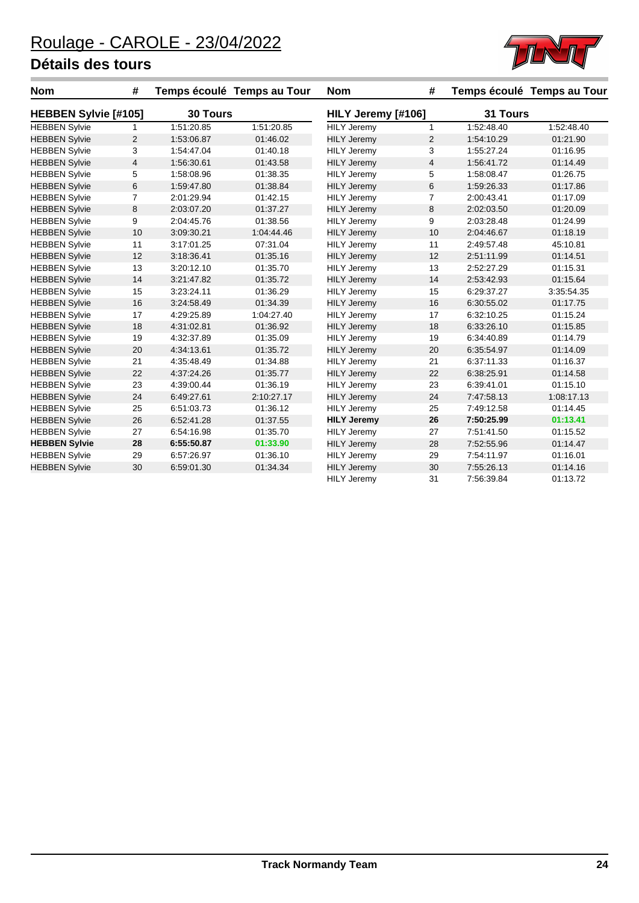

| <b>Nom</b>                  | #              |                 | Temps écoulé Temps au Tour | <b>Nom</b>         | #              |            | Temps écoulé Temps au Tour |
|-----------------------------|----------------|-----------------|----------------------------|--------------------|----------------|------------|----------------------------|
| <b>HEBBEN Sylvie [#105]</b> |                | <b>30 Tours</b> |                            | HILY Jeremy [#106] |                | 31 Tours   |                            |
| <b>HEBBEN Sylvie</b>        | 1              | 1:51:20.85      | 1:51:20.85                 | <b>HILY Jeremy</b> | 1              | 1:52:48.40 | 1:52:48.40                 |
| <b>HEBBEN Sylvie</b>        | 2              | 1:53:06.87      | 01:46.02                   | <b>HILY Jeremy</b> | 2              | 1:54:10.29 | 01:21.90                   |
| <b>HEBBEN Sylvie</b>        | 3              | 1:54:47.04      | 01:40.18                   | <b>HILY Jeremy</b> | 3              | 1:55:27.24 | 01:16.95                   |
| <b>HEBBEN Sylvie</b>        | $\overline{4}$ | 1:56:30.61      | 01:43.58                   | <b>HILY Jeremy</b> | $\overline{4}$ | 1:56:41.72 | 01:14.49                   |
| <b>HEBBEN Sylvie</b>        | 5              | 1:58:08.96      | 01:38.35                   | <b>HILY Jeremy</b> | 5              | 1:58:08.47 | 01:26.75                   |
| <b>HEBBEN Sylvie</b>        | 6              | 1:59:47.80      | 01:38.84                   | <b>HILY Jeremy</b> | 6              | 1:59:26.33 | 01:17.86                   |
| <b>HEBBEN Sylvie</b>        | $\overline{7}$ | 2:01:29.94      | 01:42.15                   | <b>HILY Jeremy</b> | $\overline{7}$ | 2:00:43.41 | 01:17.09                   |
| <b>HEBBEN Sylvie</b>        | 8              | 2:03:07.20      | 01:37.27                   | <b>HILY Jeremy</b> | 8              | 2:02:03.50 | 01:20.09                   |
| <b>HEBBEN Sylvie</b>        | 9              | 2:04:45.76      | 01:38.56                   | <b>HILY Jeremy</b> | 9              | 2:03:28.48 | 01:24.99                   |
| <b>HEBBEN Sylvie</b>        | 10             | 3:09:30.21      | 1:04:44.46                 | <b>HILY Jeremy</b> | 10             | 2:04:46.67 | 01:18.19                   |
| <b>HEBBEN Sylvie</b>        | 11             | 3:17:01.25      | 07:31.04                   | <b>HILY Jeremy</b> | 11             | 2:49:57.48 | 45:10.81                   |
| <b>HEBBEN Sylvie</b>        | 12             | 3:18:36.41      | 01:35.16                   | <b>HILY Jeremy</b> | 12             | 2:51:11.99 | 01:14.51                   |
| <b>HEBBEN Sylvie</b>        | 13             | 3:20:12.10      | 01:35.70                   | <b>HILY Jeremy</b> | 13             | 2:52:27.29 | 01:15.31                   |
| <b>HEBBEN Sylvie</b>        | 14             | 3:21:47.82      | 01:35.72                   | <b>HILY Jeremy</b> | 14             | 2:53:42.93 | 01:15.64                   |
| <b>HEBBEN Sylvie</b>        | 15             | 3:23:24.11      | 01:36.29                   | <b>HILY Jeremy</b> | 15             | 6:29:37.27 | 3:35:54.35                 |
| <b>HEBBEN Sylvie</b>        | 16             | 3:24:58.49      | 01:34.39                   | <b>HILY Jeremy</b> | 16             | 6:30:55.02 | 01:17.75                   |
| <b>HEBBEN Sylvie</b>        | 17             | 4:29:25.89      | 1:04:27.40                 | <b>HILY Jeremy</b> | 17             | 6:32:10.25 | 01:15.24                   |
| <b>HEBBEN Sylvie</b>        | 18             | 4:31:02.81      | 01:36.92                   | <b>HILY Jeremy</b> | 18             | 6:33:26.10 | 01:15.85                   |
| <b>HEBBEN Sylvie</b>        | 19             | 4:32:37.89      | 01:35.09                   | <b>HILY Jeremy</b> | 19             | 6:34:40.89 | 01:14.79                   |
| <b>HEBBEN Sylvie</b>        | 20             | 4:34:13.61      | 01:35.72                   | <b>HILY Jeremy</b> | 20             | 6:35:54.97 | 01:14.09                   |
| <b>HEBBEN Sylvie</b>        | 21             | 4:35:48.49      | 01:34.88                   | <b>HILY Jeremy</b> | 21             | 6:37:11.33 | 01:16.37                   |
| <b>HEBBEN Sylvie</b>        | 22             | 4:37:24.26      | 01:35.77                   | <b>HILY Jeremy</b> | 22             | 6:38:25.91 | 01:14.58                   |
| <b>HEBBEN Sylvie</b>        | 23             | 4:39:00.44      | 01:36.19                   | <b>HILY Jeremy</b> | 23             | 6:39:41.01 | 01:15.10                   |
| <b>HEBBEN Sylvie</b>        | 24             | 6:49:27.61      | 2:10:27.17                 | <b>HILY Jeremy</b> | 24             | 7:47:58.13 | 1:08:17.13                 |
| <b>HEBBEN Sylvie</b>        | 25             | 6:51:03.73      | 01:36.12                   | <b>HILY Jeremy</b> | 25             | 7:49:12.58 | 01:14.45                   |
| <b>HEBBEN Sylvie</b>        | 26             | 6:52:41.28      | 01:37.55                   | <b>HILY Jeremy</b> | 26             | 7:50:25.99 | 01:13.41                   |
| <b>HEBBEN Sylvie</b>        | 27             | 6:54:16.98      | 01:35.70                   | <b>HILY Jeremy</b> | 27             | 7:51:41.50 | 01:15.52                   |
| <b>HEBBEN Sylvie</b>        | 28             | 6:55:50.87      | 01:33.90                   | <b>HILY Jeremy</b> | 28             | 7:52:55.96 | 01:14.47                   |
| <b>HEBBEN Sylvie</b>        | 29             | 6:57:26.97      | 01:36.10                   | <b>HILY Jeremy</b> | 29             | 7:54:11.97 | 01:16.01                   |
| <b>HEBBEN Sylvie</b>        | 30             | 6:59:01.30      | 01:34.34                   | <b>HILY Jeremy</b> | 30             | 7:55:26.13 | 01:14.16                   |
|                             |                |                 |                            | <b>HILY Jeremy</b> | 31             | 7:56:39.84 | 01:13.72                   |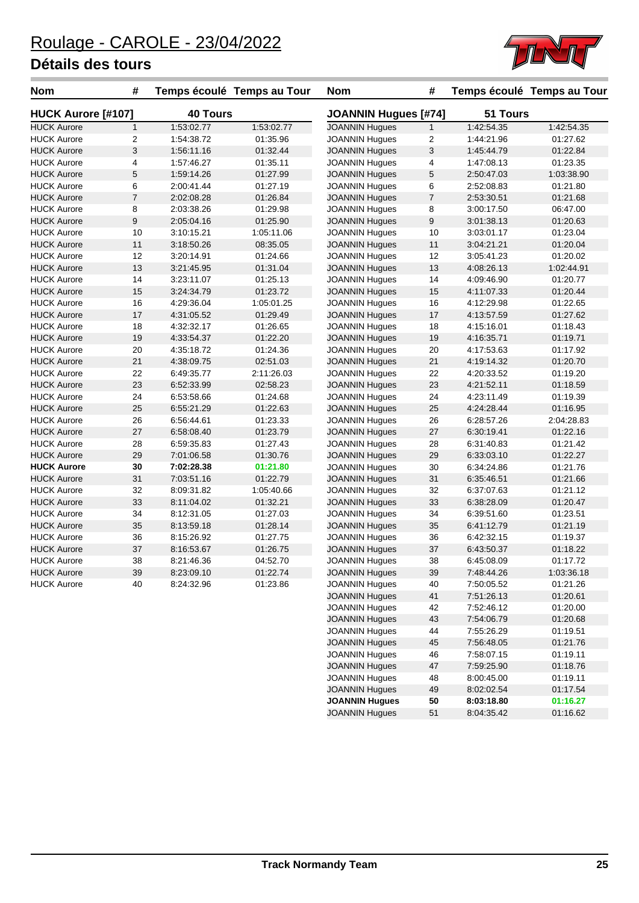

| <b>Nom</b>         | #                | Temps écoulé Temps au Tour |            | <b>Nom</b>                  | #              |                          | Temps écoulé Temps au Tour |
|--------------------|------------------|----------------------------|------------|-----------------------------|----------------|--------------------------|----------------------------|
| HUCK Aurore [#107] |                  | <b>40 Tours</b>            |            | <b>JOANNIN Hugues [#74]</b> |                | 51 Tours                 |                            |
| <b>HUCK Aurore</b> | $\mathbf{1}$     | 1:53:02.77                 | 1:53:02.77 | <b>JOANNIN Hugues</b>       | 1              | 1:42:54.35               | 1:42:54.35                 |
| <b>HUCK Aurore</b> | $\overline{c}$   | 1:54:38.72                 | 01:35.96   | <b>JOANNIN Hugues</b>       | 2              | 1:44:21.96               | 01:27.62                   |
| <b>HUCK Aurore</b> | 3                | 1:56:11.16                 | 01:32.44   | <b>JOANNIN Hugues</b>       | 3              | 1:45:44.79               | 01:22.84                   |
| <b>HUCK Aurore</b> | 4                | 1:57:46.27                 | 01:35.11   | <b>JOANNIN Hugues</b>       | 4              | 1:47:08.13               | 01:23.35                   |
| <b>HUCK Aurore</b> | $\mathbf 5$      | 1:59:14.26                 | 01:27.99   | <b>JOANNIN Hugues</b>       | 5              | 2:50:47.03               | 1:03:38.90                 |
| <b>HUCK Aurore</b> | 6                | 2:00:41.44                 | 01:27.19   | <b>JOANNIN Hugues</b>       | 6              | 2:52:08.83               | 01:21.80                   |
| <b>HUCK Aurore</b> | $\overline{7}$   | 2:02:08.28                 | 01:26.84   | <b>JOANNIN Hugues</b>       | $\overline{7}$ | 2:53:30.51               | 01:21.68                   |
| <b>HUCK Aurore</b> | 8                | 2:03:38.26                 | 01:29.98   | <b>JOANNIN Hugues</b>       | 8              | 3:00:17.50               | 06:47.00                   |
| <b>HUCK Aurore</b> | $\boldsymbol{9}$ | 2:05:04.16                 | 01:25.90   | <b>JOANNIN Hugues</b>       | 9              | 3:01:38.13               | 01:20.63                   |
| <b>HUCK Aurore</b> | 10               | 3:10:15.21                 | 1:05:11.06 | <b>JOANNIN Hugues</b>       | 10             | 3:03:01.17               | 01:23.04                   |
| <b>HUCK Aurore</b> | 11               | 3:18:50.26                 | 08:35.05   | <b>JOANNIN Hugues</b>       | 11             | 3:04:21.21               | 01:20.04                   |
| <b>HUCK Aurore</b> | 12               | 3:20:14.91                 | 01:24.66   | <b>JOANNIN Hugues</b>       | 12             | 3:05:41.23               | 01:20.02                   |
| <b>HUCK Aurore</b> | 13               | 3:21:45.95                 | 01:31.04   | <b>JOANNIN Hugues</b>       | 13             | 4:08:26.13               | 1:02:44.91                 |
| <b>HUCK Aurore</b> | 14               | 3:23:11.07                 | 01:25.13   | <b>JOANNIN Hugues</b>       | 14             | 4:09:46.90               | 01:20.77                   |
| <b>HUCK Aurore</b> | 15               | 3:24:34.79                 | 01:23.72   | <b>JOANNIN Hugues</b>       | 15             | 4:11:07.33               | 01:20.44                   |
| <b>HUCK Aurore</b> | 16               | 4:29:36.04                 | 1:05:01.25 | <b>JOANNIN Hugues</b>       | 16             | 4:12:29.98               | 01:22.65                   |
| <b>HUCK Aurore</b> | 17               | 4:31:05.52                 | 01:29.49   | <b>JOANNIN Hugues</b>       | 17             | 4:13:57.59               | 01:27.62                   |
| <b>HUCK Aurore</b> | 18               | 4:32:32.17                 | 01:26.65   | <b>JOANNIN Hugues</b>       | 18             | 4:15:16.01               | 01:18.43                   |
| <b>HUCK Aurore</b> | 19               | 4:33:54.37                 | 01:22.20   | <b>JOANNIN Hugues</b>       | 19             | 4:16:35.71               | 01:19.71                   |
| <b>HUCK Aurore</b> | 20               | 4:35:18.72                 | 01:24.36   | <b>JOANNIN Hugues</b>       | 20             | 4:17:53.63               | 01:17.92                   |
| <b>HUCK Aurore</b> | 21               | 4:38:09.75                 | 02:51.03   | <b>JOANNIN Hugues</b>       | 21             | 4:19:14.32               | 01:20.70                   |
| <b>HUCK Aurore</b> | 22               | 6:49:35.77                 | 2:11:26.03 | <b>JOANNIN Hugues</b>       | 22             | 4:20:33.52               | 01:19.20                   |
| <b>HUCK Aurore</b> | 23               | 6:52:33.99                 | 02:58.23   | <b>JOANNIN Hugues</b>       | 23             | 4:21:52.11               | 01:18.59                   |
| <b>HUCK Aurore</b> | 24               | 6:53:58.66                 | 01:24.68   | <b>JOANNIN Hugues</b>       | 24             | 4:23:11.49               | 01:19.39                   |
| <b>HUCK Aurore</b> | 25               | 6:55:21.29                 | 01:22.63   | <b>JOANNIN Hugues</b>       | 25             | 4:24:28.44               | 01:16.95                   |
| <b>HUCK Aurore</b> | 26               | 6:56:44.61                 | 01:23.33   | <b>JOANNIN Hugues</b>       | 26             | 6:28:57.26               | 2:04:28.83                 |
| <b>HUCK Aurore</b> | 27               | 6:58:08.40                 | 01:23.79   | <b>JOANNIN Hugues</b>       | 27             | 6:30:19.41               | 01:22.16                   |
| <b>HUCK Aurore</b> | 28               | 6:59:35.83                 | 01:27.43   | <b>JOANNIN Hugues</b>       | 28             | 6:31:40.83               | 01:21.42                   |
| <b>HUCK Aurore</b> | 29               | 7:01:06.58                 | 01:30.76   | <b>JOANNIN Hugues</b>       | 29             | 6:33:03.10               | 01:22.27                   |
| <b>HUCK Aurore</b> | 30               | 7:02:28.38                 | 01:21.80   | <b>JOANNIN Hugues</b>       | 30             | 6:34:24.86               | 01:21.76                   |
| <b>HUCK Aurore</b> | 31               | 7:03:51.16                 | 01:22.79   | <b>JOANNIN Hugues</b>       | 31             | 6:35:46.51               | 01:21.66                   |
| <b>HUCK Aurore</b> | 32               | 8:09:31.82                 | 1:05:40.66 | <b>JOANNIN Hugues</b>       | 32             | 6:37:07.63               | 01:21.12                   |
| <b>HUCK Aurore</b> | 33               | 8:11:04.02                 | 01:32.21   | <b>JOANNIN Hugues</b>       | 33             | 6:38:28.09               | 01:20.47                   |
| <b>HUCK Aurore</b> | 34               | 8:12:31.05                 | 01:27.03   | <b>JOANNIN Hugues</b>       | 34             | 6:39:51.60               | 01:23.51                   |
| <b>HUCK Aurore</b> | 35               | 8:13:59.18                 | 01:28.14   | <b>JOANNIN Hugues</b>       | 35             | 6:41:12.79               | 01:21.19                   |
| <b>HUCK Aurore</b> | 36               | 8:15:26.92                 | 01:27.75   | <b>JOANNIN Hugues</b>       | 36             | 6:42:32.15               | 01:19.37                   |
| <b>HUCK Aurore</b> | 37               | 8:16:53.67                 | 01:26.75   | <b>JOANNIN Hugues</b>       | 37             | 6:43:50.37               | 01:18.22                   |
| <b>HUCK Aurore</b> | 38               | 8:21:46.36                 | 04:52.70   | <b>JOANNIN Hugues</b>       | 38             | 6:45:08.09               | 01:17.72                   |
| <b>HUCK Aurore</b> | 39               | 8:23:09.10                 | 01:22.74   | <b>JOANNIN Hugues</b>       | 39             | 7:48:44.26               | 1:03:36.18                 |
| <b>HUCK Aurore</b> | 40               | 8:24:32.96                 | 01:23.86   | <b>JOANNIN Hugues</b>       | 40             | 7:50:05.52               | 01:21.26                   |
|                    |                  |                            |            | <b>JOANNIN Hugues</b>       | 41             | 7:51:26.13               | 01:20.61                   |
|                    |                  |                            |            | <b>JOANNIN Hugues</b>       | 42             | 7:52:46.12               | 01:20.00                   |
|                    |                  |                            |            | <b>JOANNIN Hugues</b>       |                |                          | 01:20.68                   |
|                    |                  |                            |            | <b>JOANNIN Hugues</b>       | 43             | 7:54:06.79               |                            |
|                    |                  |                            |            | <b>JOANNIN Hugues</b>       | 44<br>45       | 7:55:26.29<br>7:56:48.05 | 01:19.51<br>01:21.76       |
|                    |                  |                            |            | <b>JOANNIN Hugues</b>       | 46             |                          |                            |
|                    |                  |                            |            |                             |                | 7:58:07.15               | 01:19.11                   |

JOANNIN Hugues 47 7:59:25.90 01:18.76 JOANNIN Hugues 48 8:00:45.00 01:19.11 JOANNIN Hugues 49 8:02:02.54 01:17.54 **JOANNIN Hugues 50 8:03:18.80 01:16.27** JOANNIN Hugues 51 8:04:35.42 01:16.62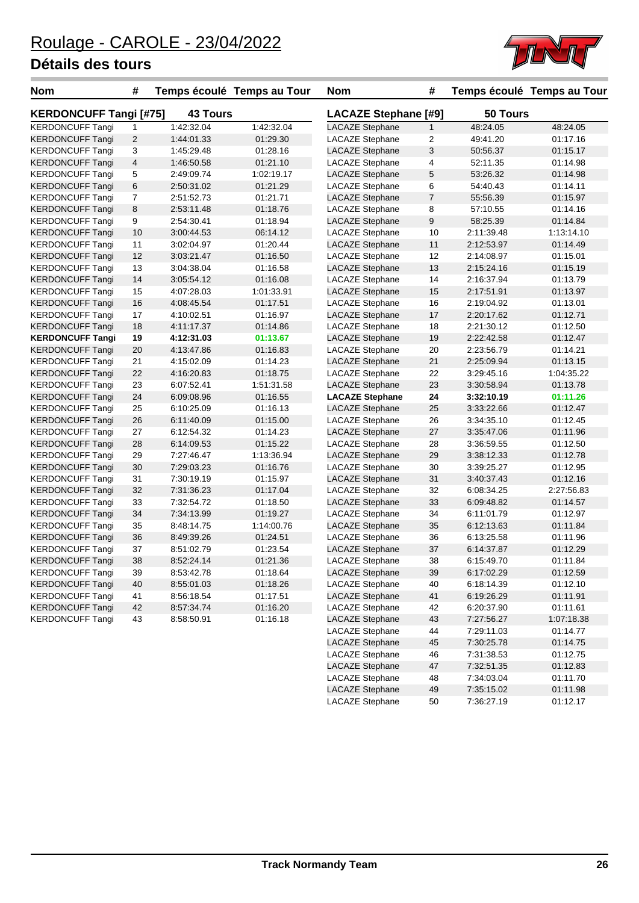

| <b>Nom</b>                    | #              |                 | Temps écoulé Temps au Tour | <b>Nom</b>                  | #              |            | Temps écoulé Temps au Tour |
|-------------------------------|----------------|-----------------|----------------------------|-----------------------------|----------------|------------|----------------------------|
| <b>KERDONCUFF Tangi [#75]</b> |                | <b>43 Tours</b> |                            | <b>LACAZE Stephane [#9]</b> |                | 50 Tours   |                            |
| <b>KERDONCUFF Tangi</b>       | 1              | 1:42:32.04      | 1:42:32.04                 | <b>LACAZE Stephane</b>      | $\mathbf{1}$   | 48:24.05   | 48:24.05                   |
| <b>KERDONCUFF Tangi</b>       | $\overline{2}$ | 1:44:01.33      | 01:29.30                   | <b>LACAZE Stephane</b>      | 2              | 49:41.20   | 01:17.16                   |
| <b>KERDONCUFF Tangi</b>       | 3              | 1:45:29.48      | 01:28.16                   | <b>LACAZE Stephane</b>      | 3              | 50:56.37   | 01:15.17                   |
| <b>KERDONCUFF Tangi</b>       | 4              | 1:46:50.58      | 01:21.10                   | <b>LACAZE Stephane</b>      | 4              | 52:11.35   | 01:14.98                   |
| <b>KERDONCUFF Tangi</b>       | 5              | 2:49:09.74      | 1:02:19.17                 | <b>LACAZE Stephane</b>      | 5              | 53:26.32   | 01:14.98                   |
| <b>KERDONCUFF Tangi</b>       | 6              | 2:50:31.02      | 01:21.29                   | <b>LACAZE Stephane</b>      | 6              | 54:40.43   | 01:14.11                   |
| <b>KERDONCUFF Tangi</b>       | $\overline{7}$ | 2:51:52.73      | 01:21.71                   | <b>LACAZE Stephane</b>      | $\overline{7}$ | 55:56.39   | 01:15.97                   |
| <b>KERDONCUFF Tangi</b>       | 8              | 2:53:11.48      | 01:18.76                   | <b>LACAZE Stephane</b>      | 8              | 57:10.55   | 01:14.16                   |
| <b>KERDONCUFF Tangi</b>       | 9              | 2:54:30.41      | 01:18.94                   | <b>LACAZE Stephane</b>      | 9              | 58:25.39   | 01:14.84                   |
| <b>KERDONCUFF Tangi</b>       | 10             | 3:00:44.53      | 06:14.12                   | <b>LACAZE Stephane</b>      | 10             | 2:11:39.48 | 1:13:14.10                 |
| <b>KERDONCUFF Tangi</b>       | 11             | 3:02:04.97      | 01:20.44                   | <b>LACAZE Stephane</b>      | 11             | 2:12:53.97 | 01:14.49                   |
| <b>KERDONCUFF Tangi</b>       | 12             | 3:03:21.47      | 01:16.50                   | <b>LACAZE Stephane</b>      | 12             | 2:14:08.97 | 01:15.01                   |
| <b>KERDONCUFF Tangi</b>       | 13             | 3:04:38.04      | 01:16.58                   | <b>LACAZE Stephane</b>      | 13             | 2:15:24.16 | 01:15.19                   |
| <b>KERDONCUFF Tangi</b>       | 14             | 3:05:54.12      | 01:16.08                   | <b>LACAZE Stephane</b>      | 14             | 2:16:37.94 | 01:13.79                   |
| <b>KERDONCUFF Tangi</b>       | 15             | 4:07:28.03      | 1:01:33.91                 | <b>LACAZE Stephane</b>      | 15             | 2:17:51.91 | 01:13.97                   |
| <b>KERDONCUFF Tangi</b>       | 16             | 4:08:45.54      | 01:17.51                   | <b>LACAZE Stephane</b>      | 16             | 2:19:04.92 | 01:13.01                   |
| <b>KERDONCUFF Tangi</b>       | 17             | 4:10:02.51      | 01:16.97                   | <b>LACAZE Stephane</b>      | 17             | 2:20:17.62 | 01:12.71                   |
| <b>KERDONCUFF Tangi</b>       | 18             | 4:11:17.37      | 01:14.86                   | <b>LACAZE Stephane</b>      | 18             | 2:21:30.12 | 01:12.50                   |
| <b>KERDONCUFF Tangi</b>       | 19             | 4:12:31.03      | 01:13.67                   | <b>LACAZE Stephane</b>      | 19             | 2:22:42.58 | 01:12.47                   |
| <b>KERDONCUFF Tangi</b>       | 20             | 4:13:47.86      | 01:16.83                   | <b>LACAZE Stephane</b>      | 20             | 2:23:56.79 | 01:14.21                   |
| <b>KERDONCUFF Tangi</b>       | 21             | 4:15:02.09      | 01:14.23                   | <b>LACAZE Stephane</b>      | 21             | 2:25:09.94 | 01:13.15                   |
| <b>KERDONCUFF Tangi</b>       | 22             | 4:16:20.83      | 01:18.75                   | <b>LACAZE Stephane</b>      | 22             | 3:29:45.16 | 1:04:35.22                 |
| <b>KERDONCUFF Tangi</b>       | 23             | 6:07:52.41      | 1:51:31.58                 | <b>LACAZE Stephane</b>      | 23             | 3:30:58.94 | 01:13.78                   |
| <b>KERDONCUFF Tangi</b>       | 24             | 6:09:08.96      | 01:16.55                   | <b>LACAZE Stephane</b>      | 24             | 3:32:10.19 | 01:11.26                   |
| <b>KERDONCUFF Tangi</b>       | 25             | 6:10:25.09      | 01:16.13                   | <b>LACAZE Stephane</b>      | 25             | 3:33:22.66 | 01:12.47                   |
| <b>KERDONCUFF Tangi</b>       | 26             | 6:11:40.09      | 01:15.00                   | <b>LACAZE Stephane</b>      | 26             | 3:34:35.10 | 01:12.45                   |
| <b>KERDONCUFF Tangi</b>       | 27             | 6:12:54.32      | 01:14.23                   | <b>LACAZE Stephane</b>      | 27             | 3:35:47.06 | 01:11.96                   |
| <b>KERDONCUFF Tangi</b>       | 28             | 6:14:09.53      | 01:15.22                   | <b>LACAZE Stephane</b>      | 28             | 3:36:59.55 | 01:12.50                   |
| <b>KERDONCUFF Tangi</b>       | 29             | 7:27:46.47      | 1:13:36.94                 | <b>LACAZE Stephane</b>      | 29             | 3:38:12.33 | 01:12.78                   |
| <b>KERDONCUFF Tangi</b>       | 30             | 7:29:03.23      | 01:16.76                   | <b>LACAZE Stephane</b>      | 30             | 3:39:25.27 | 01:12.95                   |
| <b>KERDONCUFF Tangi</b>       | 31             | 7:30:19.19      | 01:15.97                   | <b>LACAZE Stephane</b>      | 31             | 3:40:37.43 | 01:12.16                   |
| <b>KERDONCUFF Tangi</b>       | 32             | 7:31:36.23      | 01:17.04                   | <b>LACAZE Stephane</b>      | 32             | 6:08:34.25 | 2:27:56.83                 |
| <b>KERDONCUFF Tangi</b>       | 33             | 7:32:54.72      | 01:18.50                   | <b>LACAZE Stephane</b>      | 33             | 6:09:48.82 | 01:14.57                   |
| <b>KERDONCUFF Tangi</b>       | 34             | 7:34:13.99      | 01:19.27                   | <b>LACAZE Stephane</b>      | 34             | 6:11:01.79 | 01:12.97                   |
| <b>KERDONCUFF Tangi</b>       | 35             | 8:48:14.75      | 1:14:00.76                 | <b>LACAZE Stephane</b>      | 35             | 6:12:13.63 | 01:11.84                   |
| <b>KERDONCUFF Tangi</b>       | 36             | 8:49:39.26      | 01:24.51                   | <b>LACAZE Stephane</b>      | 36             | 6:13:25.58 | 01:11.96                   |
| <b>KERDONCUFF Tangi</b>       | 37             | 8:51:02.79      | 01:23.54                   | <b>LACAZE Stephane</b>      | 37             | 6:14:37.87 | 01:12.29                   |
| <b>KERDONCUFF Tangi</b>       | 38             | 8:52:24.14      | 01:21.36                   | LACAZE Stephane             | 38             | 6:15:49.70 | 01:11.84                   |
| <b>KERDONCUFF Tangi</b>       | 39             | 8:53:42.78      | 01:18.64                   | <b>LACAZE Stephane</b>      | 39             | 6:17:02.29 | 01:12.59                   |
| <b>KERDONCUFF Tangi</b>       | 40             | 8:55:01.03      | 01:18.26                   | <b>LACAZE Stephane</b>      | 40             | 6:18:14.39 | 01:12.10                   |
| <b>KERDONCUFF Tangi</b>       | 41             | 8:56:18.54      | 01:17.51                   | <b>LACAZE Stephane</b>      | 41             | 6:19:26.29 | 01:11.91                   |
| <b>KERDONCUFF Tangi</b>       | 42             | 8:57:34.74      | 01:16.20                   | <b>LACAZE Stephane</b>      | 42             | 6:20:37.90 | 01:11.61                   |
| <b>KERDONCUFF Tangi</b>       | 43             | 8:58:50.91      | 01:16.18                   | <b>LACAZE Stephane</b>      | 43             | 7:27:56.27 | 1:07:18.38                 |
|                               |                |                 |                            | <b>LACAZE Stephane</b>      | 44             | 7:29:11.03 | 01:14.77                   |
|                               |                |                 |                            | <b>LACAZE Stephane</b>      | 45             | 7:30:25.78 | 01:14.75                   |
|                               |                |                 |                            | LACAZE Stephane             | 46             | 7:31:38.53 | 01:12.75                   |

LACAZE Stephane 47 7:32:51.35 01:12.83 LACAZE Stephane 48 7:34:03.04 01:11.70 LACAZE Stephane 49 7:35:15.02 01:11.98 LACAZE Stephane 50 7:36:27.19 01:12.17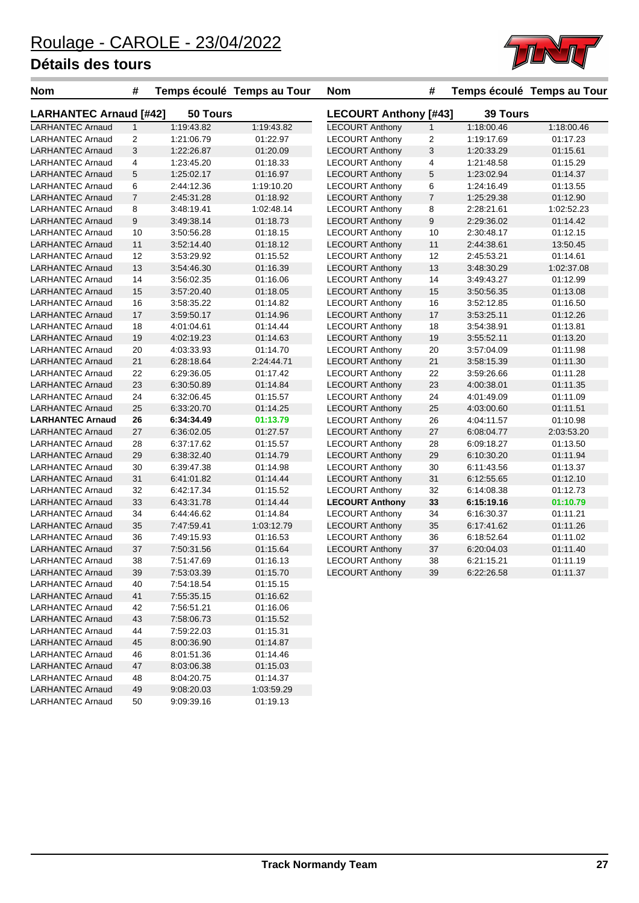

| <b>Nom</b>                    | #              |            | Temps écoulé Temps au Tour | <b>Nom</b>             | #                            |            | Temps écoulé Temps au Tour |  |  |
|-------------------------------|----------------|------------|----------------------------|------------------------|------------------------------|------------|----------------------------|--|--|
| <b>LARHANTEC Arnaud [#42]</b> |                | 50 Tours   |                            |                        | <b>LECOURT Anthony [#43]</b> |            | <b>39 Tours</b>            |  |  |
| <b>LARHANTEC Arnaud</b>       | $\mathbf{1}$   | 1:19:43.82 | 1:19:43.82                 | <b>LECOURT Anthony</b> | $\mathbf{1}$                 | 1:18:00.46 | 1:18:00.46                 |  |  |
| <b>LARHANTEC Arnaud</b>       | 2              | 1:21:06.79 | 01:22.97                   | <b>LECOURT Anthony</b> | $\overline{2}$               | 1:19:17.69 | 01:17.23                   |  |  |
| <b>LARHANTEC Arnaud</b>       | 3              | 1:22:26.87 | 01:20.09                   | <b>LECOURT Anthony</b> | 3                            | 1:20:33.29 | 01:15.61                   |  |  |
| <b>LARHANTEC Arnaud</b>       | 4              | 1:23:45.20 | 01:18.33                   | <b>LECOURT Anthony</b> | 4                            | 1:21:48.58 | 01:15.29                   |  |  |
| <b>LARHANTEC Arnaud</b>       | 5              | 1:25:02.17 | 01:16.97                   | <b>LECOURT Anthony</b> | 5                            | 1:23:02.94 | 01:14.37                   |  |  |
| <b>LARHANTEC Arnaud</b>       | 6              | 2:44:12.36 | 1:19:10.20                 | <b>LECOURT Anthony</b> | 6                            | 1:24:16.49 | 01:13.55                   |  |  |
| <b>LARHANTEC Arnaud</b>       | $\overline{7}$ | 2:45:31.28 | 01:18.92                   | <b>LECOURT Anthony</b> | $\overline{7}$               | 1:25:29.38 | 01:12.90                   |  |  |
| <b>LARHANTEC Arnaud</b>       | 8              | 3:48:19.41 | 1:02:48.14                 | <b>LECOURT Anthony</b> | 8                            | 2:28:21.61 | 1:02:52.23                 |  |  |
| <b>LARHANTEC Arnaud</b>       | 9              | 3:49:38.14 | 01:18.73                   | <b>LECOURT Anthony</b> | 9                            | 2:29:36.02 | 01:14.42                   |  |  |
| <b>LARHANTEC Arnaud</b>       | 10             | 3:50:56.28 | 01:18.15                   | <b>LECOURT Anthony</b> | 10                           | 2:30:48.17 | 01:12.15                   |  |  |
| <b>LARHANTEC Arnaud</b>       | 11             | 3:52:14.40 | 01:18.12                   | <b>LECOURT Anthony</b> | 11                           | 2:44:38.61 | 13:50.45                   |  |  |
| <b>LARHANTEC Arnaud</b>       | 12             | 3:53:29.92 | 01:15.52                   | <b>LECOURT Anthony</b> | 12                           | 2:45:53.21 | 01:14.61                   |  |  |
| <b>LARHANTEC Arnaud</b>       | 13             | 3:54:46.30 | 01:16.39                   | <b>LECOURT Anthony</b> | 13                           | 3:48:30.29 | 1:02:37.08                 |  |  |
| <b>LARHANTEC Arnaud</b>       | 14             | 3:56:02.35 | 01:16.06                   | <b>LECOURT Anthony</b> | 14                           | 3:49:43.27 | 01:12.99                   |  |  |
| <b>LARHANTEC Arnaud</b>       | 15             | 3:57:20.40 | 01:18.05                   | <b>LECOURT Anthony</b> | 15                           | 3:50:56.35 | 01:13.08                   |  |  |
| <b>LARHANTEC Arnaud</b>       | 16             | 3:58:35.22 | 01:14.82                   | <b>LECOURT Anthony</b> | 16                           | 3:52:12.85 | 01:16.50                   |  |  |
| <b>LARHANTEC Arnaud</b>       | 17             | 3:59:50.17 | 01:14.96                   | <b>LECOURT Anthony</b> | 17                           | 3:53:25.11 | 01:12.26                   |  |  |
| <b>LARHANTEC Arnaud</b>       | 18             | 4:01:04.61 | 01:14.44                   | <b>LECOURT Anthony</b> | 18                           | 3:54:38.91 | 01:13.81                   |  |  |
| <b>LARHANTEC Arnaud</b>       | 19             | 4:02:19.23 | 01:14.63                   | <b>LECOURT Anthony</b> | 19                           | 3:55:52.11 | 01:13.20                   |  |  |
| <b>LARHANTEC Arnaud</b>       | 20             | 4:03:33.93 | 01:14.70                   | <b>LECOURT Anthony</b> | 20                           | 3:57:04.09 | 01:11.98                   |  |  |
| <b>LARHANTEC Arnaud</b>       | 21             | 6:28:18.64 | 2:24:44.71                 | <b>LECOURT Anthony</b> | 21                           | 3:58:15.39 | 01:11.30                   |  |  |
| <b>LARHANTEC Arnaud</b>       | 22             | 6:29:36.05 | 01:17.42                   | <b>LECOURT Anthony</b> | 22                           | 3:59:26.66 | 01:11.28                   |  |  |
| <b>LARHANTEC Arnaud</b>       | 23             | 6:30:50.89 | 01:14.84                   | <b>LECOURT Anthony</b> | 23                           | 4:00:38.01 | 01:11.35                   |  |  |
| <b>LARHANTEC Arnaud</b>       | 24             | 6:32:06.45 | 01:15.57                   | <b>LECOURT Anthony</b> | 24                           | 4:01:49.09 | 01:11.09                   |  |  |
| <b>LARHANTEC Arnaud</b>       | 25             | 6:33:20.70 | 01:14.25                   | <b>LECOURT Anthony</b> | 25                           | 4:03:00.60 | 01:11.51                   |  |  |
| <b>LARHANTEC Arnaud</b>       | 26             | 6:34:34.49 | 01:13.79                   | <b>LECOURT Anthony</b> | 26                           | 4:04:11.57 | 01:10.98                   |  |  |
| <b>LARHANTEC Arnaud</b>       | 27             | 6:36:02.05 | 01:27.57                   | <b>LECOURT Anthony</b> | 27                           | 6:08:04.77 | 2:03:53.20                 |  |  |
| <b>LARHANTEC Arnaud</b>       | 28             | 6:37:17.62 | 01:15.57                   | <b>LECOURT Anthony</b> | 28                           | 6:09:18.27 | 01:13.50                   |  |  |
| <b>LARHANTEC Arnaud</b>       | 29             | 6:38:32.40 | 01:14.79                   | <b>LECOURT Anthony</b> | 29                           | 6:10:30.20 | 01:11.94                   |  |  |
| <b>LARHANTEC Arnaud</b>       | 30             | 6:39:47.38 | 01:14.98                   | <b>LECOURT Anthony</b> | 30                           | 6:11:43.56 | 01:13.37                   |  |  |
| <b>LARHANTEC Arnaud</b>       | 31             | 6:41:01.82 | 01:14.44                   | <b>LECOURT Anthony</b> | 31                           | 6:12:55.65 | 01:12.10                   |  |  |
| <b>LARHANTEC Arnaud</b>       | 32             | 6:42:17.34 | 01:15.52                   | <b>LECOURT Anthony</b> | 32                           | 6:14:08.38 | 01:12.73                   |  |  |
| <b>LARHANTEC Arnaud</b>       | 33             | 6:43:31.78 | 01:14.44                   | <b>LECOURT Anthony</b> | 33                           | 6:15:19.16 | 01:10.79                   |  |  |
| <b>LARHANTEC Arnaud</b>       | 34             | 6:44:46.62 | 01:14.84                   | <b>LECOURT Anthony</b> | 34                           | 6:16:30.37 | 01:11.21                   |  |  |
| <b>LARHANTEC Arnaud</b>       | 35             | 7:47:59.41 | 1:03:12.79                 | <b>LECOURT Anthony</b> | 35                           | 6:17:41.62 | 01:11.26                   |  |  |
| <b>LARHANTEC Arnaud</b>       | 36             | 7:49:15.93 | 01:16.53                   | <b>LECOURT Anthony</b> | 36                           | 6:18:52.64 | 01:11.02                   |  |  |
| <b>LARHANTEC Arnaud</b>       | 37             | 7:50:31.56 | 01:15.64                   | <b>LECOURT Anthony</b> | 37                           | 6:20:04.03 | 01:11.40                   |  |  |
| <b>LARHANTEC Arnaud</b>       | 38             | 7:51:47.69 | 01:16.13                   | <b>LECOURT Anthony</b> | 38                           | 6:21:15.21 | 01:11.19                   |  |  |
| <b>LARHANTEC Arnaud</b>       | 39             | 7:53:03.39 | 01:15.70                   | <b>LECOURT Anthony</b> | 39                           | 6:22:26.58 | 01:11.37                   |  |  |
| <b>LARHANTEC Arnaud</b>       | 40             | 7:54:18.54 | 01:15.15                   |                        |                              |            |                            |  |  |
| <b>LARHANTEC Arnaud</b>       | 41             | 7:55:35.15 | 01:16.62                   |                        |                              |            |                            |  |  |
| <b>LARHANTEC Arnaud</b>       | 42             | 7:56:51.21 | 01:16.06                   |                        |                              |            |                            |  |  |
| <b>LARHANTEC Arnaud</b>       | 43             | 7:58:06.73 | 01:15.52                   |                        |                              |            |                            |  |  |
| <b>LARHANTEC Arnaud</b>       | 44             | 7:59:22.03 | 01:15.31                   |                        |                              |            |                            |  |  |
| <b>LARHANTEC Arnaud</b>       | 45             | 8:00:36.90 | 01:14.87                   |                        |                              |            |                            |  |  |
| <b>LARHANTEC Arnaud</b>       | 46             | 8:01:51.36 | 01:14.46                   |                        |                              |            |                            |  |  |
| <b>LARHANTEC Arnaud</b>       | 47             | 8:03:06.38 | 01:15.03                   |                        |                              |            |                            |  |  |
| <b>LARHANTEC Arnaud</b>       | 48             | 8:04:20.75 | 01:14.37                   |                        |                              |            |                            |  |  |
| <b>LARHANTEC Arnaud</b>       | 49             | 9:08:20.03 | 1:03:59.29                 |                        |                              |            |                            |  |  |
| <b>LARHANTEC Arnaud</b>       | 50             | 9:09:39.16 | 01:19.13                   |                        |                              |            |                            |  |  |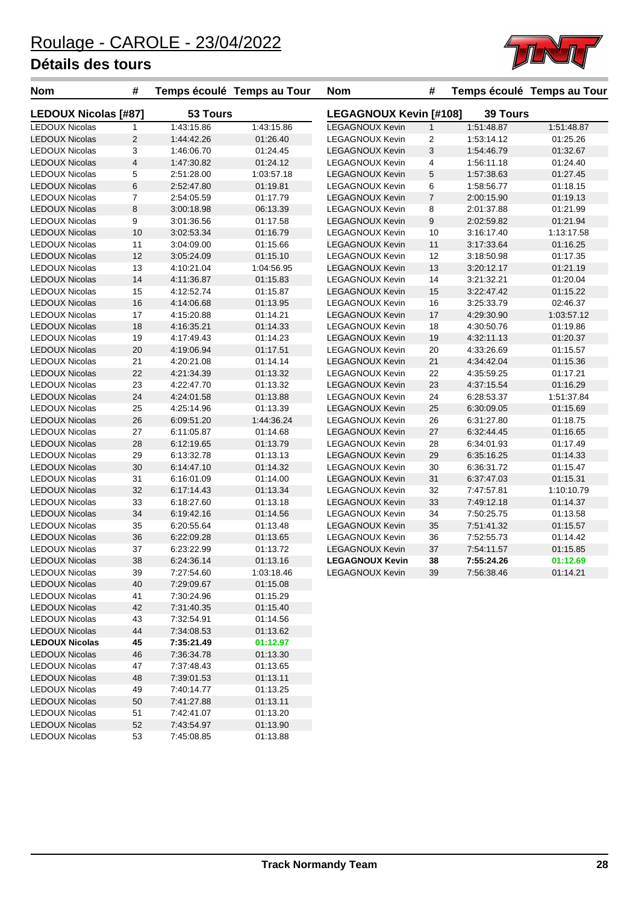

| <b>Nom</b>                              | #                       |                          | Temps écoulé Temps au Tour | <b>Nom</b>                    | #              |                 | Temps écoulé Temps au Tour |
|-----------------------------------------|-------------------------|--------------------------|----------------------------|-------------------------------|----------------|-----------------|----------------------------|
| <b>LEDOUX Nicolas [#87]</b>             |                         | 53 Tours                 |                            | <b>LEGAGNOUX Kevin [#108]</b> |                | <b>39 Tours</b> |                            |
| <b>LEDOUX Nicolas</b>                   | $\mathbf{1}$            | 1:43:15.86               | 1:43:15.86                 | <b>LEGAGNOUX Kevin</b>        | $\mathbf{1}$   | 1:51:48.87      | 1:51:48.87                 |
| <b>LEDOUX Nicolas</b>                   | $\overline{2}$          | 1:44:42.26               | 01:26.40                   | <b>LEGAGNOUX Kevin</b>        | $\overline{2}$ | 1:53:14.12      | 01:25.26                   |
| <b>LEDOUX Nicolas</b>                   | 3                       | 1:46:06.70               | 01:24.45                   | <b>LEGAGNOUX Kevin</b>        | 3              | 1:54:46.79      | 01:32.67                   |
| <b>LEDOUX Nicolas</b>                   | $\overline{\mathbf{4}}$ | 1:47:30.82               | 01:24.12                   | <b>LEGAGNOUX Kevin</b>        | 4              | 1:56:11.18      | 01:24.40                   |
| <b>LEDOUX Nicolas</b>                   | 5                       | 2:51:28.00               | 1:03:57.18                 | <b>LEGAGNOUX Kevin</b>        | $\mathbf 5$    | 1:57:38.63      | 01:27.45                   |
| <b>LEDOUX Nicolas</b>                   | 6                       | 2:52:47.80               | 01:19.81                   | <b>LEGAGNOUX Kevin</b>        | 6              | 1:58:56.77      | 01:18.15                   |
| <b>LEDOUX Nicolas</b>                   | $\overline{7}$          | 2:54:05.59               | 01:17.79                   | <b>LEGAGNOUX Kevin</b>        | $\overline{7}$ | 2:00:15.90      | 01:19.13                   |
| <b>LEDOUX Nicolas</b>                   | $\,8\,$                 | 3:00:18.98               | 06:13.39                   | <b>LEGAGNOUX Kevin</b>        | 8              | 2:01:37.88      | 01:21.99                   |
| <b>LEDOUX Nicolas</b>                   | 9                       | 3:01:36.56               | 01:17.58                   | <b>LEGAGNOUX Kevin</b>        | 9              | 2:02:59.82      | 01:21.94                   |
| <b>LEDOUX Nicolas</b>                   | 10                      | 3:02:53.34               | 01:16.79                   | <b>LEGAGNOUX Kevin</b>        | 10             | 3:16:17.40      | 1:13:17.58                 |
| <b>LEDOUX Nicolas</b>                   | 11                      | 3:04:09.00               | 01:15.66                   | <b>LEGAGNOUX Kevin</b>        | $11$           | 3:17:33.64      | 01:16.25                   |
| <b>LEDOUX Nicolas</b>                   | 12                      | 3:05:24.09               | 01:15.10                   | <b>LEGAGNOUX Kevin</b>        | 12             | 3:18:50.98      | 01:17.35                   |
| <b>LEDOUX Nicolas</b>                   | 13                      | 4:10:21.04               | 1:04:56.95                 | <b>LEGAGNOUX Kevin</b>        | 13             | 3:20:12.17      | 01:21.19                   |
| <b>LEDOUX Nicolas</b>                   | 14                      | 4:11:36.87               | 01:15.83                   | <b>LEGAGNOUX Kevin</b>        | 14             | 3:21:32.21      | 01:20.04                   |
| <b>LEDOUX Nicolas</b>                   | 15                      | 4:12:52.74               | 01:15.87                   | <b>LEGAGNOUX Kevin</b>        | 15             | 3:22:47.42      | 01:15.22                   |
| <b>LEDOUX Nicolas</b>                   | 16                      | 4:14:06.68               | 01:13.95                   | <b>LEGAGNOUX Kevin</b>        | 16             | 3:25:33.79      | 02:46.37                   |
| <b>LEDOUX Nicolas</b>                   | 17                      | 4:15:20.88               | 01:14.21                   | <b>LEGAGNOUX Kevin</b>        | 17             | 4:29:30.90      | 1:03:57.12                 |
| <b>LEDOUX Nicolas</b>                   | 18                      | 4:16:35.21               | 01:14.33                   | <b>LEGAGNOUX Kevin</b>        | 18             | 4:30:50.76      | 01:19.86                   |
| <b>LEDOUX Nicolas</b>                   | 19                      | 4:17:49.43               | 01:14.23                   | <b>LEGAGNOUX Kevin</b>        | 19             | 4:32:11.13      | 01:20.37                   |
| <b>LEDOUX Nicolas</b>                   | 20                      | 4:19:06.94               | 01:17.51                   | LEGAGNOUX Kevin               | 20             | 4:33:26.69      | 01:15.57                   |
| <b>LEDOUX Nicolas</b>                   | 21                      | 4:20:21.08               | 01:14.14                   | <b>LEGAGNOUX Kevin</b>        | $21$           | 4:34:42.04      | 01:15.36                   |
| <b>LEDOUX Nicolas</b>                   | 22                      | 4:21:34.39               | 01:13.32                   | LEGAGNOUX Kevin               | 22             | 4:35:59.25      | 01:17.21                   |
| <b>LEDOUX Nicolas</b>                   | 23                      | 4:22:47.70               | 01:13.32                   | <b>LEGAGNOUX Kevin</b>        | 23             | 4:37:15.54      | 01:16.29                   |
| <b>LEDOUX Nicolas</b>                   | 24                      | 4:24:01.58               | 01:13.88                   | <b>LEGAGNOUX Kevin</b>        | 24             | 6:28:53.37      | 1:51:37.84                 |
| <b>LEDOUX Nicolas</b>                   | 25                      | 4:25:14.96               | 01:13.39                   | <b>LEGAGNOUX Kevin</b>        | 25             | 6:30:09.05      | 01:15.69                   |
| <b>LEDOUX Nicolas</b>                   | 26                      | 6:09:51.20               | 1:44:36.24                 | <b>LEGAGNOUX Kevin</b>        | 26             | 6:31:27.80      | 01:18.75                   |
| <b>LEDOUX Nicolas</b>                   | 27                      | 6:11:05.87               | 01:14.68                   | <b>LEGAGNOUX Kevin</b>        | $27\,$         | 6:32:44.45      | 01:16.65                   |
| <b>LEDOUX Nicolas</b>                   | 28                      | 6:12:19.65               | 01:13.79                   | <b>LEGAGNOUX Kevin</b>        | 28             | 6:34:01.93      | 01:17.49                   |
| <b>LEDOUX Nicolas</b>                   | 29                      | 6:13:32.78               | 01:13.13                   | <b>LEGAGNOUX Kevin</b>        | 29             | 6:35:16.25      | 01:14.33                   |
| <b>LEDOUX Nicolas</b>                   | 30                      | 6:14:47.10               | 01:14.32                   | LEGAGNOUX Kevin               | 30             | 6:36:31.72      | 01:15.47                   |
| <b>LEDOUX Nicolas</b>                   | 31                      | 6:16:01.09               | 01:14.00                   | <b>LEGAGNOUX Kevin</b>        | 31             | 6:37:47.03      | 01:15.31                   |
| <b>LEDOUX Nicolas</b>                   | 32                      | 6:17:14.43               | 01:13.34                   | LEGAGNOUX Kevin               | 32             | 7:47:57.81      | 1:10:10.79                 |
| <b>LEDOUX Nicolas</b>                   | 33                      | 6:18:27.60               | 01:13.18                   | <b>LEGAGNOUX Kevin</b>        | 33             | 7:49:12.18      | 01:14.37                   |
| <b>LEDOUX Nicolas</b>                   | 34                      | 6:19:42.16               | 01:14.56                   | LEGAGNOUX Kevin               | 34             | 7:50:25.75      | 01:13.58                   |
| <b>LEDOUX Nicolas</b>                   | 35                      | 6:20:55.64               | 01:13.48                   | <b>LEGAGNOUX Kevin</b>        | 35             | 7:51:41.32      | 01:15.57                   |
| <b>LEDOUX Nicolas</b>                   | 36                      | 6:22:09.28               | 01:13.65                   | <b>LEGAGNOUX Kevin</b>        | 36             | 7:52:55.73      | 01:14.42                   |
| <b>LEDOUX Nicolas</b>                   | 37                      | 6:23:22.99               | 01:13.72                   | <b>LEGAGNOUX Kevin</b>        | 37             | 7:54:11.57      | 01:15.85                   |
| <b>LEDOUX Nicolas</b>                   | 38                      | 6:24:36.14               | 01:13.16                   | <b>LEGAGNOUX Kevin</b>        | 38             | 7:55:24.26      | 01:12.69                   |
| <b>LEDOUX Nicolas</b>                   | 39                      | 7:27:54.60               | 1:03:18.46                 | <b>LEGAGNOUX Kevin</b>        | 39             | 7:56:38.46      | 01:14.21                   |
| <b>LEDOUX Nicolas</b>                   | 40                      | 7:29:09.67               | 01:15.08                   |                               |                |                 |                            |
| <b>LEDOUX Nicolas</b>                   | 41                      | 7:30:24.96               | 01:15.29                   |                               |                |                 |                            |
| <b>LEDOUX Nicolas</b>                   | 42                      | 7:31:40.35               | 01:15.40                   |                               |                |                 |                            |
| <b>LEDOUX Nicolas</b>                   | 43                      | 7:32:54.91               | 01:14.56                   |                               |                |                 |                            |
| <b>LEDOUX Nicolas</b>                   | 44                      | 7:34:08.53               | 01:13.62                   |                               |                |                 |                            |
| <b>LEDOUX Nicolas</b>                   | 45                      | 7:35:21.49               | 01:12.97                   |                               |                |                 |                            |
| <b>LEDOUX Nicolas</b>                   | 46                      | 7:36:34.78               | 01:13.30                   |                               |                |                 |                            |
| <b>LEDOUX Nicolas</b>                   | 47                      | 7:37:48.43               | 01:13.65                   |                               |                |                 |                            |
| <b>LEDOUX Nicolas</b>                   |                         |                          | 01:13.11                   |                               |                |                 |                            |
| <b>LEDOUX Nicolas</b>                   | 48<br>49                | 7:39:01.53<br>7:40:14.77 | 01:13.25                   |                               |                |                 |                            |
| <b>LEDOUX Nicolas</b>                   |                         |                          |                            |                               |                |                 |                            |
|                                         | 50                      | 7:41:27.88               | 01:13.11                   |                               |                |                 |                            |
| LEDOUX Nicolas<br><b>LEDOUX Nicolas</b> | 51                      | 7:42:41.07               | 01:13.20                   |                               |                |                 |                            |
| <b>LEDOUX Nicolas</b>                   | 52                      | 7:43:54.97               | 01:13.90                   |                               |                |                 |                            |
|                                         | 53                      | 7:45:08.85               | 01:13.88                   |                               |                |                 |                            |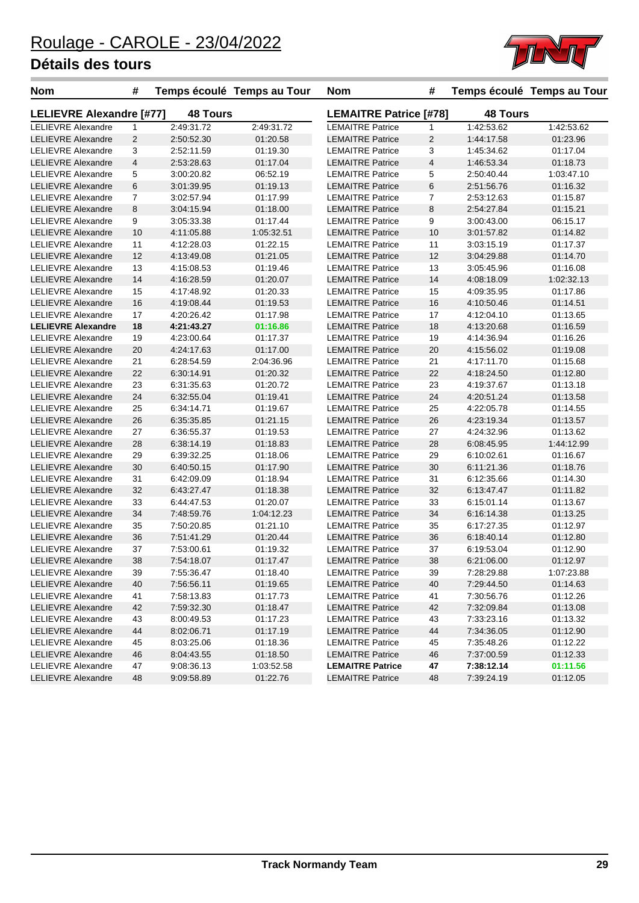

| <b>Nom</b>                      | #              |                 | Temps écoulé Temps au Tour | <b>Nom</b>                    | #  |                 | Temps écoulé Temps au Tour |
|---------------------------------|----------------|-----------------|----------------------------|-------------------------------|----|-----------------|----------------------------|
| <b>LELIEVRE Alexandre [#77]</b> |                | <b>48 Tours</b> |                            | <b>LEMAITRE Patrice [#78]</b> |    | <b>48 Tours</b> |                            |
| <b>LELIEVRE Alexandre</b>       | $\mathbf{1}$   | 2:49:31.72      | 2:49:31.72                 | <b>LEMAITRE Patrice</b>       | 1  | 1:42:53.62      | 1:42:53.62                 |
| <b>LELIEVRE Alexandre</b>       | $\overline{2}$ | 2:50:52.30      | 01:20.58                   | <b>LEMAITRE Patrice</b>       | 2  | 1:44:17.58      | 01:23.96                   |
| <b>LELIEVRE Alexandre</b>       | 3              | 2:52:11.59      | 01:19.30                   | <b>LEMAITRE Patrice</b>       | 3  | 1:45:34.62      | 01:17.04                   |
| <b>LELIEVRE Alexandre</b>       | $\overline{4}$ | 2:53:28.63      | 01:17.04                   | <b>LEMAITRE Patrice</b>       | 4  | 1:46:53.34      | 01:18.73                   |
| <b>LELIEVRE Alexandre</b>       | 5              | 3:00:20.82      | 06:52.19                   | <b>LEMAITRE Patrice</b>       | 5  | 2:50:40.44      | 1:03:47.10                 |
| <b>LELIEVRE Alexandre</b>       | 6              | 3:01:39.95      | 01:19.13                   | <b>LEMAITRE Patrice</b>       | 6  | 2:51:56.76      | 01:16.32                   |
| <b>LELIEVRE Alexandre</b>       | $\overline{7}$ | 3:02:57.94      | 01:17.99                   | <b>LEMAITRE Patrice</b>       | 7  | 2:53:12.63      | 01:15.87                   |
| <b>LELIEVRE Alexandre</b>       | 8              | 3:04:15.94      | 01:18.00                   | <b>LEMAITRE Patrice</b>       | 8  | 2:54:27.84      | 01:15.21                   |
| <b>LELIEVRE Alexandre</b>       | 9              | 3:05:33.38      | 01:17.44                   | <b>LEMAITRE Patrice</b>       | 9  | 3:00:43.00      | 06:15.17                   |
| <b>LELIEVRE Alexandre</b>       | 10             | 4:11:05.88      | 1:05:32.51                 | <b>LEMAITRE Patrice</b>       | 10 | 3:01:57.82      | 01:14.82                   |
| <b>LELIEVRE Alexandre</b>       | 11             | 4:12:28.03      | 01:22.15                   | <b>LEMAITRE Patrice</b>       | 11 | 3:03:15.19      | 01:17.37                   |
| <b>LELIEVRE Alexandre</b>       | 12             | 4:13:49.08      | 01:21.05                   | <b>LEMAITRE Patrice</b>       | 12 | 3:04:29.88      | 01:14.70                   |
| LELIEVRE Alexandre              | 13             | 4:15:08.53      | 01:19.46                   | <b>LEMAITRE Patrice</b>       | 13 | 3:05:45.96      | 01:16.08                   |
| <b>LELIEVRE Alexandre</b>       | 14             | 4:16:28.59      | 01:20.07                   | <b>LEMAITRE Patrice</b>       | 14 | 4:08:18.09      | 1:02:32.13                 |
| <b>LELIEVRE Alexandre</b>       | 15             | 4:17:48.92      | 01:20.33                   | <b>LEMAITRE Patrice</b>       | 15 | 4:09:35.95      | 01:17.86                   |
| <b>LELIEVRE Alexandre</b>       | 16             | 4:19:08.44      | 01:19.53                   | <b>LEMAITRE Patrice</b>       | 16 | 4:10:50.46      | 01:14.51                   |
| <b>LELIEVRE Alexandre</b>       | 17             | 4:20:26.42      | 01:17.98                   | <b>LEMAITRE Patrice</b>       | 17 | 4:12:04.10      | 01:13.65                   |
| <b>LELIEVRE Alexandre</b>       | 18             | 4:21:43.27      | 01:16.86                   | <b>LEMAITRE Patrice</b>       | 18 | 4:13:20.68      | 01:16.59                   |
| <b>LELIEVRE Alexandre</b>       | 19             | 4:23:00.64      | 01:17.37                   | <b>LEMAITRE Patrice</b>       | 19 | 4:14:36.94      | 01:16.26                   |
| <b>LELIEVRE Alexandre</b>       | 20             | 4:24:17.63      | 01:17.00                   | <b>LEMAITRE Patrice</b>       | 20 | 4:15:56.02      | 01:19.08                   |
| <b>LELIEVRE Alexandre</b>       | 21             | 6:28:54.59      | 2:04:36.96                 | <b>LEMAITRE Patrice</b>       | 21 | 4:17:11.70      | 01:15.68                   |
| <b>LELIEVRE Alexandre</b>       | 22             | 6:30:14.91      | 01:20.32                   | <b>LEMAITRE Patrice</b>       | 22 | 4:18:24.50      | 01:12.80                   |
| <b>LELIEVRE Alexandre</b>       | 23             | 6:31:35.63      | 01:20.72                   | <b>LEMAITRE Patrice</b>       | 23 | 4:19:37.67      | 01:13.18                   |
| <b>LELIEVRE Alexandre</b>       | 24             | 6:32:55.04      | 01:19.41                   | <b>LEMAITRE Patrice</b>       | 24 | 4:20:51.24      | 01:13.58                   |
| <b>LELIEVRE Alexandre</b>       | 25             | 6:34:14.71      | 01:19.67                   | <b>LEMAITRE Patrice</b>       | 25 | 4:22:05.78      | 01:14.55                   |
| <b>LELIEVRE Alexandre</b>       | 26             | 6:35:35.85      | 01:21.15                   | <b>LEMAITRE Patrice</b>       | 26 | 4:23:19.34      | 01:13.57                   |
| <b>LELIEVRE Alexandre</b>       | 27             | 6:36:55.37      | 01:19.53                   | <b>LEMAITRE Patrice</b>       | 27 | 4:24:32.96      | 01:13.62                   |
| <b>LELIEVRE Alexandre</b>       | 28             | 6:38:14.19      | 01:18.83                   | <b>LEMAITRE Patrice</b>       | 28 | 6:08:45.95      | 1:44:12.99                 |
| <b>LELIEVRE Alexandre</b>       | 29             | 6:39:32.25      | 01:18.06                   | <b>LEMAITRE Patrice</b>       | 29 | 6:10:02.61      | 01:16.67                   |
| <b>LELIEVRE Alexandre</b>       | 30             | 6:40:50.15      | 01:17.90                   | <b>LEMAITRE Patrice</b>       | 30 | 6:11:21.36      | 01:18.76                   |
| <b>LELIEVRE Alexandre</b>       | 31             | 6:42:09.09      | 01:18.94                   | <b>LEMAITRE Patrice</b>       | 31 | 6:12:35.66      | 01:14.30                   |
| <b>LELIEVRE Alexandre</b>       | 32             | 6:43:27.47      | 01:18.38                   | <b>LEMAITRE Patrice</b>       | 32 | 6:13:47.47      | 01:11.82                   |
| <b>LELIEVRE Alexandre</b>       | 33             | 6:44:47.53      | 01:20.07                   | <b>LEMAITRE Patrice</b>       | 33 | 6:15:01.14      | 01:13.67                   |
| <b>LELIEVRE Alexandre</b>       | 34             | 7:48:59.76      | 1:04:12.23                 | <b>LEMAITRE Patrice</b>       | 34 | 6:16:14.38      | 01:13.25                   |
| <b>LELIEVRE Alexandre</b>       | 35             | 7:50:20.85      | 01:21.10                   | <b>LEMAITRE Patrice</b>       | 35 | 6:17:27.35      | 01:12.97                   |
| <b>LELIEVRE Alexandre</b>       | 36             | 7:51:41.29      | 01:20.44                   | <b>LEMAITRE Patrice</b>       | 36 | 6:18:40.14      | 01:12.80                   |
| <b>LELIEVRE Alexandre</b>       | 37             | 7:53:00.61      | 01:19.32                   | <b>LEMAITRE Patrice</b>       | 37 | 6:19:53.04      | 01:12.90                   |
| <b>LELIEVRE Alexandre</b>       | 38             | 7:54:18.07      | 01:17.47                   | <b>LEMAITRE Patrice</b>       | 38 | 6:21:06.00      | 01:12.97                   |
| <b>LELIEVRE Alexandre</b>       | 39             | 7:55:36.47      | 01:18.40                   | <b>LEMAITRE Patrice</b>       | 39 | 7:28:29.88      | 1:07:23.88                 |
| <b>LELIEVRE Alexandre</b>       | 40             | 7:56:56.11      | 01:19.65                   | <b>LEMAITRE Patrice</b>       | 40 | 7:29:44.50      | 01:14.63                   |
| LELIEVRE Alexandre              | 41             | 7:58:13.83      | 01:17.73                   | <b>LEMAITRE Patrice</b>       | 41 | 7:30:56.76      | 01:12.26                   |
| <b>LELIEVRE Alexandre</b>       | 42             | 7:59:32.30      | 01:18.47                   | <b>LEMAITRE Patrice</b>       | 42 | 7:32:09.84      | 01:13.08                   |
| <b>LELIEVRE Alexandre</b>       | 43             | 8:00:49.53      | 01:17.23                   | <b>LEMAITRE Patrice</b>       | 43 | 7:33:23.16      | 01:13.32                   |
| <b>LELIEVRE Alexandre</b>       | 44             | 8:02:06.71      | 01:17.19                   | <b>LEMAITRE Patrice</b>       | 44 | 7:34:36.05      | 01:12.90                   |
| LELIEVRE Alexandre              | 45             | 8:03:25.06      | 01:18.36                   | <b>LEMAITRE Patrice</b>       | 45 | 7:35:48.26      | 01:12.22                   |
| <b>LELIEVRE Alexandre</b>       | 46             | 8:04:43.55      | 01:18.50                   | <b>LEMAITRE Patrice</b>       | 46 | 7:37:00.59      | 01:12.33                   |
| <b>LELIEVRE Alexandre</b>       | 47             | 9:08:36.13      | 1:03:52.58                 | <b>LEMAITRE Patrice</b>       | 47 | 7:38:12.14      | 01:11.56                   |
| <b>LELIEVRE Alexandre</b>       | 48             | 9:09:58.89      | 01:22.76                   | <b>LEMAITRE Patrice</b>       | 48 | 7:39:24.19      | 01:12.05                   |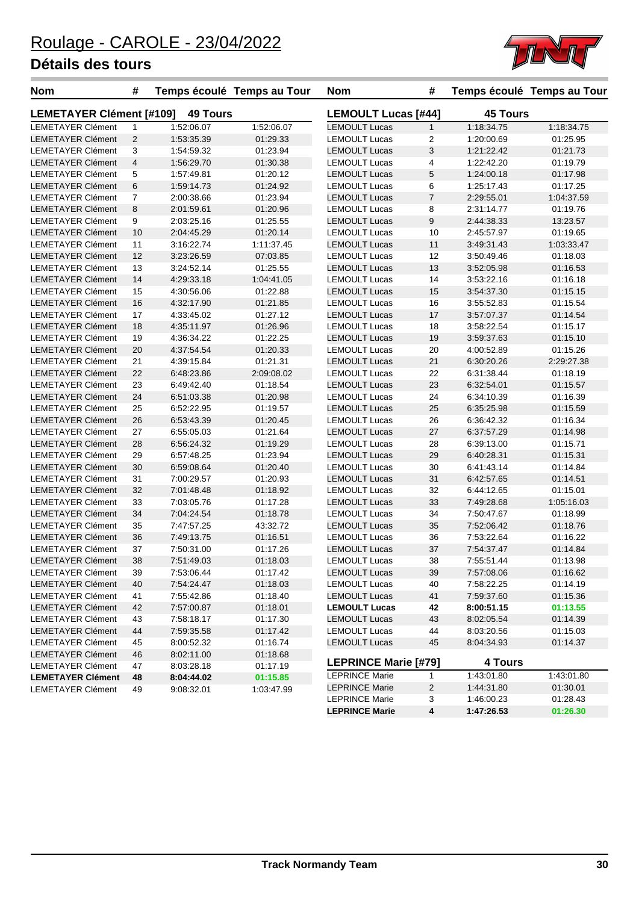

| <b>Nom</b>                      | #              |                 | Temps écoulé Temps au Tour | <b>Nom</b>                  | #              |                 | Temps écoulé Temps au Tour |
|---------------------------------|----------------|-----------------|----------------------------|-----------------------------|----------------|-----------------|----------------------------|
| <b>LEMETAYER Clément [#109]</b> |                | <b>49 Tours</b> |                            | <b>LEMOULT Lucas [#44]</b>  |                | <b>45 Tours</b> |                            |
| <b>LEMETAYER Clément</b>        | $\mathbf{1}$   | 1:52:06.07      | 1:52:06.07                 | <b>LEMOULT Lucas</b>        | $\mathbf{1}$   | 1:18:34.75      | 1:18:34.75                 |
| <b>LEMETAYER Clément</b>        | 2              | 1:53:35.39      | 01:29.33                   | <b>LEMOULT Lucas</b>        | $\overline{2}$ | 1:20:00.69      | 01:25.95                   |
| <b>LEMETAYER Clément</b>        | 3              | 1:54:59.32      | 01:23.94                   | <b>LEMOULT Lucas</b>        | 3              | 1:21:22.42      | 01:21.73                   |
| <b>LEMETAYER Clément</b>        | $\overline{4}$ | 1:56:29.70      | 01:30.38                   | <b>LEMOULT Lucas</b>        | 4              | 1:22:42.20      | 01:19.79                   |
| <b>LEMETAYER Clément</b>        | 5              | 1:57:49.81      | 01:20.12                   | <b>LEMOULT Lucas</b>        | 5              | 1:24:00.18      | 01:17.98                   |
| <b>LEMETAYER Clément</b>        | 6              | 1:59:14.73      | 01:24.92                   | <b>LEMOULT Lucas</b>        | 6              | 1:25:17.43      | 01:17.25                   |
| <b>LEMETAYER Clément</b>        | 7              | 2:00:38.66      | 01:23.94                   | <b>LEMOULT Lucas</b>        | $\overline{7}$ | 2:29:55.01      | 1:04:37.59                 |
| <b>LEMETAYER Clément</b>        | 8              | 2:01:59.61      | 01:20.96                   | <b>LEMOULT Lucas</b>        | 8              | 2:31:14.77      | 01:19.76                   |
| <b>LEMETAYER Clément</b>        | 9              | 2:03:25.16      | 01:25.55                   | <b>LEMOULT Lucas</b>        | 9              | 2:44:38.33      | 13:23.57                   |
| <b>LEMETAYER Clément</b>        | 10             | 2:04:45.29      | 01:20.14                   | <b>LEMOULT Lucas</b>        | 10             | 2:45:57.97      | 01:19.65                   |
| <b>LEMETAYER Clément</b>        | 11             | 3:16:22.74      | 1:11:37.45                 | <b>LEMOULT Lucas</b>        | 11             | 3:49:31.43      | 1:03:33.47                 |
| <b>LEMETAYER Clément</b>        | 12             | 3:23:26.59      | 07:03.85                   | <b>LEMOULT Lucas</b>        | 12             | 3:50:49.46      | 01:18.03                   |
| <b>LEMETAYER Clément</b>        | 13             | 3:24:52.14      | 01:25.55                   | <b>LEMOULT Lucas</b>        | 13             | 3:52:05.98      | 01:16.53                   |
| <b>LEMETAYER Clément</b>        | 14             | 4:29:33.18      | 1:04:41.05                 | <b>LEMOULT Lucas</b>        | 14             | 3:53:22.16      | 01:16.18                   |
| <b>LEMETAYER Clément</b>        | 15             | 4:30:56.06      | 01:22.88                   | <b>LEMOULT Lucas</b>        | 15             | 3:54:37.30      | 01:15.15                   |
| <b>LEMETAYER Clément</b>        | 16             | 4:32:17.90      | 01:21.85                   | <b>LEMOULT Lucas</b>        | 16             | 3:55:52.83      | 01:15.54                   |
| <b>LEMETAYER Clément</b>        | 17             | 4:33:45.02      | 01:27.12                   | <b>LEMOULT Lucas</b>        | 17             | 3:57:07.37      | 01:14.54                   |
| <b>LEMETAYER Clément</b>        | 18             | 4:35:11.97      | 01:26.96                   | <b>LEMOULT Lucas</b>        | 18             | 3:58:22.54      | 01:15.17                   |
| <b>LEMETAYER Clément</b>        | 19             | 4:36:34.22      | 01:22.25                   | <b>LEMOULT Lucas</b>        | 19             | 3:59:37.63      | 01:15.10                   |
| <b>LEMETAYER Clément</b>        | 20             | 4:37:54.54      | 01:20.33                   | <b>LEMOULT Lucas</b>        | 20             | 4:00:52.89      | 01:15.26                   |
| <b>LEMETAYER Clément</b>        | 21             | 4:39:15.84      | 01:21.31                   | <b>LEMOULT Lucas</b>        | 21             | 6:30:20.26      | 2:29:27.38                 |
| <b>LEMETAYER Clément</b>        | 22             | 6:48:23.86      | 2:09:08.02                 | <b>LEMOULT Lucas</b>        | 22             | 6:31:38.44      | 01:18.19                   |
| <b>LEMETAYER Clément</b>        | 23             | 6:49:42.40      | 01:18.54                   | <b>LEMOULT Lucas</b>        | 23             | 6:32:54.01      | 01:15.57                   |
| <b>LEMETAYER Clément</b>        | 24             | 6:51:03.38      | 01:20.98                   | <b>LEMOULT Lucas</b>        | 24             | 6:34:10.39      | 01:16.39                   |
| <b>LEMETAYER Clément</b>        | 25             | 6:52:22.95      | 01:19.57                   | <b>LEMOULT Lucas</b>        | 25             | 6:35:25.98      | 01:15.59                   |
| <b>LEMETAYER Clément</b>        | 26             | 6:53:43.39      | 01:20.45                   | <b>LEMOULT Lucas</b>        | 26             | 6:36:42.32      | 01:16.34                   |
| <b>LEMETAYER Clément</b>        | 27             | 6:55:05.03      | 01:21.64                   | <b>LEMOULT Lucas</b>        | 27             | 6:37:57.29      | 01:14.98                   |
| <b>LEMETAYER Clément</b>        | 28             | 6:56:24.32      | 01:19.29                   | <b>LEMOULT Lucas</b>        | 28             | 6:39:13.00      | 01:15.71                   |
| <b>LEMETAYER Clément</b>        | 29             | 6:57:48.25      | 01:23.94                   | <b>LEMOULT Lucas</b>        | 29             | 6:40:28.31      | 01:15.31                   |
| <b>LEMETAYER Clément</b>        | 30             | 6:59:08.64      | 01:20.40                   | <b>LEMOULT Lucas</b>        | 30             | 6:41:43.14      | 01:14.84                   |
| <b>LEMETAYER Clément</b>        | 31             | 7:00:29.57      | 01:20.93                   | <b>LEMOULT Lucas</b>        | 31             | 6:42:57.65      | 01:14.51                   |
| <b>LEMETAYER Clément</b>        | 32             | 7:01:48.48      | 01:18.92                   | <b>LEMOULT Lucas</b>        | 32             | 6:44:12.65      | 01:15.01                   |
| <b>LEMETAYER Clément</b>        | 33             | 7:03:05.76      | 01:17.28                   | <b>LEMOULT Lucas</b>        | 33             | 7:49:28.68      | 1:05:16.03                 |
| <b>LEMETAYER Clément</b>        | 34             | 7:04:24.54      | 01:18.78                   | <b>LEMOULT Lucas</b>        | 34             | 7:50:47.67      | 01:18.99                   |
| <b>LEMETAYER Clément</b>        | 35             | 7:47:57.25      | 43:32.72                   | <b>LEMOULT Lucas</b>        | 35             | 7:52:06.42      | 01:18.76                   |
| <b>LEMETAYER Clément</b>        | 36             | 7:49:13.75      | 01:16.51                   | <b>LEMOULT Lucas</b>        | 36             | 7:53:22.64      | 01:16.22                   |
| <b>LEMETAYER Clément</b>        | 37             | 7:50:31.00      | 01:17.26                   | <b>LEMOULT Lucas</b>        | 37             | 7:54:37.47      | 01:14.84                   |
| <b>LEMETAYER Clément</b>        | 38             | 7:51:49.03      | 01:18.03                   | <b>LEMOULT Lucas</b>        | 38             | 7:55:51.44      | 01:13.98                   |
| <b>LEMETAYER Clément</b>        | 39             | 7:53:06.44      | 01:17.42                   | <b>LEMOULT Lucas</b>        | 39             | 7:57:08.06      | 01:16.62                   |
| <b>LEMETAYER Clément</b>        | 40             | 7:54:24.47      | 01:18.03                   | <b>LEMOULT Lucas</b>        | 40             | 7:58:22.25      | 01:14.19                   |
| <b>LEMETAYER Clément</b>        |                | 7:55:42.86      | 01:18.40                   | <b>LEMOULT Lucas</b>        | 41             | 7:59:37.60      | 01:15.36                   |
| <b>LEMETAYER Clément</b>        | 41             | 7:57:00.87      |                            |                             |                |                 |                            |
| <b>LEMETAYER Clément</b>        | 42             |                 | 01:18.01                   | <b>LEMOULT Lucas</b>        | 42             | 8:00:51.15      | 01:13.55<br>01:14.39       |
|                                 | 43             | 7:58:18.17      | 01:17.30                   | <b>LEMOULT Lucas</b>        | 43             | 8:02:05.54      |                            |
| <b>LEMETAYER Clément</b>        | 44             | 7:59:35.58      | 01:17.42                   | <b>LEMOULT Lucas</b>        | 44             | 8:03:20.56      | 01:15.03                   |
| <b>LEMETAYER Clément</b>        | 45             | 8:00:52.32      | 01:16.74                   | <b>LEMOULT Lucas</b>        | 45             | 8:04:34.93      | 01:14.37                   |
| <b>LEMETAYER Clément</b>        | 46             | 8:02:11.00      | 01:18.68                   | <b>LEPRINCE Marie [#79]</b> |                | 4 Tours         |                            |
| <b>LEMETAYER Clément</b>        | 47             | 8:03:28.18      | 01:17.19                   | <b>LEPRINCE Marie</b>       | 1              | 1:43:01.80      | 1:43:01.80                 |
| <b>LEMETAYER Clément</b>        | 48             | 8:04:44.02      | 01:15.85                   | <b>LEPRINCE Marie</b>       | $\sqrt{2}$     | 1:44:31.80      | 01:30.01                   |
| <b>LEMETAYER Clément</b>        | 49             | 9:08:32.01      | 1:03:47.99                 | <b>LEPRINCE Marie</b>       | 3              | 1:46:00.23      | 01:28.43                   |

**LEPRINCE Marie 4 1:47:26.53 01:26.30**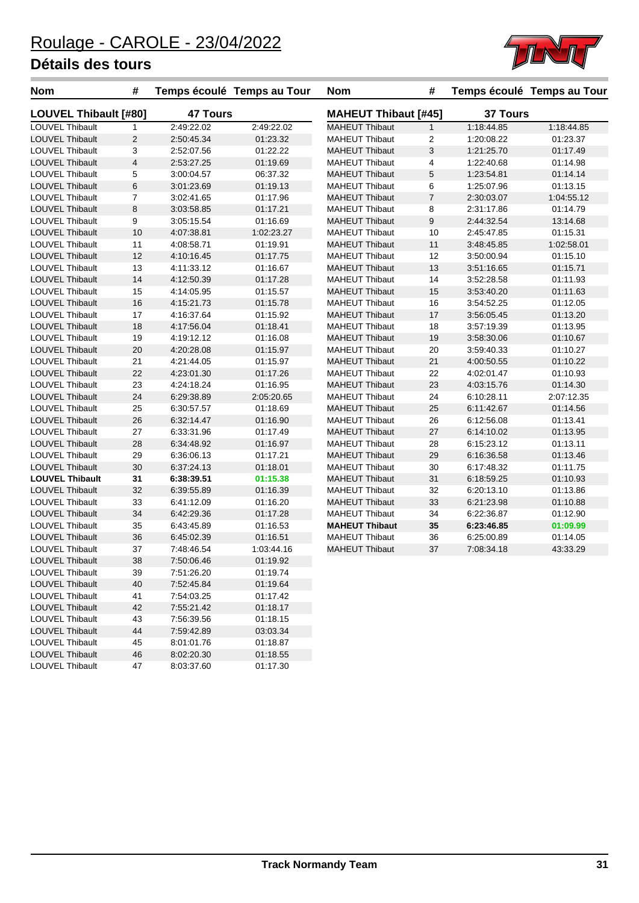LOUVEL Thibault 47 8:03:37.60 01:17.30



| <b>Nom</b>                   | #              | Temps écoulé Temps au Tour |            | Nom                         | #              |                 | Temps écoulé Temps au Tour |
|------------------------------|----------------|----------------------------|------------|-----------------------------|----------------|-----------------|----------------------------|
| <b>LOUVEL Thibault [#80]</b> |                | <b>47 Tours</b>            |            | <b>MAHEUT Thibaut [#45]</b> |                | <b>37 Tours</b> |                            |
| LOUVEL Thibault              | 1              | 2:49:22.02                 | 2:49:22.02 | <b>MAHEUT Thibaut</b>       | $\mathbf{1}$   | 1:18:44.85      | 1:18:44.85                 |
| <b>LOUVEL Thibault</b>       | $\overline{2}$ | 2:50:45.34                 | 01:23.32   | <b>MAHEUT Thibaut</b>       | 2              | 1:20:08.22      | 01:23.37                   |
| <b>LOUVEL Thibault</b>       | 3              | 2:52:07.56                 | 01:22.22   | <b>MAHEUT Thibaut</b>       | 3              | 1:21:25.70      | 01:17.49                   |
| <b>LOUVEL Thibault</b>       | $\overline{4}$ | 2:53:27.25                 | 01:19.69   | <b>MAHEUT Thibaut</b>       | 4              | 1:22:40.68      | 01:14.98                   |
| LOUVEL Thibault              | 5              | 3:00:04.57                 | 06:37.32   | <b>MAHEUT Thibaut</b>       | 5              | 1:23:54.81      | 01:14.14                   |
| <b>LOUVEL Thibault</b>       | 6              | 3:01:23.69                 | 01:19.13   | <b>MAHEUT Thibaut</b>       | 6              | 1:25:07.96      | 01:13.15                   |
| LOUVEL Thibault              | $\overline{7}$ | 3:02:41.65                 | 01:17.96   | <b>MAHEUT Thibaut</b>       | $\overline{7}$ | 2:30:03.07      | 1:04:55.12                 |
| LOUVEL Thibault              | 8              | 3:03:58.85                 | 01:17.21   | <b>MAHEUT Thibaut</b>       | 8              | 2:31:17.86      | 01:14.79                   |
| <b>LOUVEL Thibault</b>       | 9              | 3:05:15.54                 | 01:16.69   | <b>MAHEUT Thibaut</b>       | 9              | 2:44:32.54      | 13:14.68                   |
| <b>LOUVEL Thibault</b>       | 10             | 4:07:38.81                 | 1:02:23.27 | <b>MAHEUT Thibaut</b>       | 10             | 2:45:47.85      | 01:15.31                   |
| LOUVEL Thibault              | 11             | 4:08:58.71                 | 01:19.91   | <b>MAHEUT Thibaut</b>       | 11             | 3:48:45.85      | 1:02:58.01                 |
| LOUVEL Thibault              | 12             | 4:10:16.45                 | 01:17.75   | <b>MAHEUT Thibaut</b>       | 12             | 3:50:00.94      | 01:15.10                   |
| <b>LOUVEL Thibault</b>       | 13             | 4:11:33.12                 | 01:16.67   | <b>MAHEUT Thibaut</b>       | 13             | 3:51:16.65      | 01:15.71                   |
| <b>LOUVEL Thibault</b>       | 14             | 4:12:50.39                 | 01:17.28   | <b>MAHEUT Thibaut</b>       | 14             | 3:52:28.58      | 01:11.93                   |
| LOUVEL Thibault              | 15             | 4:14:05.95                 | 01:15.57   | <b>MAHEUT Thibaut</b>       | 15             | 3:53:40.20      | 01:11.63                   |
| <b>LOUVEL Thibault</b>       | 16             | 4:15:21.73                 | 01:15.78   | <b>MAHEUT Thibaut</b>       | 16             | 3:54:52.25      | 01:12.05                   |
| <b>LOUVEL Thibault</b>       | 17             | 4:16:37.64                 | 01:15.92   | <b>MAHEUT Thibaut</b>       | 17             | 3:56:05.45      | 01:13.20                   |
| LOUVEL Thibault              | 18             | 4:17:56.04                 | 01:18.41   | <b>MAHEUT Thibaut</b>       | 18             | 3:57:19.39      | 01:13.95                   |
| LOUVEL Thibault              | 19             | 4:19:12.12                 | 01:16.08   | <b>MAHEUT Thibaut</b>       | 19             | 3:58:30.06      | 01:10.67                   |
| <b>LOUVEL Thibault</b>       | 20             | 4:20:28.08                 | 01:15.97   | <b>MAHEUT Thibaut</b>       | 20             | 3:59:40.33      | 01:10.27                   |
| LOUVEL Thibault              | 21             | 4:21:44.05                 | 01:15.97   | <b>MAHEUT Thibaut</b>       | 21             | 4:00:50.55      | 01:10.22                   |
| <b>LOUVEL Thibault</b>       | 22             | 4:23:01.30                 | 01:17.26   | <b>MAHEUT Thibaut</b>       | 22             | 4:02:01.47      | 01:10.93                   |
| LOUVEL Thibault              | 23             | 4:24:18.24                 | 01:16.95   | <b>MAHEUT Thibaut</b>       | 23             | 4:03:15.76      | 01:14.30                   |
| <b>LOUVEL Thibault</b>       | 24             | 6:29:38.89                 | 2:05:20.65 | <b>MAHEUT Thibaut</b>       | 24             | 6:10:28.11      | 2:07:12.35                 |
| <b>LOUVEL Thibault</b>       | 25             | 6:30:57.57                 | 01:18.69   | <b>MAHEUT Thibaut</b>       | 25             | 6:11:42.67      | 01:14.56                   |
| <b>LOUVEL Thibault</b>       | 26             | 6:32:14.47                 | 01:16.90   | <b>MAHEUT Thibaut</b>       | 26             | 6:12:56.08      | 01:13.41                   |
| LOUVEL Thibault              | 27             | 6:33:31.96                 | 01:17.49   | <b>MAHEUT Thibaut</b>       | 27             | 6:14:10.02      | 01:13.95                   |
| <b>LOUVEL Thibault</b>       | 28             | 6:34:48.92                 | 01:16.97   | <b>MAHEUT Thibaut</b>       | 28             | 6:15:23.12      | 01:13.11                   |
| <b>LOUVEL Thibault</b>       | 29             | 6:36:06.13                 | 01:17.21   | <b>MAHEUT Thibaut</b>       | 29             | 6:16:36.58      | 01:13.46                   |
| <b>LOUVEL Thibault</b>       | 30             | 6:37:24.13                 | 01:18.01   | <b>MAHEUT Thibaut</b>       | 30             | 6:17:48.32      | 01:11.75                   |
| <b>LOUVEL Thibault</b>       | 31             | 6:38:39.51                 | 01:15.38   | <b>MAHEUT Thibaut</b>       | 31             | 6:18:59.25      | 01:10.93                   |
| <b>LOUVEL Thibault</b>       | 32             | 6:39:55.89                 | 01:16.39   | <b>MAHEUT Thibaut</b>       | 32             | 6:20:13.10      | 01:13.86                   |
| LOUVEL Thibault              | 33             | 6:41:12.09                 | 01:16.20   | <b>MAHEUT Thibaut</b>       | 33             | 6:21:23.98      | 01:10.88                   |
| <b>LOUVEL Thibault</b>       | 34             | 6:42:29.36                 | 01:17.28   | <b>MAHEUT Thibaut</b>       | 34             | 6:22:36.87      | 01:12.90                   |
| LOUVEL Thibault              | 35             | 6:43:45.89                 | 01:16.53   | <b>MAHEUT Thibaut</b>       | 35             | 6:23:46.85      | 01:09.99                   |
| <b>LOUVEL Thibault</b>       | 36             | 6:45:02.39                 | 01:16.51   | <b>MAHEUT Thibaut</b>       | 36             | 6:25:00.89      | 01:14.05                   |
| LOUVEL Thibault              | 37             | 7:48:46.54                 | 1:03:44.16 | <b>MAHEUT Thibaut</b>       | 37             | 7:08:34.18      | 43:33.29                   |
| LOUVEL Thibault              | 38             | 7:50:06.46                 | 01:19.92   |                             |                |                 |                            |
| LOUVEL Thibault              | 39             | 7:51:26.20                 | 01:19.74   |                             |                |                 |                            |
| <b>LOUVEL Thibault</b>       | 40             | 7:52:45.84                 | 01:19.64   |                             |                |                 |                            |
| LOUVEL Thibault              | 41             | 7:54:03.25                 | 01:17.42   |                             |                |                 |                            |
| LOUVEL Thibault              | 42             | 7:55:21.42                 | 01:18.17   |                             |                |                 |                            |
| LOUVEL Thibault              | 43             | 7:56:39.56                 | 01:18.15   |                             |                |                 |                            |
| <b>LOUVEL Thibault</b>       | 44             | 7:59:42.89                 | 03:03.34   |                             |                |                 |                            |
| LOUVEL Thibault              | 45             | 8:01:01.76                 | 01:18.87   |                             |                |                 |                            |
| <b>LOUVEL Thibault</b>       | 46             | 8:02:20.30                 | 01:18.55   |                             |                |                 |                            |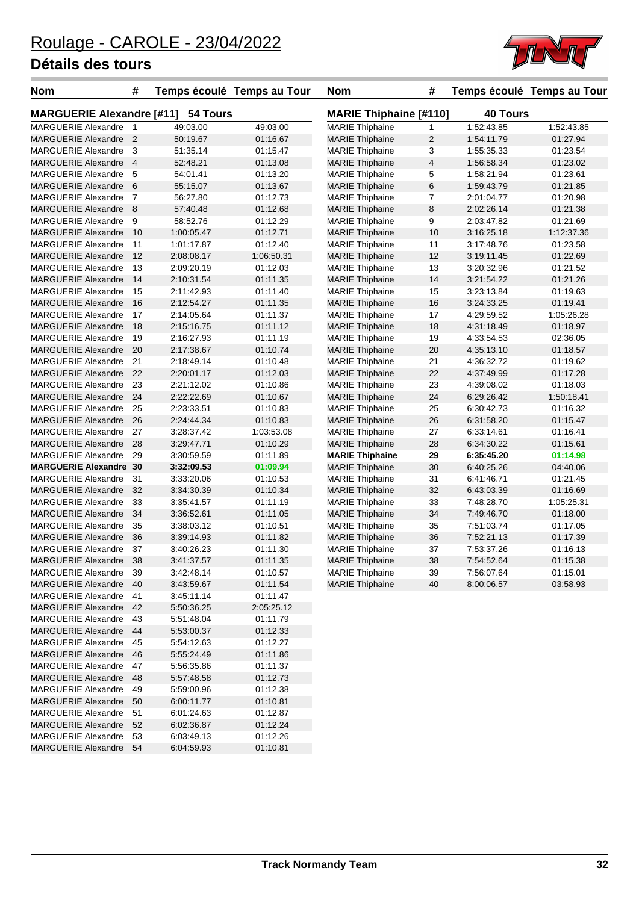MARGUERIE Alexandre 54



| <b>Nom</b>                                   | #              | Temps écoulé Temps au Tour |                               | <b>Nom</b>             | #                       |            | Temps écoulé Temps au Tour |
|----------------------------------------------|----------------|----------------------------|-------------------------------|------------------------|-------------------------|------------|----------------------------|
| <b>MARGUERIE Alexandre [#11]</b><br>54 Tours |                |                            | <b>MARIE Thiphaine [#110]</b> |                        | <b>40 Tours</b>         |            |                            |
| <b>MARGUERIE Alexandre</b>                   | $\overline{1}$ | 49:03.00                   | 49:03.00                      | <b>MARIE Thiphaine</b> | 1                       | 1:52:43.85 | 1:52:43.85                 |
| <b>MARGUERIE Alexandre</b>                   | $\overline{2}$ | 50:19.67                   | 01:16.67                      | <b>MARIE Thiphaine</b> | $\overline{2}$          | 1:54:11.79 | 01:27.94                   |
| <b>MARGUERIE Alexandre</b>                   | $\mathbf{3}$   | 51:35.14                   | 01:15.47                      | <b>MARIE</b> Thiphaine | 3                       | 1:55:35.33 | 01:23.54                   |
| MARGUERIE Alexandre 4                        |                | 52:48.21                   | 01:13.08                      | <b>MARIE Thiphaine</b> | $\overline{\mathbf{4}}$ | 1:56:58.34 | 01:23.02                   |
| <b>MARGUERIE Alexandre</b>                   | - 5            | 54:01.41                   | 01:13.20                      | <b>MARIE</b> Thiphaine | 5                       | 1:58:21.94 | 01:23.61                   |
| MARGUERIE Alexandre 6                        |                | 55:15.07                   | 01:13.67                      | <b>MARIE</b> Thiphaine | 6                       | 1:59:43.79 | 01:21.85                   |
| <b>MARGUERIE Alexandre</b>                   | $\overline{7}$ | 56:27.80                   | 01:12.73                      | <b>MARIE Thiphaine</b> | 7                       | 2:01:04.77 | 01:20.98                   |
| <b>MARGUERIE Alexandre</b>                   | - 8            | 57:40.48                   | 01:12.68                      | <b>MARIE Thiphaine</b> | 8                       | 2:02:26.14 | 01:21.38                   |
| <b>MARGUERIE Alexandre</b>                   | 9              | 58:52.76                   | 01:12.29                      | <b>MARIE</b> Thiphaine | 9                       | 2:03:47.82 | 01:21.69                   |
| <b>MARGUERIE Alexandre</b>                   | 10             | 1:00:05.47                 | 01:12.71                      | <b>MARIE Thiphaine</b> | 10                      | 3:16:25.18 | 1:12:37.36                 |
| <b>MARGUERIE Alexandre</b>                   | 11             | 1:01:17.87                 | 01:12.40                      | <b>MARIE</b> Thiphaine | 11                      | 3:17:48.76 | 01:23.58                   |
| <b>MARGUERIE Alexandre</b>                   | 12             | 2:08:08.17                 | 1:06:50.31                    | <b>MARIE Thiphaine</b> | 12                      | 3:19:11.45 | 01:22.69                   |
| <b>MARGUERIE Alexandre</b>                   | 13             | 2:09:20.19                 | 01:12.03                      | <b>MARIE Thiphaine</b> | 13                      | 3:20:32.96 | 01:21.52                   |
| <b>MARGUERIE Alexandre</b>                   | 14             | 2:10:31.54                 | 01:11.35                      | <b>MARIE Thiphaine</b> | 14                      | 3:21:54.22 | 01:21.26                   |
| <b>MARGUERIE Alexandre</b>                   | 15             | 2:11:42.93                 | 01:11.40                      | <b>MARIE Thiphaine</b> | 15                      | 3:23:13.84 | 01:19.63                   |
| <b>MARGUERIE Alexandre</b>                   | 16             | 2:12:54.27                 | 01:11.35                      | <b>MARIE Thiphaine</b> | 16                      | 3:24:33.25 | 01:19.41                   |
| <b>MARGUERIE Alexandre</b>                   | 17             | 2:14:05.64                 | 01:11.37                      | <b>MARIE Thiphaine</b> | 17                      | 4:29:59.52 | 1:05:26.28                 |
| <b>MARGUERIE Alexandre</b>                   | 18             | 2:15:16.75                 | 01:11.12                      | <b>MARIE</b> Thiphaine | 18                      | 4:31:18.49 | 01:18.97                   |
| <b>MARGUERIE Alexandre</b>                   | 19             | 2:16:27.93                 | 01:11.19                      | <b>MARIE Thiphaine</b> | 19                      | 4:33:54.53 | 02:36.05                   |
| <b>MARGUERIE Alexandre</b>                   | 20             | 2:17:38.67                 | 01:10.74                      | <b>MARIE Thiphaine</b> | 20                      | 4:35:13.10 | 01:18.57                   |
| <b>MARGUERIE Alexandre</b>                   | 21             | 2:18:49.14                 | 01:10.48                      | <b>MARIE Thiphaine</b> | 21                      | 4:36:32.72 | 01:19.62                   |
| <b>MARGUERIE Alexandre</b>                   | 22             | 2:20:01.17                 | 01:12.03                      | <b>MARIE Thiphaine</b> | 22                      | 4:37:49.99 | 01:17.28                   |
| <b>MARGUERIE Alexandre</b>                   | 23             | 2:21:12.02                 | 01:10.86                      | <b>MARIE Thiphaine</b> | 23                      | 4:39:08.02 | 01:18.03                   |
| <b>MARGUERIE Alexandre</b>                   | 24             | 2:22:22.69                 | 01:10.67                      | <b>MARIE</b> Thiphaine | 24                      | 6:29:26.42 | 1:50:18.41                 |
| <b>MARGUERIE Alexandre</b>                   | 25             | 2:23:33.51                 | 01:10.83                      | <b>MARIE Thiphaine</b> | 25                      | 6:30:42.73 | 01:16.32                   |
| <b>MARGUERIE Alexandre</b>                   | 26             | 2:24:44.34                 | 01:10.83                      | <b>MARIE Thiphaine</b> | 26                      | 6:31:58.20 | 01:15.47                   |
| <b>MARGUERIE Alexandre</b>                   | 27             | 3:28:37.42                 | 1:03:53.08                    | <b>MARIE</b> Thiphaine | 27                      | 6:33:14.61 | 01:16.41                   |
| <b>MARGUERIE Alexandre</b>                   | 28             | 3:29:47.71                 | 01:10.29                      | <b>MARIE Thiphaine</b> | 28                      | 6:34:30.22 | 01:15.61                   |
| <b>MARGUERIE Alexandre</b>                   | 29             | 3:30:59.59                 | 01:11.89                      | <b>MARIE Thiphaine</b> | 29                      | 6:35:45.20 | 01:14.98                   |
| <b>MARGUERIE Alexandre 30</b>                |                | 3:32:09.53                 | 01:09.94                      | <b>MARIE Thiphaine</b> | 30                      | 6:40:25.26 | 04:40.06                   |
| <b>MARGUERIE Alexandre</b>                   | 31             | 3:33:20.06                 | 01:10.53                      | <b>MARIE</b> Thiphaine | 31                      | 6:41:46.71 | 01:21.45                   |
| <b>MARGUERIE Alexandre</b>                   | 32             | 3:34:30.39                 | 01:10.34                      | <b>MARIE Thiphaine</b> | 32                      | 6:43:03.39 | 01:16.69                   |
| <b>MARGUERIE Alexandre</b>                   | 33             | 3:35:41.57                 | 01:11.19                      | <b>MARIE Thiphaine</b> | 33                      | 7:48:28.70 | 1:05:25.31                 |
| <b>MARGUERIE Alexandre</b>                   | 34             | 3:36:52.61                 | 01:11.05                      | <b>MARIE Thiphaine</b> | 34                      | 7:49:46.70 | 01:18.00                   |
| <b>MARGUERIE Alexandre</b>                   | 35             | 3:38:03.12                 | 01:10.51                      | <b>MARIE Thiphaine</b> | 35                      | 7:51:03.74 | 01:17.05                   |
| <b>MARGUERIE Alexandre</b>                   | 36             | 3:39:14.93                 | 01:11.82                      | <b>MARIE Thiphaine</b> | 36                      | 7:52:21.13 | 01:17.39                   |
| <b>MARGUERIE Alexandre</b>                   | 37             | 3:40:26.23                 | 01:11.30                      | <b>MARIE Thiphaine</b> | 37                      | 7:53:37.26 | 01:16.13                   |
| MARGUERIE Alexandre 38                       |                | 3:41:37.57                 | 01:11.35                      | <b>MARIE Thiphaine</b> | 38                      | 7:54:52.64 | 01:15.38                   |
| MARGUERIE Alexandre 39                       |                | 3:42:48.14                 | 01:10.57                      | <b>MARIE Thiphaine</b> | 39                      | 7:56:07.64 | 01:15.01                   |
| <b>MARGUERIE Alexandre</b>                   | 40             | 3:43:59.67                 | 01:11.54                      | <b>MARIE Thiphaine</b> | 40                      | 8:00:06.57 | 03:58.93                   |
| MARGUERIE Alexandre 41                       |                | 3:45:11.14                 | 01:11.47                      |                        |                         |            |                            |
| MARGUERIE Alexandre 42                       |                | 5:50:36.25                 | 2:05:25.12                    |                        |                         |            |                            |
| MARGUERIE Alexandre                          | 43             | 5:51:48.04                 | 01:11.79                      |                        |                         |            |                            |
| <b>MARGUERIE Alexandre</b>                   | 44             | 5:53:00.37                 | 01:12.33                      |                        |                         |            |                            |
| <b>MARGUERIE Alexandre</b>                   | 45             | 5:54:12.63                 | 01:12.27                      |                        |                         |            |                            |
| <b>MARGUERIE Alexandre</b>                   | 46             | 5:55:24.49                 | 01:11.86                      |                        |                         |            |                            |
| <b>MARGUERIE Alexandre</b>                   | 47             | 5:56:35.86                 | 01:11.37                      |                        |                         |            |                            |
| <b>MARGUERIE Alexandre</b>                   | -48            | 5:57:48.58                 | 01:12.73                      |                        |                         |            |                            |
| <b>MARGUERIE Alexandre</b>                   | 49             | 5:59:00.96                 | 01:12.38                      |                        |                         |            |                            |
| <b>MARGUERIE Alexandre</b>                   | 50             | 6:00:11.77                 | 01:10.81                      |                        |                         |            |                            |
| MARGUERIE Alexandre                          | -51            | 6:01:24.63                 | 01:12.87                      |                        |                         |            |                            |
| <b>MARGUERIE Alexandre</b>                   | 52             | 6:02:36.87                 | 01:12.24                      |                        |                         |            |                            |
| <b>MARGUERIE Alexandre</b>                   | 53             | 6:03:49.13                 | 01:12.26                      |                        |                         |            |                            |
| MARGUERIE Alexandre 54                       |                | 6:04:59.93                 | 01:10.81                      |                        |                         |            |                            |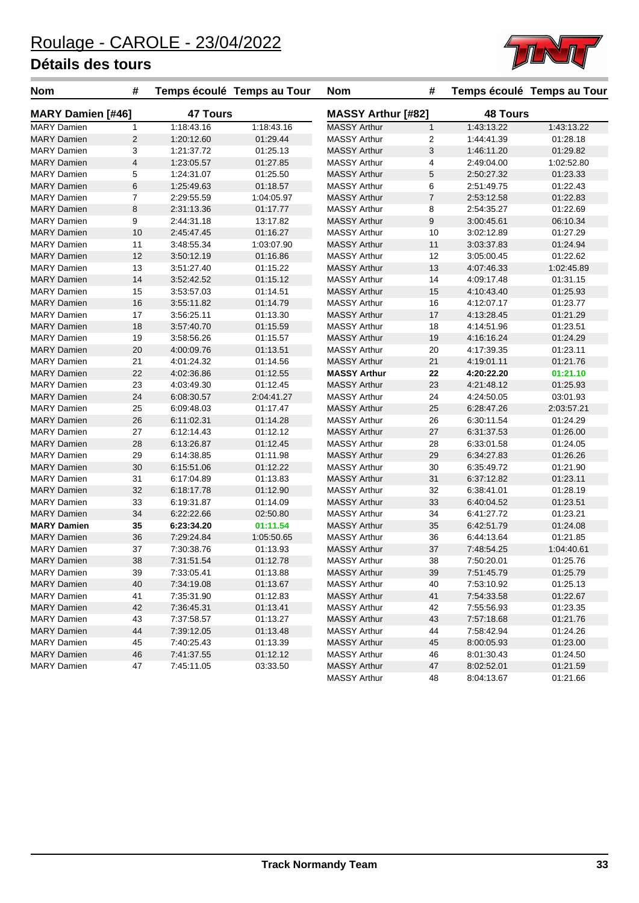

| Nom                      | #              |                 | Temps écoulé Temps au Tour | <b>Nom</b>                | #              |                 | Temps écoulé Temps au Tour |
|--------------------------|----------------|-----------------|----------------------------|---------------------------|----------------|-----------------|----------------------------|
| <b>MARY Damien [#46]</b> |                | <b>47 Tours</b> |                            | <b>MASSY Arthur [#82]</b> |                | <b>48 Tours</b> |                            |
| <b>MARY Damien</b>       | 1              | 1:18:43.16      | 1:18:43.16                 | <b>MASSY Arthur</b>       | $\mathbf{1}$   | 1:43:13.22      | 1:43:13.22                 |
| <b>MARY Damien</b>       | $\sqrt{2}$     | 1:20:12.60      | 01:29.44                   | <b>MASSY Arthur</b>       | 2              | 1:44:41.39      | 01:28.18                   |
| <b>MARY Damien</b>       | 3              | 1:21:37.72      | 01:25.13                   | <b>MASSY Arthur</b>       | 3              | 1:46:11.20      | 01:29.82                   |
| <b>MARY Damien</b>       | $\overline{4}$ | 1:23:05.57      | 01:27.85                   | <b>MASSY Arthur</b>       | 4              | 2:49:04.00      | 1:02:52.80                 |
| <b>MARY Damien</b>       | 5              | 1:24:31.07      | 01:25.50                   | <b>MASSY Arthur</b>       | 5              | 2:50:27.32      | 01:23.33                   |
| <b>MARY Damien</b>       | $\,6$          | 1:25:49.63      | 01:18.57                   | <b>MASSY Arthur</b>       | 6              | 2:51:49.75      | 01:22.43                   |
| <b>MARY Damien</b>       | $\overline{7}$ | 2:29:55.59      | 1:04:05.97                 | <b>MASSY Arthur</b>       | $\overline{7}$ | 2:53:12.58      | 01:22.83                   |
| <b>MARY Damien</b>       | $\,8\,$        | 2:31:13.36      | 01:17.77                   | <b>MASSY Arthur</b>       | 8              | 2:54:35.27      | 01:22.69                   |
| <b>MARY Damien</b>       | 9              | 2:44:31.18      | 13:17.82                   | <b>MASSY Arthur</b>       | 9              | 3:00:45.61      | 06:10.34                   |
| <b>MARY Damien</b>       | 10             | 2:45:47.45      | 01:16.27                   | <b>MASSY Arthur</b>       | 10             | 3:02:12.89      | 01:27.29                   |
| <b>MARY Damien</b>       | 11             | 3:48:55.34      | 1:03:07.90                 | <b>MASSY Arthur</b>       | 11             | 3:03:37.83      | 01:24.94                   |
| <b>MARY Damien</b>       | 12             | 3:50:12.19      | 01:16.86                   | <b>MASSY Arthur</b>       | 12             | 3:05:00.45      | 01:22.62                   |
| <b>MARY Damien</b>       | 13             | 3:51:27.40      | 01:15.22                   | <b>MASSY Arthur</b>       | 13             | 4:07:46.33      | 1:02:45.89                 |
| <b>MARY Damien</b>       | 14             | 3:52:42.52      | 01:15.12                   | <b>MASSY Arthur</b>       | 14             | 4:09:17.48      | 01:31.15                   |
| <b>MARY Damien</b>       | 15             | 3:53:57.03      | 01:14.51                   | <b>MASSY Arthur</b>       | 15             | 4:10:43.40      | 01:25.93                   |
| <b>MARY Damien</b>       | 16             | 3:55:11.82      | 01:14.79                   | <b>MASSY Arthur</b>       | 16             | 4:12:07.17      | 01:23.77                   |
| <b>MARY Damien</b>       | 17             | 3:56:25.11      | 01:13.30                   | <b>MASSY Arthur</b>       | 17             | 4:13:28.45      | 01:21.29                   |
| <b>MARY Damien</b>       | 18             | 3:57:40.70      | 01:15.59                   | <b>MASSY Arthur</b>       | 18             | 4:14:51.96      | 01:23.51                   |
| <b>MARY Damien</b>       | 19             | 3:58:56.26      | 01:15.57                   | <b>MASSY Arthur</b>       | 19             | 4:16:16.24      | 01:24.29                   |
| <b>MARY Damien</b>       | 20             | 4:00:09.76      | 01:13.51                   | <b>MASSY Arthur</b>       | 20             | 4:17:39.35      | 01:23.11                   |
| <b>MARY Damien</b>       | 21             | 4:01:24.32      | 01:14.56                   | <b>MASSY Arthur</b>       | 21             | 4:19:01.11      | 01:21.76                   |
| <b>MARY Damien</b>       | 22             | 4:02:36.86      | 01:12.55                   | <b>MASSY Arthur</b>       | 22             | 4:20:22.20      | 01:21.10                   |
| <b>MARY Damien</b>       | 23             | 4:03:49.30      | 01:12.45                   | <b>MASSY Arthur</b>       | 23             | 4:21:48.12      | 01:25.93                   |
| <b>MARY Damien</b>       | 24             | 6:08:30.57      | 2:04:41.27                 | <b>MASSY Arthur</b>       | 24             | 4:24:50.05      | 03:01.93                   |
| <b>MARY Damien</b>       | 25             | 6:09:48.03      | 01:17.47                   | <b>MASSY Arthur</b>       | 25             | 6:28:47.26      | 2:03:57.21                 |
| <b>MARY Damien</b>       | 26             | 6:11:02.31      | 01:14.28                   | <b>MASSY Arthur</b>       | 26             | 6:30:11.54      | 01:24.29                   |
| <b>MARY Damien</b>       | 27             | 6:12:14.43      | 01:12.12                   | <b>MASSY Arthur</b>       | 27             | 6:31:37.53      | 01:26.00                   |
| <b>MARY Damien</b>       | 28             | 6:13:26.87      | 01:12.45                   | <b>MASSY Arthur</b>       | 28             | 6:33:01.58      | 01:24.05                   |
| <b>MARY Damien</b>       | 29             | 6:14:38.85      | 01:11.98                   | <b>MASSY Arthur</b>       | 29             | 6:34:27.83      | 01:26.26                   |
| <b>MARY Damien</b>       | 30             | 6:15:51.06      | 01:12.22                   | <b>MASSY Arthur</b>       | 30             | 6:35:49.72      | 01:21.90                   |
| <b>MARY Damien</b>       | 31             | 6:17:04.89      | 01:13.83                   | <b>MASSY Arthur</b>       | 31             | 6:37:12.82      | 01:23.11                   |
| <b>MARY Damien</b>       | 32             | 6:18:17.78      | 01:12.90                   | <b>MASSY Arthur</b>       | 32             | 6:38:41.01      | 01:28.19                   |
| <b>MARY Damien</b>       | 33             | 6:19:31.87      | 01:14.09                   | <b>MASSY Arthur</b>       | 33             | 6:40:04.52      | 01:23.51                   |
| <b>MARY Damien</b>       | 34             | 6:22:22.66      | 02:50.80                   | <b>MASSY Arthur</b>       | 34             | 6:41:27.72      | 01:23.21                   |
| <b>MARY Damien</b>       | 35             | 6:23:34.20      | 01:11.54                   | <b>MASSY Arthur</b>       | 35             | 6:42:51.79      | 01:24.08                   |
| <b>MARY Damien</b>       | 36             | 7:29:24.84      | 1:05:50.65                 | <b>MASSY Arthur</b>       | 36             | 6:44:13.64      | 01:21.85                   |
| <b>MARY Damien</b>       | 37             | 7:30:38.76      | 01:13.93                   | <b>MASSY Arthur</b>       | 37             | 7:48:54.25      | 1:04:40.61                 |
| <b>MARY Damien</b>       | 38             | 7:31:51.54      | 01:12.78                   | <b>MASSY Arthur</b>       | 38             | 7:50:20.01      | 01:25.76                   |
| <b>MARY Damien</b>       | 39             | 7:33:05.41      | 01:13.88                   | <b>MASSY Arthur</b>       | 39             | 7:51:45.79      | 01:25.79                   |
| <b>MARY Damien</b>       | 40             | 7:34:19.08      | 01:13.67                   | <b>MASSY Arthur</b>       | 40             | 7:53:10.92      | 01:25.13                   |
| <b>MARY Damien</b>       | 41             | 7:35:31.90      | 01:12.83                   | <b>MASSY Arthur</b>       | 41             | 7:54:33.58      | 01:22.67                   |
| <b>MARY Damien</b>       | 42             | 7:36:45.31      | 01:13.41                   | <b>MASSY Arthur</b>       | 42             | 7:55.56.93      | 01:23.35                   |
| <b>MARY Damien</b>       | 43             | 7:37:58.57      | 01:13.27                   | <b>MASSY Arthur</b>       | 43             | 7:57:18.68      | 01:21.76                   |
| <b>MARY Damien</b>       | 44             | 7:39:12.05      | 01:13.48                   | MASSY Arthur              | 44             | 7:58:42.94      | 01:24.26                   |
| <b>MARY Damien</b>       | 45             | 7:40:25.43      | 01:13.39                   | <b>MASSY Arthur</b>       | 45             | 8:00:05.93      | 01:23.00                   |
| <b>MARY Damien</b>       | 46             | 7:41:37.55      | 01:12.12                   | <b>MASSY Arthur</b>       | 46             | 8:01:30.43      | 01:24.50                   |
| <b>MARY Damien</b>       | 47             | 7:45:11.05      | 03:33.50                   | <b>MASSY Arthur</b>       | 47             | 8:02:52.01      | 01:21.59                   |
|                          |                |                 |                            | <b>MASSY Arthur</b>       | 48             | 8:04:13.67      | 01:21.66                   |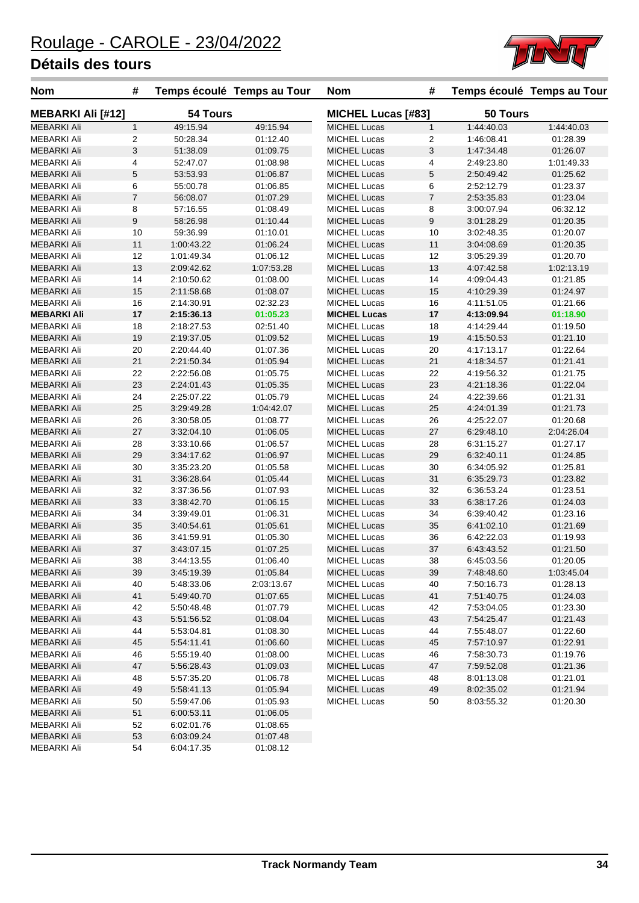

| 54 Tours<br>50 Tours<br><b>MEBARKI Ali [#12]</b><br><b>MICHEL Lucas [#83]</b><br><b>MEBARKI Ali</b><br>49:15.94<br><b>MICHEL Lucas</b><br>1:44:40.03<br>$\mathbf{1}$<br>49:15.94<br>1:44:40.03<br>$\mathbf{1}$<br>2<br>50:28.34<br>01:12.40<br><b>MICHEL Lucas</b><br>1:46:08.41<br><b>MEBARKI Ali</b><br>2<br>01:28.39<br>3<br><b>MICHEL Lucas</b><br>3<br><b>MEBARKI Ali</b><br>51:38.09<br>01:09.75<br>1:47:34.48<br>01:26.07<br>4<br>4<br><b>MEBARKI Ali</b><br>52:47.07<br>01:08.98<br><b>MICHEL Lucas</b><br>2:49:23.80<br>1:01:49.33<br>5<br>5<br><b>MEBARKI Ali</b><br>53:53.93<br>01:06.87<br><b>MICHEL Lucas</b><br>2:50:49.42<br>01:25.62<br><b>MEBARKI Ali</b><br>6<br>55:00.78<br>01:06.85<br><b>MICHEL Lucas</b><br>6<br>2:52:12.79<br>01:23.37<br>$\overline{7}$<br>$\overline{7}$<br><b>MEBARKI Ali</b><br>56:08.07<br>01:07.29<br><b>MICHEL Lucas</b><br>2:53:35.83<br>01:23.04<br><b>MICHEL Lucas</b><br><b>MEBARKI Ali</b><br>8<br>57:16.55<br>01:08.49<br>8<br>3:00:07.94<br>06:32.12<br>9<br>01:10.44<br><b>MICHEL Lucas</b><br>9<br><b>MEBARKI Ali</b><br>58:26.98<br>3:01:28.29<br>01:20.35<br>MEBARKI Ali<br>10<br>59:36.99<br>01:10.01<br><b>MICHEL Lucas</b><br>10<br>01:20.07<br>3:02:48.35<br><b>MEBARKI Ali</b><br>11<br>1:00:43.22<br>01:06.24<br><b>MICHEL Lucas</b><br>11<br>3:04:08.69<br>01:20.35<br>12<br>12<br><b>MEBARKI Ali</b><br>1:01:49.34<br>01:06.12<br><b>MICHEL Lucas</b><br>3:05:29.39<br>01:20.70<br>13<br><b>MICHEL Lucas</b><br>13<br><b>MEBARKI Ali</b><br>2:09:42.62<br>1:07:53.28<br>4:07:42.58<br>1:02:13.19<br><b>MEBARKI Ali</b><br>14<br>2:10:50.62<br>01:08.00<br><b>MICHEL Lucas</b><br>14<br>4:09:04.43<br>01:21.85<br>15<br><b>MEBARKI Ali</b><br>15<br>2:11:58.68<br>01:08.07<br><b>MICHEL Lucas</b><br>4:10:29.39<br>01:24.97<br>02:32.23<br><b>MEBARKI Ali</b><br>16<br>2:14:30.91<br><b>MICHEL Lucas</b><br>16<br>4:11:51.05<br>01:21.66<br>17<br>17<br><b>MEBARKI Ali</b><br>2:15:36.13<br>01:05.23<br><b>MICHEL Lucas</b><br>4:13:09.94<br>01:18.90<br><b>MEBARKI Ali</b><br>18<br>2:18:27.53<br>02:51.40<br><b>MICHEL Lucas</b><br>18<br>4:14:29.44<br>01:19.50<br>19<br><b>MICHEL Lucas</b><br>19<br>01:21.10<br><b>MEBARKI Ali</b><br>2:19:37.05<br>01:09.52<br>4:15:50.53<br>20<br>01:22.64<br><b>MEBARKI Ali</b><br>2:20:44.40<br>01:07.36<br><b>MICHEL Lucas</b><br>20<br>4:17:13.17<br><b>MEBARKI Ali</b><br>21<br>2:21:50.34<br>01:05.94<br><b>MICHEL Lucas</b><br>21<br>4:18:34.57<br>01:21.41<br><b>MEBARKI Ali</b><br>22<br>2:22:56.08<br>01:05.75<br><b>MICHEL Lucas</b><br>22<br>4:19:56.32<br>01:21.75<br>23<br>23<br><b>MEBARKI Ali</b><br>2:24:01.43<br>01:05.35<br><b>MICHEL Lucas</b><br>4:21:18.36<br>01:22.04<br>24<br><b>MEBARKI Ali</b><br>2:25:07.22<br>01:05.79<br><b>MICHEL Lucas</b><br>24<br>4:22:39.66<br>01:21.31<br>25<br><b>MICHEL Lucas</b><br>25<br><b>MEBARKI Ali</b><br>3:29:49.28<br>1:04:42.07<br>4:24:01.39<br>01:21.73<br><b>MEBARKI Ali</b><br>26<br>3:30:58.05<br>01:08.77<br><b>MICHEL Lucas</b><br>26<br>4:25:22.07<br>01:20.68<br>27<br>27<br><b>MEBARKI Ali</b><br>3:32:04.10<br>01:06.05<br><b>MICHEL Lucas</b><br>6:29:48.10<br>2:04:26.04<br><b>MEBARKI Ali</b><br>28<br>01:06.57<br><b>MICHEL Lucas</b><br>28<br>3:33:10.66<br>6:31:15.27<br>01:27.17<br><b>MEBARKI Ali</b><br>29<br>3:34:17.62<br>01:06.97<br><b>MICHEL Lucas</b><br>29<br>6:32:40.11<br>01:24.85<br><b>MICHEL Lucas</b><br><b>MEBARKI Ali</b><br>30<br>3:35:23.20<br>01:05.58<br>30<br>6:34:05.92<br>01:25.81<br>31<br>01:05.44<br>31<br><b>MEBARKI Ali</b><br>3:36:28.64<br><b>MICHEL Lucas</b><br>6:35:29.73<br>01:23.82<br><b>MEBARKI Ali</b><br>32<br>3:37:36.56<br>01:07.93<br><b>MICHEL Lucas</b><br>32<br>6:36:53.24<br>01:23.51<br>33<br>33<br><b>MEBARKI Ali</b><br>3:38:42.70<br>01:06.15<br><b>MICHEL Lucas</b><br>6:38:17.26<br>01:24.03<br><b>MEBARKI Ali</b><br>34<br>01:06.31<br><b>MICHEL Lucas</b><br>34<br>3:39:49.01<br>6:39:40.42<br>01:23.16<br>35<br><b>MEBARKI Ali</b><br>35<br>3:40:54.61<br>01:05.61<br><b>MICHEL Lucas</b><br>6:41:02.10<br>01:21.69<br><b>MEBARKI Ali</b><br>36<br>3:41:59.91<br>01:05.30<br><b>MICHEL Lucas</b><br>36<br>6:42:22.03<br>01:19.93<br>37<br>37<br><b>MEBARKI Ali</b><br>3:43:07.15<br>01:07.25<br><b>MICHEL Lucas</b><br>6:43:43.52<br>01:21.50<br>38<br>01:06.40<br>38<br>01:20.05<br>MEBARKI Ali<br>3:44:13.55<br>MICHEL Lucas<br>6.45:03.56<br><b>MEBARKI Ali</b><br>39<br>3:45:19.39<br>01:05.84<br><b>MICHEL Lucas</b><br>39<br>7:48:48.60<br>1:03:45.04<br>MEBARKI Ali<br>40<br>5:48:33.06<br>2:03:13.67<br><b>MICHEL Lucas</b><br>40<br>7:50:16.73<br>01:28.13<br>41<br><b>MEBARKI Ali</b><br>5:49:40.70<br>01:07.65<br><b>MICHEL Lucas</b><br>41<br>7:51:40.75<br>01:24.03<br>MEBARKI Ali<br>42<br><b>MICHEL Lucas</b><br>42<br>01:23.30<br>5:50:48.48<br>01:07.79<br>7:53:04.05<br>MEBARKI Ali<br>43<br>01:08.04<br><b>MICHEL Lucas</b><br>43<br>7:54:25.47<br>01:21.43<br>5.51.56.52<br><b>MEBARKI Ali</b><br>01:08.30<br>01:22.60<br>44<br>5:53:04.81<br>MICHEL Lucas<br>44<br>7:55:48.07<br>45<br>45<br>MEBARKI Ali<br>5:54:11.41<br>01:06.60<br><b>MICHEL Lucas</b><br>7:57:10.97<br>01:22.91<br>MEBARKI Ali<br>46<br>5:55:19.40<br>01:08.00<br><b>MICHEL Lucas</b><br>01:19.76<br>46<br>7:58:30.73<br><b>MEBARKI Ali</b><br>47<br>5:56:28.43<br>01:09.03<br><b>MICHEL Lucas</b><br>47<br>7:59:52.08<br>01:21.36<br><b>MEBARKI Ali</b><br>01:21.01<br>48<br>5:57:35.20<br>01:06.78<br><b>MICHEL Lucas</b><br>48<br>8:01:13.08<br>49<br>01:05.94<br>49<br>01:21.94<br>MEBARKI Ali<br>5:58:41.13<br><b>MICHEL Lucas</b><br>8:02:35.02<br><b>MEBARKI Ali</b><br>01:05.93<br><b>MICHEL Lucas</b><br>50<br>01:20.30<br>50<br>5:59:47.06<br>8:03:55.32<br>MEBARKI Ali<br>51<br>6:00:53.11<br>01:06.05<br>52<br>MEBARKI Ali<br>6:02:01.76<br>01:08.65<br>MEBARKI Ali<br>53<br>01:07.48<br>6:03:09.24 | <b>Nom</b> | # | Temps écoulé Temps au Tour | <b>Nom</b> | # | Temps écoulé Temps au Tour |
|----------------------------------------------------------------------------------------------------------------------------------------------------------------------------------------------------------------------------------------------------------------------------------------------------------------------------------------------------------------------------------------------------------------------------------------------------------------------------------------------------------------------------------------------------------------------------------------------------------------------------------------------------------------------------------------------------------------------------------------------------------------------------------------------------------------------------------------------------------------------------------------------------------------------------------------------------------------------------------------------------------------------------------------------------------------------------------------------------------------------------------------------------------------------------------------------------------------------------------------------------------------------------------------------------------------------------------------------------------------------------------------------------------------------------------------------------------------------------------------------------------------------------------------------------------------------------------------------------------------------------------------------------------------------------------------------------------------------------------------------------------------------------------------------------------------------------------------------------------------------------------------------------------------------------------------------------------------------------------------------------------------------------------------------------------------------------------------------------------------------------------------------------------------------------------------------------------------------------------------------------------------------------------------------------------------------------------------------------------------------------------------------------------------------------------------------------------------------------------------------------------------------------------------------------------------------------------------------------------------------------------------------------------------------------------------------------------------------------------------------------------------------------------------------------------------------------------------------------------------------------------------------------------------------------------------------------------------------------------------------------------------------------------------------------------------------------------------------------------------------------------------------------------------------------------------------------------------------------------------------------------------------------------------------------------------------------------------------------------------------------------------------------------------------------------------------------------------------------------------------------------------------------------------------------------------------------------------------------------------------------------------------------------------------------------------------------------------------------------------------------------------------------------------------------------------------------------------------------------------------------------------------------------------------------------------------------------------------------------------------------------------------------------------------------------------------------------------------------------------------------------------------------------------------------------------------------------------------------------------------------------------------------------------------------------------------------------------------------------------------------------------------------------------------------------------------------------------------------------------------------------------------------------------------------------------------------------------------------------------------------------------------------------------------------------------------------------------------------------------------------------------------------------------------------------------------------------------------------------------------------------------------------------------------------------------------------------------------------------------------------------------------------------------------------------------------------------------------------------------------------------------------------------------------------------------------------------------------------------------------------------------------------------------------------------------------------------------------------------------------------------------------------------------------------------------------------------------------------------------------------------------------------------------------------------------------------------------------------------------------------------------------------------------------------------------------------------------------------------------------------------------------------------------------------------------------------------------------------------|------------|---|----------------------------|------------|---|----------------------------|
|                                                                                                                                                                                                                                                                                                                                                                                                                                                                                                                                                                                                                                                                                                                                                                                                                                                                                                                                                                                                                                                                                                                                                                                                                                                                                                                                                                                                                                                                                                                                                                                                                                                                                                                                                                                                                                                                                                                                                                                                                                                                                                                                                                                                                                                                                                                                                                                                                                                                                                                                                                                                                                                                                                                                                                                                                                                                                                                                                                                                                                                                                                                                                                                                                                                                                                                                                                                                                                                                                                                                                                                                                                                                                                                                                                                                                                                                                                                                                                                                                                                                                                                                                                                                                                                                                                                                                                                                                                                                                                                                                                                                                                                                                                                                                                                                                                                                                                                                                                                                                                                                                                                                                                                                                                                                                                                                                                                                                                                                                                                                                                                                                                                                                                                                                                                                                                                          |            |   |                            |            |   |                            |
|                                                                                                                                                                                                                                                                                                                                                                                                                                                                                                                                                                                                                                                                                                                                                                                                                                                                                                                                                                                                                                                                                                                                                                                                                                                                                                                                                                                                                                                                                                                                                                                                                                                                                                                                                                                                                                                                                                                                                                                                                                                                                                                                                                                                                                                                                                                                                                                                                                                                                                                                                                                                                                                                                                                                                                                                                                                                                                                                                                                                                                                                                                                                                                                                                                                                                                                                                                                                                                                                                                                                                                                                                                                                                                                                                                                                                                                                                                                                                                                                                                                                                                                                                                                                                                                                                                                                                                                                                                                                                                                                                                                                                                                                                                                                                                                                                                                                                                                                                                                                                                                                                                                                                                                                                                                                                                                                                                                                                                                                                                                                                                                                                                                                                                                                                                                                                                                          |            |   |                            |            |   |                            |
|                                                                                                                                                                                                                                                                                                                                                                                                                                                                                                                                                                                                                                                                                                                                                                                                                                                                                                                                                                                                                                                                                                                                                                                                                                                                                                                                                                                                                                                                                                                                                                                                                                                                                                                                                                                                                                                                                                                                                                                                                                                                                                                                                                                                                                                                                                                                                                                                                                                                                                                                                                                                                                                                                                                                                                                                                                                                                                                                                                                                                                                                                                                                                                                                                                                                                                                                                                                                                                                                                                                                                                                                                                                                                                                                                                                                                                                                                                                                                                                                                                                                                                                                                                                                                                                                                                                                                                                                                                                                                                                                                                                                                                                                                                                                                                                                                                                                                                                                                                                                                                                                                                                                                                                                                                                                                                                                                                                                                                                                                                                                                                                                                                                                                                                                                                                                                                                          |            |   |                            |            |   |                            |
|                                                                                                                                                                                                                                                                                                                                                                                                                                                                                                                                                                                                                                                                                                                                                                                                                                                                                                                                                                                                                                                                                                                                                                                                                                                                                                                                                                                                                                                                                                                                                                                                                                                                                                                                                                                                                                                                                                                                                                                                                                                                                                                                                                                                                                                                                                                                                                                                                                                                                                                                                                                                                                                                                                                                                                                                                                                                                                                                                                                                                                                                                                                                                                                                                                                                                                                                                                                                                                                                                                                                                                                                                                                                                                                                                                                                                                                                                                                                                                                                                                                                                                                                                                                                                                                                                                                                                                                                                                                                                                                                                                                                                                                                                                                                                                                                                                                                                                                                                                                                                                                                                                                                                                                                                                                                                                                                                                                                                                                                                                                                                                                                                                                                                                                                                                                                                                                          |            |   |                            |            |   |                            |
|                                                                                                                                                                                                                                                                                                                                                                                                                                                                                                                                                                                                                                                                                                                                                                                                                                                                                                                                                                                                                                                                                                                                                                                                                                                                                                                                                                                                                                                                                                                                                                                                                                                                                                                                                                                                                                                                                                                                                                                                                                                                                                                                                                                                                                                                                                                                                                                                                                                                                                                                                                                                                                                                                                                                                                                                                                                                                                                                                                                                                                                                                                                                                                                                                                                                                                                                                                                                                                                                                                                                                                                                                                                                                                                                                                                                                                                                                                                                                                                                                                                                                                                                                                                                                                                                                                                                                                                                                                                                                                                                                                                                                                                                                                                                                                                                                                                                                                                                                                                                                                                                                                                                                                                                                                                                                                                                                                                                                                                                                                                                                                                                                                                                                                                                                                                                                                                          |            |   |                            |            |   |                            |
|                                                                                                                                                                                                                                                                                                                                                                                                                                                                                                                                                                                                                                                                                                                                                                                                                                                                                                                                                                                                                                                                                                                                                                                                                                                                                                                                                                                                                                                                                                                                                                                                                                                                                                                                                                                                                                                                                                                                                                                                                                                                                                                                                                                                                                                                                                                                                                                                                                                                                                                                                                                                                                                                                                                                                                                                                                                                                                                                                                                                                                                                                                                                                                                                                                                                                                                                                                                                                                                                                                                                                                                                                                                                                                                                                                                                                                                                                                                                                                                                                                                                                                                                                                                                                                                                                                                                                                                                                                                                                                                                                                                                                                                                                                                                                                                                                                                                                                                                                                                                                                                                                                                                                                                                                                                                                                                                                                                                                                                                                                                                                                                                                                                                                                                                                                                                                                                          |            |   |                            |            |   |                            |
|                                                                                                                                                                                                                                                                                                                                                                                                                                                                                                                                                                                                                                                                                                                                                                                                                                                                                                                                                                                                                                                                                                                                                                                                                                                                                                                                                                                                                                                                                                                                                                                                                                                                                                                                                                                                                                                                                                                                                                                                                                                                                                                                                                                                                                                                                                                                                                                                                                                                                                                                                                                                                                                                                                                                                                                                                                                                                                                                                                                                                                                                                                                                                                                                                                                                                                                                                                                                                                                                                                                                                                                                                                                                                                                                                                                                                                                                                                                                                                                                                                                                                                                                                                                                                                                                                                                                                                                                                                                                                                                                                                                                                                                                                                                                                                                                                                                                                                                                                                                                                                                                                                                                                                                                                                                                                                                                                                                                                                                                                                                                                                                                                                                                                                                                                                                                                                                          |            |   |                            |            |   |                            |
|                                                                                                                                                                                                                                                                                                                                                                                                                                                                                                                                                                                                                                                                                                                                                                                                                                                                                                                                                                                                                                                                                                                                                                                                                                                                                                                                                                                                                                                                                                                                                                                                                                                                                                                                                                                                                                                                                                                                                                                                                                                                                                                                                                                                                                                                                                                                                                                                                                                                                                                                                                                                                                                                                                                                                                                                                                                                                                                                                                                                                                                                                                                                                                                                                                                                                                                                                                                                                                                                                                                                                                                                                                                                                                                                                                                                                                                                                                                                                                                                                                                                                                                                                                                                                                                                                                                                                                                                                                                                                                                                                                                                                                                                                                                                                                                                                                                                                                                                                                                                                                                                                                                                                                                                                                                                                                                                                                                                                                                                                                                                                                                                                                                                                                                                                                                                                                                          |            |   |                            |            |   |                            |
|                                                                                                                                                                                                                                                                                                                                                                                                                                                                                                                                                                                                                                                                                                                                                                                                                                                                                                                                                                                                                                                                                                                                                                                                                                                                                                                                                                                                                                                                                                                                                                                                                                                                                                                                                                                                                                                                                                                                                                                                                                                                                                                                                                                                                                                                                                                                                                                                                                                                                                                                                                                                                                                                                                                                                                                                                                                                                                                                                                                                                                                                                                                                                                                                                                                                                                                                                                                                                                                                                                                                                                                                                                                                                                                                                                                                                                                                                                                                                                                                                                                                                                                                                                                                                                                                                                                                                                                                                                                                                                                                                                                                                                                                                                                                                                                                                                                                                                                                                                                                                                                                                                                                                                                                                                                                                                                                                                                                                                                                                                                                                                                                                                                                                                                                                                                                                                                          |            |   |                            |            |   |                            |
|                                                                                                                                                                                                                                                                                                                                                                                                                                                                                                                                                                                                                                                                                                                                                                                                                                                                                                                                                                                                                                                                                                                                                                                                                                                                                                                                                                                                                                                                                                                                                                                                                                                                                                                                                                                                                                                                                                                                                                                                                                                                                                                                                                                                                                                                                                                                                                                                                                                                                                                                                                                                                                                                                                                                                                                                                                                                                                                                                                                                                                                                                                                                                                                                                                                                                                                                                                                                                                                                                                                                                                                                                                                                                                                                                                                                                                                                                                                                                                                                                                                                                                                                                                                                                                                                                                                                                                                                                                                                                                                                                                                                                                                                                                                                                                                                                                                                                                                                                                                                                                                                                                                                                                                                                                                                                                                                                                                                                                                                                                                                                                                                                                                                                                                                                                                                                                                          |            |   |                            |            |   |                            |
|                                                                                                                                                                                                                                                                                                                                                                                                                                                                                                                                                                                                                                                                                                                                                                                                                                                                                                                                                                                                                                                                                                                                                                                                                                                                                                                                                                                                                                                                                                                                                                                                                                                                                                                                                                                                                                                                                                                                                                                                                                                                                                                                                                                                                                                                                                                                                                                                                                                                                                                                                                                                                                                                                                                                                                                                                                                                                                                                                                                                                                                                                                                                                                                                                                                                                                                                                                                                                                                                                                                                                                                                                                                                                                                                                                                                                                                                                                                                                                                                                                                                                                                                                                                                                                                                                                                                                                                                                                                                                                                                                                                                                                                                                                                                                                                                                                                                                                                                                                                                                                                                                                                                                                                                                                                                                                                                                                                                                                                                                                                                                                                                                                                                                                                                                                                                                                                          |            |   |                            |            |   |                            |
|                                                                                                                                                                                                                                                                                                                                                                                                                                                                                                                                                                                                                                                                                                                                                                                                                                                                                                                                                                                                                                                                                                                                                                                                                                                                                                                                                                                                                                                                                                                                                                                                                                                                                                                                                                                                                                                                                                                                                                                                                                                                                                                                                                                                                                                                                                                                                                                                                                                                                                                                                                                                                                                                                                                                                                                                                                                                                                                                                                                                                                                                                                                                                                                                                                                                                                                                                                                                                                                                                                                                                                                                                                                                                                                                                                                                                                                                                                                                                                                                                                                                                                                                                                                                                                                                                                                                                                                                                                                                                                                                                                                                                                                                                                                                                                                                                                                                                                                                                                                                                                                                                                                                                                                                                                                                                                                                                                                                                                                                                                                                                                                                                                                                                                                                                                                                                                                          |            |   |                            |            |   |                            |
|                                                                                                                                                                                                                                                                                                                                                                                                                                                                                                                                                                                                                                                                                                                                                                                                                                                                                                                                                                                                                                                                                                                                                                                                                                                                                                                                                                                                                                                                                                                                                                                                                                                                                                                                                                                                                                                                                                                                                                                                                                                                                                                                                                                                                                                                                                                                                                                                                                                                                                                                                                                                                                                                                                                                                                                                                                                                                                                                                                                                                                                                                                                                                                                                                                                                                                                                                                                                                                                                                                                                                                                                                                                                                                                                                                                                                                                                                                                                                                                                                                                                                                                                                                                                                                                                                                                                                                                                                                                                                                                                                                                                                                                                                                                                                                                                                                                                                                                                                                                                                                                                                                                                                                                                                                                                                                                                                                                                                                                                                                                                                                                                                                                                                                                                                                                                                                                          |            |   |                            |            |   |                            |
|                                                                                                                                                                                                                                                                                                                                                                                                                                                                                                                                                                                                                                                                                                                                                                                                                                                                                                                                                                                                                                                                                                                                                                                                                                                                                                                                                                                                                                                                                                                                                                                                                                                                                                                                                                                                                                                                                                                                                                                                                                                                                                                                                                                                                                                                                                                                                                                                                                                                                                                                                                                                                                                                                                                                                                                                                                                                                                                                                                                                                                                                                                                                                                                                                                                                                                                                                                                                                                                                                                                                                                                                                                                                                                                                                                                                                                                                                                                                                                                                                                                                                                                                                                                                                                                                                                                                                                                                                                                                                                                                                                                                                                                                                                                                                                                                                                                                                                                                                                                                                                                                                                                                                                                                                                                                                                                                                                                                                                                                                                                                                                                                                                                                                                                                                                                                                                                          |            |   |                            |            |   |                            |
|                                                                                                                                                                                                                                                                                                                                                                                                                                                                                                                                                                                                                                                                                                                                                                                                                                                                                                                                                                                                                                                                                                                                                                                                                                                                                                                                                                                                                                                                                                                                                                                                                                                                                                                                                                                                                                                                                                                                                                                                                                                                                                                                                                                                                                                                                                                                                                                                                                                                                                                                                                                                                                                                                                                                                                                                                                                                                                                                                                                                                                                                                                                                                                                                                                                                                                                                                                                                                                                                                                                                                                                                                                                                                                                                                                                                                                                                                                                                                                                                                                                                                                                                                                                                                                                                                                                                                                                                                                                                                                                                                                                                                                                                                                                                                                                                                                                                                                                                                                                                                                                                                                                                                                                                                                                                                                                                                                                                                                                                                                                                                                                                                                                                                                                                                                                                                                                          |            |   |                            |            |   |                            |
|                                                                                                                                                                                                                                                                                                                                                                                                                                                                                                                                                                                                                                                                                                                                                                                                                                                                                                                                                                                                                                                                                                                                                                                                                                                                                                                                                                                                                                                                                                                                                                                                                                                                                                                                                                                                                                                                                                                                                                                                                                                                                                                                                                                                                                                                                                                                                                                                                                                                                                                                                                                                                                                                                                                                                                                                                                                                                                                                                                                                                                                                                                                                                                                                                                                                                                                                                                                                                                                                                                                                                                                                                                                                                                                                                                                                                                                                                                                                                                                                                                                                                                                                                                                                                                                                                                                                                                                                                                                                                                                                                                                                                                                                                                                                                                                                                                                                                                                                                                                                                                                                                                                                                                                                                                                                                                                                                                                                                                                                                                                                                                                                                                                                                                                                                                                                                                                          |            |   |                            |            |   |                            |
|                                                                                                                                                                                                                                                                                                                                                                                                                                                                                                                                                                                                                                                                                                                                                                                                                                                                                                                                                                                                                                                                                                                                                                                                                                                                                                                                                                                                                                                                                                                                                                                                                                                                                                                                                                                                                                                                                                                                                                                                                                                                                                                                                                                                                                                                                                                                                                                                                                                                                                                                                                                                                                                                                                                                                                                                                                                                                                                                                                                                                                                                                                                                                                                                                                                                                                                                                                                                                                                                                                                                                                                                                                                                                                                                                                                                                                                                                                                                                                                                                                                                                                                                                                                                                                                                                                                                                                                                                                                                                                                                                                                                                                                                                                                                                                                                                                                                                                                                                                                                                                                                                                                                                                                                                                                                                                                                                                                                                                                                                                                                                                                                                                                                                                                                                                                                                                                          |            |   |                            |            |   |                            |
|                                                                                                                                                                                                                                                                                                                                                                                                                                                                                                                                                                                                                                                                                                                                                                                                                                                                                                                                                                                                                                                                                                                                                                                                                                                                                                                                                                                                                                                                                                                                                                                                                                                                                                                                                                                                                                                                                                                                                                                                                                                                                                                                                                                                                                                                                                                                                                                                                                                                                                                                                                                                                                                                                                                                                                                                                                                                                                                                                                                                                                                                                                                                                                                                                                                                                                                                                                                                                                                                                                                                                                                                                                                                                                                                                                                                                                                                                                                                                                                                                                                                                                                                                                                                                                                                                                                                                                                                                                                                                                                                                                                                                                                                                                                                                                                                                                                                                                                                                                                                                                                                                                                                                                                                                                                                                                                                                                                                                                                                                                                                                                                                                                                                                                                                                                                                                                                          |            |   |                            |            |   |                            |
|                                                                                                                                                                                                                                                                                                                                                                                                                                                                                                                                                                                                                                                                                                                                                                                                                                                                                                                                                                                                                                                                                                                                                                                                                                                                                                                                                                                                                                                                                                                                                                                                                                                                                                                                                                                                                                                                                                                                                                                                                                                                                                                                                                                                                                                                                                                                                                                                                                                                                                                                                                                                                                                                                                                                                                                                                                                                                                                                                                                                                                                                                                                                                                                                                                                                                                                                                                                                                                                                                                                                                                                                                                                                                                                                                                                                                                                                                                                                                                                                                                                                                                                                                                                                                                                                                                                                                                                                                                                                                                                                                                                                                                                                                                                                                                                                                                                                                                                                                                                                                                                                                                                                                                                                                                                                                                                                                                                                                                                                                                                                                                                                                                                                                                                                                                                                                                                          |            |   |                            |            |   |                            |
|                                                                                                                                                                                                                                                                                                                                                                                                                                                                                                                                                                                                                                                                                                                                                                                                                                                                                                                                                                                                                                                                                                                                                                                                                                                                                                                                                                                                                                                                                                                                                                                                                                                                                                                                                                                                                                                                                                                                                                                                                                                                                                                                                                                                                                                                                                                                                                                                                                                                                                                                                                                                                                                                                                                                                                                                                                                                                                                                                                                                                                                                                                                                                                                                                                                                                                                                                                                                                                                                                                                                                                                                                                                                                                                                                                                                                                                                                                                                                                                                                                                                                                                                                                                                                                                                                                                                                                                                                                                                                                                                                                                                                                                                                                                                                                                                                                                                                                                                                                                                                                                                                                                                                                                                                                                                                                                                                                                                                                                                                                                                                                                                                                                                                                                                                                                                                                                          |            |   |                            |            |   |                            |
|                                                                                                                                                                                                                                                                                                                                                                                                                                                                                                                                                                                                                                                                                                                                                                                                                                                                                                                                                                                                                                                                                                                                                                                                                                                                                                                                                                                                                                                                                                                                                                                                                                                                                                                                                                                                                                                                                                                                                                                                                                                                                                                                                                                                                                                                                                                                                                                                                                                                                                                                                                                                                                                                                                                                                                                                                                                                                                                                                                                                                                                                                                                                                                                                                                                                                                                                                                                                                                                                                                                                                                                                                                                                                                                                                                                                                                                                                                                                                                                                                                                                                                                                                                                                                                                                                                                                                                                                                                                                                                                                                                                                                                                                                                                                                                                                                                                                                                                                                                                                                                                                                                                                                                                                                                                                                                                                                                                                                                                                                                                                                                                                                                                                                                                                                                                                                                                          |            |   |                            |            |   |                            |
|                                                                                                                                                                                                                                                                                                                                                                                                                                                                                                                                                                                                                                                                                                                                                                                                                                                                                                                                                                                                                                                                                                                                                                                                                                                                                                                                                                                                                                                                                                                                                                                                                                                                                                                                                                                                                                                                                                                                                                                                                                                                                                                                                                                                                                                                                                                                                                                                                                                                                                                                                                                                                                                                                                                                                                                                                                                                                                                                                                                                                                                                                                                                                                                                                                                                                                                                                                                                                                                                                                                                                                                                                                                                                                                                                                                                                                                                                                                                                                                                                                                                                                                                                                                                                                                                                                                                                                                                                                                                                                                                                                                                                                                                                                                                                                                                                                                                                                                                                                                                                                                                                                                                                                                                                                                                                                                                                                                                                                                                                                                                                                                                                                                                                                                                                                                                                                                          |            |   |                            |            |   |                            |
|                                                                                                                                                                                                                                                                                                                                                                                                                                                                                                                                                                                                                                                                                                                                                                                                                                                                                                                                                                                                                                                                                                                                                                                                                                                                                                                                                                                                                                                                                                                                                                                                                                                                                                                                                                                                                                                                                                                                                                                                                                                                                                                                                                                                                                                                                                                                                                                                                                                                                                                                                                                                                                                                                                                                                                                                                                                                                                                                                                                                                                                                                                                                                                                                                                                                                                                                                                                                                                                                                                                                                                                                                                                                                                                                                                                                                                                                                                                                                                                                                                                                                                                                                                                                                                                                                                                                                                                                                                                                                                                                                                                                                                                                                                                                                                                                                                                                                                                                                                                                                                                                                                                                                                                                                                                                                                                                                                                                                                                                                                                                                                                                                                                                                                                                                                                                                                                          |            |   |                            |            |   |                            |
|                                                                                                                                                                                                                                                                                                                                                                                                                                                                                                                                                                                                                                                                                                                                                                                                                                                                                                                                                                                                                                                                                                                                                                                                                                                                                                                                                                                                                                                                                                                                                                                                                                                                                                                                                                                                                                                                                                                                                                                                                                                                                                                                                                                                                                                                                                                                                                                                                                                                                                                                                                                                                                                                                                                                                                                                                                                                                                                                                                                                                                                                                                                                                                                                                                                                                                                                                                                                                                                                                                                                                                                                                                                                                                                                                                                                                                                                                                                                                                                                                                                                                                                                                                                                                                                                                                                                                                                                                                                                                                                                                                                                                                                                                                                                                                                                                                                                                                                                                                                                                                                                                                                                                                                                                                                                                                                                                                                                                                                                                                                                                                                                                                                                                                                                                                                                                                                          |            |   |                            |            |   |                            |
|                                                                                                                                                                                                                                                                                                                                                                                                                                                                                                                                                                                                                                                                                                                                                                                                                                                                                                                                                                                                                                                                                                                                                                                                                                                                                                                                                                                                                                                                                                                                                                                                                                                                                                                                                                                                                                                                                                                                                                                                                                                                                                                                                                                                                                                                                                                                                                                                                                                                                                                                                                                                                                                                                                                                                                                                                                                                                                                                                                                                                                                                                                                                                                                                                                                                                                                                                                                                                                                                                                                                                                                                                                                                                                                                                                                                                                                                                                                                                                                                                                                                                                                                                                                                                                                                                                                                                                                                                                                                                                                                                                                                                                                                                                                                                                                                                                                                                                                                                                                                                                                                                                                                                                                                                                                                                                                                                                                                                                                                                                                                                                                                                                                                                                                                                                                                                                                          |            |   |                            |            |   |                            |
|                                                                                                                                                                                                                                                                                                                                                                                                                                                                                                                                                                                                                                                                                                                                                                                                                                                                                                                                                                                                                                                                                                                                                                                                                                                                                                                                                                                                                                                                                                                                                                                                                                                                                                                                                                                                                                                                                                                                                                                                                                                                                                                                                                                                                                                                                                                                                                                                                                                                                                                                                                                                                                                                                                                                                                                                                                                                                                                                                                                                                                                                                                                                                                                                                                                                                                                                                                                                                                                                                                                                                                                                                                                                                                                                                                                                                                                                                                                                                                                                                                                                                                                                                                                                                                                                                                                                                                                                                                                                                                                                                                                                                                                                                                                                                                                                                                                                                                                                                                                                                                                                                                                                                                                                                                                                                                                                                                                                                                                                                                                                                                                                                                                                                                                                                                                                                                                          |            |   |                            |            |   |                            |
|                                                                                                                                                                                                                                                                                                                                                                                                                                                                                                                                                                                                                                                                                                                                                                                                                                                                                                                                                                                                                                                                                                                                                                                                                                                                                                                                                                                                                                                                                                                                                                                                                                                                                                                                                                                                                                                                                                                                                                                                                                                                                                                                                                                                                                                                                                                                                                                                                                                                                                                                                                                                                                                                                                                                                                                                                                                                                                                                                                                                                                                                                                                                                                                                                                                                                                                                                                                                                                                                                                                                                                                                                                                                                                                                                                                                                                                                                                                                                                                                                                                                                                                                                                                                                                                                                                                                                                                                                                                                                                                                                                                                                                                                                                                                                                                                                                                                                                                                                                                                                                                                                                                                                                                                                                                                                                                                                                                                                                                                                                                                                                                                                                                                                                                                                                                                                                                          |            |   |                            |            |   |                            |
|                                                                                                                                                                                                                                                                                                                                                                                                                                                                                                                                                                                                                                                                                                                                                                                                                                                                                                                                                                                                                                                                                                                                                                                                                                                                                                                                                                                                                                                                                                                                                                                                                                                                                                                                                                                                                                                                                                                                                                                                                                                                                                                                                                                                                                                                                                                                                                                                                                                                                                                                                                                                                                                                                                                                                                                                                                                                                                                                                                                                                                                                                                                                                                                                                                                                                                                                                                                                                                                                                                                                                                                                                                                                                                                                                                                                                                                                                                                                                                                                                                                                                                                                                                                                                                                                                                                                                                                                                                                                                                                                                                                                                                                                                                                                                                                                                                                                                                                                                                                                                                                                                                                                                                                                                                                                                                                                                                                                                                                                                                                                                                                                                                                                                                                                                                                                                                                          |            |   |                            |            |   |                            |
|                                                                                                                                                                                                                                                                                                                                                                                                                                                                                                                                                                                                                                                                                                                                                                                                                                                                                                                                                                                                                                                                                                                                                                                                                                                                                                                                                                                                                                                                                                                                                                                                                                                                                                                                                                                                                                                                                                                                                                                                                                                                                                                                                                                                                                                                                                                                                                                                                                                                                                                                                                                                                                                                                                                                                                                                                                                                                                                                                                                                                                                                                                                                                                                                                                                                                                                                                                                                                                                                                                                                                                                                                                                                                                                                                                                                                                                                                                                                                                                                                                                                                                                                                                                                                                                                                                                                                                                                                                                                                                                                                                                                                                                                                                                                                                                                                                                                                                                                                                                                                                                                                                                                                                                                                                                                                                                                                                                                                                                                                                                                                                                                                                                                                                                                                                                                                                                          |            |   |                            |            |   |                            |
|                                                                                                                                                                                                                                                                                                                                                                                                                                                                                                                                                                                                                                                                                                                                                                                                                                                                                                                                                                                                                                                                                                                                                                                                                                                                                                                                                                                                                                                                                                                                                                                                                                                                                                                                                                                                                                                                                                                                                                                                                                                                                                                                                                                                                                                                                                                                                                                                                                                                                                                                                                                                                                                                                                                                                                                                                                                                                                                                                                                                                                                                                                                                                                                                                                                                                                                                                                                                                                                                                                                                                                                                                                                                                                                                                                                                                                                                                                                                                                                                                                                                                                                                                                                                                                                                                                                                                                                                                                                                                                                                                                                                                                                                                                                                                                                                                                                                                                                                                                                                                                                                                                                                                                                                                                                                                                                                                                                                                                                                                                                                                                                                                                                                                                                                                                                                                                                          |            |   |                            |            |   |                            |
|                                                                                                                                                                                                                                                                                                                                                                                                                                                                                                                                                                                                                                                                                                                                                                                                                                                                                                                                                                                                                                                                                                                                                                                                                                                                                                                                                                                                                                                                                                                                                                                                                                                                                                                                                                                                                                                                                                                                                                                                                                                                                                                                                                                                                                                                                                                                                                                                                                                                                                                                                                                                                                                                                                                                                                                                                                                                                                                                                                                                                                                                                                                                                                                                                                                                                                                                                                                                                                                                                                                                                                                                                                                                                                                                                                                                                                                                                                                                                                                                                                                                                                                                                                                                                                                                                                                                                                                                                                                                                                                                                                                                                                                                                                                                                                                                                                                                                                                                                                                                                                                                                                                                                                                                                                                                                                                                                                                                                                                                                                                                                                                                                                                                                                                                                                                                                                                          |            |   |                            |            |   |                            |
|                                                                                                                                                                                                                                                                                                                                                                                                                                                                                                                                                                                                                                                                                                                                                                                                                                                                                                                                                                                                                                                                                                                                                                                                                                                                                                                                                                                                                                                                                                                                                                                                                                                                                                                                                                                                                                                                                                                                                                                                                                                                                                                                                                                                                                                                                                                                                                                                                                                                                                                                                                                                                                                                                                                                                                                                                                                                                                                                                                                                                                                                                                                                                                                                                                                                                                                                                                                                                                                                                                                                                                                                                                                                                                                                                                                                                                                                                                                                                                                                                                                                                                                                                                                                                                                                                                                                                                                                                                                                                                                                                                                                                                                                                                                                                                                                                                                                                                                                                                                                                                                                                                                                                                                                                                                                                                                                                                                                                                                                                                                                                                                                                                                                                                                                                                                                                                                          |            |   |                            |            |   |                            |
|                                                                                                                                                                                                                                                                                                                                                                                                                                                                                                                                                                                                                                                                                                                                                                                                                                                                                                                                                                                                                                                                                                                                                                                                                                                                                                                                                                                                                                                                                                                                                                                                                                                                                                                                                                                                                                                                                                                                                                                                                                                                                                                                                                                                                                                                                                                                                                                                                                                                                                                                                                                                                                                                                                                                                                                                                                                                                                                                                                                                                                                                                                                                                                                                                                                                                                                                                                                                                                                                                                                                                                                                                                                                                                                                                                                                                                                                                                                                                                                                                                                                                                                                                                                                                                                                                                                                                                                                                                                                                                                                                                                                                                                                                                                                                                                                                                                                                                                                                                                                                                                                                                                                                                                                                                                                                                                                                                                                                                                                                                                                                                                                                                                                                                                                                                                                                                                          |            |   |                            |            |   |                            |
|                                                                                                                                                                                                                                                                                                                                                                                                                                                                                                                                                                                                                                                                                                                                                                                                                                                                                                                                                                                                                                                                                                                                                                                                                                                                                                                                                                                                                                                                                                                                                                                                                                                                                                                                                                                                                                                                                                                                                                                                                                                                                                                                                                                                                                                                                                                                                                                                                                                                                                                                                                                                                                                                                                                                                                                                                                                                                                                                                                                                                                                                                                                                                                                                                                                                                                                                                                                                                                                                                                                                                                                                                                                                                                                                                                                                                                                                                                                                                                                                                                                                                                                                                                                                                                                                                                                                                                                                                                                                                                                                                                                                                                                                                                                                                                                                                                                                                                                                                                                                                                                                                                                                                                                                                                                                                                                                                                                                                                                                                                                                                                                                                                                                                                                                                                                                                                                          |            |   |                            |            |   |                            |
|                                                                                                                                                                                                                                                                                                                                                                                                                                                                                                                                                                                                                                                                                                                                                                                                                                                                                                                                                                                                                                                                                                                                                                                                                                                                                                                                                                                                                                                                                                                                                                                                                                                                                                                                                                                                                                                                                                                                                                                                                                                                                                                                                                                                                                                                                                                                                                                                                                                                                                                                                                                                                                                                                                                                                                                                                                                                                                                                                                                                                                                                                                                                                                                                                                                                                                                                                                                                                                                                                                                                                                                                                                                                                                                                                                                                                                                                                                                                                                                                                                                                                                                                                                                                                                                                                                                                                                                                                                                                                                                                                                                                                                                                                                                                                                                                                                                                                                                                                                                                                                                                                                                                                                                                                                                                                                                                                                                                                                                                                                                                                                                                                                                                                                                                                                                                                                                          |            |   |                            |            |   |                            |
|                                                                                                                                                                                                                                                                                                                                                                                                                                                                                                                                                                                                                                                                                                                                                                                                                                                                                                                                                                                                                                                                                                                                                                                                                                                                                                                                                                                                                                                                                                                                                                                                                                                                                                                                                                                                                                                                                                                                                                                                                                                                                                                                                                                                                                                                                                                                                                                                                                                                                                                                                                                                                                                                                                                                                                                                                                                                                                                                                                                                                                                                                                                                                                                                                                                                                                                                                                                                                                                                                                                                                                                                                                                                                                                                                                                                                                                                                                                                                                                                                                                                                                                                                                                                                                                                                                                                                                                                                                                                                                                                                                                                                                                                                                                                                                                                                                                                                                                                                                                                                                                                                                                                                                                                                                                                                                                                                                                                                                                                                                                                                                                                                                                                                                                                                                                                                                                          |            |   |                            |            |   |                            |
|                                                                                                                                                                                                                                                                                                                                                                                                                                                                                                                                                                                                                                                                                                                                                                                                                                                                                                                                                                                                                                                                                                                                                                                                                                                                                                                                                                                                                                                                                                                                                                                                                                                                                                                                                                                                                                                                                                                                                                                                                                                                                                                                                                                                                                                                                                                                                                                                                                                                                                                                                                                                                                                                                                                                                                                                                                                                                                                                                                                                                                                                                                                                                                                                                                                                                                                                                                                                                                                                                                                                                                                                                                                                                                                                                                                                                                                                                                                                                                                                                                                                                                                                                                                                                                                                                                                                                                                                                                                                                                                                                                                                                                                                                                                                                                                                                                                                                                                                                                                                                                                                                                                                                                                                                                                                                                                                                                                                                                                                                                                                                                                                                                                                                                                                                                                                                                                          |            |   |                            |            |   |                            |
|                                                                                                                                                                                                                                                                                                                                                                                                                                                                                                                                                                                                                                                                                                                                                                                                                                                                                                                                                                                                                                                                                                                                                                                                                                                                                                                                                                                                                                                                                                                                                                                                                                                                                                                                                                                                                                                                                                                                                                                                                                                                                                                                                                                                                                                                                                                                                                                                                                                                                                                                                                                                                                                                                                                                                                                                                                                                                                                                                                                                                                                                                                                                                                                                                                                                                                                                                                                                                                                                                                                                                                                                                                                                                                                                                                                                                                                                                                                                                                                                                                                                                                                                                                                                                                                                                                                                                                                                                                                                                                                                                                                                                                                                                                                                                                                                                                                                                                                                                                                                                                                                                                                                                                                                                                                                                                                                                                                                                                                                                                                                                                                                                                                                                                                                                                                                                                                          |            |   |                            |            |   |                            |
|                                                                                                                                                                                                                                                                                                                                                                                                                                                                                                                                                                                                                                                                                                                                                                                                                                                                                                                                                                                                                                                                                                                                                                                                                                                                                                                                                                                                                                                                                                                                                                                                                                                                                                                                                                                                                                                                                                                                                                                                                                                                                                                                                                                                                                                                                                                                                                                                                                                                                                                                                                                                                                                                                                                                                                                                                                                                                                                                                                                                                                                                                                                                                                                                                                                                                                                                                                                                                                                                                                                                                                                                                                                                                                                                                                                                                                                                                                                                                                                                                                                                                                                                                                                                                                                                                                                                                                                                                                                                                                                                                                                                                                                                                                                                                                                                                                                                                                                                                                                                                                                                                                                                                                                                                                                                                                                                                                                                                                                                                                                                                                                                                                                                                                                                                                                                                                                          |            |   |                            |            |   |                            |
|                                                                                                                                                                                                                                                                                                                                                                                                                                                                                                                                                                                                                                                                                                                                                                                                                                                                                                                                                                                                                                                                                                                                                                                                                                                                                                                                                                                                                                                                                                                                                                                                                                                                                                                                                                                                                                                                                                                                                                                                                                                                                                                                                                                                                                                                                                                                                                                                                                                                                                                                                                                                                                                                                                                                                                                                                                                                                                                                                                                                                                                                                                                                                                                                                                                                                                                                                                                                                                                                                                                                                                                                                                                                                                                                                                                                                                                                                                                                                                                                                                                                                                                                                                                                                                                                                                                                                                                                                                                                                                                                                                                                                                                                                                                                                                                                                                                                                                                                                                                                                                                                                                                                                                                                                                                                                                                                                                                                                                                                                                                                                                                                                                                                                                                                                                                                                                                          |            |   |                            |            |   |                            |
|                                                                                                                                                                                                                                                                                                                                                                                                                                                                                                                                                                                                                                                                                                                                                                                                                                                                                                                                                                                                                                                                                                                                                                                                                                                                                                                                                                                                                                                                                                                                                                                                                                                                                                                                                                                                                                                                                                                                                                                                                                                                                                                                                                                                                                                                                                                                                                                                                                                                                                                                                                                                                                                                                                                                                                                                                                                                                                                                                                                                                                                                                                                                                                                                                                                                                                                                                                                                                                                                                                                                                                                                                                                                                                                                                                                                                                                                                                                                                                                                                                                                                                                                                                                                                                                                                                                                                                                                                                                                                                                                                                                                                                                                                                                                                                                                                                                                                                                                                                                                                                                                                                                                                                                                                                                                                                                                                                                                                                                                                                                                                                                                                                                                                                                                                                                                                                                          |            |   |                            |            |   |                            |
|                                                                                                                                                                                                                                                                                                                                                                                                                                                                                                                                                                                                                                                                                                                                                                                                                                                                                                                                                                                                                                                                                                                                                                                                                                                                                                                                                                                                                                                                                                                                                                                                                                                                                                                                                                                                                                                                                                                                                                                                                                                                                                                                                                                                                                                                                                                                                                                                                                                                                                                                                                                                                                                                                                                                                                                                                                                                                                                                                                                                                                                                                                                                                                                                                                                                                                                                                                                                                                                                                                                                                                                                                                                                                                                                                                                                                                                                                                                                                                                                                                                                                                                                                                                                                                                                                                                                                                                                                                                                                                                                                                                                                                                                                                                                                                                                                                                                                                                                                                                                                                                                                                                                                                                                                                                                                                                                                                                                                                                                                                                                                                                                                                                                                                                                                                                                                                                          |            |   |                            |            |   |                            |
|                                                                                                                                                                                                                                                                                                                                                                                                                                                                                                                                                                                                                                                                                                                                                                                                                                                                                                                                                                                                                                                                                                                                                                                                                                                                                                                                                                                                                                                                                                                                                                                                                                                                                                                                                                                                                                                                                                                                                                                                                                                                                                                                                                                                                                                                                                                                                                                                                                                                                                                                                                                                                                                                                                                                                                                                                                                                                                                                                                                                                                                                                                                                                                                                                                                                                                                                                                                                                                                                                                                                                                                                                                                                                                                                                                                                                                                                                                                                                                                                                                                                                                                                                                                                                                                                                                                                                                                                                                                                                                                                                                                                                                                                                                                                                                                                                                                                                                                                                                                                                                                                                                                                                                                                                                                                                                                                                                                                                                                                                                                                                                                                                                                                                                                                                                                                                                                          |            |   |                            |            |   |                            |
|                                                                                                                                                                                                                                                                                                                                                                                                                                                                                                                                                                                                                                                                                                                                                                                                                                                                                                                                                                                                                                                                                                                                                                                                                                                                                                                                                                                                                                                                                                                                                                                                                                                                                                                                                                                                                                                                                                                                                                                                                                                                                                                                                                                                                                                                                                                                                                                                                                                                                                                                                                                                                                                                                                                                                                                                                                                                                                                                                                                                                                                                                                                                                                                                                                                                                                                                                                                                                                                                                                                                                                                                                                                                                                                                                                                                                                                                                                                                                                                                                                                                                                                                                                                                                                                                                                                                                                                                                                                                                                                                                                                                                                                                                                                                                                                                                                                                                                                                                                                                                                                                                                                                                                                                                                                                                                                                                                                                                                                                                                                                                                                                                                                                                                                                                                                                                                                          |            |   |                            |            |   |                            |
|                                                                                                                                                                                                                                                                                                                                                                                                                                                                                                                                                                                                                                                                                                                                                                                                                                                                                                                                                                                                                                                                                                                                                                                                                                                                                                                                                                                                                                                                                                                                                                                                                                                                                                                                                                                                                                                                                                                                                                                                                                                                                                                                                                                                                                                                                                                                                                                                                                                                                                                                                                                                                                                                                                                                                                                                                                                                                                                                                                                                                                                                                                                                                                                                                                                                                                                                                                                                                                                                                                                                                                                                                                                                                                                                                                                                                                                                                                                                                                                                                                                                                                                                                                                                                                                                                                                                                                                                                                                                                                                                                                                                                                                                                                                                                                                                                                                                                                                                                                                                                                                                                                                                                                                                                                                                                                                                                                                                                                                                                                                                                                                                                                                                                                                                                                                                                                                          |            |   |                            |            |   |                            |
|                                                                                                                                                                                                                                                                                                                                                                                                                                                                                                                                                                                                                                                                                                                                                                                                                                                                                                                                                                                                                                                                                                                                                                                                                                                                                                                                                                                                                                                                                                                                                                                                                                                                                                                                                                                                                                                                                                                                                                                                                                                                                                                                                                                                                                                                                                                                                                                                                                                                                                                                                                                                                                                                                                                                                                                                                                                                                                                                                                                                                                                                                                                                                                                                                                                                                                                                                                                                                                                                                                                                                                                                                                                                                                                                                                                                                                                                                                                                                                                                                                                                                                                                                                                                                                                                                                                                                                                                                                                                                                                                                                                                                                                                                                                                                                                                                                                                                                                                                                                                                                                                                                                                                                                                                                                                                                                                                                                                                                                                                                                                                                                                                                                                                                                                                                                                                                                          |            |   |                            |            |   |                            |
|                                                                                                                                                                                                                                                                                                                                                                                                                                                                                                                                                                                                                                                                                                                                                                                                                                                                                                                                                                                                                                                                                                                                                                                                                                                                                                                                                                                                                                                                                                                                                                                                                                                                                                                                                                                                                                                                                                                                                                                                                                                                                                                                                                                                                                                                                                                                                                                                                                                                                                                                                                                                                                                                                                                                                                                                                                                                                                                                                                                                                                                                                                                                                                                                                                                                                                                                                                                                                                                                                                                                                                                                                                                                                                                                                                                                                                                                                                                                                                                                                                                                                                                                                                                                                                                                                                                                                                                                                                                                                                                                                                                                                                                                                                                                                                                                                                                                                                                                                                                                                                                                                                                                                                                                                                                                                                                                                                                                                                                                                                                                                                                                                                                                                                                                                                                                                                                          |            |   |                            |            |   |                            |
|                                                                                                                                                                                                                                                                                                                                                                                                                                                                                                                                                                                                                                                                                                                                                                                                                                                                                                                                                                                                                                                                                                                                                                                                                                                                                                                                                                                                                                                                                                                                                                                                                                                                                                                                                                                                                                                                                                                                                                                                                                                                                                                                                                                                                                                                                                                                                                                                                                                                                                                                                                                                                                                                                                                                                                                                                                                                                                                                                                                                                                                                                                                                                                                                                                                                                                                                                                                                                                                                                                                                                                                                                                                                                                                                                                                                                                                                                                                                                                                                                                                                                                                                                                                                                                                                                                                                                                                                                                                                                                                                                                                                                                                                                                                                                                                                                                                                                                                                                                                                                                                                                                                                                                                                                                                                                                                                                                                                                                                                                                                                                                                                                                                                                                                                                                                                                                                          |            |   |                            |            |   |                            |
|                                                                                                                                                                                                                                                                                                                                                                                                                                                                                                                                                                                                                                                                                                                                                                                                                                                                                                                                                                                                                                                                                                                                                                                                                                                                                                                                                                                                                                                                                                                                                                                                                                                                                                                                                                                                                                                                                                                                                                                                                                                                                                                                                                                                                                                                                                                                                                                                                                                                                                                                                                                                                                                                                                                                                                                                                                                                                                                                                                                                                                                                                                                                                                                                                                                                                                                                                                                                                                                                                                                                                                                                                                                                                                                                                                                                                                                                                                                                                                                                                                                                                                                                                                                                                                                                                                                                                                                                                                                                                                                                                                                                                                                                                                                                                                                                                                                                                                                                                                                                                                                                                                                                                                                                                                                                                                                                                                                                                                                                                                                                                                                                                                                                                                                                                                                                                                                          |            |   |                            |            |   |                            |
|                                                                                                                                                                                                                                                                                                                                                                                                                                                                                                                                                                                                                                                                                                                                                                                                                                                                                                                                                                                                                                                                                                                                                                                                                                                                                                                                                                                                                                                                                                                                                                                                                                                                                                                                                                                                                                                                                                                                                                                                                                                                                                                                                                                                                                                                                                                                                                                                                                                                                                                                                                                                                                                                                                                                                                                                                                                                                                                                                                                                                                                                                                                                                                                                                                                                                                                                                                                                                                                                                                                                                                                                                                                                                                                                                                                                                                                                                                                                                                                                                                                                                                                                                                                                                                                                                                                                                                                                                                                                                                                                                                                                                                                                                                                                                                                                                                                                                                                                                                                                                                                                                                                                                                                                                                                                                                                                                                                                                                                                                                                                                                                                                                                                                                                                                                                                                                                          |            |   |                            |            |   |                            |
|                                                                                                                                                                                                                                                                                                                                                                                                                                                                                                                                                                                                                                                                                                                                                                                                                                                                                                                                                                                                                                                                                                                                                                                                                                                                                                                                                                                                                                                                                                                                                                                                                                                                                                                                                                                                                                                                                                                                                                                                                                                                                                                                                                                                                                                                                                                                                                                                                                                                                                                                                                                                                                                                                                                                                                                                                                                                                                                                                                                                                                                                                                                                                                                                                                                                                                                                                                                                                                                                                                                                                                                                                                                                                                                                                                                                                                                                                                                                                                                                                                                                                                                                                                                                                                                                                                                                                                                                                                                                                                                                                                                                                                                                                                                                                                                                                                                                                                                                                                                                                                                                                                                                                                                                                                                                                                                                                                                                                                                                                                                                                                                                                                                                                                                                                                                                                                                          |            |   |                            |            |   |                            |
|                                                                                                                                                                                                                                                                                                                                                                                                                                                                                                                                                                                                                                                                                                                                                                                                                                                                                                                                                                                                                                                                                                                                                                                                                                                                                                                                                                                                                                                                                                                                                                                                                                                                                                                                                                                                                                                                                                                                                                                                                                                                                                                                                                                                                                                                                                                                                                                                                                                                                                                                                                                                                                                                                                                                                                                                                                                                                                                                                                                                                                                                                                                                                                                                                                                                                                                                                                                                                                                                                                                                                                                                                                                                                                                                                                                                                                                                                                                                                                                                                                                                                                                                                                                                                                                                                                                                                                                                                                                                                                                                                                                                                                                                                                                                                                                                                                                                                                                                                                                                                                                                                                                                                                                                                                                                                                                                                                                                                                                                                                                                                                                                                                                                                                                                                                                                                                                          |            |   |                            |            |   |                            |
|                                                                                                                                                                                                                                                                                                                                                                                                                                                                                                                                                                                                                                                                                                                                                                                                                                                                                                                                                                                                                                                                                                                                                                                                                                                                                                                                                                                                                                                                                                                                                                                                                                                                                                                                                                                                                                                                                                                                                                                                                                                                                                                                                                                                                                                                                                                                                                                                                                                                                                                                                                                                                                                                                                                                                                                                                                                                                                                                                                                                                                                                                                                                                                                                                                                                                                                                                                                                                                                                                                                                                                                                                                                                                                                                                                                                                                                                                                                                                                                                                                                                                                                                                                                                                                                                                                                                                                                                                                                                                                                                                                                                                                                                                                                                                                                                                                                                                                                                                                                                                                                                                                                                                                                                                                                                                                                                                                                                                                                                                                                                                                                                                                                                                                                                                                                                                                                          |            |   |                            |            |   |                            |
|                                                                                                                                                                                                                                                                                                                                                                                                                                                                                                                                                                                                                                                                                                                                                                                                                                                                                                                                                                                                                                                                                                                                                                                                                                                                                                                                                                                                                                                                                                                                                                                                                                                                                                                                                                                                                                                                                                                                                                                                                                                                                                                                                                                                                                                                                                                                                                                                                                                                                                                                                                                                                                                                                                                                                                                                                                                                                                                                                                                                                                                                                                                                                                                                                                                                                                                                                                                                                                                                                                                                                                                                                                                                                                                                                                                                                                                                                                                                                                                                                                                                                                                                                                                                                                                                                                                                                                                                                                                                                                                                                                                                                                                                                                                                                                                                                                                                                                                                                                                                                                                                                                                                                                                                                                                                                                                                                                                                                                                                                                                                                                                                                                                                                                                                                                                                                                                          |            |   |                            |            |   |                            |
| 54<br><b>MEBARKI Ali</b><br>6:04:17.35<br>01:08.12                                                                                                                                                                                                                                                                                                                                                                                                                                                                                                                                                                                                                                                                                                                                                                                                                                                                                                                                                                                                                                                                                                                                                                                                                                                                                                                                                                                                                                                                                                                                                                                                                                                                                                                                                                                                                                                                                                                                                                                                                                                                                                                                                                                                                                                                                                                                                                                                                                                                                                                                                                                                                                                                                                                                                                                                                                                                                                                                                                                                                                                                                                                                                                                                                                                                                                                                                                                                                                                                                                                                                                                                                                                                                                                                                                                                                                                                                                                                                                                                                                                                                                                                                                                                                                                                                                                                                                                                                                                                                                                                                                                                                                                                                                                                                                                                                                                                                                                                                                                                                                                                                                                                                                                                                                                                                                                                                                                                                                                                                                                                                                                                                                                                                                                                                                                                       |            |   |                            |            |   |                            |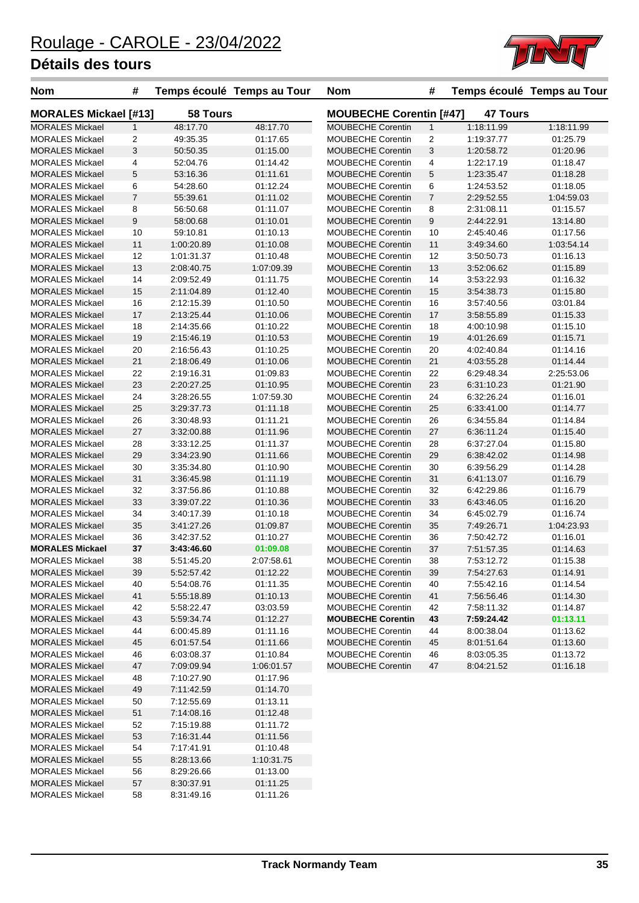

| <b>Nom</b>                   | #              |                 | Temps écoulé Temps au Tour | <b>Nom</b>                     | #              |                 | Temps écoulé Temps au Tour |
|------------------------------|----------------|-----------------|----------------------------|--------------------------------|----------------|-----------------|----------------------------|
| <b>MORALES Mickael [#13]</b> |                | <b>58 Tours</b> |                            | <b>MOUBECHE Corentin [#47]</b> |                | <b>47 Tours</b> |                            |
| <b>MORALES Mickael</b>       | $\mathbf{1}$   | 48:17.70        | 48:17.70                   | <b>MOUBECHE Corentin</b>       | $\mathbf{1}$   | 1:18:11.99      | 1:18:11.99                 |
| <b>MORALES Mickael</b>       | 2              | 49:35.35        | 01:17.65                   | MOUBECHE Corentin              | $\overline{c}$ | 1:19:37.77      | 01:25.79                   |
| <b>MORALES Mickael</b>       | 3              | 50:50.35        | 01:15.00                   | <b>MOUBECHE Corentin</b>       | 3              | 1:20:58.72      | 01:20.96                   |
| <b>MORALES Mickael</b>       | 4              | 52:04.76        | 01:14.42                   | <b>MOUBECHE Corentin</b>       | 4              | 1:22:17.19      | 01:18.47                   |
| <b>MORALES Mickael</b>       | 5              | 53:16.36        | 01:11.61                   | <b>MOUBECHE Corentin</b>       | 5              | 1:23:35.47      | 01:18.28                   |
| <b>MORALES Mickael</b>       | 6              | 54:28.60        | 01:12.24                   | <b>MOUBECHE Corentin</b>       | 6              | 1:24:53.52      | 01:18.05                   |
| <b>MORALES Mickael</b>       | $\overline{7}$ | 55:39.61        | 01:11.02                   | <b>MOUBECHE Corentin</b>       | $\overline{7}$ | 2:29:52.55      | 1:04:59.03                 |
| <b>MORALES Mickael</b>       | 8              | 56:50.68        | 01:11.07                   | MOUBECHE Corentin              | 8              | 2:31:08.11      | 01:15.57                   |
| <b>MORALES Mickael</b>       | 9              | 58:00.68        | 01:10.01                   | <b>MOUBECHE Corentin</b>       | 9              | 2:44:22.91      | 13:14.80                   |
| <b>MORALES Mickael</b>       | 10             | 59:10.81        | 01:10.13                   | <b>MOUBECHE Corentin</b>       | 10             | 2:45:40.46      | 01:17.56                   |
| <b>MORALES Mickael</b>       | 11             | 1:00:20.89      | 01:10.08                   | <b>MOUBECHE Corentin</b>       | 11             | 3:49:34.60      | 1:03:54.14                 |
| <b>MORALES Mickael</b>       | 12             | 1:01:31.37      | 01:10.48                   | MOUBECHE Corentin              | 12             | 3:50:50.73      | 01:16.13                   |
| <b>MORALES Mickael</b>       | 13             | 2:08:40.75      | 1:07:09.39                 | <b>MOUBECHE Corentin</b>       | 13             | 3:52:06.62      | 01:15.89                   |
| <b>MORALES Mickael</b>       | 14             | 2:09:52.49      | 01:11.75                   | <b>MOUBECHE Corentin</b>       | 14             | 3:53:22.93      | 01:16.32                   |
| <b>MORALES Mickael</b>       | 15             | 2:11:04.89      | 01:12.40                   | <b>MOUBECHE Corentin</b>       | 15             | 3:54:38.73      | 01:15.80                   |
| <b>MORALES Mickael</b>       | 16             | 2:12:15.39      | 01:10.50                   | MOUBECHE Corentin              | 16             | 3:57:40.56      | 03:01.84                   |
| <b>MORALES Mickael</b>       | 17             | 2:13:25.44      | 01:10.06                   | <b>MOUBECHE Corentin</b>       | 17             | 3:58:55.89      | 01:15.33                   |
| <b>MORALES Mickael</b>       | 18             | 2:14:35.66      | 01:10.22                   | <b>MOUBECHE Corentin</b>       | 18             | 4:00:10.98      | 01:15.10                   |
| <b>MORALES Mickael</b>       | 19             | 2:15:46.19      | 01:10.53                   | <b>MOUBECHE Corentin</b>       | 19             | 4:01:26.69      | 01:15.71                   |
| <b>MORALES Mickael</b>       | 20             | 2:16:56.43      | 01:10.25                   | <b>MOUBECHE Corentin</b>       | 20             | 4:02:40.84      | 01:14.16                   |
| <b>MORALES Mickael</b>       | 21             | 2:18:06.49      | 01:10.06                   | <b>MOUBECHE Corentin</b>       | 21             | 4:03:55.28      | 01:14.44                   |
| <b>MORALES Mickael</b>       | 22             | 2:19:16.31      | 01:09.83                   | <b>MOUBECHE Corentin</b>       | 22             | 6:29:48.34      | 2:25:53.06                 |
| <b>MORALES Mickael</b>       | 23             | 2:20:27.25      | 01:10.95                   | <b>MOUBECHE Corentin</b>       | 23             | 6:31:10.23      | 01:21.90                   |
| <b>MORALES Mickael</b>       | 24             | 3:28:26.55      | 1:07:59.30                 | <b>MOUBECHE Corentin</b>       | 24             | 6:32:26.24      | 01:16.01                   |
| <b>MORALES Mickael</b>       | 25             | 3:29:37.73      | 01:11.18                   | <b>MOUBECHE Corentin</b>       | 25             | 6.33.41.00      | 01:14.77                   |
| <b>MORALES Mickael</b>       | 26             | 3:30:48.93      | 01:11.21                   | MOUBECHE Corentin              | 26             | 6:34:55.84      | 01:14.84                   |
| <b>MORALES Mickael</b>       | 27             | 3:32:00.88      | 01:11.96                   | <b>MOUBECHE Corentin</b>       | 27             | 6:36:11.24      | 01:15.40                   |
| <b>MORALES Mickael</b>       | 28             | 3:33:12.25      | 01:11.37                   | <b>MOUBECHE Corentin</b>       | 28             | 6:37:27.04      | 01:15.80                   |
| <b>MORALES Mickael</b>       | 29             | 3:34:23.90      | 01:11.66                   | <b>MOUBECHE Corentin</b>       | 29             | 6:38:42.02      | 01:14.98                   |
| <b>MORALES Mickael</b>       | 30             | 3:35:34.80      | 01:10.90                   | <b>MOUBECHE Corentin</b>       | 30             | 6:39:56.29      | 01:14.28                   |
| <b>MORALES Mickael</b>       | 31             | 3:36:45.98      | 01:11.19                   | <b>MOUBECHE Corentin</b>       | 31             | 6:41:13.07      | 01:16.79                   |
| <b>MORALES Mickael</b>       | 32             | 3:37:56.86      | 01:10.88                   | <b>MOUBECHE Corentin</b>       | 32             | 6:42:29.86      | 01:16.79                   |
| <b>MORALES Mickael</b>       | 33             | 3:39:07.22      | 01:10.36                   | <b>MOUBECHE Corentin</b>       | 33             | 6:43:46.05      | 01:16.20                   |
| <b>MORALES Mickael</b>       | 34             | 3:40:17.39      | 01:10.18                   | <b>MOUBECHE Corentin</b>       | 34             | 6:45:02.79      | 01:16.74                   |
| <b>MORALES Mickael</b>       | 35             | 3:41:27.26      | 01:09.87                   | <b>MOUBECHE Corentin</b>       | 35             | 7:49:26.71      | 1:04:23.93                 |
| <b>MORALES Mickael</b>       | 36             | 3:42:37.52      | 01:10.27                   | <b>MOUBECHE Corentin</b>       | 36             | 7:50:42.72      | 01:16.01                   |
| <b>MORALES Mickael</b>       | 37             | 3:43:46.60      | 01:09.08                   | <b>MOUBECHE Corentin</b>       | 37             | 7:51:57.35      | 01:14.63                   |
| MORALES Mickael              | 38             | 5:51:45.20      | 2:07:58.61                 | MOUBECHE Corentin              | 38             | 7:53:12.72      | 01:15.38                   |
| <b>MORALES Mickael</b>       | 39             | 5:52:57.42      | 01:12.22                   | <b>MOUBECHE Corentin</b>       | 39             | 7:54:27.63      | 01:14.91                   |
| <b>MORALES Mickael</b>       | 40             | 5:54:08.76      | 01:11.35                   | MOUBECHE Corentin              | 40             | 7:55:42.16      | 01:14.54                   |
| <b>MORALES Mickael</b>       | 41             | 5:55:18.89      | 01:10.13                   | MOUBECHE Corentin              | 41             | 7:56:56.46      | 01:14.30                   |
| <b>MORALES Mickael</b>       | 42             | 5:58:22.47      | 03:03.59                   | MOUBECHE Corentin              | 42             | 7:58:11.32      | 01:14.87                   |
| <b>MORALES Mickael</b>       | 43             | 5:59:34.74      | 01:12.27                   | <b>MOUBECHE Corentin</b>       | 43             | 7:59:24.42      | 01:13.11                   |
| <b>MORALES Mickael</b>       | 44             | 6:00:45.89      | 01:11.16                   | MOUBECHE Corentin              | 44             | 8:00:38.04      | 01:13.62                   |
| <b>MORALES Mickael</b>       | 45             | 6:01:57.54      | 01:11.66                   | <b>MOUBECHE Corentin</b>       | 45             | 8:01:51.64      | 01:13.60                   |
| <b>MORALES Mickael</b>       | 46             | 6:03:08.37      | 01:10.84                   | <b>MOUBECHE Corentin</b>       | 46             | 8:03:05.35      | 01:13.72                   |
| <b>MORALES Mickael</b>       | 47             | 7:09:09.94      | 1:06:01.57                 | <b>MOUBECHE Corentin</b>       | 47             | 8:04:21.52      | 01:16.18                   |
| <b>MORALES Mickael</b>       | 48             | 7:10:27.90      | 01:17.96                   |                                |                |                 |                            |
| <b>MORALES Mickael</b>       | 49             | 7:11:42.59      | 01:14.70                   |                                |                |                 |                            |
| <b>MORALES Mickael</b>       | 50             | 7:12:55.69      | 01:13.11                   |                                |                |                 |                            |
| <b>MORALES Mickael</b>       | 51             | 7:14:08.16      | 01:12.48                   |                                |                |                 |                            |
| <b>MORALES Mickael</b>       | 52             | 7:15:19.88      | 01:11.72                   |                                |                |                 |                            |
| <b>MORALES Mickael</b>       | 53             | 7:16:31.44      | 01:11.56                   |                                |                |                 |                            |
| <b>MORALES Mickael</b>       | 54             | 7:17:41.91      | 01:10.48                   |                                |                |                 |                            |
| <b>MORALES Mickael</b>       | 55             | 8:28:13.66      | 1:10:31.75                 |                                |                |                 |                            |
| <b>MORALES Mickael</b>       | 56             | 8:29:26.66      | 01:13.00                   |                                |                |                 |                            |
| <b>MORALES Mickael</b>       | 57             | 8:30:37.91      | 01:11.25                   |                                |                |                 |                            |
| <b>MORALES Mickael</b>       | 58             | 8:31:49.16      | 01:11.26                   |                                |                |                 |                            |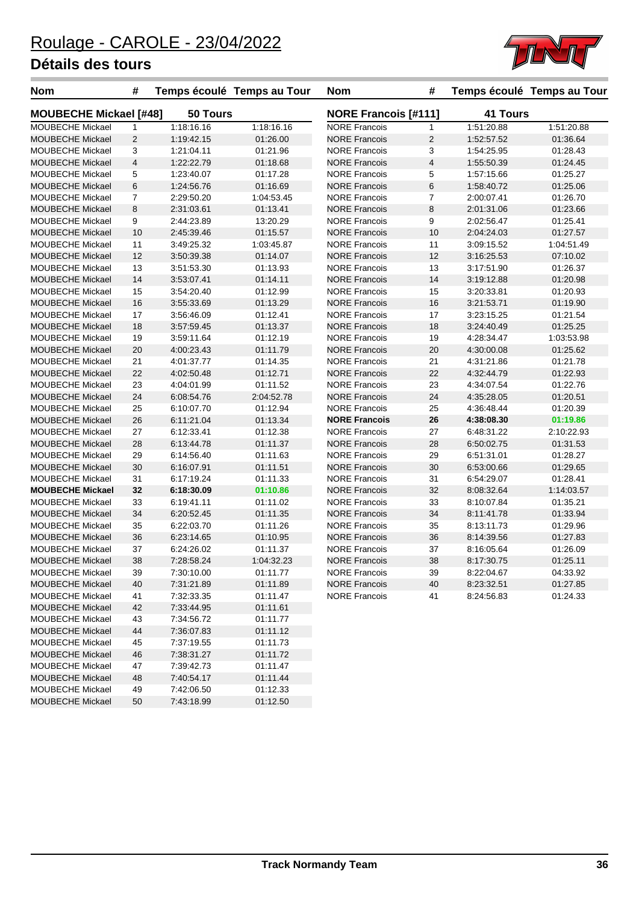MOUBECHE Mickael 50 7:43:18.99 01:12.50



| <b>Nom</b>                    | #              |            | Temps écoulé Temps au Tour | <b>Nom</b>                  | #                       |            | Temps écoulé Temps au Tour |
|-------------------------------|----------------|------------|----------------------------|-----------------------------|-------------------------|------------|----------------------------|
| <b>MOUBECHE Mickael [#48]</b> |                | 50 Tours   |                            | <b>NORE Francois [#111]</b> |                         | 41 Tours   |                            |
| MOUBECHE Mickael              | $\mathbf{1}$   | 1:18:16.16 | 1:18:16.16                 | <b>NORE Francois</b>        | $\mathbf{1}$            | 1:51:20.88 | 1:51:20.88                 |
| <b>MOUBECHE Mickael</b>       | 2              | 1:19:42.15 | 01:26.00                   | <b>NORE Francois</b>        | 2                       | 1:52:57.52 | 01:36.64                   |
| MOUBECHE Mickael              | 3              | 1:21:04.11 | 01:21.96                   | <b>NORE Francois</b>        | 3                       | 1:54:25.95 | 01:28.43                   |
| <b>MOUBECHE Mickael</b>       | $\overline{4}$ | 1:22:22.79 | 01:18.68                   | <b>NORE Francois</b>        | $\overline{\mathbf{4}}$ | 1:55:50.39 | 01:24.45                   |
| <b>MOUBECHE Mickael</b>       | 5              | 1:23:40.07 | 01:17.28                   | <b>NORE Francois</b>        | 5                       | 1:57:15.66 | 01:25.27                   |
| <b>MOUBECHE Mickael</b>       | 6              | 1:24:56.76 | 01:16.69                   | <b>NORE Francois</b>        | 6                       | 1:58:40.72 | 01:25.06                   |
| <b>MOUBECHE Mickael</b>       | $\overline{7}$ | 2:29:50.20 | 1:04:53.45                 | <b>NORE Francois</b>        | 7                       | 2:00:07.41 | 01:26.70                   |
| <b>MOUBECHE Mickael</b>       | 8              | 2:31:03.61 | 01:13.41                   | <b>NORE Francois</b>        | 8                       | 2:01:31.06 | 01:23.66                   |
| <b>MOUBECHE Mickael</b>       | 9              | 2:44:23.89 | 13:20.29                   | <b>NORE Francois</b>        | 9                       | 2:02:56.47 | 01:25.41                   |
| <b>MOUBECHE Mickael</b>       | 10             | 2:45:39.46 | 01:15.57                   | <b>NORE Francois</b>        | 10                      | 2:04:24.03 | 01:27.57                   |
| <b>MOUBECHE Mickael</b>       | 11             | 3:49:25.32 | 1:03:45.87                 | <b>NORE Francois</b>        | 11                      | 3:09:15.52 | 1:04:51.49                 |
| MOUBECHE Mickael              | 12             | 3:50:39.38 | 01:14.07                   | <b>NORE Francois</b>        | 12                      | 3:16:25.53 | 07:10.02                   |
| <b>MOUBECHE Mickael</b>       | 13             | 3:51:53.30 | 01:13.93                   | <b>NORE Francois</b>        | 13                      | 3:17:51.90 | 01:26.37                   |
| <b>MOUBECHE Mickael</b>       | 14             | 3:53:07.41 | 01:14.11                   | <b>NORE Francois</b>        | 14                      | 3:19:12.88 | 01:20.98                   |
| <b>MOUBECHE Mickael</b>       | 15             | 3:54:20.40 | 01:12.99                   | <b>NORE Francois</b>        | 15                      | 3:20:33.81 | 01:20.93                   |
| <b>MOUBECHE Mickael</b>       | 16             | 3:55:33.69 | 01:13.29                   | <b>NORE Francois</b>        | 16                      | 3:21:53.71 | 01:19.90                   |
| MOUBECHE Mickael              | 17             | 3:56:46.09 | 01:12.41                   | <b>NORE Francois</b>        | 17                      | 3:23:15.25 | 01:21.54                   |
| <b>MOUBECHE Mickael</b>       | 18             | 3:57:59.45 | 01:13.37                   | <b>NORE Francois</b>        | 18                      | 3:24:40.49 | 01:25.25                   |
| <b>MOUBECHE Mickael</b>       | 19             | 3:59:11.64 | 01:12.19                   | <b>NORE Francois</b>        | 19                      | 4:28:34.47 | 1:03:53.98                 |
| <b>MOUBECHE Mickael</b>       | 20             | 4:00:23.43 | 01:11.79                   | <b>NORE Francois</b>        | 20                      | 4:30:00.08 | 01:25.62                   |
| <b>MOUBECHE Mickael</b>       | 21             | 4:01:37.77 | 01:14.35                   | <b>NORE Francois</b>        | 21                      | 4:31:21.86 | 01:21.78                   |
| <b>MOUBECHE Mickael</b>       | 22             | 4:02:50.48 | 01:12.71                   | <b>NORE Francois</b>        | 22                      | 4:32:44.79 | 01:22.93                   |
| <b>MOUBECHE Mickael</b>       | 23             | 4:04:01.99 | 01:11.52                   | <b>NORE Francois</b>        | 23                      | 4:34:07.54 | 01:22.76                   |
| <b>MOUBECHE Mickael</b>       | 24             | 6:08:54.76 | 2:04:52.78                 | <b>NORE Francois</b>        | 24                      | 4:35:28.05 | 01:20.51                   |
| MOUBECHE Mickael              | 25             | 6:10:07.70 | 01:12.94                   | <b>NORE Francois</b>        | 25                      | 4:36:48.44 | 01:20.39                   |
| <b>MOUBECHE Mickael</b>       | 26             | 6:11:21.04 | 01:13.34                   | <b>NORE Francois</b>        | 26                      | 4:38:08.30 | 01:19.86                   |
| <b>MOUBECHE Mickael</b>       | 27             | 6:12:33.41 | 01:12.38                   | <b>NORE Francois</b>        | 27                      | 6:48:31.22 | 2:10:22.93                 |
| <b>MOUBECHE Mickael</b>       | 28             | 6:13:44.78 | 01:11.37                   | <b>NORE Francois</b>        | 28                      | 6:50:02.75 | 01:31.53                   |
| <b>MOUBECHE Mickael</b>       | 29             | 6:14:56.40 | 01:11.63                   | <b>NORE Francois</b>        | 29                      | 6:51:31.01 | 01:28.27                   |
| <b>MOUBECHE Mickael</b>       | 30             | 6:16:07.91 | 01:11.51                   | <b>NORE Francois</b>        | 30                      | 6:53:00.66 | 01:29.65                   |
| MOUBECHE Mickael              | 31             | 6:17:19.24 | 01:11.33                   | <b>NORE Francois</b>        | 31                      | 6:54:29.07 | 01:28.41                   |
| <b>MOUBECHE Mickael</b>       | 32             | 6:18:30.09 | 01:10.86                   | <b>NORE Francois</b>        | 32                      | 8:08:32.64 | 1:14:03.57                 |
| <b>MOUBECHE Mickael</b>       | 33             | 6:19:41.11 | 01:11.02                   | <b>NORE Francois</b>        | 33                      | 8:10:07.84 | 01:35.21                   |
| <b>MOUBECHE Mickael</b>       | 34             | 6:20:52.45 | 01:11.35                   | <b>NORE Francois</b>        | 34                      | 8:11:41.78 | 01:33.94                   |
| MOUBECHE Mickael              | 35             | 6:22:03.70 | 01:11.26                   | <b>NORE Francois</b>        | 35                      | 8:13:11.73 | 01:29.96                   |
| <b>MOUBECHE Mickael</b>       | 36             | 6:23:14.65 | 01:10.95                   | <b>NORE Francois</b>        | 36                      | 8:14:39.56 | 01:27.83                   |
| <b>MOUBECHE Mickael</b>       | 37             | 6:24:26.02 | 01:11.37                   | <b>NORE Francois</b>        | 37                      | 8:16:05.64 | 01:26.09                   |
| <b>MOUBECHE Mickael</b>       | 38             | 7:28:58.24 | 1:04:32.23                 | <b>NORE Francois</b>        | 38                      | 8:17:30.75 | 01:25.11                   |
| <b>MOUBECHE Mickael</b>       | 39             | 7:30:10.00 | 01:11.77                   | <b>NORE Francois</b>        | 39                      | 8:22:04.67 | 04:33.92                   |
| <b>MOUBECHE Mickael</b>       | 40             | 7:31:21.89 | 01:11.89                   | <b>NORE Francois</b>        | 40                      | 8:23:32.51 | 01:27.85                   |
| <b>MOUBECHE Mickael</b>       | 41             | 7:32:33.35 | 01:11.47                   | <b>NORE Francois</b>        | 41                      | 8:24:56.83 | 01:24.33                   |
| <b>MOUBECHE Mickael</b>       | 42             | 7:33:44.95 | 01:11.61                   |                             |                         |            |                            |
| <b>MOUBECHE Mickael</b>       | 43             | 7:34:56.72 | 01:11.77                   |                             |                         |            |                            |
| <b>MOUBECHE Mickael</b>       | 44             | 7:36:07.83 | 01:11.12                   |                             |                         |            |                            |
| <b>MOUBECHE Mickael</b>       | 45             | 7:37:19.55 | 01:11.73                   |                             |                         |            |                            |
| <b>MOUBECHE Mickael</b>       | 46             | 7:38:31.27 | 01:11.72                   |                             |                         |            |                            |
| MOUBECHE Mickael              | 47             | 7:39:42.73 | 01:11.47                   |                             |                         |            |                            |
| <b>MOUBECHE Mickael</b>       | 48             | 7:40:54.17 | 01:11.44                   |                             |                         |            |                            |
| MOUBECHE Mickael              | 49             | 7:42:06.50 | 01:12.33                   |                             |                         |            |                            |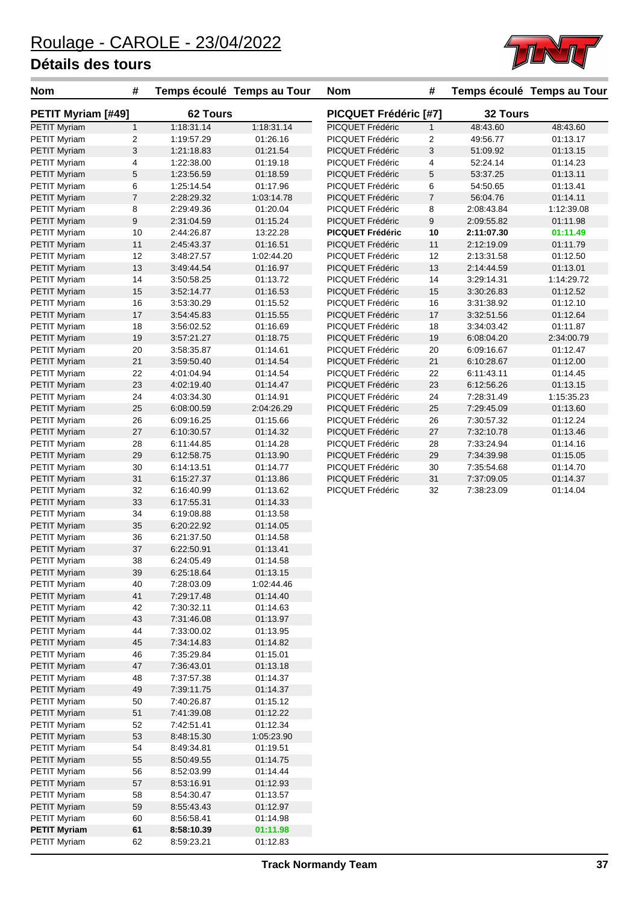

| <b>Nom</b>                          | #                |                          | Temps écoulé Temps au Tour | <b>Nom</b>                           | #              |                          | Temps écoulé Temps au Tour |
|-------------------------------------|------------------|--------------------------|----------------------------|--------------------------------------|----------------|--------------------------|----------------------------|
| <b>PETIT Myriam [#49]</b>           |                  | <b>62 Tours</b>          |                            | PICQUET Frédéric [#7]                |                | 32 Tours                 |                            |
| <b>PETIT Myriam</b>                 | $\mathbf{1}$     | 1:18:31.14               | 1:18:31.14                 | PICQUET Frédéric                     | $\mathbf{1}$   | 48:43.60                 | 48:43.60                   |
| <b>PETIT Myriam</b>                 | 2                | 1:19:57.29               | 01:26.16                   | PICQUET Frédéric                     | $\overline{c}$ | 49:56.77                 | 01:13.17                   |
| <b>PETIT Myriam</b>                 | 3                | 1:21:18.83               | 01:21.54                   | PICQUET Frédéric                     | 3              | 51:09.92                 | 01:13.15                   |
| <b>PETIT Myriam</b>                 | 4                | 1:22:38.00               | 01:19.18                   | PICQUET Frédéric                     | 4              | 52:24.14                 | 01:14.23                   |
| <b>PETIT Myriam</b>                 | $\mathbf 5$      | 1:23:56.59               | 01:18.59                   | PICQUET Frédéric                     | 5              | 53:37.25                 | 01:13.11                   |
| <b>PETIT Myriam</b>                 | 6                | 1:25:14.54               | 01:17.96                   | PICQUET Frédéric                     | 6              | 54:50.65                 | 01:13.41                   |
| <b>PETIT Myriam</b>                 | $\boldsymbol{7}$ | 2:28:29.32               | 1:03:14.78                 | PICQUET Frédéric                     | $\overline{7}$ | 56:04.76                 | 01:14.11                   |
| <b>PETIT Myriam</b>                 | 8                | 2:29:49.36               | 01:20.04                   | PICQUET Frédéric                     | 8              | 2:08:43.84               | 1:12:39.08                 |
| <b>PETIT Myriam</b>                 | 9                | 2:31:04.59               | 01:15.24                   | PICQUET Frédéric                     | 9              | 2:09:55.82               | 01:11.98<br>01:11.49       |
| <b>PETIT Myriam</b>                 | 10               | 2:44:26.87               | 13:22.28                   | <b>PICQUET Frédéric</b>              | 10             | 2:11:07.30               |                            |
| <b>PETIT Myriam</b>                 | 11<br>12         | 2:45:43.37<br>3:48:27.57 | 01:16.51<br>1:02:44.20     | PICQUET Frédéric<br>PICQUET Frédéric | 11<br>12       | 2:12:19.09<br>2:13:31.58 | 01:11.79<br>01:12.50       |
| PETIT Myriam<br><b>PETIT Myriam</b> | 13               | 3:49:44.54               | 01:16.97                   | PICQUET Frédéric                     | 13             | 2:14:44.59               | 01:13.01                   |
| <b>PETIT Myriam</b>                 | 14               | 3:50:58.25               | 01:13.72                   | PICQUET Frédéric                     | 14             | 3:29:14.31               | 1:14:29.72                 |
| <b>PETIT Myriam</b>                 | 15               | 3:52:14.77               | 01:16.53                   | PICQUET Frédéric                     | 15             | 3:30:26.83               | 01:12.52                   |
| <b>PETIT Myriam</b>                 | 16               | 3:53:30.29               | 01:15.52                   | PICQUET Frédéric                     | 16             | 3:31:38.92               | 01:12.10                   |
| <b>PETIT Myriam</b>                 | 17               | 3:54:45.83               | 01:15.55                   | PICQUET Frédéric                     | 17             | 3:32:51.56               | 01:12.64                   |
| <b>PETIT Myriam</b>                 | 18               | 3:56:02.52               | 01:16.69                   | PICQUET Frédéric                     | 18             | 3:34:03.42               | 01:11.87                   |
| <b>PETIT Myriam</b>                 | 19               | 3:57:21.27               | 01:18.75                   | PICQUET Frédéric                     | 19             | 6:08:04.20               | 2:34:00.79                 |
| <b>PETIT Myriam</b>                 | 20               | 3:58:35.87               | 01:14.61                   | PICQUET Frédéric                     | 20             | 6:09:16.67               | 01:12.47                   |
| <b>PETIT Myriam</b>                 | 21               | 3:59:50.40               | 01:14.54                   | PICQUET Frédéric                     | 21             | 6:10:28.67               | 01:12.00                   |
| PETIT Myriam                        | 22               | 4:01:04.94               | 01:14.54                   | PICQUET Frédéric                     | 22             | 6:11:43.11               | 01:14.45                   |
| <b>PETIT Myriam</b>                 | 23               | 4:02:19.40               | 01:14.47                   | PICQUET Frédéric                     | 23             | 6:12:56.26               | 01:13.15                   |
| PETIT Myriam                        | 24               | 4:03:34.30               | 01:14.91                   | PICQUET Frédéric                     | 24             | 7:28:31.49               | 1:15:35.23                 |
| <b>PETIT Myriam</b>                 | 25               | 6:08:00.59               | 2:04:26.29                 | PICQUET Frédéric                     | 25             | 7:29:45.09               | 01:13.60                   |
| <b>PETIT Myriam</b>                 | 26               | 6:09:16.25               | 01:15.66                   | PICQUET Frédéric                     | 26             | 7:30:57.32               | 01:12.24                   |
| <b>PETIT Myriam</b>                 | 27               | 6:10:30.57               | 01:14.32                   | PICQUET Frédéric                     | 27             | 7:32:10.78               | 01:13.46                   |
| <b>PETIT Myriam</b>                 | 28               | 6:11:44.85               | 01:14.28                   | PICQUET Frédéric                     | 28             | 7:33:24.94               | 01:14.16                   |
| <b>PETIT Myriam</b>                 | 29               | 6:12:58.75               | 01:13.90                   | PICQUET Frédéric                     | 29             | 7:34:39.98               | 01:15.05                   |
| PETIT Myriam                        | 30               | 6:14:13.51               | 01:14.77                   | PICQUET Frédéric                     | 30             | 7:35:54.68               | 01:14.70                   |
| <b>PETIT Myriam</b>                 | 31               | 6:15:27.37               | 01:13.86                   | PICQUET Frédéric                     | 31             | 7:37:09.05               | 01:14.37                   |
| <b>PETIT Myriam</b>                 | 32               | 6:16:40.99               | 01:13.62                   | PICQUET Frédéric                     | 32             | 7:38:23.09               | 01:14.04                   |
| PETIT Myriam                        | 33               | 6:17:55.31               | 01:14.33                   |                                      |                |                          |                            |
| PETIT Myriam                        | 34               | 6:19:08.88               | 01:13.58                   |                                      |                |                          |                            |
| <b>PETIT Myriam</b>                 | 35               | 6:20:22.92               | 01:14.05                   |                                      |                |                          |                            |
| <b>PETIT Myriam</b>                 | 36               | 6:21:37.50               | 01:14.58                   |                                      |                |                          |                            |
| <b>PETIT Myriam</b>                 | 37               | 6:22:50.91               | 01:13.41                   |                                      |                |                          |                            |
| PETIT Myriam                        | 38               | 6:24:05.49               | 01:14.58                   |                                      |                |                          |                            |
| <b>PETIT Myriam</b>                 | 39               | 6:25:18.64               | 01:13.15                   |                                      |                |                          |                            |
| PETIT Myriam                        | 40               | 7:28:03.09               | 1:02:44.46                 |                                      |                |                          |                            |
| <b>PETIT Myriam</b>                 | 41               | 7:29:17.48               | 01:14.40                   |                                      |                |                          |                            |
| <b>PETIT Myriam</b>                 | 42               | 7:30:32.11               | 01:14.63                   |                                      |                |                          |                            |
| <b>PETIT Myriam</b>                 | 43               | 7:31:46.08               | 01:13.97                   |                                      |                |                          |                            |
| <b>PETIT Myriam</b>                 | 44               | 7:33:00.02               | 01:13.95                   |                                      |                |                          |                            |
| <b>PETIT Myriam</b>                 | 45               | 7:34:14.83               | 01:14.82                   |                                      |                |                          |                            |
| <b>PETIT Myriam</b>                 | 46               | 7:35:29.84               | 01:15.01                   |                                      |                |                          |                            |
| <b>PETIT Myriam</b>                 | 47               | 7:36:43.01               | 01:13.18                   |                                      |                |                          |                            |
| <b>PETIT Myriam</b>                 | 48               | 7:37:57.38               | 01:14.37                   |                                      |                |                          |                            |
| PETIT Myriam                        | 49               | 7:39:11.75               | 01:14.37                   |                                      |                |                          |                            |
| PETIT Myriam                        | 50               | 7:40:26.87               | 01:15.12                   |                                      |                |                          |                            |
| <b>PETIT Myriam</b>                 | 51               | 7:41:39.08               | 01:12.22                   |                                      |                |                          |                            |
| <b>PETIT Myriam</b>                 | 52<br>53         | 7:42:51.41               | 01:12.34                   |                                      |                |                          |                            |
| <b>PETIT Myriam</b>                 | 54               | 8:48:15.30<br>8:49:34.81 | 1:05:23.90<br>01:19.51     |                                      |                |                          |                            |
| PETIT Myriam<br><b>PETIT Myriam</b> | 55               | 8:50:49.55               | 01:14.75                   |                                      |                |                          |                            |
| <b>PETIT Myriam</b>                 | 56               | 8:52:03.99               | 01:14.44                   |                                      |                |                          |                            |
| <b>PETIT Myriam</b>                 | 57               | 8.53.16.91               | 01:12.93                   |                                      |                |                          |                            |
| <b>PETIT Myriam</b>                 | 58               | 8:54:30.47               | 01:13.57                   |                                      |                |                          |                            |
| <b>PETIT Myriam</b>                 | 59               | 8:55:43.43               | 01:12.97                   |                                      |                |                          |                            |
| <b>PETIT Myriam</b>                 | 60               | 8:56:58.41               | 01:14.98                   |                                      |                |                          |                            |
| <b>PETIT Myriam</b>                 | 61               | 8:58:10.39               | 01:11.98                   |                                      |                |                          |                            |
| PETIT Myriam                        | 62               | 8:59:23.21               | 01:12.83                   |                                      |                |                          |                            |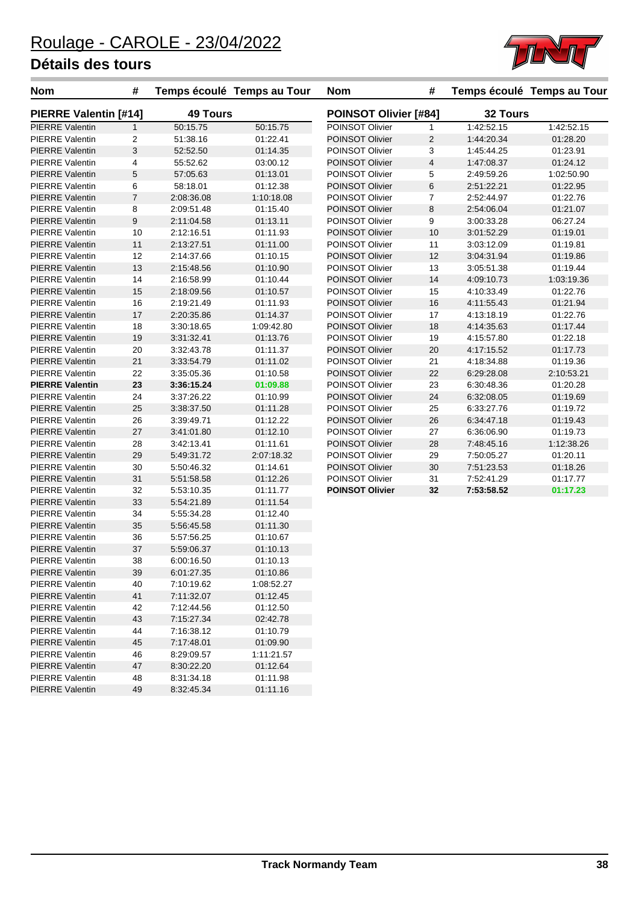

| <b>Nom</b>             | #              | Temps écoulé Temps au Tour |            | <b>Nom</b>             | #              |            | Temps écoulé Temps au Tour |
|------------------------|----------------|----------------------------|------------|------------------------|----------------|------------|----------------------------|
| PIERRE Valentin [#14]  |                | <b>49 Tours</b>            |            | POINSOT Olivier [#84]  |                | 32 Tours   |                            |
| <b>PIERRE Valentin</b> | $\mathbf{1}$   | 50:15.75                   | 50:15.75   | POINSOT Olivier        | 1              | 1:42:52.15 | 1:42:52.15                 |
| <b>PIERRE Valentin</b> | 2              | 51:38.16                   | 01:22.41   | POINSOT Olivier        | $\overline{2}$ | 1:44:20.34 | 01:28.20                   |
| <b>PIERRE Valentin</b> | 3              | 52:52.50                   | 01:14.35   | POINSOT Olivier        | 3              | 1:45:44.25 | 01:23.91                   |
| <b>PIERRE Valentin</b> | 4              | 55:52.62                   | 03:00.12   | POINSOT Olivier        | $\overline{4}$ | 1:47:08.37 | 01:24.12                   |
| <b>PIERRE Valentin</b> | $\mathbf 5$    | 57:05.63                   | 01:13.01   | POINSOT Olivier        | 5              | 2:49:59.26 | 1:02:50.90                 |
| <b>PIERRE Valentin</b> | 6              | 58:18.01                   | 01:12.38   | POINSOT Olivier        | 6              | 2:51:22.21 | 01:22.95                   |
| <b>PIERRE Valentin</b> | $\overline{7}$ | 2:08:36.08                 | 1:10:18.08 | POINSOT Olivier        | $\overline{7}$ | 2:52:44.97 | 01:22.76                   |
| <b>PIERRE Valentin</b> | 8              | 2:09:51.48                 | 01:15.40   | POINSOT Olivier        | 8              | 2:54:06.04 | 01:21.07                   |
| <b>PIERRE Valentin</b> | 9              | 2:11:04.58                 | 01:13.11   | POINSOT Olivier        | 9              | 3:00:33.28 | 06:27.24                   |
| <b>PIERRE Valentin</b> | 10             | 2:12:16.51                 | 01:11.93   | POINSOT Olivier        | 10             | 3:01:52.29 | 01:19.01                   |
| <b>PIERRE Valentin</b> | 11             | 2:13:27.51                 | 01:11.00   | POINSOT Olivier        | 11             | 3:03:12.09 | 01:19.81                   |
| <b>PIERRE Valentin</b> | 12             | 2:14:37.66                 | 01:10.15   | POINSOT Olivier        | 12             | 3:04:31.94 | 01:19.86                   |
| <b>PIERRE Valentin</b> | 13             | 2:15:48.56                 | 01:10.90   | POINSOT Olivier        | 13             | 3:05:51.38 | 01:19.44                   |
| <b>PIERRE Valentin</b> | 14             | 2:16:58.99                 | 01:10.44   | <b>POINSOT Olivier</b> | 14             | 4:09:10.73 | 1:03:19.36                 |
| <b>PIERRE Valentin</b> | 15             | 2:18:09.56                 | 01:10.57   | POINSOT Olivier        | 15             | 4:10:33.49 | 01:22.76                   |
| <b>PIERRE Valentin</b> | 16             | 2:19:21.49                 | 01:11.93   | POINSOT Olivier        | 16             | 4:11:55.43 | 01:21.94                   |
| <b>PIERRE Valentin</b> | 17             | 2:20:35.86                 | 01:14.37   | POINSOT Olivier        | 17             | 4:13:18.19 | 01:22.76                   |
| <b>PIERRE Valentin</b> | 18             | 3:30:18.65                 | 1:09:42.80 | POINSOT Olivier        | 18             | 4:14:35.63 | 01:17.44                   |
| <b>PIERRE Valentin</b> | 19             | 3:31:32.41                 | 01:13.76   | POINSOT Olivier        | 19             | 4:15:57.80 | 01:22.18                   |
| <b>PIERRE Valentin</b> | 20             | 3:32:43.78                 | 01:11.37   | <b>POINSOT Olivier</b> | 20             | 4:17:15.52 | 01:17.73                   |
| <b>PIERRE Valentin</b> | 21             | 3:33:54.79                 | 01:11.02   | POINSOT Olivier        | 21             | 4:18:34.88 | 01:19.36                   |
| <b>PIERRE Valentin</b> | 22             | 3:35:05.36                 | 01:10.58   | POINSOT Olivier        | 22             | 6:29:28.08 | 2:10:53.21                 |
| <b>PIERRE Valentin</b> | 23             | 3:36:15.24                 | 01:09.88   | POINSOT Olivier        | 23             | 6:30:48.36 | 01:20.28                   |
| <b>PIERRE Valentin</b> | 24             | 3:37:26.22                 | 01:10.99   | POINSOT Olivier        | 24             | 6:32:08.05 | 01:19.69                   |
| <b>PIERRE Valentin</b> | 25             | 3:38:37.50                 | 01:11.28   | POINSOT Olivier        | 25             | 6:33:27.76 | 01:19.72                   |
| <b>PIERRE Valentin</b> | 26             | 3:39:49.71                 | 01:12.22   | POINSOT Olivier        | 26             | 6:34:47.18 | 01:19.43                   |
| <b>PIERRE Valentin</b> | 27             | 3:41:01.80                 | 01:12.10   | POINSOT Olivier        | 27             | 6:36:06.90 | 01:19.73                   |
| <b>PIERRE Valentin</b> | 28             | 3:42:13.41                 | 01:11.61   | POINSOT Olivier        | 28             | 7:48:45.16 | 1:12:38.26                 |
| <b>PIERRE Valentin</b> | 29             | 5:49:31.72                 | 2:07:18.32 | POINSOT Olivier        | 29             | 7:50:05.27 | 01:20.11                   |
| <b>PIERRE Valentin</b> | 30             | 5:50:46.32                 | 01:14.61   | POINSOT Olivier        | 30             | 7:51:23.53 | 01:18.26                   |
| <b>PIERRE Valentin</b> | 31             | 5:51:58.58                 | 01:12.26   | POINSOT Olivier        | 31             | 7:52:41.29 | 01:17.77                   |
| <b>PIERRE Valentin</b> | 32             | 5:53:10.35                 | 01:11.77   | <b>POINSOT Olivier</b> | 32             | 7:53:58.52 | 01:17.23                   |
| <b>PIERRE Valentin</b> | 33             | 5:54:21.89                 | 01:11.54   |                        |                |            |                            |
| <b>PIERRE Valentin</b> | 34             | 5:55:34.28                 | 01:12.40   |                        |                |            |                            |
| <b>PIERRE Valentin</b> | 35             | 5:56:45.58                 | 01:11.30   |                        |                |            |                            |
| <b>PIERRE Valentin</b> | 36             | 5:57:56.25                 | 01:10.67   |                        |                |            |                            |
| <b>PIERRE Valentin</b> | 37             | 5:59:06.37                 | 01:10.13   |                        |                |            |                            |
| <b>PIERRE Valentin</b> | 38             | 6:00:16.50                 | 01:10.13   |                        |                |            |                            |
| <b>PIERRE Valentin</b> | 39             | 6:01:27.35                 | 01:10.86   |                        |                |            |                            |
| <b>PIERRE Valentin</b> | 40             | 7:10:19.62                 | 1:08:52.27 |                        |                |            |                            |
| <b>PIERRE Valentin</b> | 41             | 7:11:32.07                 | 01:12.45   |                        |                |            |                            |
| <b>PIERRE Valentin</b> | 42             | 7:12:44.56                 | 01:12.50   |                        |                |            |                            |
| <b>PIERRE Valentin</b> | 43             | 7:15:27.34                 | 02:42.78   |                        |                |            |                            |
| <b>PIERRE Valentin</b> | 44             | 7:16:38.12                 | 01:10.79   |                        |                |            |                            |
| <b>PIERRE Valentin</b> | 45             | 7:17:48.01                 | 01:09.90   |                        |                |            |                            |
| <b>PIERRE Valentin</b> | 46             | 8:29:09.57                 | 1:11:21.57 |                        |                |            |                            |
| <b>PIERRE Valentin</b> | 47             | 8:30:22.20                 | 01:12.64   |                        |                |            |                            |
| <b>PIERRE Valentin</b> | 48             | 8:31:34.18                 | 01:11.98   |                        |                |            |                            |
| <b>PIERRE Valentin</b> | 49             | 8:32:45.34                 | 01:11.16   |                        |                |            |                            |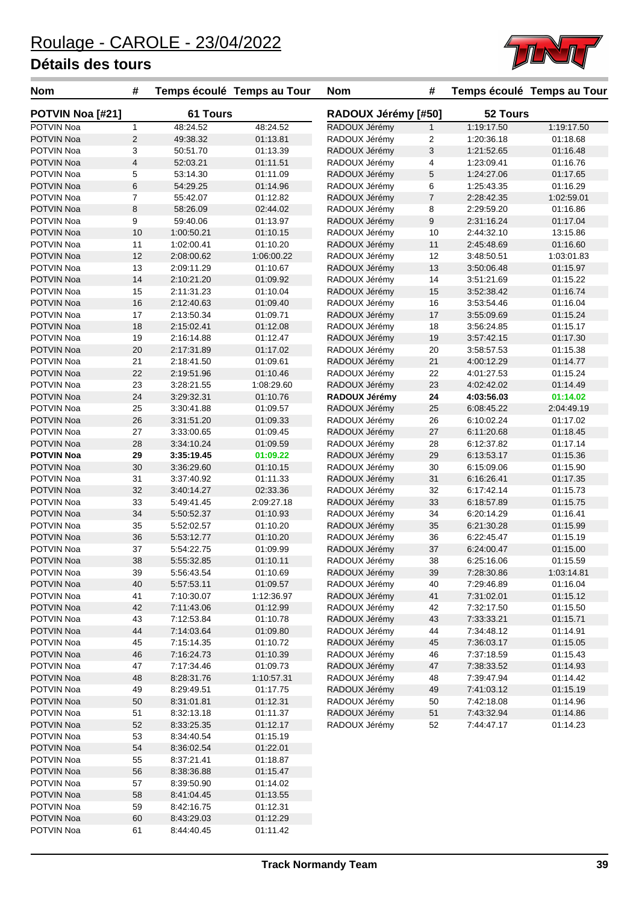

| <b>Nom</b>        | #              | Temps écoulé Temps au Tour |            | <b>Nom</b>          | #              |            | Temps écoulé Temps au Tour |
|-------------------|----------------|----------------------------|------------|---------------------|----------------|------------|----------------------------|
| POTVIN Noa [#21]  |                | <b>61 Tours</b>            |            | RADOUX Jérémy [#50] |                | 52 Tours   |                            |
| POTVIN Noa        | 1              | 48:24.52                   | 48:24.52   | RADOUX Jérémy       | $\mathbf{1}$   | 1:19:17.50 | 1:19:17.50                 |
| <b>POTVIN Noa</b> | $\overline{c}$ | 49:38.32                   | 01:13.81   | RADOUX Jérémy       | 2              | 1:20:36.18 | 01:18.68                   |
| POTVIN Noa        | 3              | 50:51.70                   | 01:13.39   | RADOUX Jérémy       | 3              | 1:21:52.65 | 01:16.48                   |
| POTVIN Noa        | 4              | 52:03.21                   | 01:11.51   | RADOUX Jérémy       | 4              | 1:23:09.41 | 01:16.76                   |
| POTVIN Noa        | 5              | 53:14.30                   | 01:11.09   | RADOUX Jérémy       | 5              | 1:24:27.06 | 01:17.65                   |
| <b>POTVIN Noa</b> | 6              | 54:29.25                   | 01:14.96   | RADOUX Jérémy       | 6              | 1:25:43.35 | 01:16.29                   |
| POTVIN Noa        | 7              | 55:42.07                   | 01:12.82   | RADOUX Jérémy       | $\overline{7}$ | 2:28:42.35 | 1:02:59.01                 |
| <b>POTVIN Noa</b> | 8              | 58:26.09                   | 02:44.02   | RADOUX Jérémy       | 8              | 2:29:59.20 | 01:16.86                   |
| POTVIN Noa        | 9              | 59:40.06                   | 01:13.97   | RADOUX Jérémy       | 9              | 2:31:16.24 | 01:17.04                   |
| <b>POTVIN Noa</b> | 10             | 1:00:50.21                 | 01:10.15   | RADOUX Jérémy       | 10             | 2:44:32.10 | 13:15.86                   |
| POTVIN Noa        | 11             | 1:02:00.41                 | 01:10.20   | RADOUX Jérémy       | 11             | 2:45:48.69 | 01:16.60                   |
| <b>POTVIN Noa</b> | 12             | 2:08:00.62                 | 1:06:00.22 | RADOUX Jérémy       | 12             | 3:48:50.51 | 1:03:01.83                 |
| POTVIN Noa        | 13             | 2:09:11.29                 | 01:10.67   | RADOUX Jérémy       | 13             | 3:50:06.48 | 01:15.97                   |
| POTVIN Noa        | 14             | 2:10:21.20                 | 01:09.92   | RADOUX Jérémy       | 14             | 3:51:21.69 | 01:15.22                   |
| POTVIN Noa        | 15             | 2:11:31.23                 | 01:10.04   | RADOUX Jérémy       | 15             | 3:52:38.42 | 01:16.74                   |
| <b>POTVIN Noa</b> | 16             | 2:12:40.63                 | 01:09.40   | RADOUX Jérémy       | 16             | 3:53:54.46 | 01:16.04                   |
| <b>POTVIN Noa</b> | 17             | 2:13:50.34                 | 01:09.71   | RADOUX Jérémy       | 17             | 3:55:09.69 | 01:15.24                   |
| <b>POTVIN Noa</b> | 18             | 2:15:02.41                 | 01:12.08   | RADOUX Jérémy       | 18             | 3:56:24.85 | 01:15.17                   |
| POTVIN Noa        | 19             | 2:16:14.88                 | 01:12.47   | RADOUX Jérémy       | 19             | 3:57:42.15 | 01:17.30                   |
| POTVIN Noa        | 20             | 2:17:31.89                 | 01:17.02   | RADOUX Jérémy       | 20             | 3:58:57.53 | 01:15.38                   |
| POTVIN Noa        | 21             | 2:18:41.50                 | 01:09.61   | RADOUX Jérémy       | 21             | 4:00:12.29 | 01:14.77                   |
| <b>POTVIN Noa</b> | 22             | 2:19:51.96                 | 01:10.46   | RADOUX Jérémy       | 22             | 4:01:27.53 | 01:15.24                   |
| <b>POTVIN Noa</b> | 23             | 3:28:21.55                 | 1:08:29.60 | RADOUX Jérémy       | 23             | 4:02:42.02 | 01:14.49                   |
| <b>POTVIN Noa</b> | 24             | 3:29:32.31                 | 01:10.76   | RADOUX Jérémy       | 24             | 4:03:56.03 | 01:14.02                   |
| POTVIN Noa        | 25             | 3:30:41.88                 | 01:09.57   | RADOUX Jérémy       | 25             | 6:08:45.22 | 2:04:49.19                 |
| <b>POTVIN Noa</b> | 26             | 3:31:51.20                 | 01:09.33   | RADOUX Jérémy       | 26             | 6:10:02.24 | 01:17.02                   |
| POTVIN Noa        | 27             | 3:33:00.65                 | 01:09.45   | RADOUX Jérémy       | 27             | 6:11:20.68 | 01:18.45                   |
| <b>POTVIN Noa</b> | 28             | 3:34:10.24                 | 01:09.59   | RADOUX Jérémy       | 28             | 6:12:37.82 | 01:17.14                   |
| <b>POTVIN Noa</b> | 29             | 3:35:19.45                 | 01:09.22   | RADOUX Jérémy       | 29             | 6:13:53.17 | 01:15.36                   |
| <b>POTVIN Noa</b> | 30             | 3:36:29.60                 | 01:10.15   | RADOUX Jérémy       | 30             | 6:15:09.06 | 01:15.90                   |
| POTVIN Noa        | 31             | 3:37:40.92                 | 01:11.33   | RADOUX Jérémy       | 31             | 6:16:26.41 | 01:17.35                   |
| POTVIN Noa        | 32             | 3:40:14.27                 | 02:33.36   | RADOUX Jérémy       | 32             | 6:17:42.14 | 01:15.73                   |
| POTVIN Noa        | 33             | 5:49:41.45                 | 2:09:27.18 | RADOUX Jérémy       | 33             | 6:18:57.89 | 01:15.75                   |
| <b>POTVIN Noa</b> | 34             | 5:50:52.37                 | 01:10.93   | RADOUX Jérémy       | 34             | 6:20:14.29 | 01:16.41                   |
| POTVIN Noa        | 35             | 5:52:02.57                 | 01:10.20   | RADOUX Jérémy       | 35             | 6:21:30.28 | 01:15.99                   |
| <b>POTVIN Noa</b> | 36             | 5:53:12.77                 | 01:10.20   | RADOUX Jérémy       | 36             | 6:22:45.47 | 01:15.19                   |
| POTVIN Noa        | 37             | 5:54:22.75                 | 01:09.99   | RADOUX Jérémy       | 37             | 6:24:00.47 | 01:15.00                   |
| POTVIN Noa        | 38             | 5:55:32.85                 | 01:10.11   | RADOUX Jérémy       | 38             | 6:25:16.06 | 01:15.59                   |
| POTVIN Noa        | 39             | 5:56:43.54                 | 01:10.69   | RADOUX Jérémy       | 39             | 7:28:30.86 | 1:03:14.81                 |
| POTVIN Noa        | 40             | 5:57:53.11                 | 01:09.57   | RADOUX Jérémy       | 40             | 7:29:46.89 | 01:16.04                   |
| POTVIN Noa        | 41             | 7:10:30.07                 | 1:12:36.97 | RADOUX Jérémy       | 41             | 7:31:02.01 | 01:15.12                   |
| POTVIN Noa        | 42             | 7:11:43.06                 | 01:12.99   | RADOUX Jérémy       | 42             | 7:32:17.50 | 01:15.50                   |
| POTVIN Noa        | 43             | 7:12:53.84                 | 01:10.78   | RADOUX Jérémy       | 43             | 7:33:33.21 | 01:15.71                   |
| POTVIN Noa        | 44             | 7:14:03.64                 | 01:09.80   | RADOUX Jérémy       | 44             | 7:34:48.12 | 01:14.91                   |
| POTVIN Noa        | 45             | 7:15:14.35                 | 01:10.72   | RADOUX Jérémy       | 45             | 7:36:03.17 | 01:15.05                   |
| POTVIN Noa        | 46             | 7:16:24.73                 | 01:10.39   | RADOUX Jérémy       | 46             | 7:37:18.59 | 01:15.43                   |
| POTVIN Noa        | 47             | 7:17:34.46                 | 01:09.73   | RADOUX Jérémy       | 47             | 7:38:33.52 | 01:14.93                   |
| POTVIN Noa        | 48             | 8:28:31.76                 | 1:10:57.31 | RADOUX Jérémy       | 48             | 7:39:47.94 | 01:14.42                   |
| POTVIN Noa        | 49             | 8:29:49.51                 | 01:17.75   | RADOUX Jérémy       | 49             | 7:41:03.12 | 01:15.19                   |
| POTVIN Noa        | 50             | 8:31:01.81                 | 01:12.31   | RADOUX Jérémy       | 50             | 7:42:18.08 | 01:14.96                   |
| POTVIN Noa        | 51             | 8:32:13.18                 | 01:11.37   | RADOUX Jérémy       | 51             | 7:43:32.94 | 01:14.86                   |
| POTVIN Noa        | 52             | 8:33:25.35                 | 01:12.17   | RADOUX Jérémy       | 52             | 7:44:47.17 | 01:14.23                   |
| POTVIN Noa        | 53             | 8:34:40.54                 | 01:15.19   |                     |                |            |                            |
| POTVIN Noa        | 54             | 8:36:02.54                 | 01:22.01   |                     |                |            |                            |
| POTVIN Noa        | 55             | 8:37:21.41                 | 01:18.87   |                     |                |            |                            |
| POTVIN Noa        | 56             | 8:38:36.88                 | 01:15.47   |                     |                |            |                            |
| POTVIN Noa        | 57             | 8:39:50.90                 | 01:14.02   |                     |                |            |                            |
| POTVIN Noa        | 58             | 8:41:04.45                 | 01:13.55   |                     |                |            |                            |
| POTVIN Noa        | 59             | 8:42:16.75                 | 01:12.31   |                     |                |            |                            |
| POTVIN Noa        | 60             | 8:43:29.03                 | 01:12.29   |                     |                |            |                            |
| POTVIN Noa        | 61             | 8:44:40.45                 | 01:11.42   |                     |                |            |                            |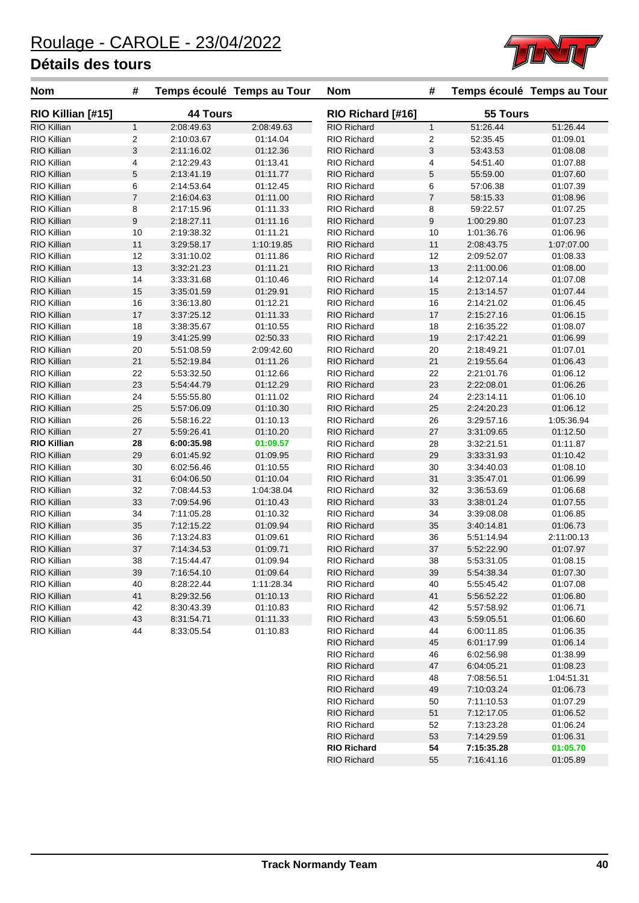

| <b>Nom</b>         | #                         |                 | Temps écoulé Temps au Tour | <b>Nom</b>         | #              |            | Temps écoulé Temps au Tour |
|--------------------|---------------------------|-----------------|----------------------------|--------------------|----------------|------------|----------------------------|
| RIO Killian [#15]  |                           | <b>44 Tours</b> |                            | RIO Richard [#16]  |                | 55 Tours   |                            |
| RIO Killian        | $\mathbf{1}$              | 2:08:49.63      | 2:08:49.63                 | <b>RIO Richard</b> | $\mathbf{1}$   | 51:26.44   | 51:26.44                   |
| RIO Killian        | $\overline{2}$            | 2:10:03.67      | 01:14.04                   | <b>RIO Richard</b> | 2              | 52:35.45   | 01:09.01                   |
| RIO Killian        | $\ensuremath{\mathsf{3}}$ | 2:11:16.02      | 01:12.36                   | <b>RIO Richard</b> | 3              | 53:43.53   | 01:08.08                   |
| RIO Killian        | 4                         | 2:12:29.43      | 01:13.41                   | RIO Richard        | 4              | 54:51.40   | 01:07.88                   |
| RIO Killian        | $\mathbf 5$               | 2:13:41.19      | 01:11.77                   | <b>RIO Richard</b> | 5              | 55:59.00   | 01:07.60                   |
| RIO Killian        | 6                         | 2:14:53.64      | 01:12.45                   | <b>RIO Richard</b> | 6              | 57:06.38   | 01:07.39                   |
| RIO Killian        | $\overline{7}$            | 2:16:04.63      | 01:11.00                   | <b>RIO Richard</b> | $\overline{7}$ | 58:15.33   | 01:08.96                   |
| RIO Killian        | 8                         | 2:17:15.96      | 01:11.33                   | RIO Richard        | 8              | 59:22.57   | 01:07.25                   |
| RIO Killian        | $\boldsymbol{9}$          | 2:18:27.11      | 01:11.16                   | <b>RIO Richard</b> | 9              | 1:00:29.80 | 01:07.23                   |
| RIO Killian        | 10                        | 2:19:38.32      | 01:11.21                   | RIO Richard        | 10             | 1:01:36.76 | 01:06.96                   |
| RIO Killian        | 11                        | 3:29:58.17      | 1:10:19.85                 | <b>RIO Richard</b> | 11             | 2:08:43.75 | 1:07:07.00                 |
| RIO Killian        | 12                        | 3:31:10.02      | 01:11.86                   | <b>RIO Richard</b> | 12             | 2:09:52.07 | 01:08.33                   |
| RIO Killian        | 13                        | 3:32:21.23      | 01:11.21                   | <b>RIO Richard</b> | 13             | 2:11:00.06 | 01:08.00                   |
| RIO Killian        | 14                        | 3:33:31.68      | 01:10.46                   | RIO Richard        | 14             | 2:12:07.14 | 01:07.08                   |
| RIO Killian        | 15                        | 3:35:01.59      | 01:29.91                   | <b>RIO Richard</b> | 15             | 2:13:14.57 | 01:07.44                   |
| RIO Killian        | 16                        | 3:36:13.80      | 01:12.21                   | <b>RIO Richard</b> | 16             | 2:14:21.02 | 01:06.45                   |
| RIO Killian        | 17                        | 3:37:25.12      | 01:11.33                   | <b>RIO Richard</b> | 17             | 2:15:27.16 | 01:06.15                   |
| RIO Killian        | 18                        | 3:38:35.67      | 01:10.55                   | RIO Richard        | 18             | 2:16:35.22 | 01:08.07                   |
| RIO Killian        | 19                        | 3:41:25.99      | 02:50.33                   | <b>RIO Richard</b> | 19             | 2:17:42.21 | 01:06.99                   |
| RIO Killian        | 20                        | 5:51:08.59      | 2:09:42.60                 | RIO Richard        | 20             | 2:18:49.21 | 01:07.01                   |
| RIO Killian        | 21                        | 5:52:19.84      | 01:11.26                   | <b>RIO Richard</b> | 21             | 2:19:55.64 | 01:06.43                   |
| RIO Killian        | 22                        | 5:53:32.50      | 01:12.66                   | RIO Richard        | 22             | 2:21:01.76 | 01:06.12                   |
| RIO Killian        | 23                        | 5:54:44.79      | 01:12.29                   | <b>RIO Richard</b> | 23             | 2:22:08.01 | 01:06.26                   |
| RIO Killian        | 24                        | 5:55:55.80      | 01:11.02                   | RIO Richard        | 24             | 2:23:14.11 | 01:06.10                   |
| RIO Killian        | 25                        | 5:57:06.09      | 01:10.30                   | <b>RIO Richard</b> | 25             | 2:24:20.23 | 01:06.12                   |
| RIO Killian        | 26                        | 5:58:16.22      | 01:10.13                   | RIO Richard        | 26             | 3:29:57.16 | 1:05:36.94                 |
| RIO Killian        | 27                        | 5:59:26.41      | 01:10.20                   | <b>RIO Richard</b> | 27             | 3:31:09.65 | 01:12.50                   |
| <b>RIO Killian</b> | 28                        | 6:00:35.98      | 01:09.57                   | RIO Richard        | 28             | 3:32:21.51 | 01:11.87                   |
| RIO Killian        | 29                        | 6:01:45.92      | 01:09.95                   | <b>RIO Richard</b> | 29             | 3:33:31.93 | 01:10.42                   |
| RIO Killian        | 30                        | 6:02:56.46      | 01:10.55                   | RIO Richard        | 30             | 3:34:40.03 | 01:08.10                   |
| RIO Killian        | 31                        | 6:04:06.50      | 01:10.04                   | <b>RIO Richard</b> | 31             | 3:35:47.01 | 01:06.99                   |
| RIO Killian        | 32                        | 7:08:44.53      | 1:04:38.04                 | RIO Richard        | 32             | 3:36:53.69 | 01:06.68                   |
| RIO Killian        | 33                        | 7:09:54.96      | 01:10.43                   | <b>RIO Richard</b> | 33             | 3:38:01.24 | 01:07.55                   |
| RIO Killian        | 34                        | 7:11:05.28      | 01:10.32                   | <b>RIO Richard</b> | 34             | 3:39:08.08 | 01:06.85                   |
| RIO Killian        | 35                        | 7:12:15.22      | 01:09.94                   | <b>RIO Richard</b> | 35             | 3:40:14.81 | 01:06.73                   |
| RIO Killian        | 36                        | 7:13:24.83      | 01:09.61                   | RIO Richard        | 36             | 5:51:14.94 | 2:11:00.13                 |
| RIO Killian        | 37                        | 7:14:34.53      | 01:09.71                   | <b>RIO Richard</b> | 37             | 5:52:22.90 | 01:07.97                   |
| RIO Killian        | 38                        | 7:15:44.47      | 01:09.94                   | <b>RIO Richard</b> | 38             | 5:53:31.05 | 01:08.15                   |
| RIO Killian        | 39                        | 7:16:54.10      | 01:09.64                   | <b>RIO Richard</b> | 39             | 5:54:38.34 | 01:07.30                   |
| RIO Killian        | 40                        | 8:28:22.44      | 1:11:28.34                 | RIO Richard        | 40             | 5:55:45.42 | 01:07.08                   |
| RIO Killian        | 41                        | 8:29:32.56      | 01:10.13                   | <b>RIO Richard</b> | 41             | 5:56:52.22 | 01:06.80                   |
| RIO Killian        | 42                        | 8:30:43.39      | 01:10.83                   | RIO Richard        | 42             | 5:57:58.92 | 01:06.71                   |
| RIO Killian        | 43                        | 8:31:54.71      | 01:11.33                   | <b>RIO Richard</b> | 43             | 5:59:05.51 | 01:06.60                   |
| RIO Killian        | 44                        | 8:33:05.54      | 01:10.83                   | RIO Richard        | 44             | 6:00:11.85 | 01:06.35                   |
|                    |                           |                 |                            | <b>RIO Richard</b> | 45             | 6:01:17.99 | 01:06.14                   |
|                    |                           |                 |                            | RIO Richard        | 46             | 6:02:56.98 | 01:38.99                   |
|                    |                           |                 |                            | <b>RIO Richard</b> | 47             | 6:04:05.21 | 01:08.23                   |
|                    |                           |                 |                            | <b>RIO Richard</b> | 48             | 7:08:56.51 | 1:04:51.31                 |

RIO Richard 49 7:10:03.24 01:06.73 RIO Richard 50 7:11:10.53 01:07.29 RIO Richard 51 7:12:17.05 01:06.52 RIO Richard 52 7:13:23.28 01:06.24 RIO Richard 53 7:14:29.59 01:06.31<br>**RIO Richard 54 7:15:35.28 01:05.70 RIO Richard 54 7:15:35.28 01:05.70**<br>**RIO Richard 55 7:16:41.16 01:05.89** 

RIO Richard 55 7:16:41.16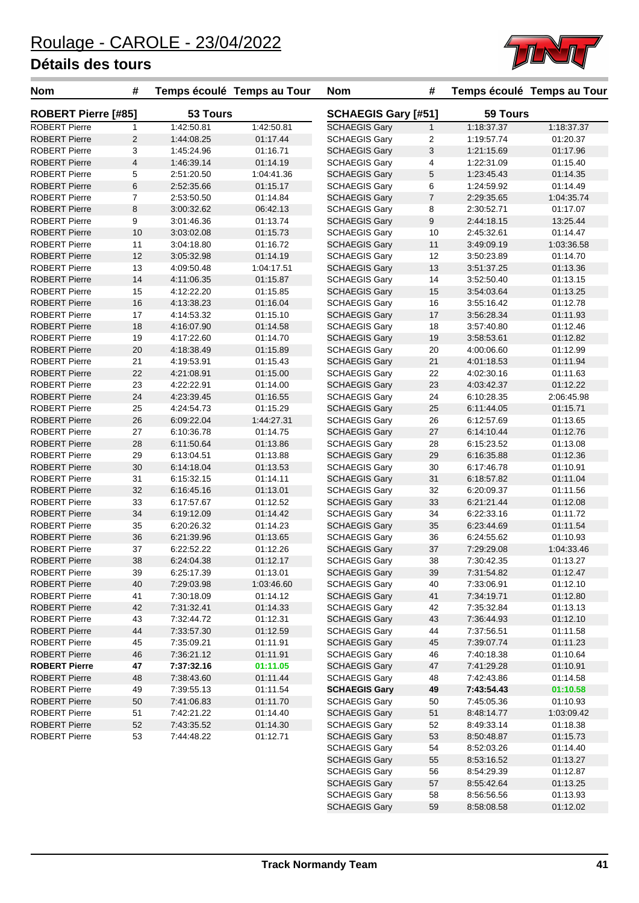

| <b>Nom</b>                 | #              | Temps écoulé Temps au Tour |            | <b>Nom</b>                 | #              |            | Temps écoulé Temps au Tour |
|----------------------------|----------------|----------------------------|------------|----------------------------|----------------|------------|----------------------------|
| <b>ROBERT Pierre [#85]</b> |                | 53 Tours                   |            | <b>SCHAEGIS Gary [#51]</b> |                | 59 Tours   |                            |
| <b>ROBERT Pierre</b>       | $\mathbf{1}$   | 1:42:50.81                 | 1:42:50.81 | <b>SCHAEGIS Gary</b>       | $\mathbf{1}$   | 1:18:37.37 | 1:18:37.37                 |
| <b>ROBERT Pierre</b>       | 2              | 1:44:08.25                 | 01:17.44   | <b>SCHAEGIS Gary</b>       | 2              | 1:19:57.74 | 01:20.37                   |
| <b>ROBERT Pierre</b>       | 3              | 1:45:24.96                 | 01:16.71   | <b>SCHAEGIS Gary</b>       | 3              | 1:21:15.69 | 01:17.96                   |
| <b>ROBERT Pierre</b>       | $\overline{4}$ | 1:46:39.14                 | 01:14.19   | <b>SCHAEGIS Gary</b>       | 4              | 1:22:31.09 | 01:15.40                   |
| <b>ROBERT Pierre</b>       | 5              | 2:51:20.50                 | 1:04:41.36 | <b>SCHAEGIS Gary</b>       | 5              | 1:23:45.43 | 01:14.35                   |
| <b>ROBERT Pierre</b>       | 6              | 2:52:35.66                 | 01:15.17   | <b>SCHAEGIS Gary</b>       | 6              | 1:24:59.92 | 01:14.49                   |
| <b>ROBERT Pierre</b>       | $\overline{7}$ | 2:53:50.50                 | 01:14.84   | <b>SCHAEGIS Gary</b>       | $\overline{7}$ | 2:29:35.65 | 1:04:35.74                 |
| <b>ROBERT Pierre</b>       | 8              | 3:00:32.62                 | 06:42.13   | <b>SCHAEGIS Gary</b>       | 8              | 2:30:52.71 | 01:17.07                   |
| <b>ROBERT Pierre</b>       | 9              | 3:01:46.36                 | 01:13.74   | <b>SCHAEGIS Gary</b>       | 9              | 2:44:18.15 | 13:25.44                   |
| <b>ROBERT Pierre</b>       | 10             | 3:03:02.08                 | 01:15.73   | <b>SCHAEGIS Gary</b>       | 10             | 2:45:32.61 | 01:14.47                   |
| <b>ROBERT Pierre</b>       | 11             | 3:04:18.80                 | 01:16.72   | <b>SCHAEGIS Gary</b>       | 11             | 3:49:09.19 | 1:03:36.58                 |
| <b>ROBERT Pierre</b>       | 12             | 3:05:32.98                 | 01:14.19   | <b>SCHAEGIS Gary</b>       | 12             | 3:50:23.89 | 01:14.70                   |
| <b>ROBERT Pierre</b>       | 13             | 4:09:50.48                 | 1:04:17.51 | <b>SCHAEGIS Gary</b>       | 13             | 3:51:37.25 | 01:13.36                   |
| <b>ROBERT Pierre</b>       | 14             | 4:11:06.35                 | 01:15.87   | <b>SCHAEGIS Gary</b>       | 14             | 3:52:50.40 | 01:13.15                   |
| <b>ROBERT Pierre</b>       | 15             | 4:12:22.20                 | 01:15.85   | <b>SCHAEGIS Gary</b>       | 15             | 3:54:03.64 | 01:13.25                   |
| <b>ROBERT Pierre</b>       | 16             | 4:13:38.23                 | 01:16.04   | <b>SCHAEGIS Gary</b>       | 16             | 3:55:16.42 | 01:12.78                   |
| <b>ROBERT Pierre</b>       | 17             | 4:14:53.32                 | 01:15.10   | <b>SCHAEGIS Gary</b>       | 17             | 3:56:28.34 | 01:11.93                   |
| <b>ROBERT Pierre</b>       | 18             | 4:16:07.90                 | 01:14.58   | <b>SCHAEGIS Gary</b>       | 18             | 3:57:40.80 | 01:12.46                   |
| <b>ROBERT Pierre</b>       | 19             | 4:17:22.60                 | 01:14.70   | <b>SCHAEGIS Gary</b>       | 19             | 3:58:53.61 | 01:12.82                   |
| <b>ROBERT Pierre</b>       | 20             | 4:18:38.49                 | 01:15.89   | <b>SCHAEGIS Gary</b>       | 20             | 4:00:06.60 | 01:12.99                   |
| <b>ROBERT Pierre</b>       | 21             | 4:19:53.91                 | 01:15.43   | <b>SCHAEGIS Gary</b>       | 21             | 4:01:18.53 | 01:11.94                   |
| <b>ROBERT Pierre</b>       | 22             | 4:21:08.91                 | 01:15.00   | <b>SCHAEGIS Gary</b>       | 22             | 4:02:30.16 | 01:11.63                   |
| <b>ROBERT Pierre</b>       | 23             | 4:22:22.91                 | 01:14.00   | <b>SCHAEGIS Gary</b>       | 23             | 4:03:42.37 | 01:12.22                   |
| <b>ROBERT Pierre</b>       | 24             | 4:23:39.45                 | 01:16.55   | <b>SCHAEGIS Gary</b>       | 24             | 6:10:28.35 | 2:06:45.98                 |
| <b>ROBERT Pierre</b>       | 25             | 4:24:54.73                 | 01:15.29   | <b>SCHAEGIS Gary</b>       | 25             | 6:11:44.05 | 01:15.71                   |
| <b>ROBERT Pierre</b>       | 26             | 6:09:22.04                 | 1:44:27.31 | <b>SCHAEGIS Gary</b>       | 26             | 6:12:57.69 | 01:13.65                   |
| <b>ROBERT Pierre</b>       | 27             | 6:10:36.78                 | 01:14.75   | <b>SCHAEGIS Gary</b>       | 27             | 6:14:10.44 | 01:12.76                   |
| <b>ROBERT Pierre</b>       | 28             | 6:11:50.64                 | 01:13.86   | <b>SCHAEGIS Gary</b>       | 28             | 6:15:23.52 | 01:13.08                   |
| <b>ROBERT Pierre</b>       | 29             | 6:13:04.51                 | 01:13.88   | <b>SCHAEGIS Gary</b>       | 29             | 6:16:35.88 | 01:12.36                   |
| <b>ROBERT Pierre</b>       | 30             | 6:14:18.04                 | 01:13.53   | <b>SCHAEGIS Gary</b>       | 30             | 6:17:46.78 | 01:10.91                   |
| <b>ROBERT Pierre</b>       | 31             | 6:15:32.15                 | 01:14.11   | <b>SCHAEGIS Gary</b>       | 31             | 6:18:57.82 | 01:11.04                   |
| <b>ROBERT Pierre</b>       | 32             | 6:16:45.16                 | 01:13.01   | <b>SCHAEGIS Gary</b>       | 32             | 6:20:09.37 | 01:11.56                   |
| <b>ROBERT Pierre</b>       | 33             | 6:17:57.67                 | 01:12.52   | <b>SCHAEGIS Gary</b>       | 33             | 6:21:21.44 | 01:12.08                   |
| <b>ROBERT Pierre</b>       | 34             | 6:19:12.09                 | 01:14.42   | <b>SCHAEGIS Gary</b>       | 34             | 6:22:33.16 | 01:11.72                   |
| <b>ROBERT Pierre</b>       | 35             | 6:20:26.32                 | 01:14.23   | <b>SCHAEGIS Gary</b>       | 35             | 6:23:44.69 | 01:11.54                   |
| <b>ROBERT Pierre</b>       | 36             | 6:21:39.96                 | 01:13.65   | <b>SCHAEGIS Gary</b>       | 36             | 6:24:55.62 | 01:10.93                   |
| <b>ROBERT Pierre</b>       | 37             | 6:22:52.22                 | 01:12.26   | <b>SCHAEGIS Gary</b>       | 37             | 7:29:29.08 | 1:04:33.46                 |
| <b>ROBERT Pierre</b>       | 38             | 6:24:04.38                 | 01:12.17   | <b>SCHAEGIS Gary</b>       | 38             | 7:30:42.35 | 01:13.27                   |
| <b>ROBERT Pierre</b>       | 39             | 6:25:17.39                 | 01:13.01   | <b>SCHAEGIS Gary</b>       | 39             | 7:31:54.82 | 01:12.47                   |
| <b>ROBERT Pierre</b>       | 40             | 7:29:03.98                 | 1:03:46.60 | <b>SCHAEGIS Gary</b>       | 40             | 7:33:06.91 | 01:12.10                   |
| <b>ROBERT Pierre</b>       | 41             | 7:30:18.09                 | 01:14.12   | <b>SCHAEGIS Gary</b>       | 41             | 7:34:19.71 | 01:12.80                   |
| <b>ROBERT Pierre</b>       | 42             | 7:31:32.41                 | 01:14.33   | <b>SCHAEGIS Gary</b>       | 42             | 7:35:32.84 | 01:13.13                   |
| <b>ROBERT Pierre</b>       | 43             | 7:32:44.72                 | 01:12.31   | <b>SCHAEGIS Gary</b>       | 43             | 7:36:44.93 | 01:12.10                   |
| <b>ROBERT Pierre</b>       | 44             | 7:33:57.30                 | 01:12.59   | <b>SCHAEGIS Gary</b>       | 44             | 7:37:56.51 | 01:11.58                   |
| <b>ROBERT Pierre</b>       | 45             | 7:35:09.21                 | 01:11.91   | <b>SCHAEGIS Gary</b>       | 45             | 7:39:07.74 | 01:11.23                   |
| <b>ROBERT Pierre</b>       | 46             | 7:36:21.12                 | 01:11.91   | <b>SCHAEGIS Gary</b>       | 46             | 7:40:18.38 | 01:10.64                   |
| <b>ROBERT Pierre</b>       | 47             | 7:37:32.16                 | 01:11.05   | <b>SCHAEGIS Gary</b>       | 47             | 7:41:29.28 | 01:10.91                   |
| <b>ROBERT Pierre</b>       | 48             | 7:38:43.60                 | 01:11.44   | <b>SCHAEGIS Gary</b>       | 48             | 7:42:43.86 | 01:14.58                   |
| <b>ROBERT Pierre</b>       | 49             | 7:39:55.13                 | 01:11.54   | <b>SCHAEGIS Gary</b>       | 49             | 7:43:54.43 | 01:10.58                   |
| <b>ROBERT Pierre</b>       | 50             | 7:41:06.83                 | 01:11.70   | <b>SCHAEGIS Gary</b>       | 50             | 7:45:05.36 | 01:10.93                   |
| <b>ROBERT Pierre</b>       | 51             | 7:42:21.22                 | 01:14.40   | <b>SCHAEGIS Gary</b>       | 51             | 8:48:14.77 | 1:03:09.42                 |
| <b>ROBERT Pierre</b>       | 52             | 7:43:35.52                 | 01:14.30   | <b>SCHAEGIS Gary</b>       | 52             | 8:49:33.14 | 01:18.38                   |
| <b>ROBERT Pierre</b>       | 53             | 7:44:48.22                 | 01:12.71   | <b>SCHAEGIS Gary</b>       | 53             | 8:50:48.87 | 01:15.73                   |
|                            |                |                            |            | <b>SCHAEGIS Gary</b>       | 54             | 8:52:03.26 | 01:14.40                   |
|                            |                |                            |            | <b>SCHAEGIS Gary</b>       | 55             | 8:53:16.52 | 01:13.27                   |
|                            |                |                            |            | <b>SCHAEGIS Gary</b>       | 56             | 8:54:29.39 | 01:12.87                   |
|                            |                |                            |            | <b>SCHAEGIS Gary</b>       | 57             | 8:55:42.64 | 01:13.25                   |

SCHAEGIS Gary 58 8:56:56.56 01:13.93 SCHAEGIS Gary 59 8:58:08.58 01:12.02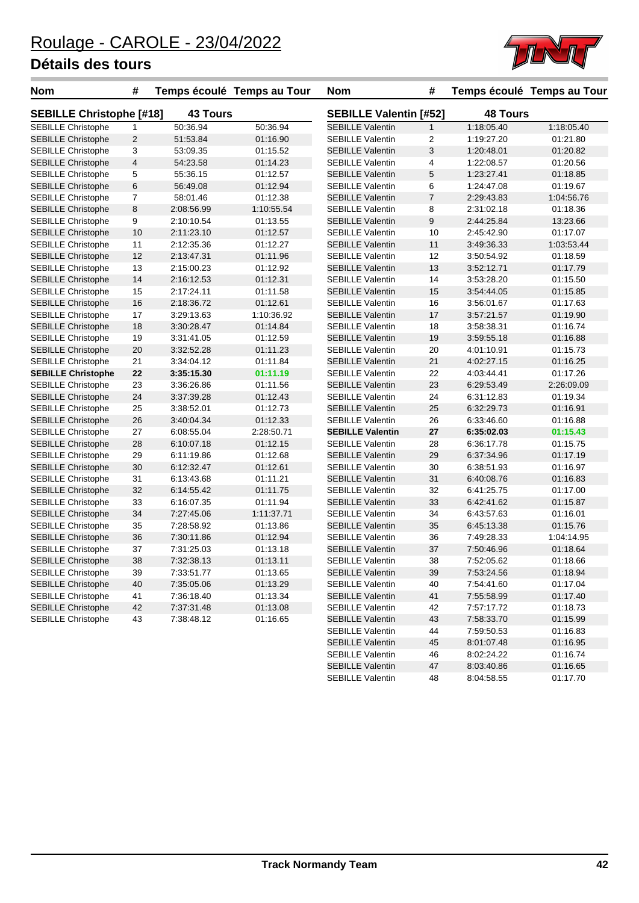

| <b>Nom</b>                                      | #              |                 | Temps écoulé Temps au Tour | <b>Nom</b>                    | #            |                 | Temps écoulé Temps au Tour |
|-------------------------------------------------|----------------|-----------------|----------------------------|-------------------------------|--------------|-----------------|----------------------------|
| <b>SEBILLE Christophe [#18]</b>                 |                | <b>43 Tours</b> |                            | <b>SEBILLE Valentin [#52]</b> |              | <b>48 Tours</b> |                            |
| <b>SEBILLE Christophe</b>                       | 1              | 50:36.94        | 50:36.94                   | <b>SEBILLE Valentin</b>       | $\mathbf{1}$ | 1:18:05.40      | 1:18:05.40                 |
| <b>SEBILLE Christophe</b>                       | $\sqrt{2}$     | 51:53.84        | 01:16.90                   | <b>SEBILLE Valentin</b>       | 2            | 1:19:27.20      | 01:21.80                   |
| <b>SEBILLE Christophe</b>                       | 3              | 53:09.35        | 01:15.52                   | <b>SEBILLE Valentin</b>       | 3            | 1:20:48.01      | 01:20.82                   |
| <b>SEBILLE Christophe</b>                       | 4              | 54:23.58        | 01:14.23                   | <b>SEBILLE Valentin</b>       | 4            | 1:22:08.57      | 01:20.56                   |
| SEBILLE Christophe                              | 5              | 55:36.15        | 01:12.57                   | <b>SEBILLE Valentin</b>       | 5            | 1:23:27.41      | 01:18.85                   |
| <b>SEBILLE Christophe</b>                       | 6              | 56:49.08        | 01:12.94                   | <b>SEBILLE Valentin</b>       | 6            | 1:24:47.08      | 01:19.67                   |
| <b>SEBILLE Christophe</b>                       | $\overline{7}$ | 58:01.46        | 01:12.38                   | <b>SEBILLE Valentin</b>       | 7            | 2:29:43.83      | 1:04:56.76                 |
| <b>SEBILLE Christophe</b>                       | 8              | 2:08:56.99      | 1:10:55.54                 | <b>SEBILLE Valentin</b>       | 8            | 2:31:02.18      | 01:18.36                   |
| SEBILLE Christophe                              | 9              | 2:10:10.54      | 01:13.55                   | <b>SEBILLE Valentin</b>       | 9            | 2:44:25.84      | 13:23.66                   |
| <b>SEBILLE Christophe</b>                       | 10             | 2:11:23.10      | 01:12.57                   | <b>SEBILLE Valentin</b>       | 10           | 2:45:42.90      | 01:17.07                   |
| SEBILLE Christophe                              | 11             | 2:12:35.36      | 01:12.27                   | <b>SEBILLE Valentin</b>       | 11           | 3:49:36.33      | 1:03:53.44                 |
| <b>SEBILLE Christophe</b>                       | 12             | 2:13:47.31      | 01:11.96                   | <b>SEBILLE Valentin</b>       | 12           | 3:50:54.92      | 01:18.59                   |
| SEBILLE Christophe                              | 13             | 2:15:00.23      | 01:12.92                   | <b>SEBILLE Valentin</b>       | 13           | 3:52:12.71      | 01:17.79                   |
| <b>SEBILLE Christophe</b>                       | 14             | 2:16:12.53      | 01:12.31                   | <b>SEBILLE Valentin</b>       | 14           | 3:53:28.20      | 01:15.50                   |
| SEBILLE Christophe                              | 15             | 2:17:24.11      | 01:11.58                   | <b>SEBILLE Valentin</b>       | 15           | 3:54:44.05      | 01:15.85                   |
| <b>SEBILLE Christophe</b>                       | 16             | 2:18:36.72      | 01:12.61                   | <b>SEBILLE Valentin</b>       | 16           | 3:56:01.67      | 01:17.63                   |
| SEBILLE Christophe                              | 17             | 3:29:13.63      | 1:10:36.92                 | <b>SEBILLE Valentin</b>       | 17           | 3:57:21.57      | 01:19.90                   |
| <b>SEBILLE Christophe</b>                       | 18             | 3:30:28.47      | 01:14.84                   | <b>SEBILLE Valentin</b>       | 18           | 3:58:38.31      | 01:16.74                   |
| SEBILLE Christophe                              | 19             | 3:31:41.05      | 01:12.59                   | <b>SEBILLE Valentin</b>       | 19           | 3:59:55.18      | 01:16.88                   |
| <b>SEBILLE Christophe</b>                       | 20             | 3:32:52.28      | 01:11.23                   | <b>SEBILLE Valentin</b>       | 20           | 4:01:10.91      | 01:15.73                   |
| <b>SEBILLE Christophe</b>                       | 21             | 3:34:04.12      | 01:11.84                   | <b>SEBILLE Valentin</b>       | 21           | 4:02:27.15      | 01:16.25                   |
| <b>SEBILLE Christophe</b>                       | 22             | 3:35:15.30      | 01:11.19                   | <b>SEBILLE Valentin</b>       | 22           | 4:03:44.41      | 01:17.26                   |
| SEBILLE Christophe                              | 23             | 3:36:26.86      | 01:11.56                   | <b>SEBILLE Valentin</b>       | 23           | 6:29:53.49      | 2:26:09.09                 |
| <b>SEBILLE Christophe</b>                       | 24             | 3:37:39.28      | 01:12.43                   | <b>SEBILLE Valentin</b>       | 24           | 6:31:12.83      | 01:19.34                   |
| <b>SEBILLE Christophe</b>                       | 25             | 3:38:52.01      | 01:12.73                   | <b>SEBILLE Valentin</b>       | 25           | 6:32:29.73      | 01:16.91                   |
| <b>SEBILLE Christophe</b>                       | 26             | 3:40:04.34      | 01:12.33                   | <b>SEBILLE Valentin</b>       | 26           | 6:33:46.60      | 01:16.88                   |
| SEBILLE Christophe                              | 27             | 6:08:55.04      | 2:28:50.71                 | <b>SEBILLE Valentin</b>       | 27           | 6:35:02.03      | 01:15.43                   |
| <b>SEBILLE Christophe</b>                       | 28             | 6:10:07.18      | 01:12.15                   | <b>SEBILLE Valentin</b>       | 28           | 6:36:17.78      | 01:15.75                   |
| SEBILLE Christophe                              | 29             | 6:11:19.86      | 01:12.68                   | <b>SEBILLE Valentin</b>       | 29           | 6:37:34.96      | 01:17.19                   |
| <b>SEBILLE Christophe</b>                       | 30             | 6:12:32.47      | 01:12.61                   | <b>SEBILLE Valentin</b>       | 30           | 6:38:51.93      | 01:16.97                   |
| <b>SEBILLE Christophe</b>                       | 31             | 6:13:43.68      | 01:11.21                   | <b>SEBILLE Valentin</b>       | 31           | 6:40:08.76      | 01:16.83                   |
| <b>SEBILLE Christophe</b>                       | 32             | 6:14:55.42      | 01:11.75                   | <b>SEBILLE Valentin</b>       | 32           | 6:41:25.75      | 01:17.00                   |
| SEBILLE Christophe                              | 33             | 6:16:07.35      | 01:11.94                   | <b>SEBILLE Valentin</b>       | 33           | 6:42:41.62      | 01:15.87                   |
| <b>SEBILLE Christophe</b>                       | 34             | 7:27:45.06      | 1:11:37.71                 | <b>SEBILLE Valentin</b>       | 34           | 6:43:57.63      | 01:16.01                   |
| <b>SEBILLE Christophe</b>                       | 35             | 7:28:58.92      | 01:13.86                   | <b>SEBILLE Valentin</b>       | 35           | 6:45:13.38      | 01:15.76                   |
| <b>SEBILLE Christophe</b>                       | 36             | 7:30:11.86      | 01:12.94                   | <b>SEBILLE Valentin</b>       | 36           | 7:49:28.33      | 1:04:14.95                 |
| <b>SEBILLE Christophe</b>                       | 37             | 7:31:25.03      | 01:13.18                   | <b>SEBILLE Valentin</b>       | 37           | 7:50:46.96      | 01:18.64                   |
| <b>SEBILLE Christophe</b>                       | 38             | 7:32:38.13      | 01:13.11                   | <b>SEBILLE Valentin</b>       | 38           | 7:52:05.62      | 01:18.66                   |
|                                                 |                |                 |                            | <b>SEBILLE Valentin</b>       |              |                 |                            |
| SEBILLE Christophe<br><b>SEBILLE Christophe</b> | 39             | 7:33:51.77      | 01:13.65                   | <b>SEBILLE Valentin</b>       | 39           | 7:53:24.56      | 01:18.94                   |
| SEBILLE Christophe                              | 40             | 7:35:05.06      | 01:13.29                   |                               | 40           | 7:54:41.60      | 01:17.04                   |
|                                                 | 41             | 7:36:18.40      | 01:13.34                   | <b>SEBILLE Valentin</b>       | 41           | 7:55:58.99      | 01:17.40                   |
| <b>SEBILLE Christophe</b>                       | 42             | 7:37:31.48      | 01:13.08                   | <b>SEBILLE Valentin</b>       | 42           | 7:57:17.72      | 01:18.73                   |
| <b>SEBILLE Christophe</b>                       | 43             | 7:38:48.12      | 01:16.65                   | <b>SEBILLE Valentin</b>       | 43           | 7:58:33.70      | 01:15.99                   |
|                                                 |                |                 |                            | <b>SEBILLE Valentin</b>       | 44           | 7:59:50.53      | 01:16.83                   |
|                                                 |                |                 |                            | <b>SEBILLE Valentin</b>       | 45           | 8:01:07.48      | 01:16.95                   |
|                                                 |                |                 |                            | <b>SEBILLE Valentin</b>       | 46           | 8:02:24.22      | 01:16.74                   |

SEBILLE Valentin 47 8:03:40.86 01:16.65 SEBILLE Valentin 48 8:04:58.55 01:17.70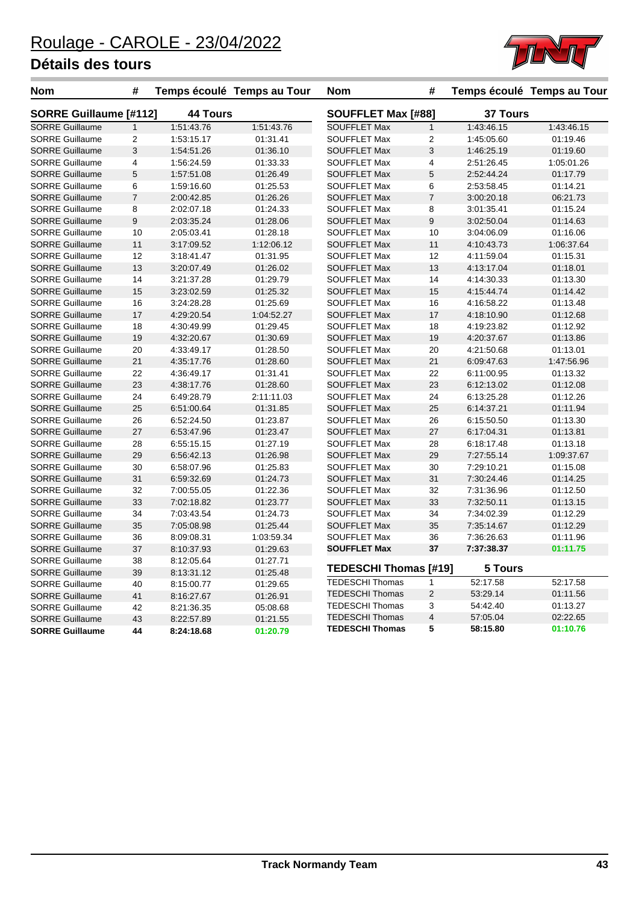

| Nom                    | #                       |            | Temps écoulé Temps au Tour | <b>Nom</b>                   | #                  |            | Temps écoulé Temps au Tour |
|------------------------|-------------------------|------------|----------------------------|------------------------------|--------------------|------------|----------------------------|
| SORRE Guillaume [#112] |                         |            | <b>44 Tours</b>            |                              | SOUFFLET Max [#88] |            | 37 Tours                   |
| <b>SORRE Guillaume</b> | $\mathbf{1}$            | 1:51:43.76 | 1:51:43.76                 | <b>SOUFFLET Max</b>          | $\mathbf{1}$       | 1:43:46.15 | 1:43:46.15                 |
| <b>SORRE Guillaume</b> | $\overline{c}$          | 1:53:15.17 | 01:31.41                   | SOUFFLET Max                 | $\overline{c}$     | 1:45:05.60 | 01:19.46                   |
| <b>SORRE Guillaume</b> | 3                       | 1:54:51.26 | 01:36.10                   | <b>SOUFFLET Max</b>          | 3                  | 1:46:25.19 | 01:19.60                   |
| <b>SORRE Guillaume</b> | $\overline{\mathbf{4}}$ | 1:56:24.59 | 01:33.33                   | <b>SOUFFLET Max</b>          | 4                  | 2:51:26.45 | 1:05:01.26                 |
| <b>SORRE Guillaume</b> | $\overline{5}$          | 1:57:51.08 | 01:26.49                   | <b>SOUFFLET Max</b>          | 5                  | 2:52:44.24 | 01:17.79                   |
| <b>SORRE Guillaume</b> | 6                       | 1:59:16.60 | 01:25.53                   | SOUFFLET Max                 | 6                  | 2:53:58.45 | 01:14.21                   |
| <b>SORRE Guillaume</b> | $\overline{7}$          | 2:00:42.85 | 01:26.26                   | <b>SOUFFLET Max</b>          | $\overline{7}$     | 3:00:20.18 | 06:21.73                   |
| <b>SORRE Guillaume</b> | 8                       | 2:02:07.18 | 01:24.33                   | <b>SOUFFLET Max</b>          | 8                  | 3:01:35.41 | 01:15.24                   |
| <b>SORRE Guillaume</b> | 9                       | 2:03:35.24 | 01:28.06                   | <b>SOUFFLET Max</b>          | 9                  | 3:02:50.04 | 01:14.63                   |
| <b>SORRE Guillaume</b> | 10                      | 2:05:03.41 | 01:28.18                   | SOUFFLET Max                 | 10                 | 3:04:06.09 | 01:16.06                   |
| <b>SORRE Guillaume</b> | 11                      | 3:17:09.52 | 1:12:06.12                 | <b>SOUFFLET Max</b>          | 11                 | 4:10:43.73 | 1:06:37.64                 |
| <b>SORRE Guillaume</b> | 12                      | 3:18:41.47 | 01:31.95                   | <b>SOUFFLET Max</b>          | 12                 | 4:11:59.04 | 01:15.31                   |
| <b>SORRE Guillaume</b> | 13                      | 3:20:07.49 | 01:26.02                   | <b>SOUFFLET Max</b>          | 13                 | 4:13:17.04 | 01:18.01                   |
| <b>SORRE Guillaume</b> | 14                      | 3:21:37.28 | 01:29.79                   | SOUFFLET Max                 | 14                 | 4:14:30.33 | 01:13.30                   |
| <b>SORRE Guillaume</b> | 15                      | 3:23:02.59 | 01:25.32                   | <b>SOUFFLET Max</b>          | 15                 | 4:15:44.74 | 01:14.42                   |
| <b>SORRE Guillaume</b> | 16                      | 3:24:28.28 | 01:25.69                   | <b>SOUFFLET Max</b>          | 16                 | 4:16:58.22 | 01:13.48                   |
| <b>SORRE Guillaume</b> | 17                      | 4:29:20.54 | 1:04:52.27                 | <b>SOUFFLET Max</b>          | 17                 | 4:18:10.90 | 01:12.68                   |
| <b>SORRE Guillaume</b> | 18                      | 4:30:49.99 | 01:29.45                   | <b>SOUFFLET Max</b>          | 18                 | 4:19:23.82 | 01:12.92                   |
| <b>SORRE Guillaume</b> | 19                      | 4:32:20.67 | 01:30.69                   | <b>SOUFFLET Max</b>          | 19                 | 4:20:37.67 | 01:13.86                   |
| <b>SORRE Guillaume</b> | 20                      | 4:33:49.17 | 01:28.50                   | SOUFFLET Max                 | 20                 | 4:21:50.68 | 01:13.01                   |
| <b>SORRE Guillaume</b> | 21                      | 4:35:17.76 | 01:28.60                   | <b>SOUFFLET Max</b>          | 21                 | 6:09:47.63 | 1:47:56.96                 |
| <b>SORRE Guillaume</b> | 22                      | 4:36:49.17 | 01:31.41                   | SOUFFLET Max                 | 22                 | 6:11:00.95 | 01:13.32                   |
| <b>SORRE Guillaume</b> | 23                      | 4:38:17.76 | 01:28.60                   | <b>SOUFFLET Max</b>          | 23                 | 6:12:13.02 | 01:12.08                   |
| <b>SORRE Guillaume</b> | 24                      | 6:49:28.79 | 2:11:11.03                 | <b>SOUFFLET Max</b>          | 24                 | 6:13:25.28 | 01:12.26                   |
| <b>SORRE Guillaume</b> | 25                      | 6:51:00.64 | 01:31.85                   | <b>SOUFFLET Max</b>          | 25                 | 6:14:37.21 | 01:11.94                   |
| <b>SORRE Guillaume</b> | 26                      | 6:52:24.50 | 01:23.87                   | <b>SOUFFLET Max</b>          | 26                 | 6:15:50.50 | 01:13.30                   |
| <b>SORRE Guillaume</b> | 27                      | 6:53:47.96 | 01:23.47                   | <b>SOUFFLET Max</b>          | 27                 | 6:17:04.31 | 01:13.81                   |
| <b>SORRE Guillaume</b> | 28                      | 6:55:15.15 | 01:27.19                   | SOUFFLET Max                 | 28                 | 6:18:17.48 | 01:13.18                   |
| <b>SORRE Guillaume</b> | 29                      | 6:56:42.13 | 01:26.98                   | <b>SOUFFLET Max</b>          | 29                 | 7:27:55.14 | 1:09:37.67                 |
| <b>SORRE Guillaume</b> | 30                      | 6:58:07.96 | 01:25.83                   | <b>SOUFFLET Max</b>          | 30                 | 7:29:10.21 | 01:15.08                   |
| <b>SORRE Guillaume</b> | 31                      | 6:59:32.69 | 01:24.73                   | <b>SOUFFLET Max</b>          | 31                 | 7:30:24.46 | 01:14.25                   |
| <b>SORRE Guillaume</b> | 32                      | 7:00:55.05 | 01:22.36                   | <b>SOUFFLET Max</b>          | 32                 | 7:31:36.96 | 01:12.50                   |
| <b>SORRE Guillaume</b> | 33                      | 7:02:18.82 | 01:23.77                   | <b>SOUFFLET Max</b>          | 33                 | 7:32:50.11 | 01:13.15                   |
| <b>SORRE Guillaume</b> | 34                      | 7:03:43.54 | 01:24.73                   | <b>SOUFFLET Max</b>          | 34                 | 7:34:02.39 | 01:12.29                   |
| <b>SORRE Guillaume</b> | 35                      | 7:05:08.98 | 01:25.44                   | <b>SOUFFLET Max</b>          | 35                 | 7:35:14.67 | 01:12.29                   |
| <b>SORRE Guillaume</b> | 36                      | 8:09:08.31 | 1:03:59.34                 | <b>SOUFFLET Max</b>          | 36                 | 7:36:26.63 | 01:11.96                   |
| <b>SORRE Guillaume</b> | 37                      | 8:10:37.93 | 01:29.63                   | <b>SOUFFLET Max</b>          | 37                 | 7:37:38.37 | 01:11.75                   |
| <b>SORRE Guillaume</b> | 38                      | 8:12:05.64 | 01:27.71                   |                              |                    |            |                            |
| <b>SORRE Guillaume</b> | 39                      | 8:13:31.12 | 01:25.48                   | <b>TEDESCHI Thomas [#19]</b> |                    | 5 Tours    |                            |
| <b>SORRE Guillaume</b> | 40                      | 8:15:00.77 | 01:29.65                   | <b>TEDESCHI Thomas</b>       | 1                  | 52:17.58   | 52:17.58                   |
| <b>SORRE Guillaume</b> | 41                      | 8:16:27.67 | 01:26.91                   | <b>TEDESCHI Thomas</b>       | $\sqrt{2}$         | 53:29.14   | 01:11.56                   |
| <b>SORRE Guillaume</b> | 42                      | 8:21:36.35 | 05:08.68                   | <b>TEDESCHI Thomas</b>       | 3                  | 54:42.40   | 01:13.27                   |
| <b>SORRE Guillaume</b> | 43                      | 8:22:57.89 | 01:21.55                   | <b>TEDESCHI Thomas</b>       | 4                  | 57:05.04   | 02:22.65                   |
| <b>SORRE Guillaume</b> | 44                      | 8:24:18.68 | 01:20.79                   | <b>TEDESCHI Thomas</b>       | 5                  | 58:15.80   | 01:10.76                   |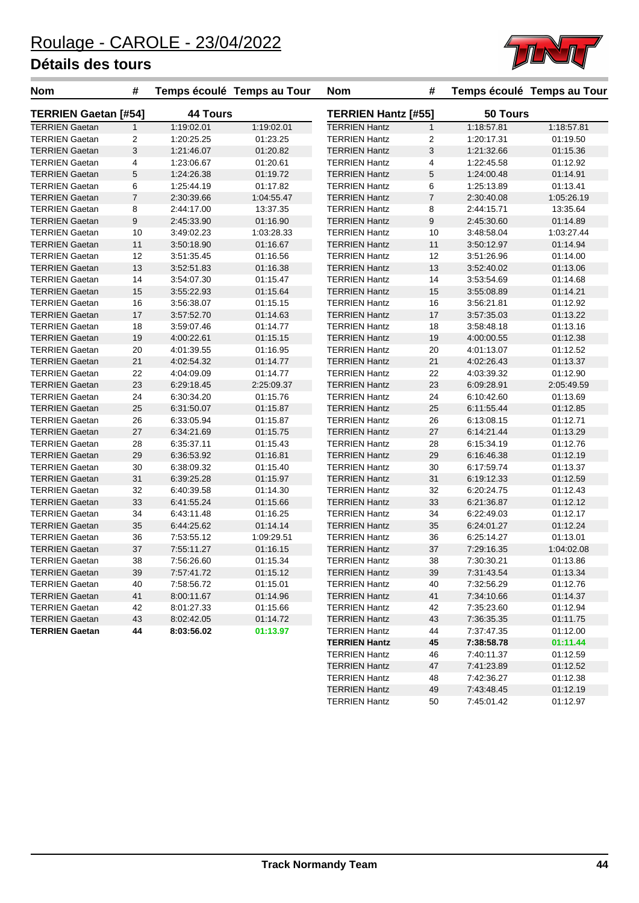

| <b>Nom</b>                  | #              |                 | Temps écoulé Temps au Tour | <b>Nom</b>                 | #              |            | Temps écoulé Temps au Tour |
|-----------------------------|----------------|-----------------|----------------------------|----------------------------|----------------|------------|----------------------------|
| <b>TERRIEN Gaetan [#54]</b> |                | <b>44 Tours</b> |                            | <b>TERRIEN Hantz [#55]</b> |                | 50 Tours   |                            |
| <b>TERRIEN Gaetan</b>       | $\mathbf{1}$   | 1:19:02.01      | 1:19:02.01                 | <b>TERRIEN Hantz</b>       | $\mathbf{1}$   | 1:18:57.81 | 1:18:57.81                 |
| <b>TERRIEN Gaetan</b>       | 2              | 1:20:25.25      | 01:23.25                   | <b>TERRIEN Hantz</b>       | $\overline{2}$ | 1:20:17.31 | 01:19.50                   |
| <b>TERRIEN Gaetan</b>       | 3              | 1:21:46.07      | 01:20.82                   | <b>TERRIEN Hantz</b>       | 3              | 1:21:32.66 | 01:15.36                   |
| <b>TERRIEN Gaetan</b>       | 4              | 1:23:06.67      | 01:20.61                   | <b>TERRIEN Hantz</b>       | 4              | 1:22:45.58 | 01:12.92                   |
| <b>TERRIEN Gaetan</b>       | 5              | 1:24:26.38      | 01:19.72                   | <b>TERRIEN Hantz</b>       | 5              | 1:24:00.48 | 01:14.91                   |
| <b>TERRIEN Gaetan</b>       | 6              | 1:25:44.19      | 01:17.82                   | <b>TERRIEN Hantz</b>       | 6              | 1:25:13.89 | 01:13.41                   |
| <b>TERRIEN Gaetan</b>       | $\overline{7}$ | 2:30:39.66      | 1:04:55.47                 | <b>TERRIEN Hantz</b>       | $\overline{7}$ | 2:30:40.08 | 1:05:26.19                 |
| <b>TERRIEN Gaetan</b>       | 8              | 2:44:17.00      | 13:37.35                   | <b>TERRIEN Hantz</b>       | 8              | 2:44:15.71 | 13:35.64                   |
| <b>TERRIEN Gaetan</b>       | 9              | 2:45:33.90      | 01:16.90                   | <b>TERRIEN Hantz</b>       | 9              | 2:45:30.60 | 01:14.89                   |
| <b>TERRIEN Gaetan</b>       | 10             | 3:49:02.23      | 1:03:28.33                 | <b>TERRIEN Hantz</b>       | 10             | 3:48:58.04 | 1:03:27.44                 |
| <b>TERRIEN Gaetan</b>       | 11             | 3:50:18.90      | 01:16.67                   | <b>TERRIEN Hantz</b>       | 11             | 3:50:12.97 | 01:14.94                   |
| TERRIEN Gaetan              | 12             | 3:51:35.45      | 01:16.56                   | <b>TERRIEN Hantz</b>       | 12             | 3:51:26.96 | 01:14.00                   |
| <b>TERRIEN Gaetan</b>       | 13             | 3:52:51.83      | 01:16.38                   | <b>TERRIEN Hantz</b>       | 13             | 3:52:40.02 | 01:13.06                   |
| <b>TERRIEN Gaetan</b>       | 14             | 3:54:07.30      | 01:15.47                   | <b>TERRIEN Hantz</b>       | 14             | 3:53:54.69 | 01:14.68                   |
| <b>TERRIEN Gaetan</b>       | 15             | 3:55:22.93      | 01:15.64                   | <b>TERRIEN Hantz</b>       | 15             | 3:55:08.89 | 01:14.21                   |
| <b>TERRIEN Gaetan</b>       | 16             | 3:56:38.07      | 01:15.15                   | <b>TERRIEN Hantz</b>       | 16             | 3:56:21.81 | 01:12.92                   |
| <b>TERRIEN Gaetan</b>       | 17             | 3:57:52.70      | 01:14.63                   | <b>TERRIEN Hantz</b>       | 17             | 3:57:35.03 | 01:13.22                   |
| <b>TERRIEN Gaetan</b>       | 18             | 3:59:07.46      | 01:14.77                   | <b>TERRIEN Hantz</b>       | 18             | 3:58:48.18 | 01:13.16                   |
| <b>TERRIEN Gaetan</b>       | 19             | 4:00:22.61      | 01:15.15                   | <b>TERRIEN Hantz</b>       | 19             | 4:00:00.55 | 01:12.38                   |
| <b>TERRIEN Gaetan</b>       | 20             | 4:01:39.55      | 01:16.95                   | <b>TERRIEN Hantz</b>       | 20             | 4:01:13.07 | 01:12.52                   |
| <b>TERRIEN Gaetan</b>       | 21             | 4:02:54.32      | 01:14.77                   | <b>TERRIEN Hantz</b>       | 21             | 4:02:26.43 | 01:13.37                   |
| TERRIEN Gaetan              | 22             | 4:04:09.09      | 01:14.77                   | <b>TERRIEN Hantz</b>       | 22             | 4:03:39.32 | 01:12.90                   |
| TERRIEN Gaetan              | 23             | 6:29:18.45      | 2:25:09.37                 | <b>TERRIEN Hantz</b>       | 23             | 6:09:28.91 | 2:05:49.59                 |
| <b>TERRIEN Gaetan</b>       | 24             | 6:30:34.20      | 01:15.76                   | <b>TERRIEN Hantz</b>       | 24             | 6:10:42.60 | 01:13.69                   |
| <b>TERRIEN Gaetan</b>       | 25             | 6:31:50.07      | 01:15.87                   | <b>TERRIEN Hantz</b>       | 25             | 6:11:55.44 | 01:12.85                   |
| <b>TERRIEN Gaetan</b>       | 26             | 6:33:05.94      | 01:15.87                   | <b>TERRIEN Hantz</b>       | 26             | 6:13:08.15 | 01:12.71                   |
| <b>TERRIEN Gaetan</b>       | 27             | 6:34:21.69      | 01:15.75                   | <b>TERRIEN Hantz</b>       | 27             | 6:14:21.44 | 01:13.29                   |
| <b>TERRIEN Gaetan</b>       | 28             | 6:35:37.11      | 01:15.43                   | <b>TERRIEN Hantz</b>       | 28             | 6:15:34.19 | 01:12.76                   |
| <b>TERRIEN Gaetan</b>       | 29             | 6:36:53.92      | 01:16.81                   | <b>TERRIEN Hantz</b>       | 29             | 6:16:46.38 | 01:12.19                   |
| TERRIEN Gaetan              | 30             | 6:38:09.32      | 01:15.40                   | <b>TERRIEN Hantz</b>       | 30             | 6:17:59.74 | 01:13.37                   |
| <b>TERRIEN Gaetan</b>       | 31             | 6:39:25.28      | 01:15.97                   | <b>TERRIEN Hantz</b>       | 31             | 6:19:12.33 | 01:12.59                   |
| <b>TERRIEN Gaetan</b>       | 32             | 6:40:39.58      | 01:14.30                   | <b>TERRIEN Hantz</b>       | 32             | 6:20:24.75 | 01:12.43                   |
| <b>TERRIEN Gaetan</b>       | 33             | 6:41:55.24      | 01:15.66                   | <b>TERRIEN Hantz</b>       | 33             | 6:21:36.87 | 01:12.12                   |
| <b>TERRIEN Gaetan</b>       | 34             | 6:43:11.48      | 01:16.25                   | <b>TERRIEN Hantz</b>       | 34             | 6:22:49.03 | 01:12.17                   |
| <b>TERRIEN Gaetan</b>       | 35             | 6:44:25.62      | 01:14.14                   | <b>TERRIEN Hantz</b>       | 35             | 6:24:01.27 | 01:12.24                   |
| TERRIEN Gaetan              | 36             | 7:53:55.12      | 1:09:29.51                 | <b>TERRIEN Hantz</b>       | 36             | 6:25:14.27 | 01:13.01                   |
| <b>TERRIEN Gaetan</b>       | 37             | 7:55:11.27      | 01:16.15                   | <b>TERRIEN Hantz</b>       | 37             | 7:29:16.35 | 1:04:02.08                 |
| <b>TERRIEN Gaetan</b>       | 38             | 7:56:26.60      | 01:15.34                   | <b>TERRIEN Hantz</b>       | 38             | 7:30:30.21 | 01:13.86                   |
| TERRIEN Gaetan              | 39             | 7:57:41.72      | 01:15.12                   | <b>TERRIEN Hantz</b>       | 39             | 7:31:43.54 | 01:13.34                   |
| <b>TERRIEN Gaetan</b>       | 40             | 7:58:56.72      | 01:15.01                   | <b>TERRIEN Hantz</b>       | 40             | 7:32:56.29 | 01:12.76                   |
| <b>TERRIEN Gaetan</b>       | 41             | 8:00:11.67      | 01:14.96                   | <b>TERRIEN Hantz</b>       | 41             | 7:34:10.66 | 01:14.37                   |
| <b>TERRIEN Gaetan</b>       | 42             | 8:01:27.33      | 01:15.66                   | <b>TERRIEN Hantz</b>       | 42             | 7:35:23.60 | 01:12.94                   |
| <b>TERRIEN Gaetan</b>       | 43             | 8:02:42.05      | 01:14.72                   | <b>TERRIEN Hantz</b>       | 43             | 7:36:35.35 | 01:11.75                   |
| <b>TERRIEN Gaetan</b>       | 44             | 8:03:56.02      | 01:13.97                   | <b>TERRIEN Hantz</b>       | 44             | 7:37:47.35 | 01:12.00                   |
|                             |                |                 |                            | <b>TERRIEN Hantz</b>       | 45             | 7:38:58.78 | 01:11.44                   |
|                             |                |                 |                            | <b>TERRIEN Hantz</b>       | 46             | 7:40:11.37 | 01:12.59                   |

TERRIEN Hantz 47 7:41:23.89 01:12.52 TERRIEN Hantz 48 7:42:36.27 01:12.38 TERRIEN Hantz 49 7:43:48.45 01:12.19 TERRIEN Hantz 50 7:45:01.42 01:12.97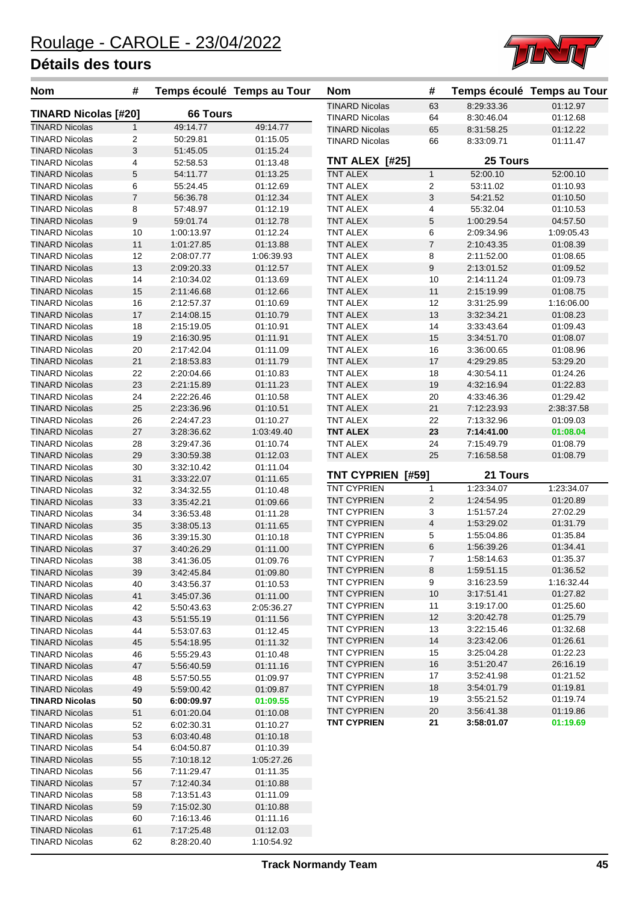

| <b>Nom</b>                                     | #              | Temps écoulé Temps au Tour |                      | <b>Nom</b>            | #                       |                      | Temps écoulé Temps au Tour |
|------------------------------------------------|----------------|----------------------------|----------------------|-----------------------|-------------------------|----------------------|----------------------------|
| <b>TINARD Nicolas [#20]</b>                    |                | <b>66 Tours</b>            |                      | TINARD Nicolas        | 63                      | 8:29:33.36           | 01:12.97                   |
|                                                |                |                            |                      | <b>TINARD Nicolas</b> | 64                      | 8:30:46.04           | 01:12.68                   |
| <b>TINARD Nicolas</b>                          | 1              | 49:14.77                   | 49:14.77             | <b>TINARD Nicolas</b> | 65                      | 8:31:58.25           | 01:12.22                   |
| <b>TINARD Nicolas</b>                          | 2              | 50:29.81                   | 01:15.05             | <b>TINARD Nicolas</b> | 66                      | 8:33:09.71           | 01:11.47                   |
| <b>TINARD Nicolas</b>                          | 3              | 51:45.05<br>52:58.53       | 01:15.24             | <b>TNT ALEX [#25]</b> |                         | 25 Tours             |                            |
| <b>TINARD Nicolas</b><br><b>TINARD Nicolas</b> | 4<br>5         | 54:11.77                   | 01:13.48<br>01:13.25 | <b>TNT ALEX</b>       | $\mathbf{1}$            | 52:00.10             | 52:00.10                   |
|                                                | 6              |                            |                      | <b>TNT ALEX</b>       | 2                       |                      | 01:10.93                   |
| TINARD Nicolas<br><b>TINARD Nicolas</b>        | $\overline{7}$ | 55:24.45<br>56:36.78       | 01:12.69<br>01:12.34 | TNT ALEX              | 3                       | 53:11.02<br>54:21.52 | 01:10.50                   |
| <b>TINARD Nicolas</b>                          | 8              | 57:48.97                   | 01:12.19             | TNT ALEX              | 4                       | 55:32.04             | 01:10.53                   |
| <b>TINARD Nicolas</b>                          | 9              | 59:01.74                   | 01:12.78             | <b>TNT ALEX</b>       | $\mathbf 5$             | 1:00:29.54           | 04:57.50                   |
| TINARD Nicolas                                 | 10             | 1:00:13.97                 | 01:12.24             | TNT ALEX              | 6                       | 2:09:34.96           | 1:09:05.43                 |
| <b>TINARD Nicolas</b>                          | 11             | 1:01:27.85                 | 01:13.88             | <b>TNT ALEX</b>       | $\overline{7}$          | 2:10:43.35           | 01:08.39                   |
| <b>TINARD Nicolas</b>                          | 12             | 2:08:07.77                 | 1:06:39.93           | <b>TNT ALEX</b>       | 8                       | 2:11:52.00           | 01:08.65                   |
| <b>TINARD Nicolas</b>                          | 13             | 2:09:20.33                 | 01:12.57             | <b>TNT ALEX</b>       | 9                       | 2:13:01.52           | 01:09.52                   |
| TINARD Nicolas                                 | 14             | 2:10:34.02                 | 01:13.69             | TNT ALEX              | 10                      | 2:14:11.24           | 01:09.73                   |
| <b>TINARD Nicolas</b>                          | 15             | 2:11:46.68                 | 01:12.66             | TNT ALEX              | 11                      | 2:15:19.99           | 01:08.75                   |
| <b>TINARD Nicolas</b>                          | 16             | 2:12:57.37                 | 01:10.69             | TNT ALEX              | 12                      | 3:31:25.99           | 1:16:06.00                 |
| <b>TINARD Nicolas</b>                          | 17             | 2:14:08.15                 | 01:10.79             | <b>TNT ALEX</b>       | 13                      | 3:32:34.21           | 01:08.23                   |
| <b>TINARD Nicolas</b>                          | 18             | 2:15:19.05                 | 01:10.91             | <b>TNT ALEX</b>       | 14                      | 3:33:43.64           | 01:09.43                   |
| <b>TINARD Nicolas</b>                          | 19             | 2:16:30.95                 | 01:11.91             | <b>TNT ALEX</b>       | 15                      | 3:34:51.70           | 01:08.07                   |
| <b>TINARD Nicolas</b>                          | 20             | 2:17:42.04                 | 01:11.09             | <b>TNT ALEX</b>       | 16                      | 3:36:00.65           | 01:08.96                   |
| <b>TINARD Nicolas</b>                          | 21             | 2:18:53.83                 | 01:11.79             | TNT ALEX              | 17                      | 4:29:29.85           | 53:29.20                   |
| <b>TINARD Nicolas</b>                          | 22             | 2:20:04.66                 | 01:10.83             | TNT ALEX              | 18                      | 4:30:54.11           | 01:24.26                   |
| <b>TINARD Nicolas</b>                          | 23             | 2:21:15.89                 | 01:11.23             | TNT ALEX              | 19                      | 4:32:16.94           | 01:22.83                   |
| <b>TINARD Nicolas</b>                          | 24             | 2:22:26.46                 | 01:10.58             | TNT ALEX              | 20                      | 4:33:46.36           | 01:29.42                   |
| <b>TINARD Nicolas</b>                          | 25             | 2:23:36.96                 | 01:10.51             | <b>TNT ALEX</b>       | 21                      | 7:12:23.93           | 2:38:37.58                 |
| <b>TINARD Nicolas</b>                          | 26             | 2:24:47.23                 | 01:10.27             | <b>TNT ALEX</b>       | 22                      | 7:13:32.96           | 01:09.03                   |
| <b>TINARD Nicolas</b>                          | 27             | 3:28:36.62                 | 1:03:49.40           | <b>TNT ALEX</b>       | 23                      | 7:14:41.00           | 01:08.04                   |
| TINARD Nicolas                                 | 28             | 3:29:47.36                 | 01:10.74             | TNT ALEX              | 24                      | 7:15:49.79           | 01:08.79                   |
| <b>TINARD Nicolas</b>                          | 29             | 3:30:59.38                 | 01:12.03             | <b>TNT ALEX</b>       | 25                      | 7:16:58.58           | 01:08.79                   |
| <b>TINARD Nicolas</b>                          | 30             | 3:32:10.42                 | 01:11.04             |                       |                         |                      |                            |
| <b>TINARD Nicolas</b>                          | 31             | 3:33:22.07                 | 01:11.65             | TNT CYPRIEN [#59]     |                         | 21 Tours             |                            |
| <b>TINARD Nicolas</b>                          | 32             | 3:34:32.55                 | 01:10.48             | <b>TNT CYPRIEN</b>    | 1                       | 1:23:34.07           | 1:23:34.07                 |
| <b>TINARD Nicolas</b>                          | 33             | 3:35:42.21                 | 01:09.66             | <b>TNT CYPRIEN</b>    | $\overline{c}$          | 1:24:54.95           | 01:20.89                   |
| TINARD Nicolas                                 | 34             | 3:36:53.48                 | 01:11.28             | <b>TNT CYPRIEN</b>    | 3                       | 1:51:57.24           | 27:02.29                   |
| <b>TINARD Nicolas</b>                          | 35             | 3:38:05.13                 | 01:11.65             | <b>TNT CYPRIEN</b>    | $\overline{\mathbf{4}}$ | 1:53:29.02           | 01:31.79                   |
| <b>TINARD Nicolas</b>                          | 36             | 3:39:15.30                 | 01:10.18             | TNT CYPRIEN           | 5                       | 1:55:04.86           | 01:35.84                   |
| <b>TINARD Nicolas</b>                          | 37             | 3:40:26.29                 | 01:11.00             | <b>TNT CYPRIEN</b>    | 6                       | 1:56:39.26           | 01:34.41                   |
| TINARD Nicolas                                 | 38             | 3:41:36.05                 | 01:09.76             | <b>TNT CYPRIEN</b>    | $\overline{7}$          | 1:58:14.63           | 01:35.37                   |
| <b>TINARD Nicolas</b>                          | 39             | 3:42:45.84                 | 01:09.80             | <b>TNT CYPRIEN</b>    | 8                       | 1:59:51.15           | 01:36.52                   |
| <b>TINARD Nicolas</b>                          | 40             | 3:43:56.37                 | 01:10.53             | <b>TNT CYPRIEN</b>    | 9                       | 3:16:23.59           | 1:16:32.44                 |
| <b>TINARD Nicolas</b>                          | 41             | 3:45:07.36                 | 01:11.00             | <b>TNT CYPRIEN</b>    | 10                      | 3:17:51.41           | 01:27.82                   |
| <b>TINARD Nicolas</b>                          | 42             | 5:50:43.63                 | 2:05:36.27           | TNT CYPRIEN           | 11                      | 3:19:17.00           | 01:25.60                   |
| TINARD Nicolas                                 | 43             | 5:51:55.19                 | 01:11.56             | <b>TNT CYPRIEN</b>    | 12                      | 3:20:42.78           | 01:25.79                   |
| <b>TINARD Nicolas</b>                          | 44             | 5:53:07.63                 | 01:12.45             | TNT CYPRIEN           | 13                      | 3:22:15.46           | 01:32.68                   |
| <b>TINARD Nicolas</b>                          | 45             | 5:54:18.95                 | 01:11.32             | <b>TNT CYPRIEN</b>    | 14                      | 3:23:42.06           | 01:26.61                   |
| <b>TINARD Nicolas</b>                          | 46             | 5:55:29.43                 | 01:10.48             | TNT CYPRIEN           | 15                      | 3:25:04.28           | 01:22.23                   |
| <b>TINARD Nicolas</b>                          | 47             | 5:56:40.59                 | 01:11.16             | TNT CYPRIEN           | 16                      | 3:51:20.47           | 26:16.19                   |
| <b>TINARD Nicolas</b>                          | 48             | 5:57:50.55                 | 01:09.97             | <b>TNT CYPRIEN</b>    | 17                      | 3:52:41.98           | 01:21.52                   |
| <b>TINARD Nicolas</b>                          | 49             | 5:59:00.42                 | 01:09.87             | <b>TNT CYPRIEN</b>    | 18                      | 3:54:01.79           | 01:19.81                   |
| <b>TINARD Nicolas</b>                          | 50             | 6:00:09.97                 | 01:09.55             | <b>TNT CYPRIEN</b>    | 19                      | 3:55:21.52           | 01:19.74                   |
| <b>TINARD Nicolas</b>                          | 51             | 6:01:20.04                 | 01:10.08             | <b>TNT CYPRIEN</b>    | 20                      | 3:56:41.38           | 01:19.86                   |
| TINARD Nicolas                                 | 52             | 6:02:30.31                 | 01:10.27             | <b>TNT CYPRIEN</b>    | 21                      | 3:58:01.07           | 01:19.69                   |
| TINARD Nicolas                                 | 53             | 6:03:40.48                 | 01:10.18             |                       |                         |                      |                            |
| <b>TINARD Nicolas</b>                          | 54             | 6:04:50.87                 | 01:10.39             |                       |                         |                      |                            |
| <b>TINARD Nicolas</b>                          | 55             | 7:10:18.12                 | 1:05:27.26           |                       |                         |                      |                            |
| TINARD Nicolas                                 | 56             | 7:11:29.47                 | 01:11.35             |                       |                         |                      |                            |
| TINARD Nicolas                                 | 57             | 7:12:40.34                 | 01:10.88             |                       |                         |                      |                            |
| <b>TINARD Nicolas</b>                          | 58             | 7:13:51.43                 | 01:11.09             |                       |                         |                      |                            |
| <b>TINARD Nicolas</b>                          | 59             | 7:15:02.30                 | 01:10.88             |                       |                         |                      |                            |
| TINARD Nicolas                                 | 60             | 7:16:13.46                 | 01:11.16             |                       |                         |                      |                            |
| <b>TINARD Nicolas</b>                          | 61             | 7:17:25.48                 | 01:12.03             |                       |                         |                      |                            |
| <b>TINARD Nicolas</b>                          | 62             | 8:28:20.40                 | 1:10:54.92           |                       |                         |                      |                            |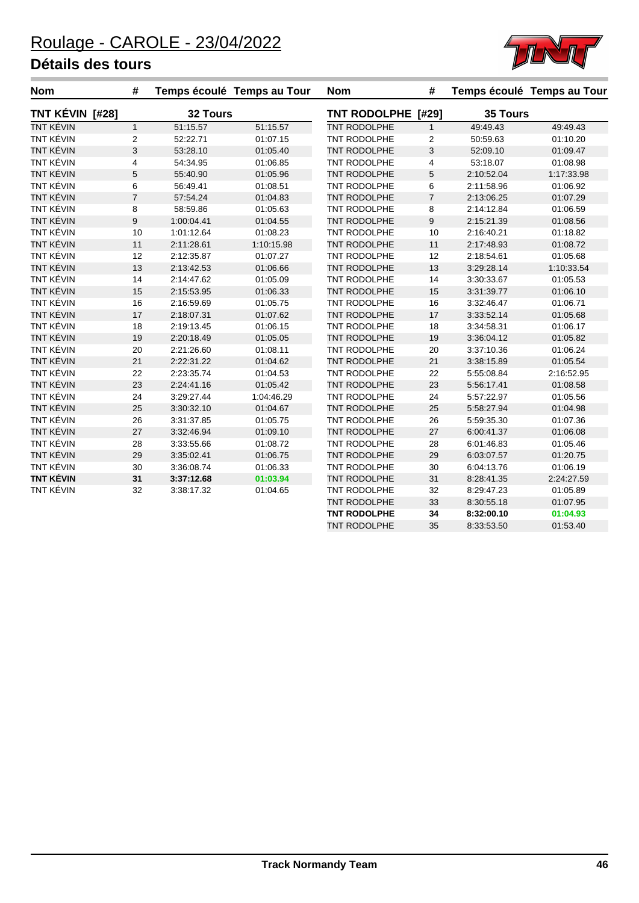

| <b>Nom</b>       | #              |            | Temps écoulé Temps au Tour | <b>Nom</b>          | #              |            | Temps écoulé Temps au Tour |
|------------------|----------------|------------|----------------------------|---------------------|----------------|------------|----------------------------|
| TNT KÉVIN [#28]  |                | 32 Tours   |                            | TNT RODOLPHE [#29]  |                | 35 Tours   |                            |
| <b>TNT KÉVIN</b> | $\mathbf{1}$   | 51:15.57   | 51:15.57                   | TNT RODOLPHE        | $\mathbf{1}$   | 49:49.43   | 49:49.43                   |
| TNT KÉVIN        | 2              | 52:22.71   | 01:07.15                   | TNT RODOLPHE        | $\overline{2}$ | 50:59.63   | 01:10.20                   |
| TNT KÉVIN        | 3              | 53:28.10   | 01:05.40                   | <b>TNT RODOLPHE</b> | $\mathsf 3$    | 52:09.10   | 01:09.47                   |
| <b>TNT KÉVIN</b> | $\overline{4}$ | 54:34.95   | 01:06.85                   | TNT RODOLPHE        | $\overline{4}$ | 53:18.07   | 01:08.98                   |
| TNT KÉVIN        | 5              | 55:40.90   | 01:05.96                   | TNT RODOLPHE        | 5              | 2:10:52.04 | 1:17:33.98                 |
| TNT KÉVIN        | 6              | 56:49.41   | 01:08.51                   | <b>TNT RODOLPHE</b> | 6              | 2:11:58.96 | 01:06.92                   |
| TNT KÉVIN        | $\overline{7}$ | 57:54.24   | 01:04.83                   | TNT RODOLPHE        | $\overline{7}$ | 2:13:06.25 | 01:07.29                   |
| <b>TNT KÉVIN</b> | 8              | 58:59.86   | 01:05.63                   | TNT RODOLPHE        | 8              | 2:14:12.84 | 01:06.59                   |
| TNT KÉVIN        | $\mathsf g$    | 1:00:04.41 | 01:04.55                   | TNT RODOLPHE        | 9              | 2:15:21.39 | 01:08.56                   |
| <b>TNT KÉVIN</b> | 10             | 1:01:12.64 | 01:08.23                   | TNT RODOLPHE        | 10             | 2:16:40.21 | 01:18.82                   |
| TNT KÉVIN        | 11             | 2:11:28.61 | 1:10:15.98                 | TNT RODOLPHE        | 11             | 2:17:48.93 | 01:08.72                   |
| <b>TNT KÉVIN</b> | 12             | 2:12:35.87 | 01:07.27                   | TNT RODOLPHE        | 12             | 2:18:54.61 | 01:05.68                   |
| TNT KÉVIN        | 13             | 2:13:42.53 | 01:06.66                   | <b>TNT RODOLPHE</b> | 13             | 3:29:28.14 | 1:10:33.54                 |
| <b>TNT KÉVIN</b> | 14             | 2:14:47.62 | 01:05.09                   | TNT RODOLPHE        | 14             | 3:30:33.67 | 01:05.53                   |
| TNT KÉVIN        | 15             | 2:15:53.95 | 01:06.33                   | TNT RODOLPHE        | 15             | 3:31:39.77 | 01:06.10                   |
| <b>TNT KÉVIN</b> | 16             | 2:16:59.69 | 01:05.75                   | <b>TNT RODOLPHE</b> | 16             | 3:32:46.47 | 01:06.71                   |
| TNT KÉVIN        | 17             | 2:18:07.31 | 01:07.62                   | TNT RODOLPHE        | 17             | 3:33:52.14 | 01:05.68                   |
| <b>TNT KÉVIN</b> | 18             | 2:19:13.45 | 01:06.15                   | TNT RODOLPHE        | 18             | 3:34:58.31 | 01:06.17                   |
| TNT KÉVIN        | 19             | 2:20:18.49 | 01:05.05                   | TNT RODOLPHE        | 19             | 3:36:04.12 | 01:05.82                   |
| TNT KÉVIN        | 20             | 2:21:26.60 | 01:08.11                   | <b>TNT RODOLPHE</b> | 20             | 3:37:10.36 | 01:06.24                   |
| TNT KÉVIN        | 21             | 2:22:31.22 | 01:04.62                   | <b>TNT RODOLPHE</b> | 21             | 3:38:15.89 | 01:05.54                   |
| <b>TNT KÉVIN</b> | 22             | 2:23:35.74 | 01:04.53                   | <b>TNT RODOLPHE</b> | 22             | 5:55:08.84 | 2:16:52.95                 |
| TNT KÉVIN        | 23             | 2:24:41.16 | 01:05.42                   | TNT RODOLPHE        | 23             | 5:56:17.41 | 01:08.58                   |
| <b>TNT KÉVIN</b> | 24             | 3:29:27.44 | 1:04:46.29                 | TNT RODOLPHE        | 24             | 5:57:22.97 | 01:05.56                   |
| <b>TNT KÉVIN</b> | 25             | 3:30:32.10 | 01:04.67                   | TNT RODOLPHE        | 25             | 5:58:27.94 | 01:04.98                   |
| <b>TNT KÉVIN</b> | 26             | 3:31:37.85 | 01:05.75                   | TNT RODOLPHE        | 26             | 5:59:35.30 | 01:07.36                   |
| TNT KÉVIN        | 27             | 3:32:46.94 | 01:09.10                   | TNT RODOLPHE        | 27             | 6:00:41.37 | 01:06.08                   |
| <b>TNT KÉVIN</b> | 28             | 3:33:55.66 | 01:08.72                   | TNT RODOLPHE        | 28             | 6:01:46.83 | 01:05.46                   |
| TNT KÉVIN        | 29             | 3:35:02.41 | 01:06.75                   | TNT RODOLPHE        | 29             | 6:03:07.57 | 01:20.75                   |
| <b>TNT KÉVIN</b> | 30             | 3:36:08.74 | 01:06.33                   | TNT RODOLPHE        | 30             | 6:04:13.76 | 01:06.19                   |
| <b>TNT KÉVIN</b> | 31             | 3:37:12.68 | 01:03.94                   | TNT RODOLPHE        | 31             | 8:28:41.35 | 2:24:27.59                 |
| <b>TNT KÉVIN</b> | 32             | 3:38:17.32 | 01:04.65                   | TNT RODOLPHE        | 32             | 8:29:47.23 | 01:05.89                   |
|                  |                |            |                            | TNT RODOLPHE        | 33             | 8:30:55.18 | 01:07.95                   |
|                  |                |            |                            | <b>TNT RODOLPHE</b> | 34             | 8:32:00.10 | 01:04.93                   |

TNT RODOLPHE 35 8:33:53.50 01:53.40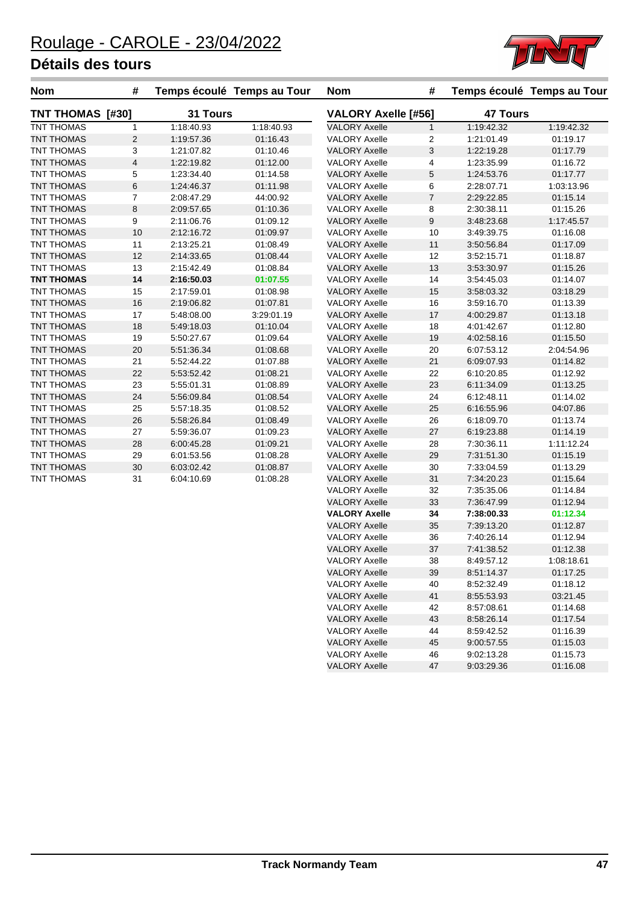

| <b>Nom</b>              | #              |            | Temps écoulé Temps au Tour | <b>Nom</b>                 | #              |                 | Temps écoulé Temps au Tour |
|-------------------------|----------------|------------|----------------------------|----------------------------|----------------|-----------------|----------------------------|
| <b>TNT THOMAS [#30]</b> |                | 31 Tours   |                            | <b>VALORY Axelle [#56]</b> |                | <b>47 Tours</b> |                            |
| TNT THOMAS              | $\mathbf{1}$   | 1:18:40.93 | 1:18:40.93                 | <b>VALORY Axelle</b>       | $\mathbf{1}$   | 1:19:42.32      | 1:19:42.32                 |
| <b>TNT THOMAS</b>       | 2              | 1:19:57.36 | 01:16.43                   | <b>VALORY Axelle</b>       | 2              | 1:21:01.49      | 01:19.17                   |
| <b>TNT THOMAS</b>       | $\mathsf 3$    | 1:21:07.82 | 01:10.46                   | <b>VALORY Axelle</b>       | 3              | 1:22:19.28      | 01:17.79                   |
| <b>TNT THOMAS</b>       | $\overline{4}$ | 1:22:19.82 | 01:12.00                   | <b>VALORY Axelle</b>       | 4              | 1:23:35.99      | 01:16.72                   |
| TNT THOMAS              | 5              | 1:23:34.40 | 01:14.58                   | <b>VALORY Axelle</b>       | 5              | 1:24:53.76      | 01:17.77                   |
| <b>TNT THOMAS</b>       | $\,6$          | 1:24:46.37 | 01:11.98                   | <b>VALORY Axelle</b>       | 6              | 2:28:07.71      | 1:03:13.96                 |
| <b>TNT THOMAS</b>       | $\overline{7}$ | 2:08:47.29 | 44:00.92                   | <b>VALORY Axelle</b>       | $\overline{7}$ | 2:29:22.85      | 01:15.14                   |
| TNT THOMAS              | $\,8\,$        | 2:09:57.65 | 01:10.36                   | <b>VALORY Axelle</b>       | 8              | 2:30:38.11      | 01:15.26                   |
| TNT THOMAS              | 9              | 2:11:06.76 | 01:09.12                   | <b>VALORY Axelle</b>       | 9              | 3:48:23.68      | 1:17:45.57                 |
| TNT THOMAS              | 10             | 2:12:16.72 | 01:09.97                   | <b>VALORY Axelle</b>       | 10             | 3:49:39.75      | 01:16.08                   |
| TNT THOMAS              | 11             | 2:13:25.21 | 01:08.49                   | <b>VALORY Axelle</b>       | 11             | 3:50:56.84      | 01:17.09                   |
| TNT THOMAS              | 12             | 2:14:33.65 | 01:08.44                   | <b>VALORY Axelle</b>       | 12             | 3:52:15.71      | 01:18.87                   |
| TNT THOMAS              | 13             | 2:15:42.49 | 01:08.84                   | <b>VALORY Axelle</b>       | 13             | 3:53:30.97      | 01:15.26                   |
| <b>TNT THOMAS</b>       | 14             | 2:16:50.03 | 01:07.55                   | <b>VALORY Axelle</b>       | 14             | 3:54:45.03      | 01:14.07                   |
| TNT THOMAS              | 15             | 2:17:59.01 | 01:08.98                   | <b>VALORY Axelle</b>       | 15             | 3:58:03.32      | 03:18.29                   |
| <b>TNT THOMAS</b>       | 16             | 2:19:06.82 | 01:07.81                   | <b>VALORY Axelle</b>       | 16             | 3:59:16.70      | 01:13.39                   |
| <b>TNT THOMAS</b>       | 17             | 5:48:08.00 | 3:29:01.19                 | <b>VALORY Axelle</b>       | 17             | 4:00:29.87      | 01:13.18                   |
| TNT THOMAS              | 18             | 5:49:18.03 | 01:10.04                   | <b>VALORY Axelle</b>       | 18             | 4:01:42.67      | 01:12.80                   |
| TNT THOMAS              | 19             | 5:50:27.67 | 01:09.64                   | <b>VALORY Axelle</b>       | 19             | 4:02:58.16      | 01:15.50                   |
| TNT THOMAS              | 20             | 5:51:36.34 | 01:08.68                   | <b>VALORY Axelle</b>       | 20             | 6:07:53.12      | 2:04:54.96                 |
| TNT THOMAS              | 21             | 5:52:44.22 | 01:07.88                   | <b>VALORY Axelle</b>       | 21             | 6:09:07.93      | 01:14.82                   |
| TNT THOMAS              | 22             | 5:53:52.42 | 01:08.21                   | <b>VALORY Axelle</b>       | 22             | 6:10:20.85      | 01:12.92                   |
| <b>TNT THOMAS</b>       | 23             | 5:55:01.31 | 01:08.89                   | <b>VALORY Axelle</b>       | 23             | 6:11:34.09      | 01:13.25                   |
| <b>TNT THOMAS</b>       | 24             | 5:56:09.84 | 01:08.54                   | <b>VALORY Axelle</b>       | 24             | 6:12:48.11      | 01:14.02                   |
| <b>TNT THOMAS</b>       | 25             | 5:57:18.35 | 01:08.52                   | <b>VALORY Axelle</b>       | 25             | 6:16:55.96      | 04:07.86                   |
| <b>TNT THOMAS</b>       | 26             | 5:58:26.84 | 01:08.49                   | <b>VALORY Axelle</b>       | 26             | 6:18:09.70      | 01:13.74                   |
| <b>TNT THOMAS</b>       | 27             | 5:59:36.07 | 01:09.23                   | <b>VALORY Axelle</b>       | 27             | 6:19:23.88      | 01:14.19                   |
| TNT THOMAS              | 28             | 6:00:45.28 | 01:09.21                   | <b>VALORY Axelle</b>       | 28             | 7:30:36.11      | 1:11:12.24                 |
| TNT THOMAS              | 29             | 6:01:53.56 | 01:08.28                   | <b>VALORY Axelle</b>       | 29             | 7:31:51.30      | 01:15.19                   |
| TNT THOMAS              | 30             | 6:03:02.42 | 01:08.87                   | <b>VALORY Axelle</b>       | 30             | 7:33:04.59      | 01:13.29                   |
| TNT THOMAS              | 31             | 6:04:10.69 | 01:08.28                   | <b>VALORY Axelle</b>       | 31             | 7:34:20.23      | 01:15.64                   |
|                         |                |            |                            | <b>VALORY Axelle</b>       | 32             | 7:35:35.06      | 01:14.84                   |
|                         |                |            |                            | <b>VALORY Axelle</b>       | 33             | 7:36:47.99      | 01:12.94                   |
|                         |                |            |                            | <b>VALORY Axelle</b>       | 34             | 7:38:00.33      | 01:12.34                   |
|                         |                |            |                            | <b>VALORY Axelle</b>       | 35             | 7:39:13.20      | 01:12.87                   |
|                         |                |            |                            | <b>VALORY Axelle</b>       | 36             | 7:40:26.14      | 01:12.94                   |
|                         |                |            |                            | <b>VALORY Axelle</b>       | 37             | 7:41:38.52      | 01:12.38                   |
|                         |                |            |                            | <b>VALORY Axelle</b>       | 38             | 8:49:57.12      | 1:08:18.61                 |

VALORY Axelle 39 8:51:14.37 01:17.25 VALORY Axelle 40 8:52:32.49 01:18.12 VALORY Axelle 41 8:55:53.93 03:21.45 VALORY Axelle 42 8:57:08.61 01:14.68 VALORY Axelle 43 8:58:26.14 01:17.54 VALORY Axelle 44 8:59:42.52 01:16.39 VALORY Axelle 45 9:00:57.55 01:15.03 VALORY Axelle 46 9:02:13.28 01:15.73 VALORY Axelle 47 9:03:29.36 01:16.08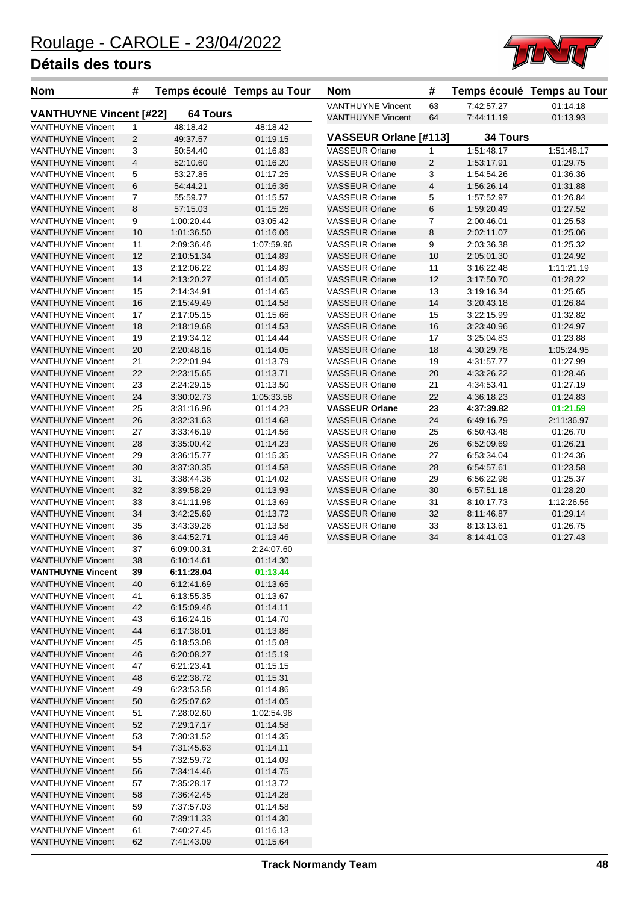

| <b>Nom</b>                                           | #              |                          | Temps écoulé Temps au Tour | <b>Nom</b>                                           | #            |                          | Temps écoulé Temps au Tour |
|------------------------------------------------------|----------------|--------------------------|----------------------------|------------------------------------------------------|--------------|--------------------------|----------------------------|
| <b>VANTHUYNE Vincent [#22]</b>                       |                | <b>64 Tours</b>          |                            | <b>VANTHUYNE Vincent</b><br><b>VANTHUYNE Vincent</b> | 63<br>64     | 7:42:57.27<br>7:44:11.19 | 01:14.18<br>01:13.93       |
| <b>VANTHUYNE Vincent</b>                             | $\mathbf{1}$   | 48:18.42                 | 48:18.42                   |                                                      |              |                          |                            |
| <b>VANTHUYNE Vincent</b>                             | 2              | 49:37.57                 | 01:19.15                   | VASSEUR Orlane [#113]                                |              | <b>34 Tours</b>          |                            |
| <b>VANTHUYNE Vincent</b>                             | 3              | 50:54.40                 | 01:16.83                   | VASSEUR Orlane                                       | 1            | 1:51:48.17               | 1:51:48.17                 |
| <b>VANTHUYNE Vincent</b>                             | $\overline{4}$ | 52:10.60                 | 01:16.20                   | <b>VASSEUR Orlane</b>                                | $\mathbf{2}$ | 1:53:17.91               | 01:29.75                   |
| <b>VANTHUYNE Vincent</b>                             | 5              | 53:27.85                 | 01:17.25                   | <b>VASSEUR Orlane</b>                                | 3            | 1:54:54.26               | 01:36.36                   |
| <b>VANTHUYNE Vincent</b>                             | 6              | 54:44.21                 | 01:16.36                   | <b>VASSEUR Orlane</b>                                | 4            | 1:56:26.14               | 01:31.88                   |
| <b>VANTHUYNE Vincent</b><br><b>VANTHUYNE Vincent</b> | $\overline{7}$ | 55:59.77                 | 01:15.57<br>01:15.26       | <b>VASSEUR Orlane</b>                                | 5            | 1:57:52.97               | 01:26.84<br>01:27.52       |
| <b>VANTHUYNE Vincent</b>                             | 8<br>9         | 57:15.03<br>1:00:20.44   | 03:05.42                   | <b>VASSEUR Orlane</b><br><b>VASSEUR Orlane</b>       | 6<br>7       | 1:59:20.49<br>2:00:46.01 | 01:25.53                   |
| <b>VANTHUYNE Vincent</b>                             | 10             | 1:01:36.50               | 01:16.06                   | <b>VASSEUR Orlane</b>                                | 8            | 2:02:11.07               | 01:25.06                   |
| <b>VANTHUYNE Vincent</b>                             | 11             | 2:09:36.46               | 1:07:59.96                 | <b>VASSEUR Orlane</b>                                | 9            | 2:03:36.38               | 01:25.32                   |
| <b>VANTHUYNE Vincent</b>                             | 12             | 2:10:51.34               | 01:14.89                   | <b>VASSEUR Orlane</b>                                | 10           | 2:05:01.30               | 01:24.92                   |
| <b>VANTHUYNE Vincent</b>                             | 13             | 2:12:06.22               | 01:14.89                   | <b>VASSEUR Orlane</b>                                | 11           | 3:16:22.48               | 1:11:21.19                 |
| <b>VANTHUYNE Vincent</b>                             | 14             | 2:13:20.27               | 01:14.05                   | <b>VASSEUR Orlane</b>                                | 12           | 3:17:50.70               | 01:28.22                   |
| <b>VANTHUYNE Vincent</b>                             | 15             | 2:14:34.91               | 01:14.65                   | <b>VASSEUR Orlane</b>                                | 13           | 3:19:16.34               | 01:25.65                   |
| <b>VANTHUYNE Vincent</b>                             | 16             | 2:15:49.49               | 01:14.58                   | <b>VASSEUR Orlane</b>                                | 14           | 3:20:43.18               | 01:26.84                   |
| <b>VANTHUYNE Vincent</b>                             | 17             | 2:17:05.15               | 01:15.66                   | <b>VASSEUR Orlane</b>                                | 15           | 3:22:15.99               | 01:32.82                   |
| <b>VANTHUYNE Vincent</b>                             | 18             | 2:18:19.68               | 01:14.53                   | <b>VASSEUR Orlane</b>                                | 16           | 3:23:40.96               | 01:24.97                   |
| <b>VANTHUYNE Vincent</b>                             | 19             | 2:19:34.12               | 01:14.44                   | <b>VASSEUR Orlane</b>                                | 17           | 3:25:04.83               | 01:23.88                   |
| <b>VANTHUYNE Vincent</b>                             | 20             | 2:20:48.16               | 01:14.05                   | <b>VASSEUR Orlane</b>                                | 18           | 4:30:29.78               | 1:05:24.95                 |
| <b>VANTHUYNE Vincent</b>                             | 21             | 2:22:01.94               | 01:13.79                   | <b>VASSEUR Orlane</b>                                | 19           | 4:31:57.77               | 01:27.99                   |
| <b>VANTHUYNE Vincent</b>                             | 22             | 2:23:15.65               | 01:13.71                   | <b>VASSEUR Orlane</b>                                | 20           | 4:33:26.22               | 01:28.46                   |
| <b>VANTHUYNE Vincent</b>                             | 23             | 2:24:29.15               | 01:13.50                   | <b>VASSEUR Orlane</b>                                | 21           | 4:34:53.41               | 01:27.19                   |
| <b>VANTHUYNE Vincent</b>                             | 24             | 3:30:02.73               | 1:05:33.58                 | <b>VASSEUR Orlane</b>                                | 22           | 4:36:18.23               | 01:24.83                   |
| <b>VANTHUYNE Vincent</b>                             | 25             | 3:31:16.96               | 01:14.23                   | <b>VASSEUR Orlane</b>                                | 23           | 4:37:39.82               | 01:21.59                   |
| <b>VANTHUYNE Vincent</b>                             | 26             | 3:32:31.63               | 01:14.68                   | <b>VASSEUR Orlane</b>                                | 24           | 6:49:16.79               | 2:11:36.97                 |
| <b>VANTHUYNE Vincent</b>                             | 27             | 3:33:46.19               | 01:14.56                   | <b>VASSEUR Orlane</b>                                | 25           | 6:50:43.48               | 01:26.70                   |
| <b>VANTHUYNE Vincent</b>                             | 28             | 3:35:00.42               | 01:14.23                   | <b>VASSEUR Orlane</b>                                | 26           | 6:52:09.69               | 01:26.21                   |
| <b>VANTHUYNE Vincent</b>                             | 29             | 3:36:15.77               | 01:15.35                   | <b>VASSEUR Orlane</b>                                | 27           | 6:53:34.04               | 01:24.36                   |
| <b>VANTHUYNE Vincent</b>                             | 30             | 3:37:30.35               | 01:14.58                   | <b>VASSEUR Orlane</b>                                | 28           | 6:54:57.61               | 01:23.58                   |
| <b>VANTHUYNE Vincent</b>                             | 31             | 3:38:44.36               | 01:14.02                   | <b>VASSEUR Orlane</b>                                | 29           | 6:56:22.98               | 01:25.37                   |
| <b>VANTHUYNE Vincent</b>                             | 32             | 3:39:58.29               | 01:13.93                   | <b>VASSEUR Orlane</b><br><b>VASSEUR Orlane</b>       | 30           | 6:57:51.18               | 01:28.20<br>1:12:26.56     |
| <b>VANTHUYNE Vincent</b><br><b>VANTHUYNE Vincent</b> | 33<br>34       | 3:41:11.98<br>3:42:25.69 | 01:13.69<br>01:13.72       | <b>VASSEUR Orlane</b>                                | 31<br>32     | 8:10:17.73<br>8:11:46.87 | 01:29.14                   |
| <b>VANTHUYNE Vincent</b>                             | 35             | 3:43:39.26               | 01:13.58                   | <b>VASSEUR Orlane</b>                                | 33           | 8:13:13.61               | 01:26.75                   |
| <b>VANTHUYNE Vincent</b>                             | 36             | 3:44:52.71               | 01:13.46                   | <b>VASSEUR Orlane</b>                                | 34           | 8:14:41.03               | 01:27.43                   |
| <b>VANTHUYNE Vincent</b>                             | 37             | 6:09:00.31               | 2:24:07.60                 |                                                      |              |                          |                            |
| <b>VANTHUYNE Vincent</b>                             | 38             | 6:10:14.61               | 01:14.30                   |                                                      |              |                          |                            |
| <b>VANTHUYNE Vincent</b>                             | 39             | 6:11:28.04               | 01:13.44                   |                                                      |              |                          |                            |
| <b>VANTHUYNE Vincent</b>                             | 40             | 6:12:41.69               | 01:13.65                   |                                                      |              |                          |                            |
| <b>VANTHUYNE Vincent</b>                             | 41             | 6:13:55.35               | 01:13.67                   |                                                      |              |                          |                            |
| <b>VANTHUYNE Vincent</b>                             | 42             | 6:15:09.46               | 01:14.11                   |                                                      |              |                          |                            |
| <b>VANTHUYNE Vincent</b>                             | 43             | 6:16:24.16               | 01:14.70                   |                                                      |              |                          |                            |
| <b>VANTHUYNE Vincent</b>                             | 44             | 6:17:38.01               | 01:13.86                   |                                                      |              |                          |                            |
| <b>VANTHUYNE Vincent</b>                             | 45             | 6:18:53.08               | 01:15.08                   |                                                      |              |                          |                            |
| <b>VANTHUYNE Vincent</b>                             | 46             | 6:20:08.27               | 01:15.19                   |                                                      |              |                          |                            |
| <b>VANTHUYNE Vincent</b>                             | 47             | 6:21:23.41               | 01:15.15                   |                                                      |              |                          |                            |
| <b>VANTHUYNE Vincent</b>                             | 48             | 6:22:38.72               | 01:15.31                   |                                                      |              |                          |                            |
| <b>VANTHUYNE Vincent</b>                             | 49             | 6:23:53.58               | 01:14.86                   |                                                      |              |                          |                            |
| <b>VANTHUYNE Vincent</b>                             | 50             | 6.25.07.62               | 01:14.05                   |                                                      |              |                          |                            |
| <b>VANTHUYNE Vincent</b>                             | 51             | 7:28:02.60               | 1:02:54.98                 |                                                      |              |                          |                            |
| <b>VANTHUYNE Vincent</b>                             | 52             | 7:29:17.17               | 01:14.58                   |                                                      |              |                          |                            |
| <b>VANTHUYNE Vincent</b>                             | 53             | 7:30:31.52               | 01:14.35                   |                                                      |              |                          |                            |
| <b>VANTHUYNE Vincent</b><br><b>VANTHUYNE Vincent</b> | 54             | 7:31:45.63               | 01:14.11                   |                                                      |              |                          |                            |
| <b>VANTHUYNE Vincent</b>                             | 55<br>56       | 7:32:59.72<br>7:34:14.46 | 01:14.09<br>01:14.75       |                                                      |              |                          |                            |
| <b>VANTHUYNE Vincent</b>                             | 57             | 7:35:28.17               | 01:13.72                   |                                                      |              |                          |                            |
| <b>VANTHUYNE Vincent</b>                             | 58             | 7:36:42.45               | 01:14.28                   |                                                      |              |                          |                            |
| <b>VANTHUYNE Vincent</b>                             | 59             | 7:37:57.03               | 01:14.58                   |                                                      |              |                          |                            |
| <b>VANTHUYNE Vincent</b>                             | 60             | 7:39:11.33               | 01:14.30                   |                                                      |              |                          |                            |
| <b>VANTHUYNE Vincent</b>                             | 61             | 7:40:27.45               | 01:16.13                   |                                                      |              |                          |                            |
| <b>VANTHUYNE Vincent</b>                             | 62             | 7:41:43.09               | 01:15.64                   |                                                      |              |                          |                            |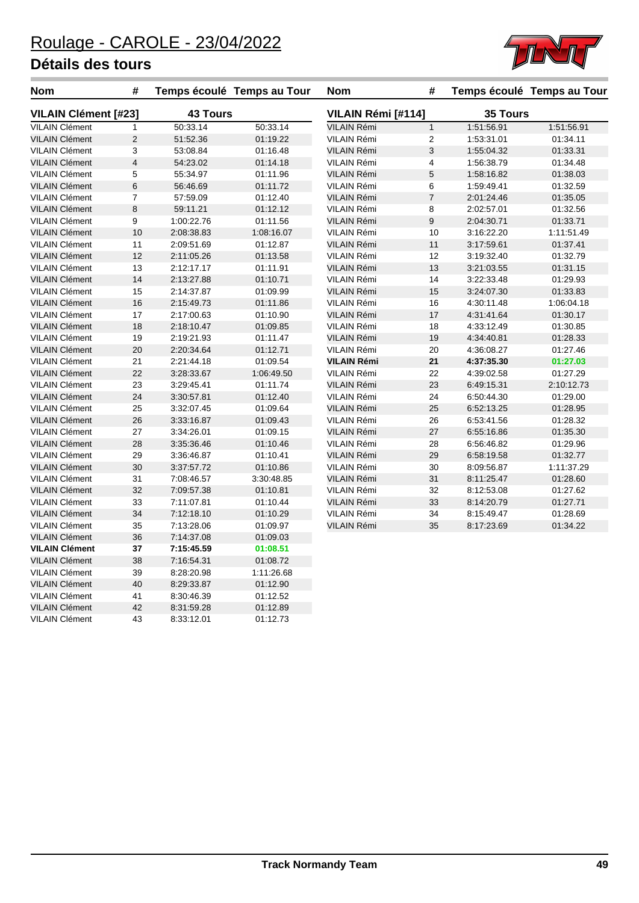

| Nom                         | #              |                 | Temps écoulé Temps au Tour | <b>Nom</b>         | #                        |            | Temps écoulé Temps au Tour |
|-----------------------------|----------------|-----------------|----------------------------|--------------------|--------------------------|------------|----------------------------|
| <b>VILAIN Clément [#23]</b> |                | <b>43 Tours</b> |                            | VILAIN Rémi [#114] |                          | 35 Tours   |                            |
| <b>VILAIN Clément</b>       | $\mathbf{1}$   | 50:33.14        | 50:33.14                   | <b>VILAIN Rémi</b> | $\mathbf{1}$             | 1:51:56.91 | 1:51:56.91                 |
| <b>VILAIN Clément</b>       | $\overline{c}$ | 51:52.36        | 01:19.22                   | VILAIN Rémi        | 2                        | 1:53:31.01 | 01:34.11                   |
| <b>VILAIN Clément</b>       | 3              | 53:08.84        | 01:16.48                   | VILAIN Rémi        | 3                        | 1:55:04.32 | 01:33.31                   |
| <b>VILAIN Clément</b>       | 4              | 54:23.02        | 01:14.18                   | VILAIN Rémi        | 4                        | 1:56:38.79 | 01:34.48                   |
| <b>VILAIN Clément</b>       | 5              | 55:34.97        | 01:11.96                   | <b>VILAIN Rémi</b> | 5                        | 1:58:16.82 | 01:38.03                   |
| <b>VILAIN Clément</b>       | 6              | 56:46.69        | 01:11.72                   | VILAIN Rémi        | 6                        | 1:59:49.41 | 01:32.59                   |
| <b>VILAIN Clément</b>       | $\overline{7}$ | 57:59.09        | 01:12.40                   | <b>VILAIN Rémi</b> | $\overline{\mathcal{I}}$ | 2:01:24.46 | 01:35.05                   |
| <b>VILAIN Clément</b>       | 8              | 59:11.21        | 01:12.12                   | <b>VILAIN Rémi</b> | 8                        | 2:02:57.01 | 01:32.56                   |
| <b>VILAIN Clément</b>       | 9              | 1:00:22.76      | 01:11.56                   | VILAIN Rémi        | 9                        | 2:04:30.71 | 01:33.71                   |
| <b>VILAIN Clément</b>       | 10             | 2:08:38.83      | 1:08:16.07                 | VILAIN Rémi        | 10                       | 3:16:22.20 | 1:11:51.49                 |
| <b>VILAIN Clément</b>       | 11             | 2:09:51.69      | 01:12.87                   | VILAIN Rémi        | 11                       | 3:17:59.61 | 01:37.41                   |
| <b>VILAIN Clément</b>       | 12             | 2:11:05.26      | 01:13.58                   | VILAIN Rémi        | 12                       | 3:19:32.40 | 01:32.79                   |
| <b>VILAIN Clément</b>       | 13             | 2:12:17.17      | 01:11.91                   | <b>VILAIN Rémi</b> | 13                       | 3:21:03.55 | 01:31.15                   |
| <b>VILAIN Clément</b>       | 14             | 2:13:27.88      | 01:10.71                   | VILAIN Rémi        | 14                       | 3:22:33.48 | 01:29.93                   |
| <b>VILAIN Clément</b>       | 15             | 2:14:37.87      | 01:09.99                   | <b>VILAIN Rémi</b> | 15                       | 3:24:07.30 | 01:33.83                   |
| <b>VILAIN Clément</b>       | 16             | 2:15:49.73      | 01:11.86                   | VILAIN Rémi        | 16                       | 4:30:11.48 | 1:06:04.18                 |
| <b>VILAIN Clément</b>       | 17             | 2:17:00.63      | 01:10.90                   | <b>VILAIN Rémi</b> | 17                       | 4:31:41.64 | 01:30.17                   |
| <b>VILAIN Clément</b>       | 18             | 2:18:10.47      | 01:09.85                   | VILAIN Rémi        | 18                       | 4:33:12.49 | 01:30.85                   |
| <b>VILAIN Clément</b>       | 19             | 2:19:21.93      | 01:11.47                   | <b>VILAIN Rémi</b> | 19                       | 4:34:40.81 | 01:28.33                   |
| <b>VILAIN Clément</b>       | 20             | 2:20:34.64      | 01:12.71                   | VILAIN Rémi        | 20                       | 4:36:08.27 | 01:27.46                   |
| <b>VILAIN Clément</b>       | 21             | 2:21:44.18      | 01:09.54                   | <b>VILAIN Rémi</b> | 21                       | 4:37:35.30 | 01:27.03                   |
| <b>VILAIN Clément</b>       | 22             | 3:28:33.67      | 1:06:49.50                 | VILAIN Rémi        | 22                       | 4:39:02.58 | 01:27.29                   |
| <b>VILAIN Clément</b>       | 23             | 3:29:45.41      | 01:11.74                   | VILAIN Rémi        | 23                       | 6:49:15.31 | 2:10:12.73                 |
| <b>VILAIN Clément</b>       | 24             | 3:30:57.81      | 01:12.40                   | VILAIN Rémi        | 24                       | 6:50:44.30 | 01:29.00                   |
| <b>VILAIN Clément</b>       | 25             | 3:32:07.45      | 01:09.64                   | <b>VILAIN Rémi</b> | 25                       | 6:52:13.25 | 01:28.95                   |
| <b>VILAIN Clément</b>       | 26             | 3:33:16.87      | 01:09.43                   | VILAIN Rémi        | 26                       | 6:53:41.56 | 01:28.32                   |
| <b>VILAIN Clément</b>       | 27             | 3:34:26.01      | 01:09.15                   | <b>VILAIN Rémi</b> | 27                       | 6:55:16.86 | 01:35.30                   |
| <b>VILAIN Clément</b>       | 28             | 3:35:36.46      | 01:10.46                   | VILAIN Rémi        | 28                       | 6:56:46.82 | 01:29.96                   |
| <b>VILAIN Clément</b>       | 29             | 3:36:46.87      | 01:10.41                   | <b>VILAIN Rémi</b> | 29                       | 6:58:19.58 | 01:32.77                   |
| <b>VILAIN Clément</b>       | 30             | 3:37:57.72      | 01:10.86                   | VILAIN Rémi        | 30                       | 8:09:56.87 | 1:11:37.29                 |
| <b>VILAIN Clément</b>       | 31             | 7:08:46.57      | 3:30:48.85                 | <b>VILAIN Rémi</b> | 31                       | 8:11:25.47 | 01:28.60                   |
| <b>VILAIN Clément</b>       | 32             | 7:09:57.38      | 01:10.81                   | VILAIN Rémi        | 32                       | 8:12:53.08 | 01:27.62                   |
| <b>VILAIN Clément</b>       | 33             | 7:11:07.81      | 01:10.44                   | <b>VILAIN Rémi</b> | 33                       | 8:14:20.79 | 01:27.71                   |
| <b>VILAIN Clément</b>       | 34             | 7:12:18.10      | 01:10.29                   | VILAIN Rémi        | 34                       | 8:15:49.47 | 01:28.69                   |
| <b>VILAIN Clément</b>       | 35             | 7:13:28.06      | 01:09.97                   | <b>VILAIN Rémi</b> | 35                       | 8:17:23.69 | 01:34.22                   |
| <b>VILAIN Clément</b>       | 36             | 7:14:37.08      | 01:09.03                   |                    |                          |            |                            |
| <b>VILAIN Clément</b>       | 37             | 7:15:45.59      | 01:08.51                   |                    |                          |            |                            |
| <b>VILAIN Clément</b>       | 38             | 7:16:54.31      | 01:08.72                   |                    |                          |            |                            |
| <b>VILAIN Clément</b>       | 39             | 8:28:20.98      | 1:11:26.68                 |                    |                          |            |                            |
| <b>VILAIN Clément</b>       | 40             | 8:29:33.87      | 01:12.90                   |                    |                          |            |                            |
| <b>VILAIN Clément</b>       | 41             | 8:30:46.39      | 01:12.52                   |                    |                          |            |                            |
| <b>VILAIN Clément</b>       | 42             | 8:31:59.28      | 01:12.89                   |                    |                          |            |                            |
| <b>VILAIN Clément</b>       | 43             | 8:33:12.01      | 01:12.73                   |                    |                          |            |                            |